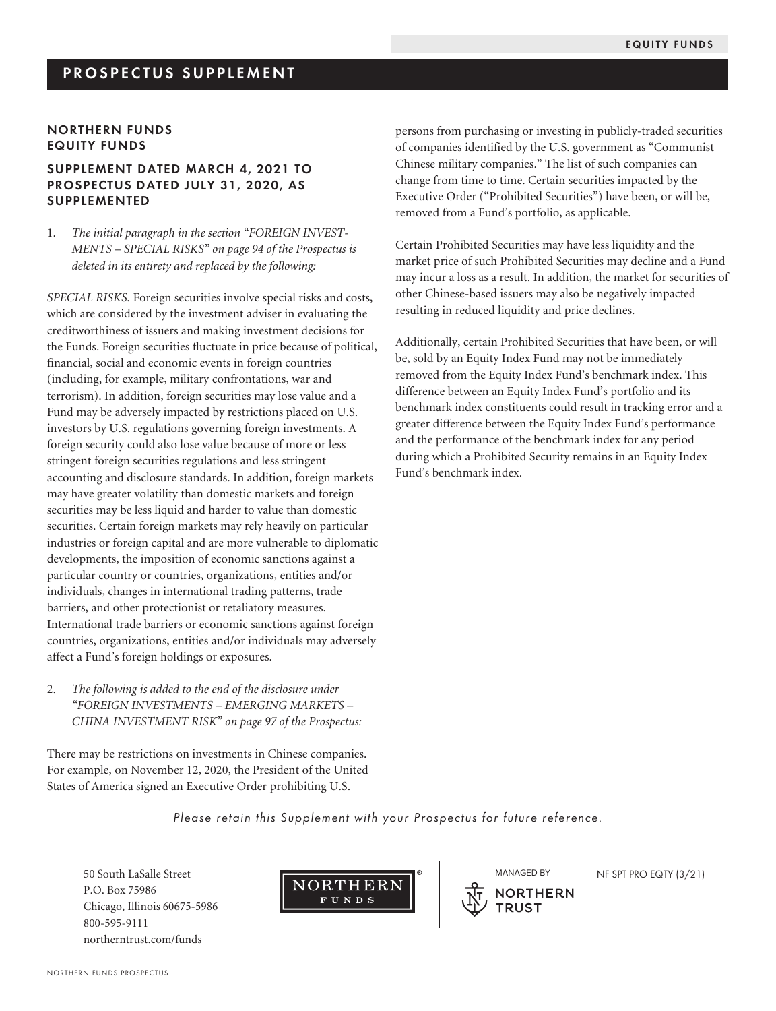# **PROSPECTUS SUPPLEMENT**

### **NORTHERN FUNDS EQUITY FUNDS**

## **SUPPLEMENT DATED MARCH 4, 2021 TO PROSPECTUS DATED JULY 31, 2020, AS SUPPLEMENTED**

1. *The initial paragraph in the section "FOREIGN INVEST-MENTS – SPECIAL RISKS" on page 94 of the Prospectus is deleted in its entirety and replaced by the following:*

*SPECIAL RISKS.* Foreign securities involve special risks and costs, which are considered by the investment adviser in evaluating the creditworthiness of issuers and making investment decisions for the Funds. Foreign securities fluctuate in price because of political, financial, social and economic events in foreign countries (including, for example, military confrontations, war and terrorism). In addition, foreign securities may lose value and a Fund may be adversely impacted by restrictions placed on U.S. investors by U.S. regulations governing foreign investments. A foreign security could also lose value because of more or less stringent foreign securities regulations and less stringent accounting and disclosure standards. In addition, foreign markets may have greater volatility than domestic markets and foreign securities may be less liquid and harder to value than domestic securities. Certain foreign markets may rely heavily on particular industries or foreign capital and are more vulnerable to diplomatic developments, the imposition of economic sanctions against a particular country or countries, organizations, entities and/or individuals, changes in international trading patterns, trade barriers, and other protectionist or retaliatory measures. International trade barriers or economic sanctions against foreign countries, organizations, entities and/or individuals may adversely affect a Fund's foreign holdings or exposures.

2. *The following is added to the end of the disclosure under "FOREIGN INVESTMENTS – EMERGING MARKETS – CHINA INVESTMENT RISK" on page 97 of the Prospectus:*

There may be restrictions on investments in Chinese companies. For example, on November 12, 2020, the President of the United States of America signed an Executive Order prohibiting U.S.

persons from purchasing or investing in publicly-traded securities of companies identified by the U.S. government as "Communist Chinese military companies." The list of such companies can change from time to time. Certain securities impacted by the Executive Order ("Prohibited Securities") have been, or will be, removed from a Fund's portfolio, as applicable.

Certain Prohibited Securities may have less liquidity and the market price of such Prohibited Securities may decline and a Fund may incur a loss as a result. In addition, the market for securities of other Chinese-based issuers may also be negatively impacted resulting in reduced liquidity and price declines.

Additionally, certain Prohibited Securities that have been, or will be, sold by an Equity Index Fund may not be immediately removed from the Equity Index Fund's benchmark index. This difference between an Equity Index Fund's portfolio and its benchmark index constituents could result in tracking error and a greater difference between the Equity Index Fund's performance and the performance of the benchmark index for any period during which a Prohibited Security remains in an Equity Index Fund's benchmark index.

Please retain this Supplement with your Prospectus for future reference.

50 South LaSalle Street P.O. Box 75986 Chicago, Illinois 60675-5986 800-595-9111 northerntrust.com/funds





MANAGED BY NF SPT PRO EQTY (3/21)

NORTHERN FUNDS PROSPECTUS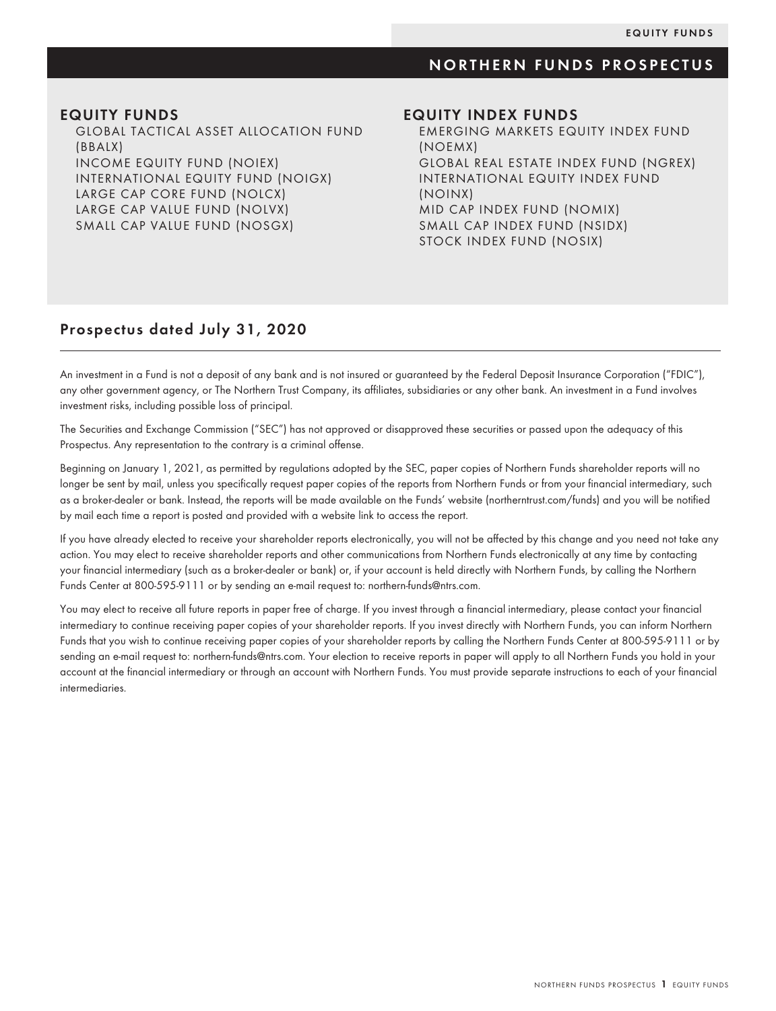# **NORTHERN FUNDS PROSPECTUS**

### **EQUITY FUNDS**

GLOBAL TACTICAL ASSET ALLOCATION FUND (BBALX) INCOME EQUITY FUND (NOIEX) INTERNATIONAL EQUITY FUND (NOIGX) LARGE CAP CORE FUND (NOLCX) LARGE CAP VALUE FUND (NOLVX) SMALL CAP VALUE FUND (NOSGX)

### **EQUITY INDEX FUNDS**

EMERGING MARKETS EQUITY INDEX FUND (NOEMX) GLOBAL REAL ESTATE INDEX FUND (NGREX) INTERNATIONAL EQUITY INDEX FUND (NOINX) MID CAP INDEX FUND (NOMIX) SMALL CAP INDEX FUND (NSIDX) STOCK INDEX FUND (NOSIX)

# **Prospectus dated July 31, 2020**

An investment in a Fund is not a deposit of any bank and is not insured or guaranteed by the Federal Deposit Insurance Corporation ("FDIC"), any other government agency, or The Northern Trust Company, its affiliates, subsidiaries or any other bank. An investment in a Fund involves investment risks, including possible loss of principal.

The Securities and Exchange Commission ("SEC") has not approved or disapproved these securities or passed upon the adequacy of this Prospectus. Any representation to the contrary is a criminal offense.

Beginning on January 1, 2021, as permitted by regulations adopted by the SEC, paper copies of Northern Funds shareholder reports will no longer be sent by mail, unless you specifically request paper copies of the reports from Northern Funds or from your financial intermediary, such as a broker-dealer or bank. Instead, the reports will be made available on the Funds' website (northerntrust.com/funds) and you will be notified by mail each time a report is posted and provided with a website link to access the report.

If you have already elected to receive your shareholder reports electronically, you will not be affected by this change and you need not take any action. You may elect to receive shareholder reports and other communications from Northern Funds electronically at any time by contacting your financial intermediary (such as a broker-dealer or bank) or, if your account is held directly with Northern Funds, by calling the Northern Funds Center at 800-595-9111 or by sending an e-mail request to: northern-funds@ntrs.com.

You may elect to receive all future reports in paper free of charge. If you invest through a financial intermediary, please contact your financial intermediary to continue receiving paper copies of your shareholder reports. If you invest directly with Northern Funds, you can inform Northern Funds that you wish to continue receiving paper copies of your shareholder reports by calling the Northern Funds Center at 800-595-9111 or by sending an e-mail request to: northern-funds@ntrs.com. Your election to receive reports in paper will apply to all Northern Funds you hold in your account at the financial intermediary or through an account with Northern Funds. You must provide separate instructions to each of your financial intermediaries.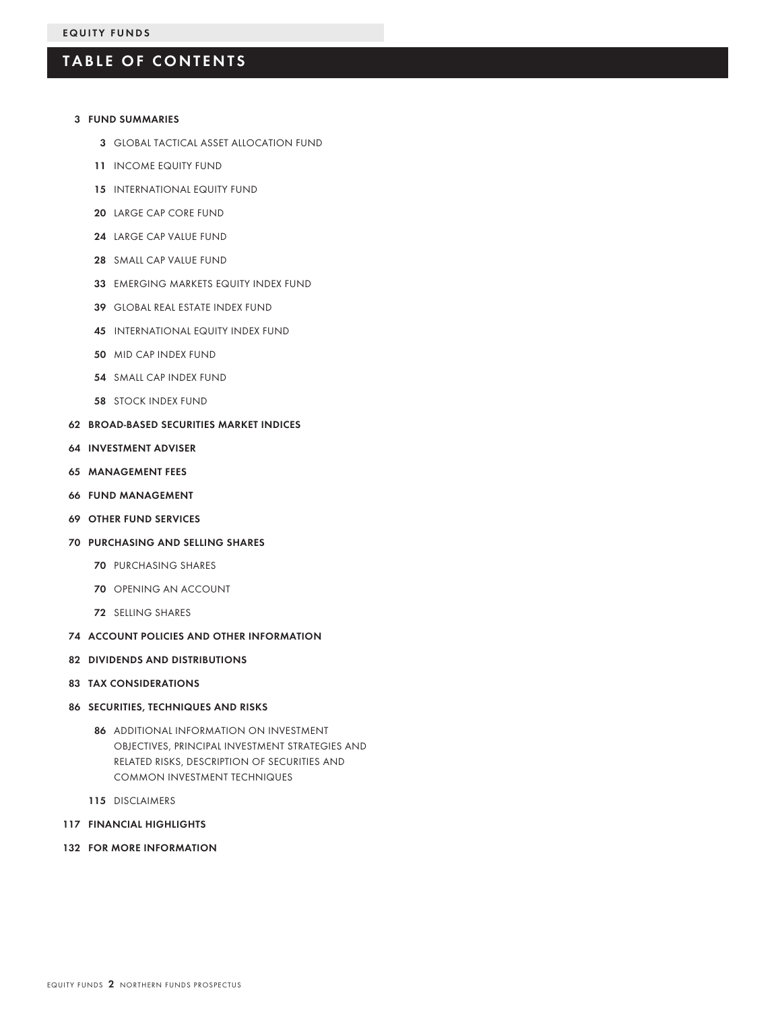# **TABLE OF CONTENTS**

#### **3 FUND SUMMARIES**

- **3** GLOBAL TACTICAL ASSET ALLOCATION FUND
- **11** INCOME EQUITY FUND
- **15** INTERNATIONAL EQUITY FUND
- **20** LARGE CAP CORE FUND
- **24** LARGE CAP VALUE FUND
- **28** SMALL CAP VALUE FUND
- **33** EMERGING MARKETS EQUITY INDEX FUND
- **39** GLOBAL REAL ESTATE INDEX FUND
- **45** INTERNATIONAL EQUITY INDEX FUND
- **50** MID CAP INDEX FUND
- **54** SMALL CAP INDEX FUND
- **58** STOCK INDEX FUND
- **62 BROAD-BASED SECURITIES MARKET INDICES**
- **64 INVESTMENT ADVISER**
- **65 MANAGEMENT FEES**
- **66 FUND MANAGEMENT**
- **69 OTHER FUND SERVICES**
- **70 PURCHASING AND SELLING SHARES**
	- **70** PURCHASING SHARES
	- **70** OPENING AN ACCOUNT
	- **72** SELLING SHARES
- **74 ACCOUNT POLICIES AND OTHER INFORMATION**
- **82 DIVIDENDS AND DISTRIBUTIONS**
- **83 TAX CONSIDERATIONS**
- **86 SECURITIES, TECHNIQUES AND RISKS**
	- **86** ADDITIONAL INFORMATION ON INVESTMENT OBJECTIVES, PRINCIPAL INVESTMENT STRATEGIES AND RELATED RISKS, DESCRIPTION OF SECURITIES AND COMMON INVESTMENT TECHNIQUES
	- **115** DISCLAIMERS
- **117 FINANCIAL HIGHLIGHTS**
- **132 FOR MORE INFORMATION**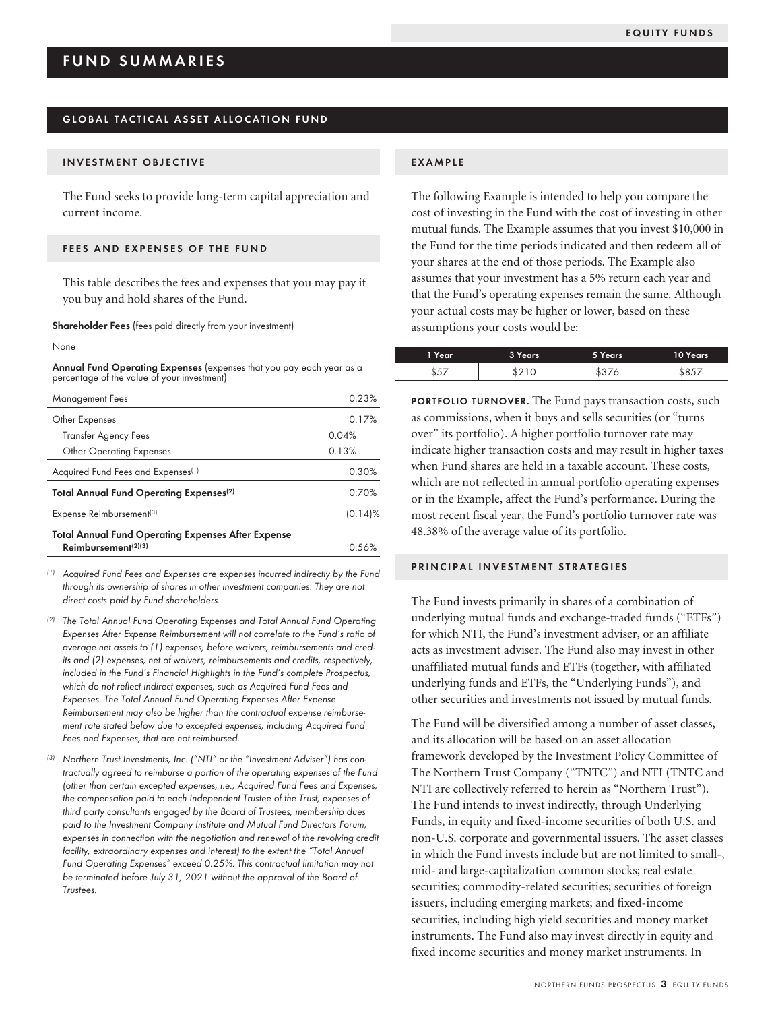# **FUND SUMMARIES**

## **GLOBAL TACTICAL ASSET ALLOCATION FUND**

#### **INVESTMENT OBJECTIVE**

The Fund seeks to provide long-term capital appreciation and current income.

#### **FEES AND EXPENSES OF THE FUND**

This table describes the fees and expenses that you may pay if you buy and hold shares of the Fund.

**Shareholder Fees** (fees paid directly from your investment)

None

**Annual Fund Operating Expenses** (expenses that you pay each year as a percentage of the value of your investment)

| <b>Management Fees</b>                                    | 0.23%      |
|-----------------------------------------------------------|------------|
| Other Expenses                                            | 0.17%      |
| <b>Transfer Agency Fees</b>                               | 0.04%      |
| <b>Other Operating Expenses</b>                           | 0.13%      |
| Acquired Fund Fees and Expenses <sup>(1)</sup>            | 0.30%      |
| Total Annual Fund Operating Expenses <sup>(2)</sup>       | 0.70%      |
| Expense Reimbursement <sup>(3)</sup>                      | $(0.14)\%$ |
| <b>Total Annual Fund Operating Expenses After Expense</b> |            |
| Reimbursement <sup>(2)(3)</sup>                           | 0.56%      |
|                                                           |            |

(1) Acquired Fund Fees and Expenses are expenses incurred indirectly by the Fund through its ownership of shares in other investment companies. They are not direct costs paid by Fund shareholders.

- (2) The Total Annual Fund Operating Expenses and Total Annual Fund Operating Expenses After Expense Reimbursement will not correlate to the Fund's ratio of average net assets to (1) expenses, before waivers, reimbursements and credits and (2) expenses, net of waivers, reimbursements and credits, respectively, included in the Fund's Financial Highlights in the Fund's complete Prospectus, which do not reflect indirect expenses, such as Acquired Fund Fees and Expenses. The Total Annual Fund Operating Expenses After Expense Reimbursement may also be higher than the contractual expense reimbursement rate stated below due to excepted expenses, including Acquired Fund Fees and Expenses, that are not reimbursed.
- (3) Northern Trust Investments, Inc. ("NTI" or the "Investment Adviser") has contractually agreed to reimburse a portion of the operating expenses of the Fund (other than certain excepted expenses, i.e., Acquired Fund Fees and Expenses, the compensation paid to each Independent Trustee of the Trust, expenses of third party consultants engaged by the Board of Trustees, membership dues paid to the Investment Company Institute and Mutual Fund Directors Forum, expenses in connection with the negotiation and renewal of the revolving credit facility, extraordinary expenses and interest) to the extent the "Total Annual Fund Operating Expenses" exceed 0.25%. This contractual limitation may not be terminated before July 31, 2021 without the approval of the Board of Trustees.

#### **EXAMPLE**

The following Example is intended to help you compare the cost of investing in the Fund with the cost of investing in other mutual funds. The Example assumes that you invest \$10,000 in the Fund for the time periods indicated and then redeem all of your shares at the end of those periods. The Example also assumes that your investment has a 5% return each year and that the Fund's operating expenses remain the same. Although your actual costs may be higher or lower, based on these assumptions your costs would be:

| l Year | 3 Years | 5 Years | 10 Years |
|--------|---------|---------|----------|
| \$57   | 210     | \$376   | \$857    |

**PORTFOLIO TURNOVER.** The Fund pays transaction costs, such as commissions, when it buys and sells securities (or "turns over" its portfolio). A higher portfolio turnover rate may indicate higher transaction costs and may result in higher taxes when Fund shares are held in a taxable account. These costs, which are not reflected in annual portfolio operating expenses or in the Example, affect the Fund's performance. During the most recent fiscal year, the Fund's portfolio turnover rate was 48.38% of the average value of its portfolio.

### **PRINCIPAL INVESTMENT STRATEGIES**

The Fund invests primarily in shares of a combination of underlying mutual funds and exchange-traded funds ("ETFs") for which NTI, the Fund's investment adviser, or an affiliate acts as investment adviser. The Fund also may invest in other unaffiliated mutual funds and ETFs (together, with affiliated underlying funds and ETFs, the "Underlying Funds"), and other securities and investments not issued by mutual funds.

The Fund will be diversified among a number of asset classes, and its allocation will be based on an asset allocation framework developed by the Investment Policy Committee of The Northern Trust Company ("TNTC") and NTI (TNTC and NTI are collectively referred to herein as "Northern Trust"). The Fund intends to invest indirectly, through Underlying Funds, in equity and fixed-income securities of both U.S. and non-U.S. corporate and governmental issuers. The asset classes in which the Fund invests include but are not limited to small-, mid- and large-capitalization common stocks; real estate securities; commodity-related securities; securities of foreign issuers, including emerging markets; and fixed-income securities, including high yield securities and money market instruments. The Fund also may invest directly in equity and fixed income securities and money market instruments. In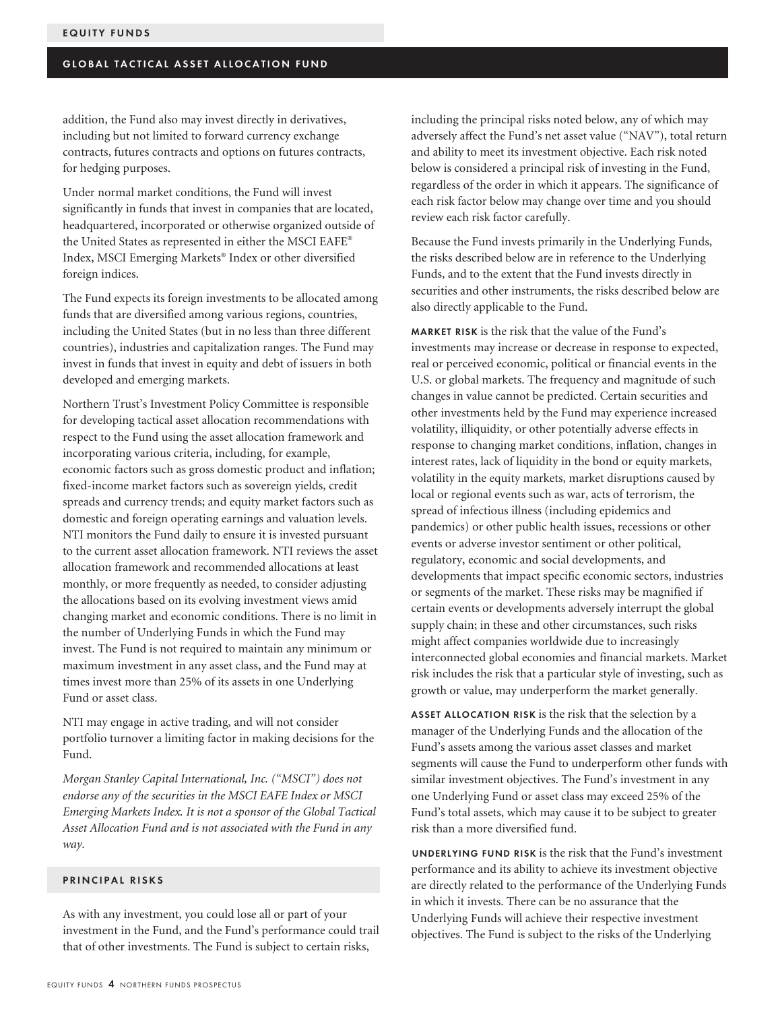#### **GLOBAL TACTICAL ASSET ALLOCATION FUND**

addition, the Fund also may invest directly in derivatives, including but not limited to forward currency exchange contracts, futures contracts and options on futures contracts, for hedging purposes.

Under normal market conditions, the Fund will invest significantly in funds that invest in companies that are located, headquartered, incorporated or otherwise organized outside of the United States as represented in either the MSCI EAFE® Index, MSCI Emerging Markets® Index or other diversified foreign indices.

The Fund expects its foreign investments to be allocated among funds that are diversified among various regions, countries, including the United States (but in no less than three different countries), industries and capitalization ranges. The Fund may invest in funds that invest in equity and debt of issuers in both developed and emerging markets.

Northern Trust's Investment Policy Committee is responsible for developing tactical asset allocation recommendations with respect to the Fund using the asset allocation framework and incorporating various criteria, including, for example, economic factors such as gross domestic product and inflation; fixed-income market factors such as sovereign yields, credit spreads and currency trends; and equity market factors such as domestic and foreign operating earnings and valuation levels. NTI monitors the Fund daily to ensure it is invested pursuant to the current asset allocation framework. NTI reviews the asset allocation framework and recommended allocations at least monthly, or more frequently as needed, to consider adjusting the allocations based on its evolving investment views amid changing market and economic conditions. There is no limit in the number of Underlying Funds in which the Fund may invest. The Fund is not required to maintain any minimum or maximum investment in any asset class, and the Fund may at times invest more than 25% of its assets in one Underlying Fund or asset class.

NTI may engage in active trading, and will not consider portfolio turnover a limiting factor in making decisions for the Fund.

*Morgan Stanley Capital International, Inc. ("MSCI") does not endorse any of the securities in the MSCI EAFE Index or MSCI Emerging Markets Index. It is not a sponsor of the Global Tactical Asset Allocation Fund and is not associated with the Fund in any way.*

### **PRINCIPAL RISKS**

As with any investment, you could lose all or part of your investment in the Fund, and the Fund's performance could trail that of other investments. The Fund is subject to certain risks,

including the principal risks noted below, any of which may adversely affect the Fund's net asset value ("NAV"), total return and ability to meet its investment objective. Each risk noted below is considered a principal risk of investing in the Fund, regardless of the order in which it appears. The significance of each risk factor below may change over time and you should review each risk factor carefully.

Because the Fund invests primarily in the Underlying Funds, the risks described below are in reference to the Underlying Funds, and to the extent that the Fund invests directly in securities and other instruments, the risks described below are also directly applicable to the Fund.

**MARKET RISK** is the risk that the value of the Fund's investments may increase or decrease in response to expected, real or perceived economic, political or financial events in the U.S. or global markets. The frequency and magnitude of such changes in value cannot be predicted. Certain securities and other investments held by the Fund may experience increased volatility, illiquidity, or other potentially adverse effects in response to changing market conditions, inflation, changes in interest rates, lack of liquidity in the bond or equity markets, volatility in the equity markets, market disruptions caused by local or regional events such as war, acts of terrorism, the spread of infectious illness (including epidemics and pandemics) or other public health issues, recessions or other events or adverse investor sentiment or other political, regulatory, economic and social developments, and developments that impact specific economic sectors, industries or segments of the market. These risks may be magnified if certain events or developments adversely interrupt the global supply chain; in these and other circumstances, such risks might affect companies worldwide due to increasingly interconnected global economies and financial markets. Market risk includes the risk that a particular style of investing, such as growth or value, may underperform the market generally.

**ASSET ALLOCATION RISK** is the risk that the selection by a manager of the Underlying Funds and the allocation of the Fund's assets among the various asset classes and market segments will cause the Fund to underperform other funds with similar investment objectives. The Fund's investment in any one Underlying Fund or asset class may exceed 25% of the Fund's total assets, which may cause it to be subject to greater risk than a more diversified fund.

**UNDERLYING FUND RISK** is the risk that the Fund's investment performance and its ability to achieve its investment objective are directly related to the performance of the Underlying Funds in which it invests. There can be no assurance that the Underlying Funds will achieve their respective investment objectives. The Fund is subject to the risks of the Underlying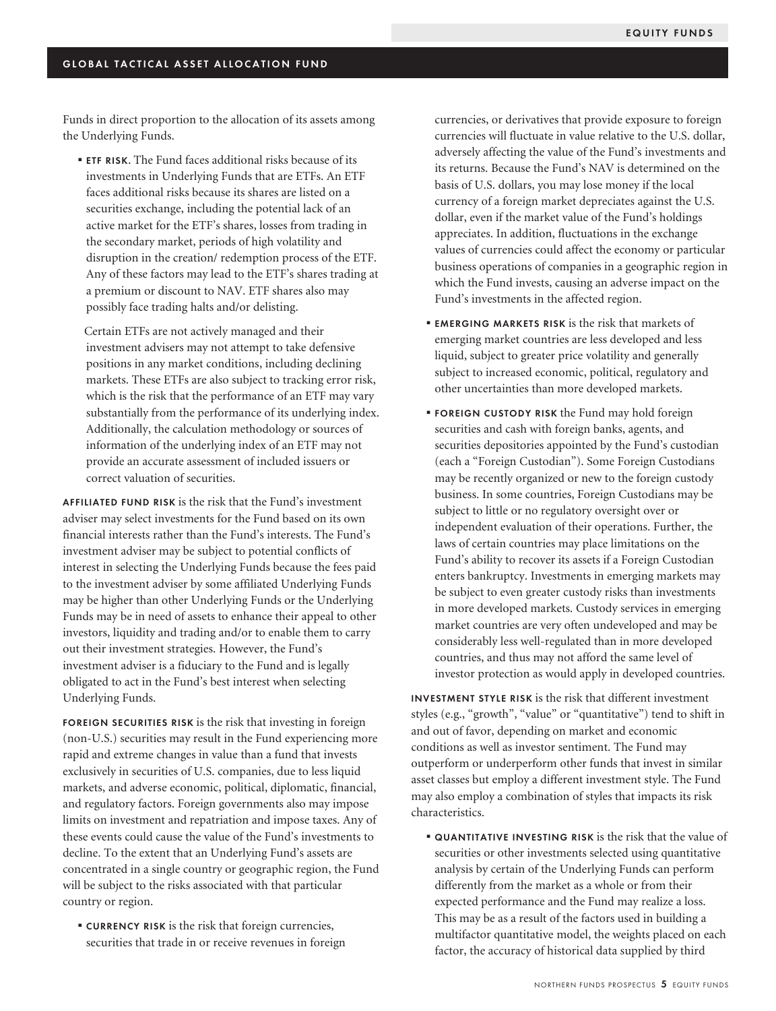Funds in direct proportion to the allocation of its assets among the Underlying Funds.

**ETF RISK.** The Fund faces additional risks because of its investments in Underlying Funds that are ETFs. An ETF faces additional risks because its shares are listed on a securities exchange, including the potential lack of an active market for the ETF's shares, losses from trading in the secondary market, periods of high volatility and disruption in the creation/ redemption process of the ETF. Any of these factors may lead to the ETF's shares trading at a premium or discount to NAV. ETF shares also may possibly face trading halts and/or delisting.

Certain ETFs are not actively managed and their investment advisers may not attempt to take defensive positions in any market conditions, including declining markets. These ETFs are also subject to tracking error risk, which is the risk that the performance of an ETF may vary substantially from the performance of its underlying index. Additionally, the calculation methodology or sources of information of the underlying index of an ETF may not provide an accurate assessment of included issuers or correct valuation of securities.

**AFFILIATED FUND RISK** is the risk that the Fund's investment adviser may select investments for the Fund based on its own financial interests rather than the Fund's interests. The Fund's investment adviser may be subject to potential conflicts of interest in selecting the Underlying Funds because the fees paid to the investment adviser by some affiliated Underlying Funds may be higher than other Underlying Funds or the Underlying Funds may be in need of assets to enhance their appeal to other investors, liquidity and trading and/or to enable them to carry out their investment strategies. However, the Fund's investment adviser is a fiduciary to the Fund and is legally obligated to act in the Fund's best interest when selecting Underlying Funds.

**FOREIGN SECURITIES RISK** is the risk that investing in foreign (non-U.S.) securities may result in the Fund experiencing more rapid and extreme changes in value than a fund that invests exclusively in securities of U.S. companies, due to less liquid markets, and adverse economic, political, diplomatic, financial, and regulatory factors. Foreign governments also may impose limits on investment and repatriation and impose taxes. Any of these events could cause the value of the Fund's investments to decline. To the extent that an Underlying Fund's assets are concentrated in a single country or geographic region, the Fund will be subject to the risks associated with that particular country or region.

▪ **CURRENCY RISK** is the risk that foreign currencies, securities that trade in or receive revenues in foreign currencies, or derivatives that provide exposure to foreign currencies will fluctuate in value relative to the U.S. dollar, adversely affecting the value of the Fund's investments and its returns. Because the Fund's NAV is determined on the basis of U.S. dollars, you may lose money if the local currency of a foreign market depreciates against the U.S. dollar, even if the market value of the Fund's holdings appreciates. In addition, fluctuations in the exchange values of currencies could affect the economy or particular business operations of companies in a geographic region in which the Fund invests, causing an adverse impact on the Fund's investments in the affected region.

- **EMERGING MARKETS RISK** is the risk that markets of emerging market countries are less developed and less liquid, subject to greater price volatility and generally subject to increased economic, political, regulatory and other uncertainties than more developed markets.
- **FOREIGN CUSTODY RISK** the Fund may hold foreign securities and cash with foreign banks, agents, and securities depositories appointed by the Fund's custodian (each a "Foreign Custodian"). Some Foreign Custodians may be recently organized or new to the foreign custody business. In some countries, Foreign Custodians may be subject to little or no regulatory oversight over or independent evaluation of their operations. Further, the laws of certain countries may place limitations on the Fund's ability to recover its assets if a Foreign Custodian enters bankruptcy. Investments in emerging markets may be subject to even greater custody risks than investments in more developed markets. Custody services in emerging market countries are very often undeveloped and may be considerably less well-regulated than in more developed countries, and thus may not afford the same level of investor protection as would apply in developed countries.

**INVESTMENT STYLE RISK** is the risk that different investment styles (e.g., "growth", "value" or "quantitative") tend to shift in and out of favor, depending on market and economic conditions as well as investor sentiment. The Fund may outperform or underperform other funds that invest in similar asset classes but employ a different investment style. The Fund may also employ a combination of styles that impacts its risk characteristics.

▪ **QUANTITATIVE INVESTING RISK** is the risk that the value of securities or other investments selected using quantitative analysis by certain of the Underlying Funds can perform differently from the market as a whole or from their expected performance and the Fund may realize a loss. This may be as a result of the factors used in building a multifactor quantitative model, the weights placed on each factor, the accuracy of historical data supplied by third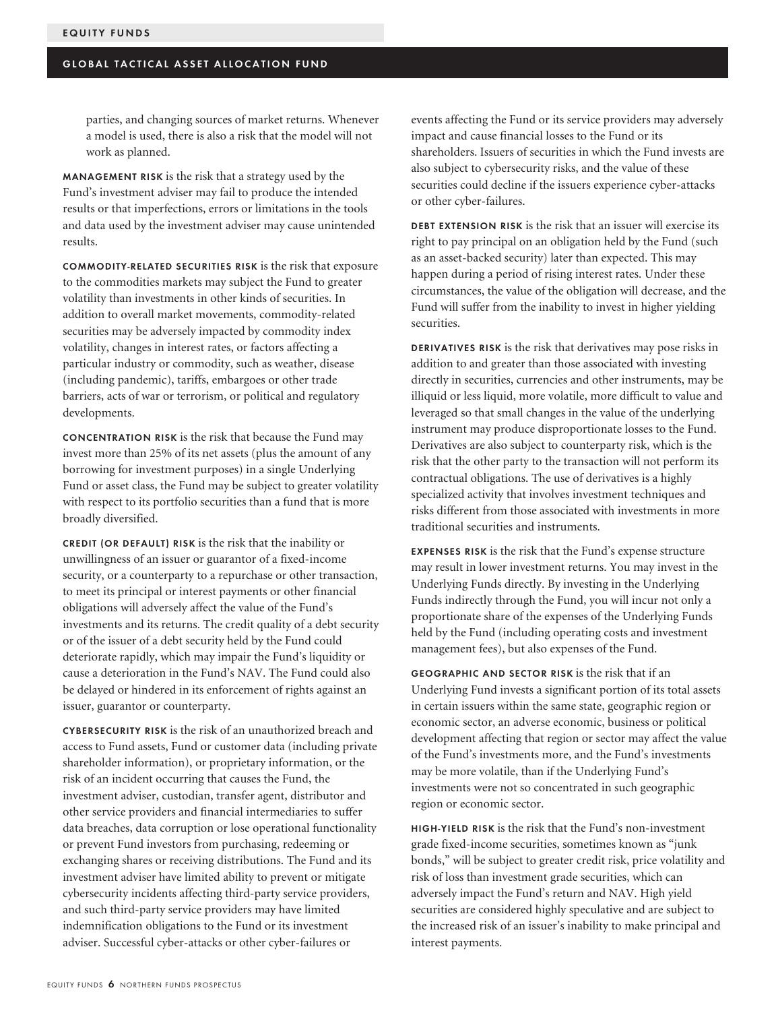#### **GLOBAL TACTICAL ASSET ALLOCATION FUND**

parties, and changing sources of market returns. Whenever a model is used, there is also a risk that the model will not work as planned.

**MANAGEMENT RISK** is the risk that a strategy used by the Fund's investment adviser may fail to produce the intended results or that imperfections, errors or limitations in the tools and data used by the investment adviser may cause unintended results.

**COMMODITY-RELATED SECURITIES RISK** is the risk that exposure to the commodities markets may subject the Fund to greater volatility than investments in other kinds of securities. In addition to overall market movements, commodity-related securities may be adversely impacted by commodity index volatility, changes in interest rates, or factors affecting a particular industry or commodity, such as weather, disease (including pandemic), tariffs, embargoes or other trade barriers, acts of war or terrorism, or political and regulatory developments.

**CONCENTRATION RISK** is the risk that because the Fund may invest more than 25% of its net assets (plus the amount of any borrowing for investment purposes) in a single Underlying Fund or asset class, the Fund may be subject to greater volatility with respect to its portfolio securities than a fund that is more broadly diversified.

**CREDIT (OR DEFAULT) RISK** is the risk that the inability or unwillingness of an issuer or guarantor of a fixed-income security, or a counterparty to a repurchase or other transaction, to meet its principal or interest payments or other financial obligations will adversely affect the value of the Fund's investments and its returns. The credit quality of a debt security or of the issuer of a debt security held by the Fund could deteriorate rapidly, which may impair the Fund's liquidity or cause a deterioration in the Fund's NAV. The Fund could also be delayed or hindered in its enforcement of rights against an issuer, guarantor or counterparty.

**CYBERSECURITY RISK** is the risk of an unauthorized breach and access to Fund assets, Fund or customer data (including private shareholder information), or proprietary information, or the risk of an incident occurring that causes the Fund, the investment adviser, custodian, transfer agent, distributor and other service providers and financial intermediaries to suffer data breaches, data corruption or lose operational functionality or prevent Fund investors from purchasing, redeeming or exchanging shares or receiving distributions. The Fund and its investment adviser have limited ability to prevent or mitigate cybersecurity incidents affecting third-party service providers, and such third-party service providers may have limited indemnification obligations to the Fund or its investment adviser. Successful cyber-attacks or other cyber-failures or

events affecting the Fund or its service providers may adversely impact and cause financial losses to the Fund or its shareholders. Issuers of securities in which the Fund invests are also subject to cybersecurity risks, and the value of these securities could decline if the issuers experience cyber-attacks or other cyber-failures.

**DEBT EXTENSION RISK** is the risk that an issuer will exercise its right to pay principal on an obligation held by the Fund (such as an asset-backed security) later than expected. This may happen during a period of rising interest rates. Under these circumstances, the value of the obligation will decrease, and the Fund will suffer from the inability to invest in higher yielding securities.

**DERIVATIVES RISK** is the risk that derivatives may pose risks in addition to and greater than those associated with investing directly in securities, currencies and other instruments, may be illiquid or less liquid, more volatile, more difficult to value and leveraged so that small changes in the value of the underlying instrument may produce disproportionate losses to the Fund. Derivatives are also subject to counterparty risk, which is the risk that the other party to the transaction will not perform its contractual obligations. The use of derivatives is a highly specialized activity that involves investment techniques and risks different from those associated with investments in more traditional securities and instruments.

**EXPENSES RISK** is the risk that the Fund's expense structure may result in lower investment returns. You may invest in the Underlying Funds directly. By investing in the Underlying Funds indirectly through the Fund, you will incur not only a proportionate share of the expenses of the Underlying Funds held by the Fund (including operating costs and investment management fees), but also expenses of the Fund.

**GEOGRAPHIC AND SECTOR RISK** is the risk that if an Underlying Fund invests a significant portion of its total assets in certain issuers within the same state, geographic region or economic sector, an adverse economic, business or political development affecting that region or sector may affect the value of the Fund's investments more, and the Fund's investments may be more volatile, than if the Underlying Fund's investments were not so concentrated in such geographic region or economic sector.

**HIGH-YIELD RISK** is the risk that the Fund's non-investment grade fixed-income securities, sometimes known as "junk bonds," will be subject to greater credit risk, price volatility and risk of loss than investment grade securities, which can adversely impact the Fund's return and NAV. High yield securities are considered highly speculative and are subject to the increased risk of an issuer's inability to make principal and interest payments.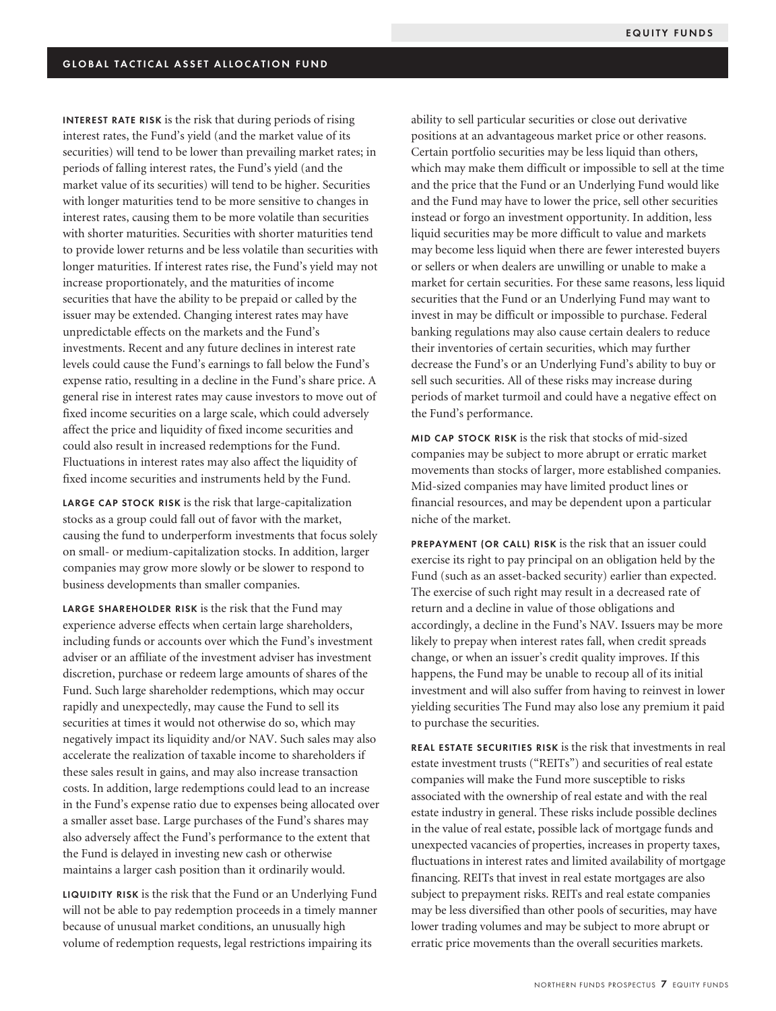**INTEREST RATE RISK** is the risk that during periods of rising interest rates, the Fund's yield (and the market value of its securities) will tend to be lower than prevailing market rates; in periods of falling interest rates, the Fund's yield (and the market value of its securities) will tend to be higher. Securities with longer maturities tend to be more sensitive to changes in interest rates, causing them to be more volatile than securities with shorter maturities. Securities with shorter maturities tend to provide lower returns and be less volatile than securities with longer maturities. If interest rates rise, the Fund's yield may not increase proportionately, and the maturities of income securities that have the ability to be prepaid or called by the issuer may be extended. Changing interest rates may have unpredictable effects on the markets and the Fund's investments. Recent and any future declines in interest rate levels could cause the Fund's earnings to fall below the Fund's expense ratio, resulting in a decline in the Fund's share price. A general rise in interest rates may cause investors to move out of fixed income securities on a large scale, which could adversely affect the price and liquidity of fixed income securities and could also result in increased redemptions for the Fund. Fluctuations in interest rates may also affect the liquidity of fixed income securities and instruments held by the Fund.

**LARGE CAP STOCK RISK** is the risk that large-capitalization stocks as a group could fall out of favor with the market, causing the fund to underperform investments that focus solely on small- or medium-capitalization stocks. In addition, larger companies may grow more slowly or be slower to respond to business developments than smaller companies.

**LARGE SHAREHOLDER RISK** is the risk that the Fund may experience adverse effects when certain large shareholders, including funds or accounts over which the Fund's investment adviser or an affiliate of the investment adviser has investment discretion, purchase or redeem large amounts of shares of the Fund. Such large shareholder redemptions, which may occur rapidly and unexpectedly, may cause the Fund to sell its securities at times it would not otherwise do so, which may negatively impact its liquidity and/or NAV. Such sales may also accelerate the realization of taxable income to shareholders if these sales result in gains, and may also increase transaction costs. In addition, large redemptions could lead to an increase in the Fund's expense ratio due to expenses being allocated over a smaller asset base. Large purchases of the Fund's shares may also adversely affect the Fund's performance to the extent that the Fund is delayed in investing new cash or otherwise maintains a larger cash position than it ordinarily would.

**LIQUIDITY RISK** is the risk that the Fund or an Underlying Fund will not be able to pay redemption proceeds in a timely manner because of unusual market conditions, an unusually high volume of redemption requests, legal restrictions impairing its

ability to sell particular securities or close out derivative positions at an advantageous market price or other reasons. Certain portfolio securities may be less liquid than others, which may make them difficult or impossible to sell at the time and the price that the Fund or an Underlying Fund would like and the Fund may have to lower the price, sell other securities instead or forgo an investment opportunity. In addition, less liquid securities may be more difficult to value and markets may become less liquid when there are fewer interested buyers or sellers or when dealers are unwilling or unable to make a market for certain securities. For these same reasons, less liquid securities that the Fund or an Underlying Fund may want to invest in may be difficult or impossible to purchase. Federal banking regulations may also cause certain dealers to reduce their inventories of certain securities, which may further decrease the Fund's or an Underlying Fund's ability to buy or sell such securities. All of these risks may increase during periods of market turmoil and could have a negative effect on the Fund's performance.

**MID CAP STOCK RISK** is the risk that stocks of mid-sized companies may be subject to more abrupt or erratic market movements than stocks of larger, more established companies. Mid-sized companies may have limited product lines or financial resources, and may be dependent upon a particular niche of the market.

**PREPAYMENT (OR CALL) RISK** is the risk that an issuer could exercise its right to pay principal on an obligation held by the Fund (such as an asset-backed security) earlier than expected. The exercise of such right may result in a decreased rate of return and a decline in value of those obligations and accordingly, a decline in the Fund's NAV. Issuers may be more likely to prepay when interest rates fall, when credit spreads change, or when an issuer's credit quality improves. If this happens, the Fund may be unable to recoup all of its initial investment and will also suffer from having to reinvest in lower yielding securities The Fund may also lose any premium it paid to purchase the securities.

**REAL ESTATE SECURITIES RISK** is the risk that investments in real estate investment trusts ("REITs") and securities of real estate companies will make the Fund more susceptible to risks associated with the ownership of real estate and with the real estate industry in general. These risks include possible declines in the value of real estate, possible lack of mortgage funds and unexpected vacancies of properties, increases in property taxes, fluctuations in interest rates and limited availability of mortgage financing. REITs that invest in real estate mortgages are also subject to prepayment risks. REITs and real estate companies may be less diversified than other pools of securities, may have lower trading volumes and may be subject to more abrupt or erratic price movements than the overall securities markets.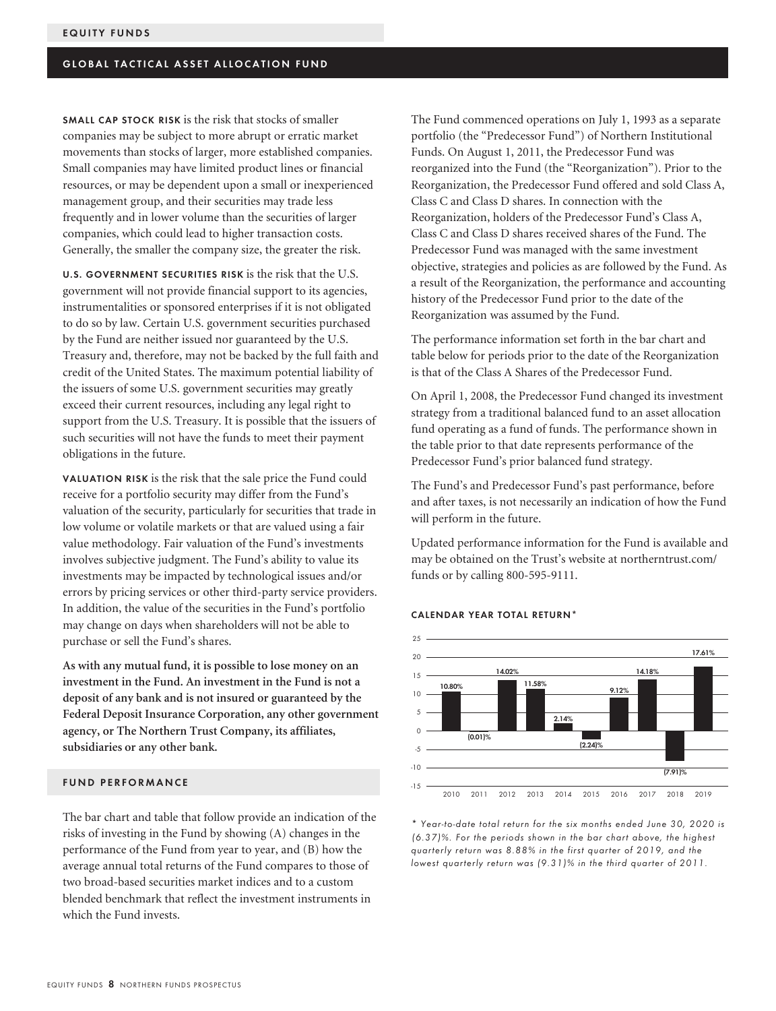### **GLOBAL TACTICAL ASSET ALLOCATION FUND**

**SMALL CAP STOCK RISK** is the risk that stocks of smaller companies may be subject to more abrupt or erratic market movements than stocks of larger, more established companies. Small companies may have limited product lines or financial resources, or may be dependent upon a small or inexperienced management group, and their securities may trade less frequently and in lower volume than the securities of larger companies, which could lead to higher transaction costs. Generally, the smaller the company size, the greater the risk.

**U.S. GOVERNMENT SECURITIES RISK** is the risk that the U.S. government will not provide financial support to its agencies, instrumentalities or sponsored enterprises if it is not obligated to do so by law. Certain U.S. government securities purchased by the Fund are neither issued nor guaranteed by the U.S. Treasury and, therefore, may not be backed by the full faith and credit of the United States. The maximum potential liability of the issuers of some U.S. government securities may greatly exceed their current resources, including any legal right to support from the U.S. Treasury. It is possible that the issuers of such securities will not have the funds to meet their payment obligations in the future.

**VALUATION RISK** is the risk that the sale price the Fund could receive for a portfolio security may differ from the Fund's valuation of the security, particularly for securities that trade in low volume or volatile markets or that are valued using a fair value methodology. Fair valuation of the Fund's investments involves subjective judgment. The Fund's ability to value its investments may be impacted by technological issues and/or errors by pricing services or other third-party service providers. In addition, the value of the securities in the Fund's portfolio may change on days when shareholders will not be able to purchase or sell the Fund's shares.

**As with any mutual fund, it is possible to lose money on an investment in the Fund. An investment in the Fund is not a deposit of any bank and is not insured or guaranteed by the Federal Deposit Insurance Corporation, any other government agency, or The Northern Trust Company, its affiliates, subsidiaries or any other bank.**

## **FUND PERFORMANCE**

The bar chart and table that follow provide an indication of the risks of investing in the Fund by showing (A) changes in the performance of the Fund from year to year, and (B) how the average annual total returns of the Fund compares to those of two broad-based securities market indices and to a custom blended benchmark that reflect the investment instruments in which the Fund invests.

The Fund commenced operations on July 1, 1993 as a separate portfolio (the "Predecessor Fund") of Northern Institutional Funds. On August 1, 2011, the Predecessor Fund was reorganized into the Fund (the "Reorganization"). Prior to the Reorganization, the Predecessor Fund offered and sold Class A, Class C and Class D shares. In connection with the Reorganization, holders of the Predecessor Fund's Class A, Class C and Class D shares received shares of the Fund. The Predecessor Fund was managed with the same investment objective, strategies and policies as are followed by the Fund. As a result of the Reorganization, the performance and accounting history of the Predecessor Fund prior to the date of the Reorganization was assumed by the Fund.

The performance information set forth in the bar chart and table below for periods prior to the date of the Reorganization is that of the Class A Shares of the Predecessor Fund.

On April 1, 2008, the Predecessor Fund changed its investment strategy from a traditional balanced fund to an asset allocation fund operating as a fund of funds. The performance shown in the table prior to that date represents performance of the Predecessor Fund's prior balanced fund strategy.

The Fund's and Predecessor Fund's past performance, before and after taxes, is not necessarily an indication of how the Fund will perform in the future.

Updated performance information for the Fund is available and may be obtained on the Trust's website at northerntrust.com/ funds or by calling 800-595-9111.

### **CALENDAR YEAR TOTAL RETURN\***



\* Year-to-date total return for the six months ended June 30, 2020 is (6.37)%. For the periods shown in the bar chart above, the highest quarterly return was 8.88% in the first quarter of 2019, and the lowest quarterly return was (9.31)% in the third quarter of 2011.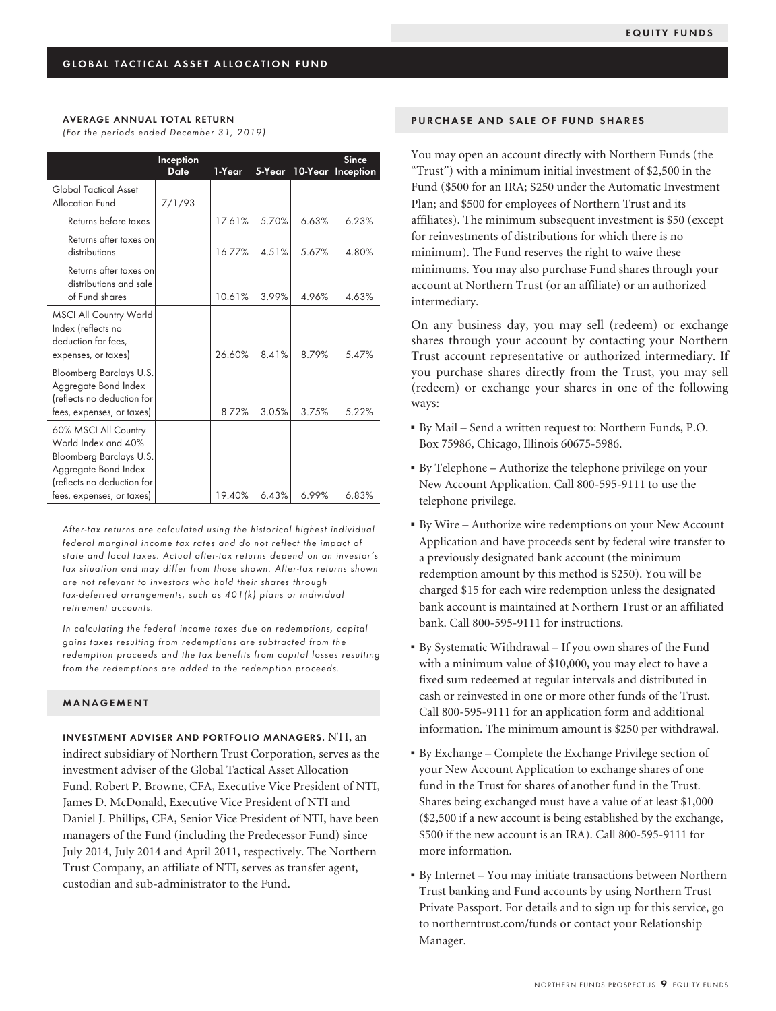#### **AVERAGE ANNUAL TOTAL RETURN**

(For the periods ended December 31, 2019)

|                                                                                                                                                                  | Inception<br>Date | 1-Year | 5-Year | 10-Year | <b>Since</b><br>Inception |
|------------------------------------------------------------------------------------------------------------------------------------------------------------------|-------------------|--------|--------|---------|---------------------------|
| <b>Global Tactical Asset</b><br>Allocation Fund                                                                                                                  | 7/1/93            |        |        |         |                           |
| Returns before taxes                                                                                                                                             |                   | 1761%  | 5.70%  | 6.63%   | 6.23%                     |
| Returns after taxes on<br>distributions                                                                                                                          |                   | 16.77% | 4.51%  | 5.67%   | 4.80%                     |
| Returns after taxes on<br>distributions and sale<br>of Fund shares                                                                                               |                   | 10.61% | 3.99%  | 4.96%   | 4.63%                     |
| <b>MSCI All Country World</b><br>Index (reflects no<br>deduction for fees,<br>expenses, or taxes)                                                                |                   | 26.60% | 8.41%  | 8.79%   | 5.47%                     |
| Bloomberg Barclays U.S.<br>Aggregate Bond Index<br>(reflects no deduction for<br>fees, expenses, or taxes)                                                       |                   | 8.72%  | 3.05%  | 3.75%   | 5.22%                     |
| 60% MSCI All Country<br>World Index and 40%<br><b>Bloomberg Barclays U.S.</b><br>Aggregate Bond Index<br>(reflects no deduction for<br>fees, expenses, or taxes) |                   | 19.40% | 6.43%  | 6.99%   | 6.83%                     |

After-tax returns are calculated using the historical highest individual federal marginal income tax rates and do not reflect the impact of state and local taxes. Actual after-tax returns depend on an investor's tax situation and may differ from those shown. After-tax returns shown are not relevant to investors who hold their shares through tax-deferred arrangements, such as 401(k) plans or individual retirement accounts.

In calculating the federal income taxes due on redemptions, capital gains taxes resulting from redemptions are subtracted from the redemption proceeds and the tax benefits from capital losses resulting from the redemptions are added to the redemption proceeds.

### **MANAGEMENT**

**INVESTMENT ADVISER AND PORTFOLIO MANAGERS.** NTI, an indirect subsidiary of Northern Trust Corporation, serves as the investment adviser of the Global Tactical Asset Allocation Fund. Robert P. Browne, CFA, Executive Vice President of NTI, James D. McDonald, Executive Vice President of NTI and Daniel J. Phillips, CFA, Senior Vice President of NTI, have been managers of the Fund (including the Predecessor Fund) since July 2014, July 2014 and April 2011, respectively. The Northern Trust Company, an affiliate of NTI, serves as transfer agent, custodian and sub-administrator to the Fund.

### **PURCHASE AND SALE OF FUND SHARES**

You may open an account directly with Northern Funds (the "Trust") with a minimum initial investment of \$2,500 in the Fund (\$500 for an IRA; \$250 under the Automatic Investment Plan; and \$500 for employees of Northern Trust and its affiliates). The minimum subsequent investment is \$50 (except for reinvestments of distributions for which there is no minimum). The Fund reserves the right to waive these minimums. You may also purchase Fund shares through your account at Northern Trust (or an affiliate) or an authorized intermediary.

On any business day, you may sell (redeem) or exchange shares through your account by contacting your Northern Trust account representative or authorized intermediary. If you purchase shares directly from the Trust, you may sell (redeem) or exchange your shares in one of the following ways:

- By Mail Send a written request to: Northern Funds, P.O. Box 75986, Chicago, Illinois 60675-5986.
- By Telephone Authorize the telephone privilege on your New Account Application. Call 800-595-9111 to use the telephone privilege.
- By Wire Authorize wire redemptions on your New Account Application and have proceeds sent by federal wire transfer to a previously designated bank account (the minimum redemption amount by this method is \$250). You will be charged \$15 for each wire redemption unless the designated bank account is maintained at Northern Trust or an affiliated bank. Call 800-595-9111 for instructions.
- By Systematic Withdrawal If you own shares of the Fund with a minimum value of \$10,000, you may elect to have a fixed sum redeemed at regular intervals and distributed in cash or reinvested in one or more other funds of the Trust. Call 800-595-9111 for an application form and additional information. The minimum amount is \$250 per withdrawal.
- By Exchange Complete the Exchange Privilege section of your New Account Application to exchange shares of one fund in the Trust for shares of another fund in the Trust. Shares being exchanged must have a value of at least \$1,000 (\$2,500 if a new account is being established by the exchange, \$500 if the new account is an IRA). Call 800-595-9111 for more information.
- By Internet You may initiate transactions between Northern Trust banking and Fund accounts by using Northern Trust Private Passport. For details and to sign up for this service, go to northerntrust.com/funds or contact your Relationship Manager.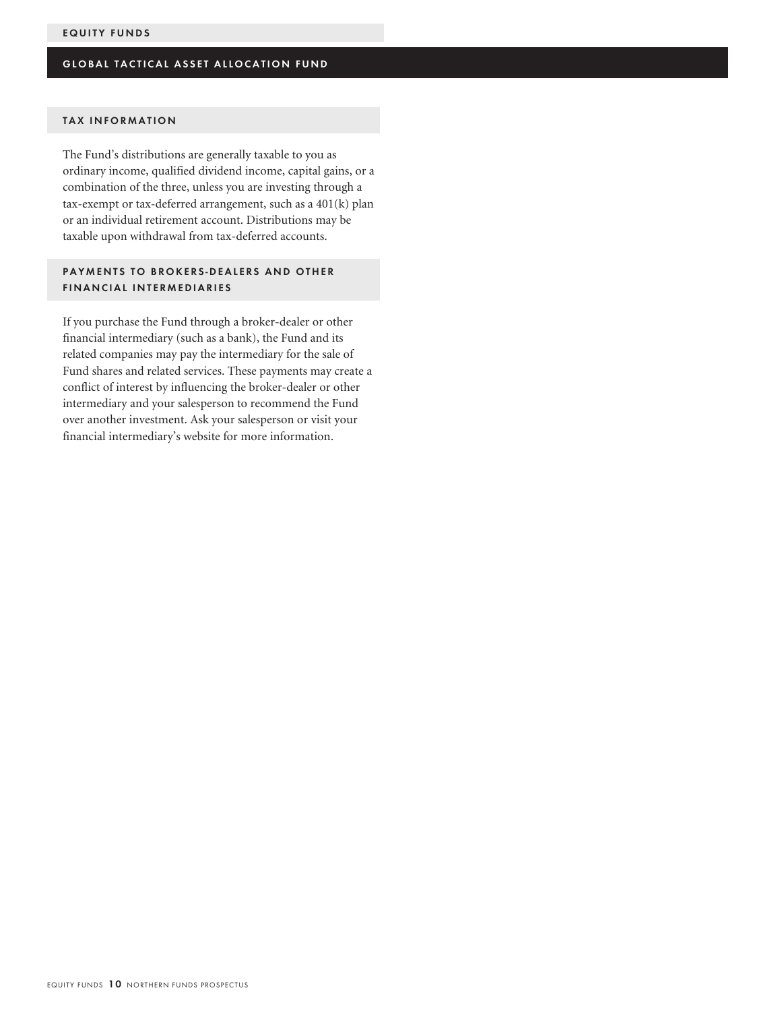#### **GLOBAL TACTICAL ASSET ALLOCATION FUND**

### **TAX INFORMATION**

The Fund's distributions are generally taxable to you as ordinary income, qualified dividend income, capital gains, or a combination of the three, unless you are investing through a tax-exempt or tax-deferred arrangement, such as a 401(k) plan or an individual retirement account. Distributions may be taxable upon withdrawal from tax-deferred accounts.

### **PAYMENTS TO BROKERS-DEALERS AND OTHER FINANCIAL INTERMEDIARIES**

If you purchase the Fund through a broker-dealer or other financial intermediary (such as a bank), the Fund and its related companies may pay the intermediary for the sale of Fund shares and related services. These payments may create a conflict of interest by influencing the broker-dealer or other intermediary and your salesperson to recommend the Fund over another investment. Ask your salesperson or visit your financial intermediary's website for more information.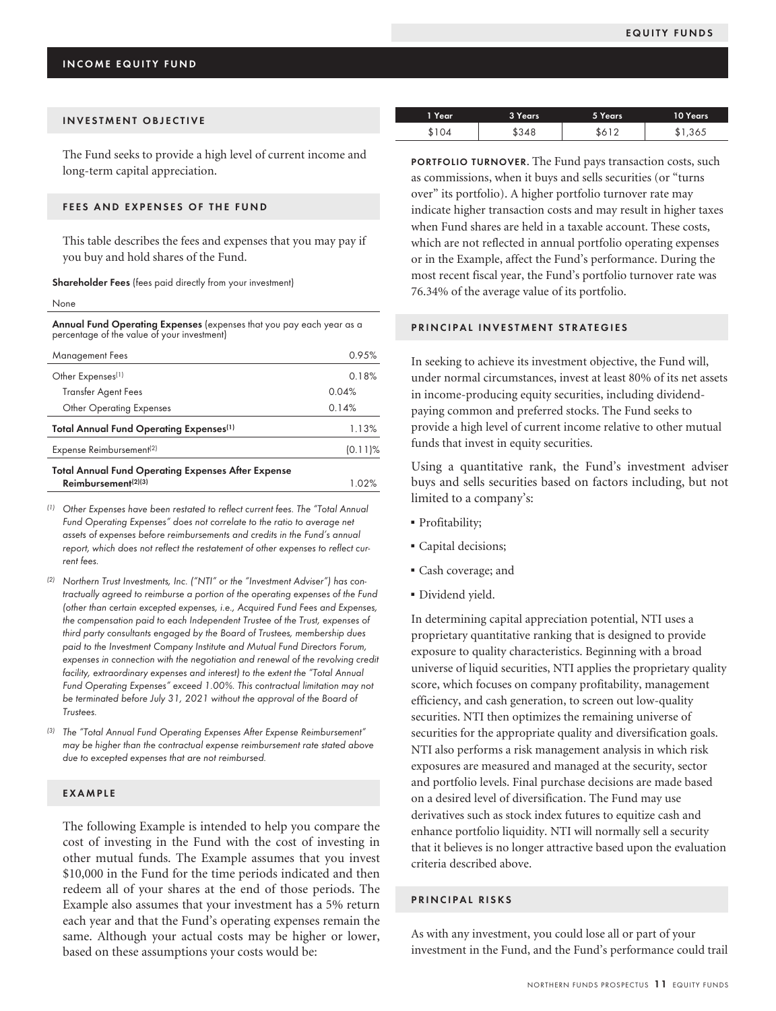### **INVESTMENT OBJECTIVE**

The Fund seeks to provide a high level of current income and long-term capital appreciation.

#### **FEES AND EXPENSES OF THE FUND**

This table describes the fees and expenses that you may pay if you buy and hold shares of the Fund.

**Shareholder Fees** (fees paid directly from your investment)

None

**Annual Fund Operating Expenses** (expenses that you pay each year as a percentage of the value of your investment)

| <b>Total Annual Fund Operating Expenses After Expense</b> |            |
|-----------------------------------------------------------|------------|
| Expense Reimbursement <sup>(2)</sup>                      | $(0.11)$ % |
| Total Annual Fund Operating Expenses <sup>(1)</sup>       | 1.13%      |
| <b>Other Operating Expenses</b>                           | 0.14%      |
| <b>Transfer Agent Fees</b>                                | 0.04%      |
| Other Expenses <sup>(1)</sup>                             | 0.18%      |
| <b>Management Fees</b>                                    | 0.95%      |

**Reimbursement(2)(3)** 1.02%

- (1) Other Expenses have been restated to reflect current fees. The "Total Annual Fund Operating Expenses" does not correlate to the ratio to average net assets of expenses before reimbursements and credits in the Fund's annual report, which does not reflect the restatement of other expenses to reflect current fees.
- (2) Northern Trust Investments, Inc. ("NTI" or the "Investment Adviser") has contractually agreed to reimburse a portion of the operating expenses of the Fund (other than certain excepted expenses, i.e., Acquired Fund Fees and Expenses, the compensation paid to each Independent Trustee of the Trust, expenses of third party consultants engaged by the Board of Trustees, membership dues paid to the Investment Company Institute and Mutual Fund Directors Forum, expenses in connection with the negotiation and renewal of the revolving credit facility, extraordinary expenses and interest) to the extent the "Total Annual Fund Operating Expenses" exceed 1.00%. This contractual limitation may not be terminated before July 31, 2021 without the approval of the Board of Trustees.
- (3) The "Total Annual Fund Operating Expenses After Expense Reimbursement" may be higher than the contractual expense reimbursement rate stated above due to excepted expenses that are not reimbursed.

#### **EXAMPLE**

The following Example is intended to help you compare the cost of investing in the Fund with the cost of investing in other mutual funds. The Example assumes that you invest \$10,000 in the Fund for the time periods indicated and then redeem all of your shares at the end of those periods. The Example also assumes that your investment has a 5% return each year and that the Fund's operating expenses remain the same. Although your actual costs may be higher or lower, based on these assumptions your costs would be:

| 1 Year | 3 Years | 5 Years | 10 Years |
|--------|---------|---------|----------|
| \$104  | \$348   | \$612   | \$1,365  |

**PORTFOLIO TURNOVER.** The Fund pays transaction costs, such as commissions, when it buys and sells securities (or "turns over" its portfolio). A higher portfolio turnover rate may indicate higher transaction costs and may result in higher taxes when Fund shares are held in a taxable account. These costs, which are not reflected in annual portfolio operating expenses or in the Example, affect the Fund's performance. During the most recent fiscal year, the Fund's portfolio turnover rate was 76.34% of the average value of its portfolio.

### **PRINCIPAL INVESTMENT STRATEGIES**

In seeking to achieve its investment objective, the Fund will, under normal circumstances, invest at least 80% of its net assets in income-producing equity securities, including dividendpaying common and preferred stocks. The Fund seeks to provide a high level of current income relative to other mutual funds that invest in equity securities.

Using a quantitative rank, the Fund's investment adviser buys and sells securities based on factors including, but not limited to a company's:

- Profitability;
- Capital decisions;
- Cash coverage; and
- · Dividend yield.

In determining capital appreciation potential, NTI uses a proprietary quantitative ranking that is designed to provide exposure to quality characteristics. Beginning with a broad universe of liquid securities, NTI applies the proprietary quality score, which focuses on company profitability, management efficiency, and cash generation, to screen out low-quality securities. NTI then optimizes the remaining universe of securities for the appropriate quality and diversification goals. NTI also performs a risk management analysis in which risk exposures are measured and managed at the security, sector and portfolio levels. Final purchase decisions are made based on a desired level of diversification. The Fund may use derivatives such as stock index futures to equitize cash and enhance portfolio liquidity. NTI will normally sell a security that it believes is no longer attractive based upon the evaluation criteria described above.

#### **PRINCIPAL RISKS**

As with any investment, you could lose all or part of your investment in the Fund, and the Fund's performance could trail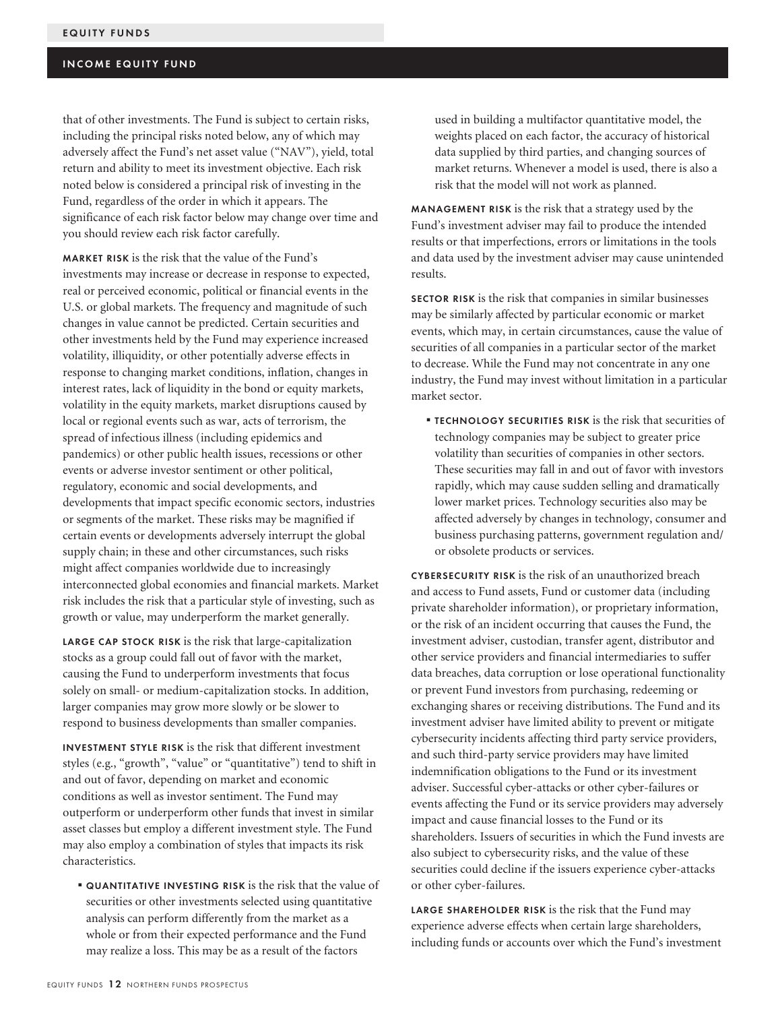### **INCOME EQUITY FUND**

that of other investments. The Fund is subject to certain risks, including the principal risks noted below, any of which may adversely affect the Fund's net asset value ("NAV"), yield, total return and ability to meet its investment objective. Each risk noted below is considered a principal risk of investing in the Fund, regardless of the order in which it appears. The significance of each risk factor below may change over time and you should review each risk factor carefully.

**MARKET RISK** is the risk that the value of the Fund's investments may increase or decrease in response to expected, real or perceived economic, political or financial events in the U.S. or global markets. The frequency and magnitude of such changes in value cannot be predicted. Certain securities and other investments held by the Fund may experience increased volatility, illiquidity, or other potentially adverse effects in response to changing market conditions, inflation, changes in interest rates, lack of liquidity in the bond or equity markets, volatility in the equity markets, market disruptions caused by local or regional events such as war, acts of terrorism, the spread of infectious illness (including epidemics and pandemics) or other public health issues, recessions or other events or adverse investor sentiment or other political, regulatory, economic and social developments, and developments that impact specific economic sectors, industries or segments of the market. These risks may be magnified if certain events or developments adversely interrupt the global supply chain; in these and other circumstances, such risks might affect companies worldwide due to increasingly interconnected global economies and financial markets. Market risk includes the risk that a particular style of investing, such as growth or value, may underperform the market generally.

**LARGE CAP STOCK RISK** is the risk that large-capitalization stocks as a group could fall out of favor with the market, causing the Fund to underperform investments that focus solely on small- or medium-capitalization stocks. In addition, larger companies may grow more slowly or be slower to respond to business developments than smaller companies.

**INVESTMENT STYLE RISK** is the risk that different investment styles (e.g., "growth", "value" or "quantitative") tend to shift in and out of favor, depending on market and economic conditions as well as investor sentiment. The Fund may outperform or underperform other funds that invest in similar asset classes but employ a different investment style. The Fund may also employ a combination of styles that impacts its risk characteristics.

▪ **QUANTITATIVE INVESTING RISK** is the risk that the value of securities or other investments selected using quantitative analysis can perform differently from the market as a whole or from their expected performance and the Fund may realize a loss. This may be as a result of the factors

used in building a multifactor quantitative model, the weights placed on each factor, the accuracy of historical data supplied by third parties, and changing sources of market returns. Whenever a model is used, there is also a risk that the model will not work as planned.

**MANAGEMENT RISK** is the risk that a strategy used by the Fund's investment adviser may fail to produce the intended results or that imperfections, errors or limitations in the tools and data used by the investment adviser may cause unintended results.

**SECTOR RISK** is the risk that companies in similar businesses may be similarly affected by particular economic or market events, which may, in certain circumstances, cause the value of securities of all companies in a particular sector of the market to decrease. While the Fund may not concentrate in any one industry, the Fund may invest without limitation in a particular market sector.

**EXECUTE:** TECHNOLOGY SECURITIES RISK is the risk that securities of technology companies may be subject to greater price volatility than securities of companies in other sectors. These securities may fall in and out of favor with investors rapidly, which may cause sudden selling and dramatically lower market prices. Technology securities also may be affected adversely by changes in technology, consumer and business purchasing patterns, government regulation and/ or obsolete products or services.

**CYBERSECURITY RISK** is the risk of an unauthorized breach and access to Fund assets, Fund or customer data (including private shareholder information), or proprietary information, or the risk of an incident occurring that causes the Fund, the investment adviser, custodian, transfer agent, distributor and other service providers and financial intermediaries to suffer data breaches, data corruption or lose operational functionality or prevent Fund investors from purchasing, redeeming or exchanging shares or receiving distributions. The Fund and its investment adviser have limited ability to prevent or mitigate cybersecurity incidents affecting third party service providers, and such third-party service providers may have limited indemnification obligations to the Fund or its investment adviser. Successful cyber-attacks or other cyber-failures or events affecting the Fund or its service providers may adversely impact and cause financial losses to the Fund or its shareholders. Issuers of securities in which the Fund invests are also subject to cybersecurity risks, and the value of these securities could decline if the issuers experience cyber-attacks or other cyber-failures.

**LARGE SHAREHOLDER RISK** is the risk that the Fund may experience adverse effects when certain large shareholders, including funds or accounts over which the Fund's investment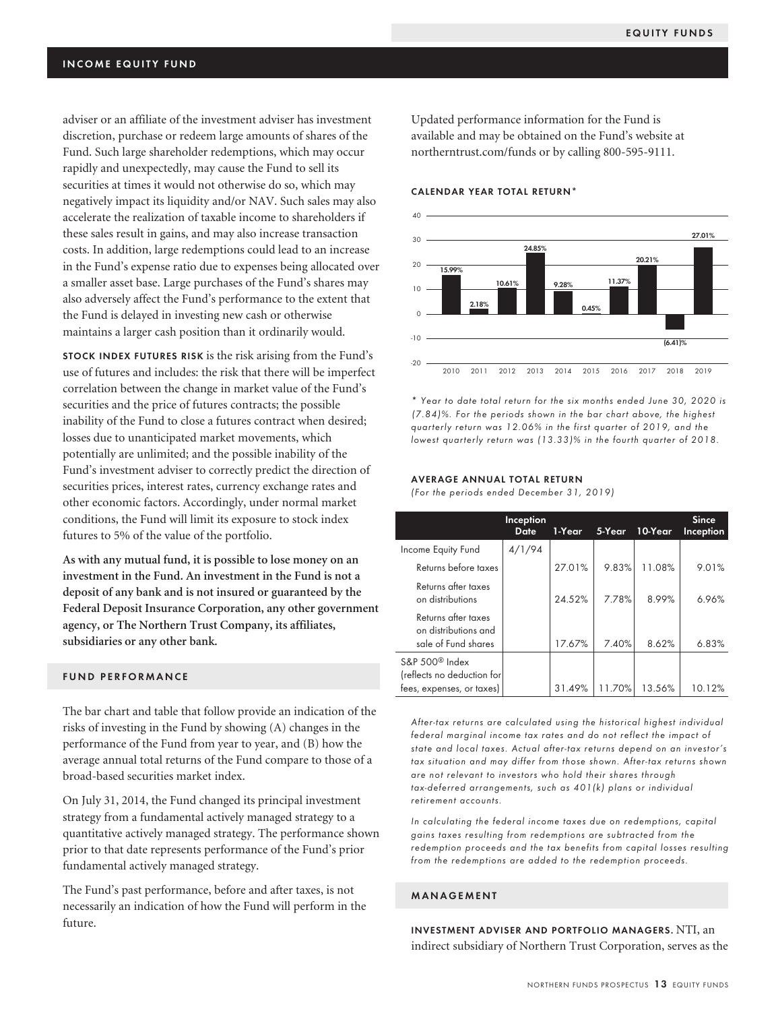adviser or an affiliate of the investment adviser has investment discretion, purchase or redeem large amounts of shares of the Fund. Such large shareholder redemptions, which may occur rapidly and unexpectedly, may cause the Fund to sell its securities at times it would not otherwise do so, which may negatively impact its liquidity and/or NAV. Such sales may also accelerate the realization of taxable income to shareholders if these sales result in gains, and may also increase transaction costs. In addition, large redemptions could lead to an increase in the Fund's expense ratio due to expenses being allocated over a smaller asset base. Large purchases of the Fund's shares may also adversely affect the Fund's performance to the extent that the Fund is delayed in investing new cash or otherwise maintains a larger cash position than it ordinarily would.

**STOCK INDEX FUTURES RISK** is the risk arising from the Fund's use of futures and includes: the risk that there will be imperfect correlation between the change in market value of the Fund's securities and the price of futures contracts; the possible inability of the Fund to close a futures contract when desired; losses due to unanticipated market movements, which potentially are unlimited; and the possible inability of the Fund's investment adviser to correctly predict the direction of securities prices, interest rates, currency exchange rates and other economic factors. Accordingly, under normal market conditions, the Fund will limit its exposure to stock index futures to 5% of the value of the portfolio.

**As with any mutual fund, it is possible to lose money on an investment in the Fund. An investment in the Fund is not a deposit of any bank and is not insured or guaranteed by the Federal Deposit Insurance Corporation, any other government agency, or The Northern Trust Company, its affiliates, subsidiaries or any other bank.**

#### **FUND PERFORMANCE**

The bar chart and table that follow provide an indication of the risks of investing in the Fund by showing (A) changes in the performance of the Fund from year to year, and (B) how the average annual total returns of the Fund compare to those of a broad-based securities market index.

On July 31, 2014, the Fund changed its principal investment strategy from a fundamental actively managed strategy to a quantitative actively managed strategy. The performance shown prior to that date represents performance of the Fund's prior fundamental actively managed strategy.

The Fund's past performance, before and after taxes, is not necessarily an indication of how the Fund will perform in the future.

Updated performance information for the Fund is available and may be obtained on the Fund's website at northerntrust.com/funds or by calling 800-595-9111.

#### **CALENDAR YEAR TOTAL RETURN\***



\* Year to date total return for the six months ended June 30, 2020 is (7.84)%. For the periods shown in the bar chart above, the highest quarterly return was 12.06% in the first quarter of 2019, and the lowest quarterly return was (13.33)% in the fourth quarter of 2018.

#### **AVERAGE ANNUAL TOTAL RETURN**

(For the periods ended December 31, 2019)

|                                                                    | Inception<br><b>Date</b> | 1-Year | 5-Year | 10-Year | Since<br>Inception |
|--------------------------------------------------------------------|--------------------------|--------|--------|---------|--------------------|
| Income Equity Fund                                                 | 4/1/94                   |        |        |         |                    |
| Returns before taxes                                               |                          | 27.01% | 9.83%  | 11.08%  | 9.01%              |
| Returns after taxes<br>on distributions                            |                          | 24.52% | 7.78%  | 8.99%   | 6.96%              |
| Returns after taxes<br>on distributions and<br>sale of Fund shares |                          | 17.67% | 7.40%  | 8.62%   | 6.83%              |
| S&P 500 <sup>®</sup> Index<br>(reflects no deduction for           |                          |        |        |         |                    |
| fees, expenses, or taxes)                                          |                          | 31.49% | 11.70% | 13.56%  | 10.12%             |

After-tax returns are calculated using the historical highest individual federal marginal income tax rates and do not reflect the impact of state and local taxes. Actual after-tax returns depend on an investor's tax situation and may differ from those shown. After-tax returns shown are not relevant to investors who hold their shares through tax-deferred arrangements, such as 401(k) plans or individual retirement accounts.

In calculating the federal income taxes due on redemptions, capital gains taxes resulting from redemptions are subtracted from the redemption proceeds and the tax benefits from capital losses resulting from the redemptions are added to the redemption proceeds.

#### **MANAGEMENT**

**INVESTMENT ADVISER AND PORTFOLIO MANAGERS.** NTI, an indirect subsidiary of Northern Trust Corporation, serves as the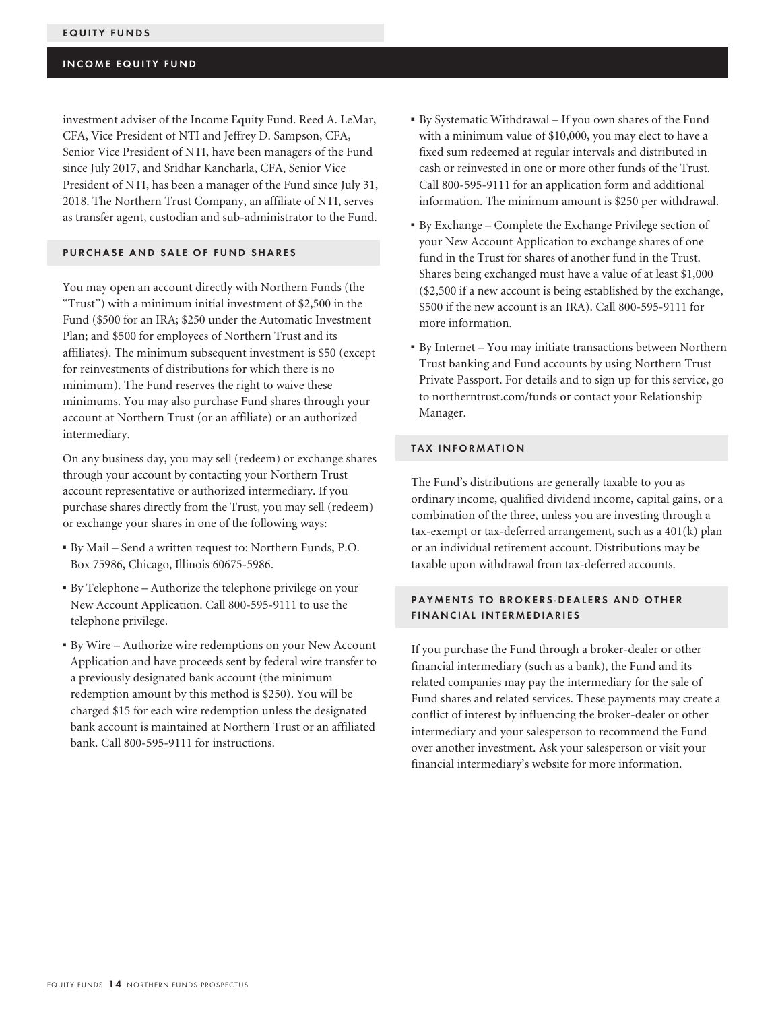#### **INCOME EQUITY FUND**

investment adviser of the Income Equity Fund. Reed A. LeMar, CFA, Vice President of NTI and Jeffrey D. Sampson, CFA, Senior Vice President of NTI, have been managers of the Fund since July 2017, and Sridhar Kancharla, CFA, Senior Vice President of NTI, has been a manager of the Fund since July 31, 2018. The Northern Trust Company, an affiliate of NTI, serves as transfer agent, custodian and sub-administrator to the Fund.

### **PURCHASE AND SALE OF FUND SHARES**

You may open an account directly with Northern Funds (the "Trust") with a minimum initial investment of \$2,500 in the Fund (\$500 for an IRA; \$250 under the Automatic Investment Plan; and \$500 for employees of Northern Trust and its affiliates). The minimum subsequent investment is \$50 (except for reinvestments of distributions for which there is no minimum). The Fund reserves the right to waive these minimums. You may also purchase Fund shares through your account at Northern Trust (or an affiliate) or an authorized intermediary.

On any business day, you may sell (redeem) or exchange shares through your account by contacting your Northern Trust account representative or authorized intermediary. If you purchase shares directly from the Trust, you may sell (redeem) or exchange your shares in one of the following ways:

- By Mail Send a written request to: Northern Funds, P.O. Box 75986, Chicago, Illinois 60675-5986.
- By Telephone Authorize the telephone privilege on your New Account Application. Call 800-595-9111 to use the telephone privilege.
- By Wire Authorize wire redemptions on your New Account Application and have proceeds sent by federal wire transfer to a previously designated bank account (the minimum redemption amount by this method is \$250). You will be charged \$15 for each wire redemption unless the designated bank account is maintained at Northern Trust or an affiliated bank. Call 800-595-9111 for instructions.
- By Systematic Withdrawal If you own shares of the Fund with a minimum value of \$10,000, you may elect to have a fixed sum redeemed at regular intervals and distributed in cash or reinvested in one or more other funds of the Trust. Call 800-595-9111 for an application form and additional information. The minimum amount is \$250 per withdrawal.
- By Exchange Complete the Exchange Privilege section of your New Account Application to exchange shares of one fund in the Trust for shares of another fund in the Trust. Shares being exchanged must have a value of at least \$1,000 (\$2,500 if a new account is being established by the exchange, \$500 if the new account is an IRA). Call 800-595-9111 for more information.
- By Internet You may initiate transactions between Northern Trust banking and Fund accounts by using Northern Trust Private Passport. For details and to sign up for this service, go to northerntrust.com/funds or contact your Relationship Manager.

### **TAX INFORMATION**

The Fund's distributions are generally taxable to you as ordinary income, qualified dividend income, capital gains, or a combination of the three, unless you are investing through a tax-exempt or tax-deferred arrangement, such as a 401(k) plan or an individual retirement account. Distributions may be taxable upon withdrawal from tax-deferred accounts.

### **PAYMENTS TO BROKERS-DEALERS AND OTHER FINANCIAL INTERMEDIARIES**

If you purchase the Fund through a broker-dealer or other financial intermediary (such as a bank), the Fund and its related companies may pay the intermediary for the sale of Fund shares and related services. These payments may create a conflict of interest by influencing the broker-dealer or other intermediary and your salesperson to recommend the Fund over another investment. Ask your salesperson or visit your financial intermediary's website for more information.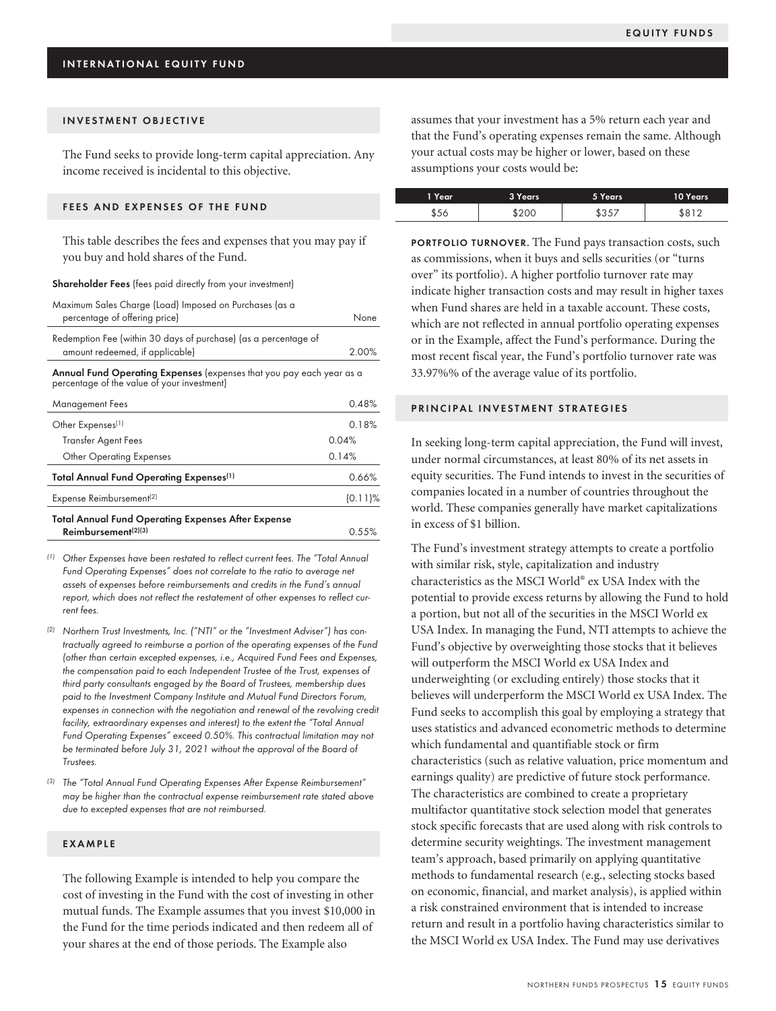### **INVESTMENT OBJECTIVE**

The Fund seeks to provide long-term capital appreciation. Any income received is incidental to this objective.

### **FEES AND EXPENSES OF THE FUND**

This table describes the fees and expenses that you may pay if you buy and hold shares of the Fund.

#### **Shareholder Fees** (fees paid directly from your investment)

| Maximum Sales Charge (Load) Imposed on Purchases (as a                                                                     |            |
|----------------------------------------------------------------------------------------------------------------------------|------------|
| percentage of offering price)                                                                                              | None       |
| Redemption Fee (within 30 days of purchase) (as a percentage of<br>amount redeemed, if applicable)                         | 2.00%      |
|                                                                                                                            |            |
| <b>Annual Fund Operating Expenses</b> (expenses that you pay each year as a<br>percentage of the value of your investment) |            |
| Management Fees                                                                                                            | 0.48%      |
| Other Expenses <sup>(1)</sup>                                                                                              | 0.18%      |
| <b>Transfer Agent Fees</b>                                                                                                 | 0.04%      |
| <b>Other Operating Expenses</b>                                                                                            | 0.14%      |
| Total Annual Fund Operating Expenses <sup>(1)</sup>                                                                        | 0.66%      |
| Expense Reimbursement <sup>(2)</sup>                                                                                       | $(0.11)$ % |
| <b>Total Annual Fund Operating Expenses After Expense</b>                                                                  |            |
| Reimbursement <sup>(2)(3)</sup>                                                                                            | 0.55%      |

(1) Other Expenses have been restated to reflect current fees. The "Total Annual Fund Operating Expenses" does not correlate to the ratio to average net assets of expenses before reimbursements and credits in the Fund's annual report, which does not reflect the restatement of other expenses to reflect current fees.

- (2) Northern Trust Investments, Inc. ("NTI" or the "Investment Adviser") has contractually agreed to reimburse a portion of the operating expenses of the Fund (other than certain excepted expenses, i.e., Acquired Fund Fees and Expenses, the compensation paid to each Independent Trustee of the Trust, expenses of third party consultants engaged by the Board of Trustees, membership dues paid to the Investment Company Institute and Mutual Fund Directors Forum, expenses in connection with the negotiation and renewal of the revolving credit facility, extraordinary expenses and interest) to the extent the "Total Annual Fund Operating Expenses" exceed 0.50%. This contractual limitation may not be terminated before July 31, 2021 without the approval of the Board of **Trustees**
- (3) The "Total Annual Fund Operating Expenses After Expense Reimbursement" may be higher than the contractual expense reimbursement rate stated above due to excepted expenses that are not reimbursed.

#### **EXAMPLE**

The following Example is intended to help you compare the cost of investing in the Fund with the cost of investing in other mutual funds. The Example assumes that you invest \$10,000 in the Fund for the time periods indicated and then redeem all of your shares at the end of those periods. The Example also

assumes that your investment has a 5% return each year and that the Fund's operating expenses remain the same. Although your actual costs may be higher or lower, based on these assumptions your costs would be:

| 1 Year 1 | 5 Years<br>3 Years' |       | 10 Years |  |  |
|----------|---------------------|-------|----------|--|--|
| \$56     | \$200               | \$357 | \$812    |  |  |

**PORTFOLIO TURNOVER.** The Fund pays transaction costs, such as commissions, when it buys and sells securities (or "turns over" its portfolio). A higher portfolio turnover rate may indicate higher transaction costs and may result in higher taxes when Fund shares are held in a taxable account. These costs, which are not reflected in annual portfolio operating expenses or in the Example, affect the Fund's performance. During the most recent fiscal year, the Fund's portfolio turnover rate was 33.97%% of the average value of its portfolio.

#### **PRINCIPAL INVESTMENT STRATEGIES**

In seeking long-term capital appreciation, the Fund will invest, under normal circumstances, at least 80% of its net assets in equity securities. The Fund intends to invest in the securities of companies located in a number of countries throughout the world. These companies generally have market capitalizations in excess of \$1 billion.

The Fund's investment strategy attempts to create a portfolio with similar risk, style, capitalization and industry characteristics as the MSCI World® ex USA Index with the potential to provide excess returns by allowing the Fund to hold a portion, but not all of the securities in the MSCI World ex USA Index. In managing the Fund, NTI attempts to achieve the Fund's objective by overweighting those stocks that it believes will outperform the MSCI World ex USA Index and underweighting (or excluding entirely) those stocks that it believes will underperform the MSCI World ex USA Index. The Fund seeks to accomplish this goal by employing a strategy that uses statistics and advanced econometric methods to determine which fundamental and quantifiable stock or firm characteristics (such as relative valuation, price momentum and earnings quality) are predictive of future stock performance. The characteristics are combined to create a proprietary multifactor quantitative stock selection model that generates stock specific forecasts that are used along with risk controls to determine security weightings. The investment management team's approach, based primarily on applying quantitative methods to fundamental research (e.g., selecting stocks based on economic, financial, and market analysis), is applied within a risk constrained environment that is intended to increase return and result in a portfolio having characteristics similar to the MSCI World ex USA Index. The Fund may use derivatives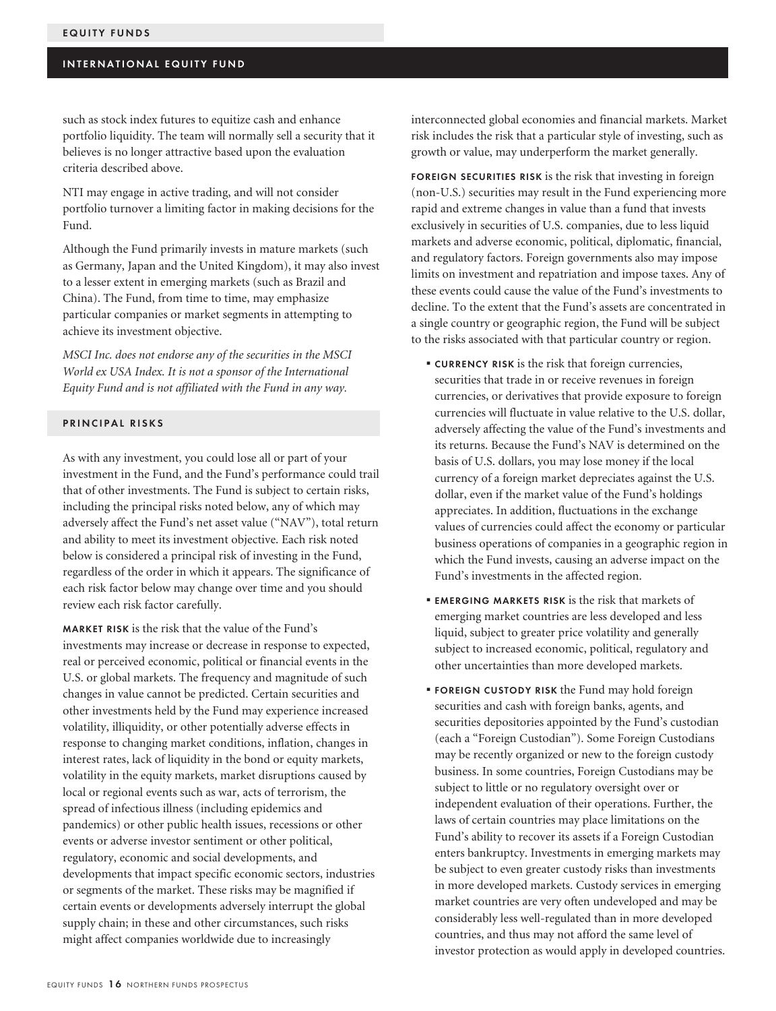such as stock index futures to equitize cash and enhance portfolio liquidity. The team will normally sell a security that it believes is no longer attractive based upon the evaluation criteria described above.

NTI may engage in active trading, and will not consider portfolio turnover a limiting factor in making decisions for the Fund.

Although the Fund primarily invests in mature markets (such as Germany, Japan and the United Kingdom), it may also invest to a lesser extent in emerging markets (such as Brazil and China). The Fund, from time to time, may emphasize particular companies or market segments in attempting to achieve its investment objective.

*MSCI Inc. does not endorse any of the securities in the MSCI World ex USA Index. It is not a sponsor of the International Equity Fund and is not affiliated with the Fund in any way.*

### **PRINCIPAL RISKS**

As with any investment, you could lose all or part of your investment in the Fund, and the Fund's performance could trail that of other investments. The Fund is subject to certain risks, including the principal risks noted below, any of which may adversely affect the Fund's net asset value ("NAV"), total return and ability to meet its investment objective. Each risk noted below is considered a principal risk of investing in the Fund, regardless of the order in which it appears. The significance of each risk factor below may change over time and you should review each risk factor carefully.

**MARKET RISK** is the risk that the value of the Fund's investments may increase or decrease in response to expected, real or perceived economic, political or financial events in the U.S. or global markets. The frequency and magnitude of such changes in value cannot be predicted. Certain securities and other investments held by the Fund may experience increased volatility, illiquidity, or other potentially adverse effects in response to changing market conditions, inflation, changes in interest rates, lack of liquidity in the bond or equity markets, volatility in the equity markets, market disruptions caused by local or regional events such as war, acts of terrorism, the spread of infectious illness (including epidemics and pandemics) or other public health issues, recessions or other events or adverse investor sentiment or other political, regulatory, economic and social developments, and developments that impact specific economic sectors, industries or segments of the market. These risks may be magnified if certain events or developments adversely interrupt the global supply chain; in these and other circumstances, such risks might affect companies worldwide due to increasingly

interconnected global economies and financial markets. Market risk includes the risk that a particular style of investing, such as growth or value, may underperform the market generally.

**FOREIGN SECURITIES RISK** is the risk that investing in foreign (non-U.S.) securities may result in the Fund experiencing more rapid and extreme changes in value than a fund that invests exclusively in securities of U.S. companies, due to less liquid markets and adverse economic, political, diplomatic, financial, and regulatory factors. Foreign governments also may impose limits on investment and repatriation and impose taxes. Any of these events could cause the value of the Fund's investments to decline. To the extent that the Fund's assets are concentrated in a single country or geographic region, the Fund will be subject to the risks associated with that particular country or region.

- **EXPARENCY RISK** is the risk that foreign currencies, securities that trade in or receive revenues in foreign currencies, or derivatives that provide exposure to foreign currencies will fluctuate in value relative to the U.S. dollar, adversely affecting the value of the Fund's investments and its returns. Because the Fund's NAV is determined on the basis of U.S. dollars, you may lose money if the local currency of a foreign market depreciates against the U.S. dollar, even if the market value of the Fund's holdings appreciates. In addition, fluctuations in the exchange values of currencies could affect the economy or particular business operations of companies in a geographic region in which the Fund invests, causing an adverse impact on the Fund's investments in the affected region.
- **EMERGING MARKETS RISK** is the risk that markets of emerging market countries are less developed and less liquid, subject to greater price volatility and generally subject to increased economic, political, regulatory and other uncertainties than more developed markets.
- **FOREIGN CUSTODY RISK** the Fund may hold foreign securities and cash with foreign banks, agents, and securities depositories appointed by the Fund's custodian (each a "Foreign Custodian"). Some Foreign Custodians may be recently organized or new to the foreign custody business. In some countries, Foreign Custodians may be subject to little or no regulatory oversight over or independent evaluation of their operations. Further, the laws of certain countries may place limitations on the Fund's ability to recover its assets if a Foreign Custodian enters bankruptcy. Investments in emerging markets may be subject to even greater custody risks than investments in more developed markets. Custody services in emerging market countries are very often undeveloped and may be considerably less well-regulated than in more developed countries, and thus may not afford the same level of investor protection as would apply in developed countries.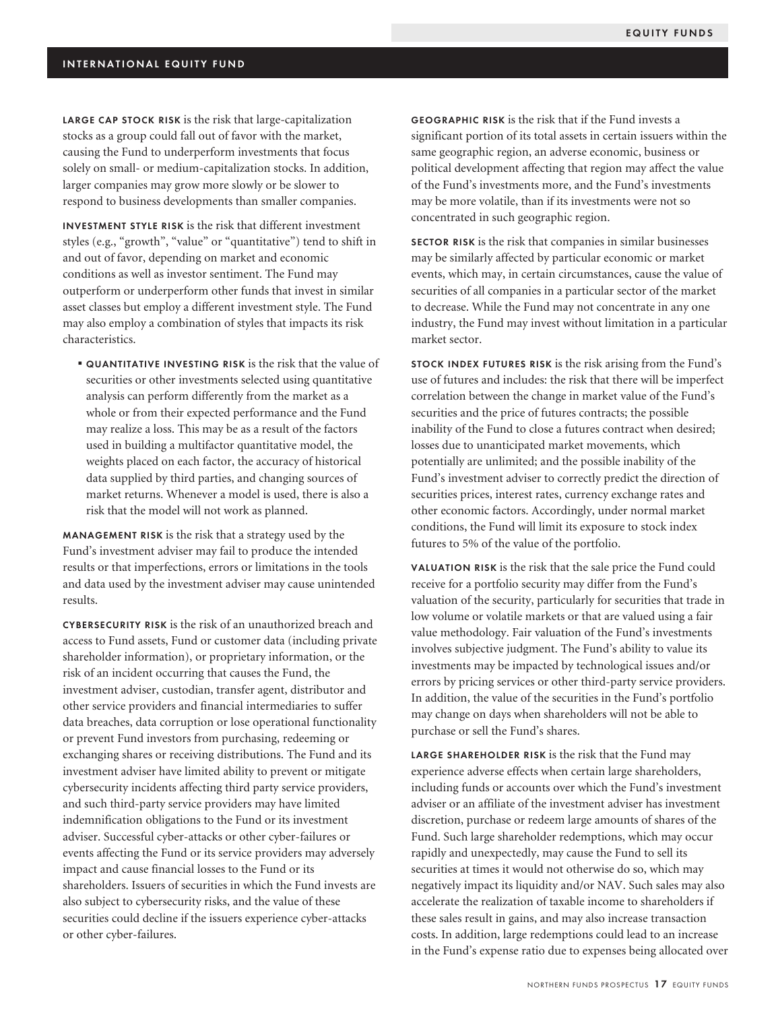**LARGE CAP STOCK RISK** is the risk that large-capitalization stocks as a group could fall out of favor with the market, causing the Fund to underperform investments that focus solely on small- or medium-capitalization stocks. In addition, larger companies may grow more slowly or be slower to respond to business developments than smaller companies.

**INVESTMENT STYLE RISK** is the risk that different investment styles (e.g., "growth", "value" or "quantitative") tend to shift in and out of favor, depending on market and economic conditions as well as investor sentiment. The Fund may outperform or underperform other funds that invest in similar asset classes but employ a different investment style. The Fund may also employ a combination of styles that impacts its risk characteristics.

▪ **QUANTITATIVE INVESTING RISK** is the risk that the value of securities or other investments selected using quantitative analysis can perform differently from the market as a whole or from their expected performance and the Fund may realize a loss. This may be as a result of the factors used in building a multifactor quantitative model, the weights placed on each factor, the accuracy of historical data supplied by third parties, and changing sources of market returns. Whenever a model is used, there is also a risk that the model will not work as planned.

**MANAGEMENT RISK** is the risk that a strategy used by the Fund's investment adviser may fail to produce the intended results or that imperfections, errors or limitations in the tools and data used by the investment adviser may cause unintended results.

**CYBERSECURITY RISK** is the risk of an unauthorized breach and access to Fund assets, Fund or customer data (including private shareholder information), or proprietary information, or the risk of an incident occurring that causes the Fund, the investment adviser, custodian, transfer agent, distributor and other service providers and financial intermediaries to suffer data breaches, data corruption or lose operational functionality or prevent Fund investors from purchasing, redeeming or exchanging shares or receiving distributions. The Fund and its investment adviser have limited ability to prevent or mitigate cybersecurity incidents affecting third party service providers, and such third-party service providers may have limited indemnification obligations to the Fund or its investment adviser. Successful cyber-attacks or other cyber-failures or events affecting the Fund or its service providers may adversely impact and cause financial losses to the Fund or its shareholders. Issuers of securities in which the Fund invests are also subject to cybersecurity risks, and the value of these securities could decline if the issuers experience cyber-attacks or other cyber-failures.

**GEOGRAPHIC RISK** is the risk that if the Fund invests a significant portion of its total assets in certain issuers within the same geographic region, an adverse economic, business or political development affecting that region may affect the value of the Fund's investments more, and the Fund's investments may be more volatile, than if its investments were not so concentrated in such geographic region.

**SECTOR RISK** is the risk that companies in similar businesses may be similarly affected by particular economic or market events, which may, in certain circumstances, cause the value of securities of all companies in a particular sector of the market to decrease. While the Fund may not concentrate in any one industry, the Fund may invest without limitation in a particular market sector.

**STOCK INDEX FUTURES RISK** is the risk arising from the Fund's use of futures and includes: the risk that there will be imperfect correlation between the change in market value of the Fund's securities and the price of futures contracts; the possible inability of the Fund to close a futures contract when desired; losses due to unanticipated market movements, which potentially are unlimited; and the possible inability of the Fund's investment adviser to correctly predict the direction of securities prices, interest rates, currency exchange rates and other economic factors. Accordingly, under normal market conditions, the Fund will limit its exposure to stock index futures to 5% of the value of the portfolio.

**VALUATION RISK** is the risk that the sale price the Fund could receive for a portfolio security may differ from the Fund's valuation of the security, particularly for securities that trade in low volume or volatile markets or that are valued using a fair value methodology. Fair valuation of the Fund's investments involves subjective judgment. The Fund's ability to value its investments may be impacted by technological issues and/or errors by pricing services or other third-party service providers. In addition, the value of the securities in the Fund's portfolio may change on days when shareholders will not be able to purchase or sell the Fund's shares.

**LARGE SHAREHOLDER RISK** is the risk that the Fund may experience adverse effects when certain large shareholders, including funds or accounts over which the Fund's investment adviser or an affiliate of the investment adviser has investment discretion, purchase or redeem large amounts of shares of the Fund. Such large shareholder redemptions, which may occur rapidly and unexpectedly, may cause the Fund to sell its securities at times it would not otherwise do so, which may negatively impact its liquidity and/or NAV. Such sales may also accelerate the realization of taxable income to shareholders if these sales result in gains, and may also increase transaction costs. In addition, large redemptions could lead to an increase in the Fund's expense ratio due to expenses being allocated over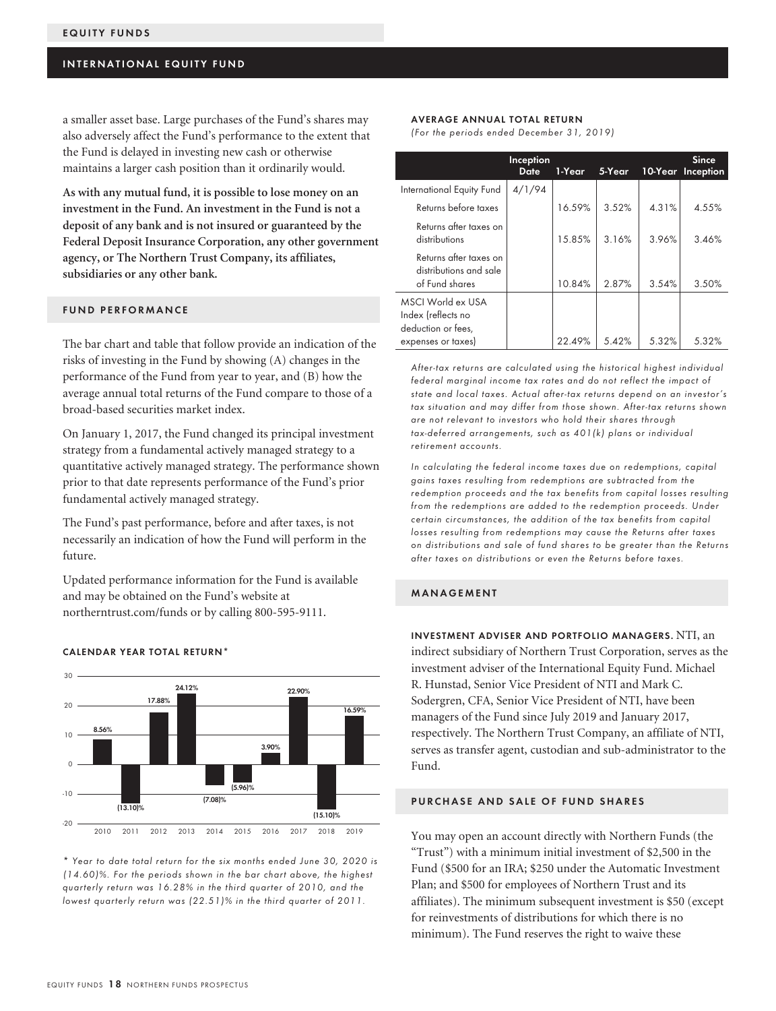a smaller asset base. Large purchases of the Fund's shares may also adversely affect the Fund's performance to the extent that the Fund is delayed in investing new cash or otherwise maintains a larger cash position than it ordinarily would.

**As with any mutual fund, it is possible to lose money on an investment in the Fund. An investment in the Fund is not a deposit of any bank and is not insured or guaranteed by the Federal Deposit Insurance Corporation, any other government agency, or The Northern Trust Company, its affiliates, subsidiaries or any other bank.**

### **FUND PERFORMANCE**

The bar chart and table that follow provide an indication of the risks of investing in the Fund by showing (A) changes in the performance of the Fund from year to year, and (B) how the average annual total returns of the Fund compare to those of a broad-based securities market index.

On January 1, 2017, the Fund changed its principal investment strategy from a fundamental actively managed strategy to a quantitative actively managed strategy. The performance shown prior to that date represents performance of the Fund's prior fundamental actively managed strategy.

The Fund's past performance, before and after taxes, is not necessarily an indication of how the Fund will perform in the future.

Updated performance information for the Fund is available and may be obtained on the Fund's website at northerntrust.com/funds or by calling 800-595-9111.



#### **CALENDAR YEAR TOTAL RETURN\***

\* Year to date total return for the six months ended June 30, 2020 is (14.60)%. For the periods shown in the bar chart above, the highest quarterly return was 16.28% in the third quarter of 2010, and the lowest quarterly return was (22.51)% in the third quarter of 2011.

#### **AVERAGE ANNUAL TOTAL RETURN**

(For the periods ended December 31, 2019)

|                                                                                     | Inception<br>Date | 1 Year | 5-Year |       | Since,<br>10-Year Inception |
|-------------------------------------------------------------------------------------|-------------------|--------|--------|-------|-----------------------------|
| International Equity Fund                                                           | 4/1/94            |        |        |       |                             |
| Returns before taxes                                                                |                   | 16.59% | 3.52%  | 4.31% | 4.55%                       |
| Returns after taxes on<br>distributions                                             |                   | 15.85% | 3.16%  | 3.96% | 3.46%                       |
| Returns after taxes on<br>distributions and sale<br>of Fund shares                  |                   | 10.84% | 2.87%  | 3.54% | 3.50%                       |
| MSCI World ex USA<br>Index (reflects no<br>deduction or fees,<br>expenses or taxes) |                   | 22.49% | 5.42%  | 5.32% | 5.32%                       |

After-tax returns are calculated using the historical highest individual federal marginal income tax rates and do not reflect the impact of state and local taxes. Actual after-tax returns depend on an investor's tax situation and may differ from those shown. After-tax returns shown are not relevant to investors who hold their shares through tax-deferred arrangements, such as 401(k) plans or individual retirement accounts.

In calculating the federal income taxes due on redemptions, capital gains taxes resulting from redemptions are subtracted from the redemption proceeds and the tax benefits from capital losses resulting from the redemptions are added to the redemption proceeds. Under certain circumstances, the addition of the tax benefits from capital losses resulting from redemptions may cause the Returns after taxes on distributions and sale of fund shares to be greater than the Returns after taxes on distributions or even the Returns before taxes.

#### **MANAGEMENT**

**INVESTMENT ADVISER AND PORTFOLIO MANAGERS.** NTI, an indirect subsidiary of Northern Trust Corporation, serves as the investment adviser of the International Equity Fund. Michael R. Hunstad, Senior Vice President of NTI and Mark C. Sodergren, CFA, Senior Vice President of NTI, have been managers of the Fund since July 2019 and January 2017, respectively. The Northern Trust Company, an affiliate of NTI, serves as transfer agent, custodian and sub-administrator to the Fund.

### **PURCHASE AND SALE OF FUND SHARES**

You may open an account directly with Northern Funds (the "Trust") with a minimum initial investment of \$2,500 in the Fund (\$500 for an IRA; \$250 under the Automatic Investment Plan; and \$500 for employees of Northern Trust and its affiliates). The minimum subsequent investment is \$50 (except for reinvestments of distributions for which there is no minimum). The Fund reserves the right to waive these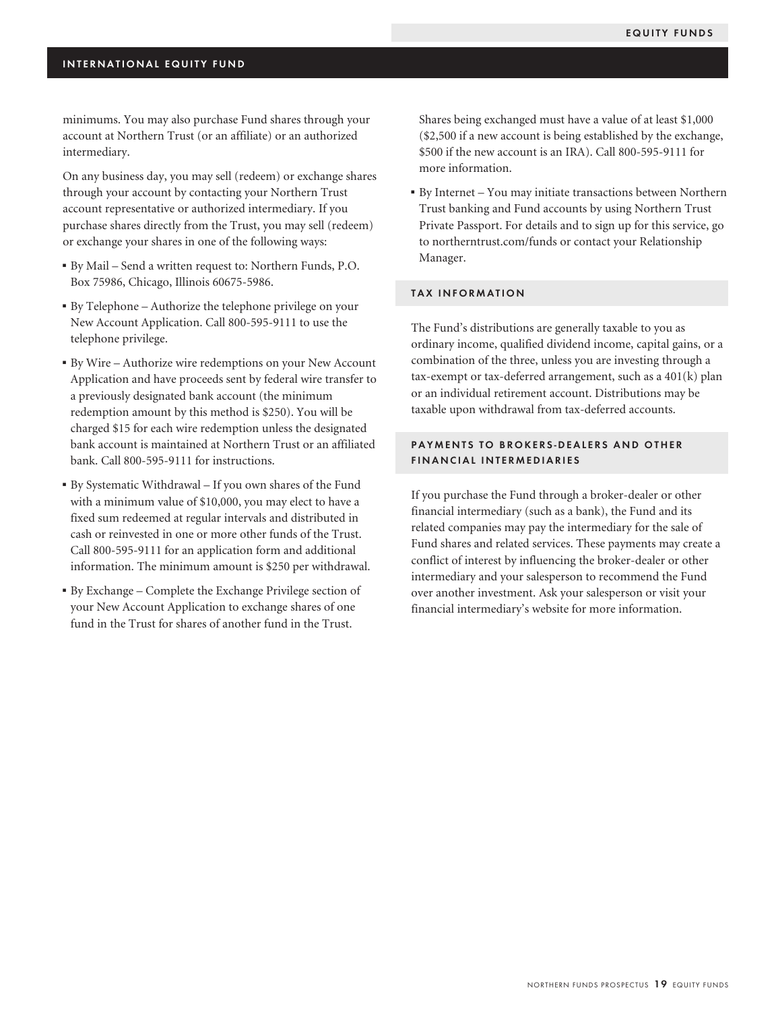minimums. You may also purchase Fund shares through your account at Northern Trust (or an affiliate) or an authorized intermediary.

On any business day, you may sell (redeem) or exchange shares through your account by contacting your Northern Trust account representative or authorized intermediary. If you purchase shares directly from the Trust, you may sell (redeem) or exchange your shares in one of the following ways:

- By Mail Send a written request to: Northern Funds, P.O. Box 75986, Chicago, Illinois 60675-5986.
- By Telephone Authorize the telephone privilege on your New Account Application. Call 800-595-9111 to use the telephone privilege.
- By Wire Authorize wire redemptions on your New Account Application and have proceeds sent by federal wire transfer to a previously designated bank account (the minimum redemption amount by this method is \$250). You will be charged \$15 for each wire redemption unless the designated bank account is maintained at Northern Trust or an affiliated bank. Call 800-595-9111 for instructions.
- By Systematic Withdrawal If you own shares of the Fund with a minimum value of \$10,000, you may elect to have a fixed sum redeemed at regular intervals and distributed in cash or reinvested in one or more other funds of the Trust. Call 800-595-9111 for an application form and additional information. The minimum amount is \$250 per withdrawal.
- By Exchange Complete the Exchange Privilege section of your New Account Application to exchange shares of one fund in the Trust for shares of another fund in the Trust.

Shares being exchanged must have a value of at least \$1,000 (\$2,500 if a new account is being established by the exchange, \$500 if the new account is an IRA). Call 800-595-9111 for more information.

▪ By Internet – You may initiate transactions between Northern Trust banking and Fund accounts by using Northern Trust Private Passport. For details and to sign up for this service, go to northerntrust.com/funds or contact your Relationship Manager.

#### **TAX INFORMATION**

The Fund's distributions are generally taxable to you as ordinary income, qualified dividend income, capital gains, or a combination of the three, unless you are investing through a tax-exempt or tax-deferred arrangement, such as a 401(k) plan or an individual retirement account. Distributions may be taxable upon withdrawal from tax-deferred accounts.

### **PAYMENTS TO BROKERS-DEALERS AND OTHER FINANCIAL INTERMEDIARIES**

If you purchase the Fund through a broker-dealer or other financial intermediary (such as a bank), the Fund and its related companies may pay the intermediary for the sale of Fund shares and related services. These payments may create a conflict of interest by influencing the broker-dealer or other intermediary and your salesperson to recommend the Fund over another investment. Ask your salesperson or visit your financial intermediary's website for more information.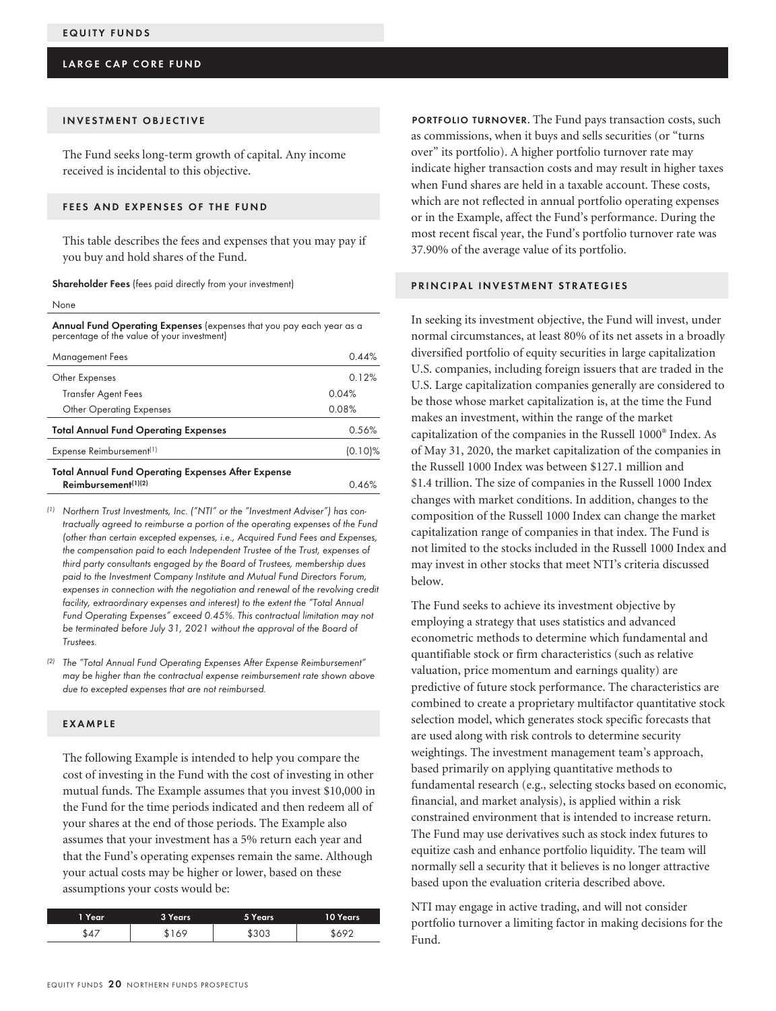### **INVESTMENT OBJECTIVE**

The Fund seeks long-term growth of capital. Any income received is incidental to this objective.

### **FEES AND EXPENSES OF THE FUND**

This table describes the fees and expenses that you may pay if you buy and hold shares of the Fund.

**Shareholder Fees** (fees paid directly from your investment)

None

**Annual Fund Operating Expenses** (expenses that you pay each year as a percentage of the value of your investment)

| <b>Management Fees</b>                                    | 0.44%      |
|-----------------------------------------------------------|------------|
| Other Expenses                                            | 0.12%      |
| <b>Transfer Agent Fees</b>                                | 0.04%      |
| <b>Other Operating Expenses</b>                           | 0.08%      |
| <b>Total Annual Fund Operating Expenses</b>               | 0.56%      |
| Expense Reimbursement <sup>(1)</sup>                      | $(0.10)\%$ |
| <b>Total Annual Fund Operating Expenses After Expense</b> |            |

**Reimbursement(1)(2)** 0.46%

(1) Northern Trust Investments, Inc. ("NTI" or the "Investment Adviser") has contractually agreed to reimburse a portion of the operating expenses of the Fund (other than certain excepted expenses, i.e., Acquired Fund Fees and Expenses, the compensation paid to each Independent Trustee of the Trust, expenses of third party consultants engaged by the Board of Trustees, membership dues paid to the Investment Company Institute and Mutual Fund Directors Forum, expenses in connection with the negotiation and renewal of the revolving credit facility, extraordinary expenses and interest) to the extent the "Total Annual Fund Operating Expenses" exceed 0.45%. This contractual limitation may not be terminated before July 31, 2021 without the approval of the Board of Trustees.

(2) The "Total Annual Fund Operating Expenses After Expense Reimbursement" may be higher than the contractual expense reimbursement rate shown above due to excepted expenses that are not reimbursed.

#### **EXAMPLE**

The following Example is intended to help you compare the cost of investing in the Fund with the cost of investing in other mutual funds. The Example assumes that you invest \$10,000 in the Fund for the time periods indicated and then redeem all of your shares at the end of those periods. The Example also assumes that your investment has a 5% return each year and that the Fund's operating expenses remain the same. Although your actual costs may be higher or lower, based on these assumptions your costs would be:

| Year | <sup>2</sup> Years | 5 Years | 10 Years |
|------|--------------------|---------|----------|
| \$47 | 169                | \$303   | AO?      |

**PORTFOLIO TURNOVER.** The Fund pays transaction costs, such as commissions, when it buys and sells securities (or "turns over" its portfolio). A higher portfolio turnover rate may indicate higher transaction costs and may result in higher taxes when Fund shares are held in a taxable account. These costs, which are not reflected in annual portfolio operating expenses or in the Example, affect the Fund's performance. During the most recent fiscal year, the Fund's portfolio turnover rate was 37.90% of the average value of its portfolio.

## **PRINCIPAL INVESTMENT STRATEGIES**

In seeking its investment objective, the Fund will invest, under normal circumstances, at least 80% of its net assets in a broadly diversified portfolio of equity securities in large capitalization U.S. companies, including foreign issuers that are traded in the U.S. Large capitalization companies generally are considered to be those whose market capitalization is, at the time the Fund makes an investment, within the range of the market capitalization of the companies in the Russell 1000® Index. As of May 31, 2020, the market capitalization of the companies in the Russell 1000 Index was between \$127.1 million and \$1.4 trillion. The size of companies in the Russell 1000 Index changes with market conditions. In addition, changes to the composition of the Russell 1000 Index can change the market capitalization range of companies in that index. The Fund is not limited to the stocks included in the Russell 1000 Index and may invest in other stocks that meet NTI's criteria discussed below.

The Fund seeks to achieve its investment objective by employing a strategy that uses statistics and advanced econometric methods to determine which fundamental and quantifiable stock or firm characteristics (such as relative valuation, price momentum and earnings quality) are predictive of future stock performance. The characteristics are combined to create a proprietary multifactor quantitative stock selection model, which generates stock specific forecasts that are used along with risk controls to determine security weightings. The investment management team's approach, based primarily on applying quantitative methods to fundamental research (e.g., selecting stocks based on economic, financial, and market analysis), is applied within a risk constrained environment that is intended to increase return. The Fund may use derivatives such as stock index futures to equitize cash and enhance portfolio liquidity. The team will normally sell a security that it believes is no longer attractive based upon the evaluation criteria described above.

NTI may engage in active trading, and will not consider portfolio turnover a limiting factor in making decisions for the Fund.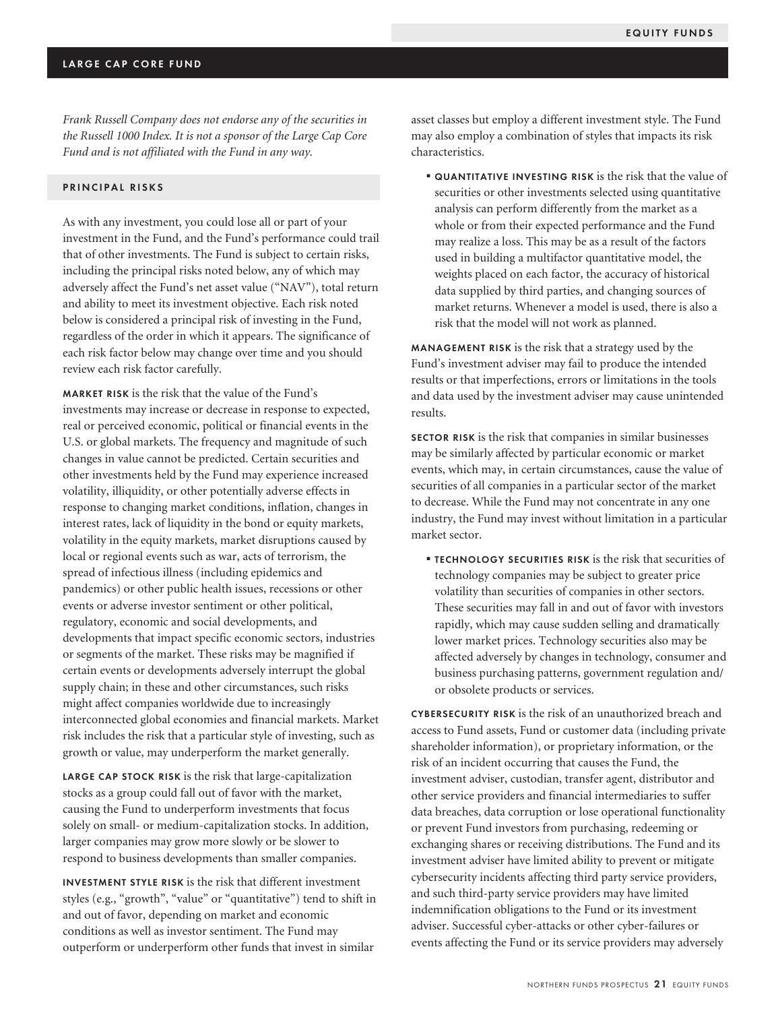*Frank Russell Company does not endorse any of the securities in the Russell 1000 Index. It is not a sponsor of the Large Cap Core Fund and is not affiliated with the Fund in any way.*

### **PRINCIPAL RISKS**

As with any investment, you could lose all or part of your investment in the Fund, and the Fund's performance could trail that of other investments. The Fund is subject to certain risks, including the principal risks noted below, any of which may adversely affect the Fund's net asset value ("NAV"), total return and ability to meet its investment objective. Each risk noted below is considered a principal risk of investing in the Fund, regardless of the order in which it appears. The significance of each risk factor below may change over time and you should review each risk factor carefully.

**MARKET RISK** is the risk that the value of the Fund's investments may increase or decrease in response to expected, real or perceived economic, political or financial events in the U.S. or global markets. The frequency and magnitude of such changes in value cannot be predicted. Certain securities and other investments held by the Fund may experience increased volatility, illiquidity, or other potentially adverse effects in response to changing market conditions, inflation, changes in interest rates, lack of liquidity in the bond or equity markets, volatility in the equity markets, market disruptions caused by local or regional events such as war, acts of terrorism, the spread of infectious illness (including epidemics and pandemics) or other public health issues, recessions or other events or adverse investor sentiment or other political, regulatory, economic and social developments, and developments that impact specific economic sectors, industries or segments of the market. These risks may be magnified if certain events or developments adversely interrupt the global supply chain; in these and other circumstances, such risks might affect companies worldwide due to increasingly interconnected global economies and financial markets. Market risk includes the risk that a particular style of investing, such as growth or value, may underperform the market generally.

**LARGE CAP STOCK RISK** is the risk that large-capitalization stocks as a group could fall out of favor with the market, causing the Fund to underperform investments that focus solely on small- or medium-capitalization stocks. In addition, larger companies may grow more slowly or be slower to respond to business developments than smaller companies.

**INVESTMENT STYLE RISK** is the risk that different investment styles (e.g., "growth", "value" or "quantitative") tend to shift in and out of favor, depending on market and economic conditions as well as investor sentiment. The Fund may outperform or underperform other funds that invest in similar

asset classes but employ a different investment style. The Fund may also employ a combination of styles that impacts its risk characteristics.

▪ **QUANTITATIVE INVESTING RISK** is the risk that the value of securities or other investments selected using quantitative analysis can perform differently from the market as a whole or from their expected performance and the Fund may realize a loss. This may be as a result of the factors used in building a multifactor quantitative model, the weights placed on each factor, the accuracy of historical data supplied by third parties, and changing sources of market returns. Whenever a model is used, there is also a risk that the model will not work as planned.

**MANAGEMENT RISK** is the risk that a strategy used by the Fund's investment adviser may fail to produce the intended results or that imperfections, errors or limitations in the tools and data used by the investment adviser may cause unintended results.

**SECTOR RISK** is the risk that companies in similar businesses may be similarly affected by particular economic or market events, which may, in certain circumstances, cause the value of securities of all companies in a particular sector of the market to decrease. While the Fund may not concentrate in any one industry, the Fund may invest without limitation in a particular market sector.

**EXECUATE:** TECHNOLOGY SECURITIES RISK is the risk that securities of technology companies may be subject to greater price volatility than securities of companies in other sectors. These securities may fall in and out of favor with investors rapidly, which may cause sudden selling and dramatically lower market prices. Technology securities also may be affected adversely by changes in technology, consumer and business purchasing patterns, government regulation and/ or obsolete products or services.

**CYBERSECURITY RISK** is the risk of an unauthorized breach and access to Fund assets, Fund or customer data (including private shareholder information), or proprietary information, or the risk of an incident occurring that causes the Fund, the investment adviser, custodian, transfer agent, distributor and other service providers and financial intermediaries to suffer data breaches, data corruption or lose operational functionality or prevent Fund investors from purchasing, redeeming or exchanging shares or receiving distributions. The Fund and its investment adviser have limited ability to prevent or mitigate cybersecurity incidents affecting third party service providers, and such third-party service providers may have limited indemnification obligations to the Fund or its investment adviser. Successful cyber-attacks or other cyber-failures or events affecting the Fund or its service providers may adversely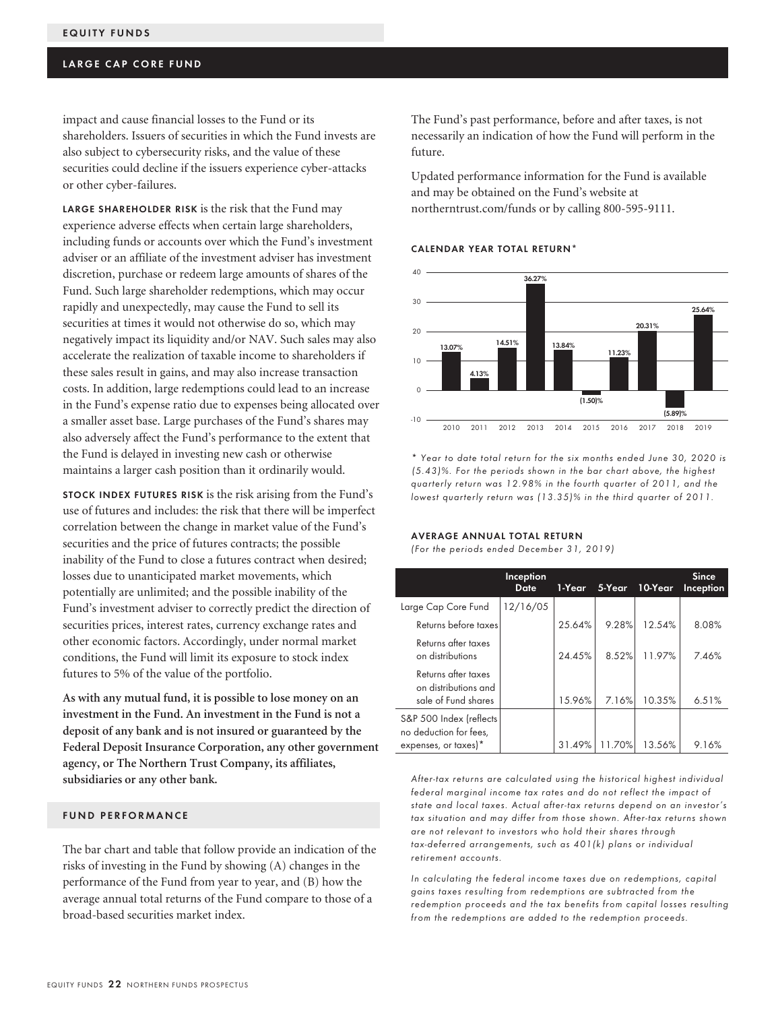#### **LARGE CAP CORE FUND**

impact and cause financial losses to the Fund or its shareholders. Issuers of securities in which the Fund invests are also subject to cybersecurity risks, and the value of these securities could decline if the issuers experience cyber-attacks or other cyber-failures.

**LARGE SHAREHOLDER RISK** is the risk that the Fund may experience adverse effects when certain large shareholders, including funds or accounts over which the Fund's investment adviser or an affiliate of the investment adviser has investment discretion, purchase or redeem large amounts of shares of the Fund. Such large shareholder redemptions, which may occur rapidly and unexpectedly, may cause the Fund to sell its securities at times it would not otherwise do so, which may negatively impact its liquidity and/or NAV. Such sales may also accelerate the realization of taxable income to shareholders if these sales result in gains, and may also increase transaction costs. In addition, large redemptions could lead to an increase in the Fund's expense ratio due to expenses being allocated over a smaller asset base. Large purchases of the Fund's shares may also adversely affect the Fund's performance to the extent that the Fund is delayed in investing new cash or otherwise maintains a larger cash position than it ordinarily would.

**STOCK INDEX FUTURES RISK** is the risk arising from the Fund's use of futures and includes: the risk that there will be imperfect correlation between the change in market value of the Fund's securities and the price of futures contracts; the possible inability of the Fund to close a futures contract when desired; losses due to unanticipated market movements, which potentially are unlimited; and the possible inability of the Fund's investment adviser to correctly predict the direction of securities prices, interest rates, currency exchange rates and other economic factors. Accordingly, under normal market conditions, the Fund will limit its exposure to stock index futures to 5% of the value of the portfolio.

**As with any mutual fund, it is possible to lose money on an investment in the Fund. An investment in the Fund is not a deposit of any bank and is not insured or guaranteed by the Federal Deposit Insurance Corporation, any other government agency, or The Northern Trust Company, its affiliates, subsidiaries or any other bank.**

#### **FUND PERFORMANCE**

The bar chart and table that follow provide an indication of the risks of investing in the Fund by showing (A) changes in the performance of the Fund from year to year, and (B) how the average annual total returns of the Fund compare to those of a broad-based securities market index.

The Fund's past performance, before and after taxes, is not necessarily an indication of how the Fund will perform in the future.

Updated performance information for the Fund is available and may be obtained on the Fund's website at northerntrust.com/funds or by calling 800-595-9111.

#### **CALENDAR YEAR TOTAL RETURN\***



\* Year to date total return for the six months ended June 30, 2020 is (5.43)%. For the periods shown in the bar chart above, the highest quarterly return was 12.98% in the fourth quarter of 2011, and the lowest quarterly return was (13.35)% in the third quarter of 2011.

#### **AVERAGE ANNUAL TOTAL RETURN**

(For the periods ended December 31, 2019)

|                                                                           | Inception<br>Date | 1-Year | 5-Year | 10-Year | <b>Since</b><br>Inception |
|---------------------------------------------------------------------------|-------------------|--------|--------|---------|---------------------------|
| Large Cap Core Fund                                                       | 12/16/05          |        |        |         |                           |
| Returns before taxes                                                      |                   | 25.64% | 9.28%  | 12.54%  | 8.08%                     |
| Returns after taxes<br>on distributions                                   |                   | 24.45% | 8.52%  | 11.97%  | 7.46%                     |
| Returns after taxes<br>on distributions and<br>sale of Fund shares        |                   | 15.96% | 7.16%  | 10.35%  | 6.51%                     |
| S&P 500 Index (reflects<br>no deduction for fees,<br>expenses, or taxes)* |                   | 31.49% | 11.70% | 13.56%  | 9.16%                     |

After-tax returns are calculated using the historical highest individual federal marginal income tax rates and do not reflect the impact of state and local taxes. Actual after-tax returns depend on an investor's tax situation and may differ from those shown. After-tax returns shown are not relevant to investors who hold their shares through tax-deferred arrangements, such as 401(k) plans or individual retirement accounts.

In calculating the federal income taxes due on redemptions, capital gains taxes resulting from redemptions are subtracted from the redemption proceeds and the tax benefits from capital losses resulting from the redemptions are added to the redemption proceeds.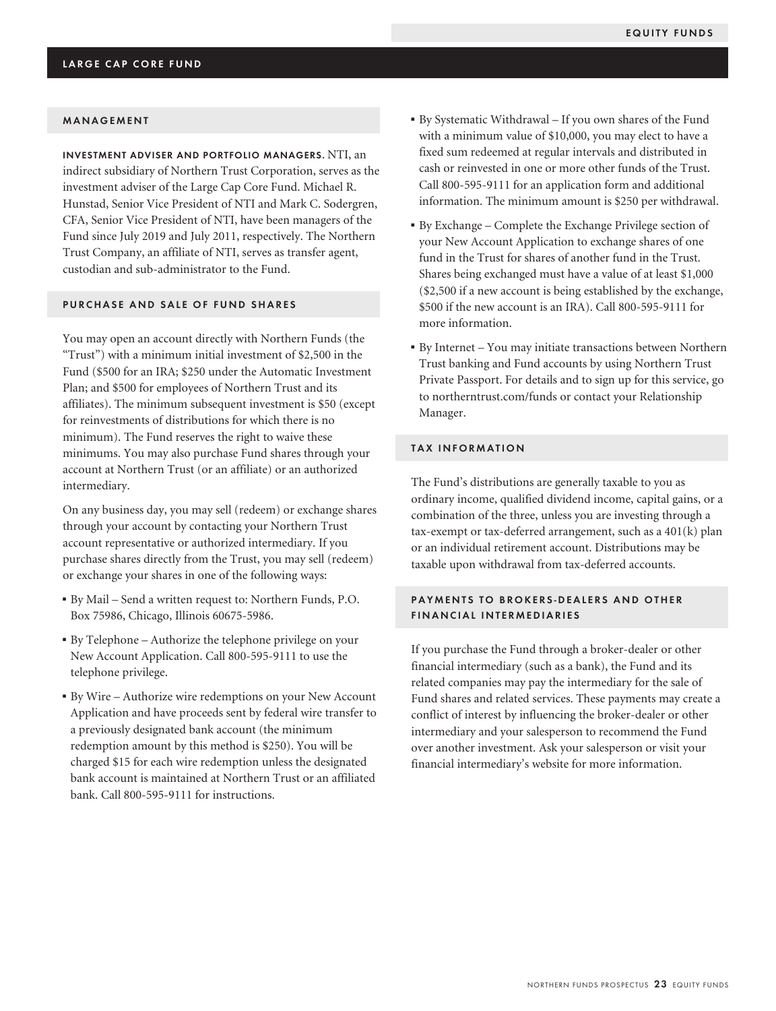#### **LARGE CAP CORE FUND**

### **MANAGEMENT**

**INVESTMENT ADVISER AND PORTFOLIO MANAGERS.** NTI, an indirect subsidiary of Northern Trust Corporation, serves as the investment adviser of the Large Cap Core Fund. Michael R. Hunstad, Senior Vice President of NTI and Mark C. Sodergren, CFA, Senior Vice President of NTI, have been managers of the Fund since July 2019 and July 2011, respectively. The Northern Trust Company, an affiliate of NTI, serves as transfer agent, custodian and sub-administrator to the Fund.

### **PURCHASE AND SALE OF FUND SHARES**

You may open an account directly with Northern Funds (the "Trust") with a minimum initial investment of \$2,500 in the Fund (\$500 for an IRA; \$250 under the Automatic Investment Plan; and \$500 for employees of Northern Trust and its affiliates). The minimum subsequent investment is \$50 (except for reinvestments of distributions for which there is no minimum). The Fund reserves the right to waive these minimums. You may also purchase Fund shares through your account at Northern Trust (or an affiliate) or an authorized intermediary.

On any business day, you may sell (redeem) or exchange shares through your account by contacting your Northern Trust account representative or authorized intermediary. If you purchase shares directly from the Trust, you may sell (redeem) or exchange your shares in one of the following ways:

- By Mail Send a written request to: Northern Funds, P.O. Box 75986, Chicago, Illinois 60675-5986.
- $\bullet$  By Telephone Authorize the telephone privilege on your New Account Application. Call 800-595-9111 to use the telephone privilege.
- By Wire Authorize wire redemptions on your New Account Application and have proceeds sent by federal wire transfer to a previously designated bank account (the minimum redemption amount by this method is \$250). You will be charged \$15 for each wire redemption unless the designated bank account is maintained at Northern Trust or an affiliated bank. Call 800-595-9111 for instructions.
- By Systematic Withdrawal If you own shares of the Fund with a minimum value of \$10,000, you may elect to have a fixed sum redeemed at regular intervals and distributed in cash or reinvested in one or more other funds of the Trust. Call 800-595-9111 for an application form and additional information. The minimum amount is \$250 per withdrawal.
- $\bullet$  By Exchange Complete the Exchange Privilege section of your New Account Application to exchange shares of one fund in the Trust for shares of another fund in the Trust. Shares being exchanged must have a value of at least \$1,000 (\$2,500 if a new account is being established by the exchange, \$500 if the new account is an IRA). Call 800-595-9111 for more information.
- By Internet You may initiate transactions between Northern Trust banking and Fund accounts by using Northern Trust Private Passport. For details and to sign up for this service, go to northerntrust.com/funds or contact your Relationship Manager.

### **TAX INFORMATION**

The Fund's distributions are generally taxable to you as ordinary income, qualified dividend income, capital gains, or a combination of the three, unless you are investing through a tax-exempt or tax-deferred arrangement, such as a 401(k) plan or an individual retirement account. Distributions may be taxable upon withdrawal from tax-deferred accounts.

### **PAYMENTS TO BROKERS-DEALERS AND OTHER FINANCIAL INTERMEDIARIES**

If you purchase the Fund through a broker-dealer or other financial intermediary (such as a bank), the Fund and its related companies may pay the intermediary for the sale of Fund shares and related services. These payments may create a conflict of interest by influencing the broker-dealer or other intermediary and your salesperson to recommend the Fund over another investment. Ask your salesperson or visit your financial intermediary's website for more information.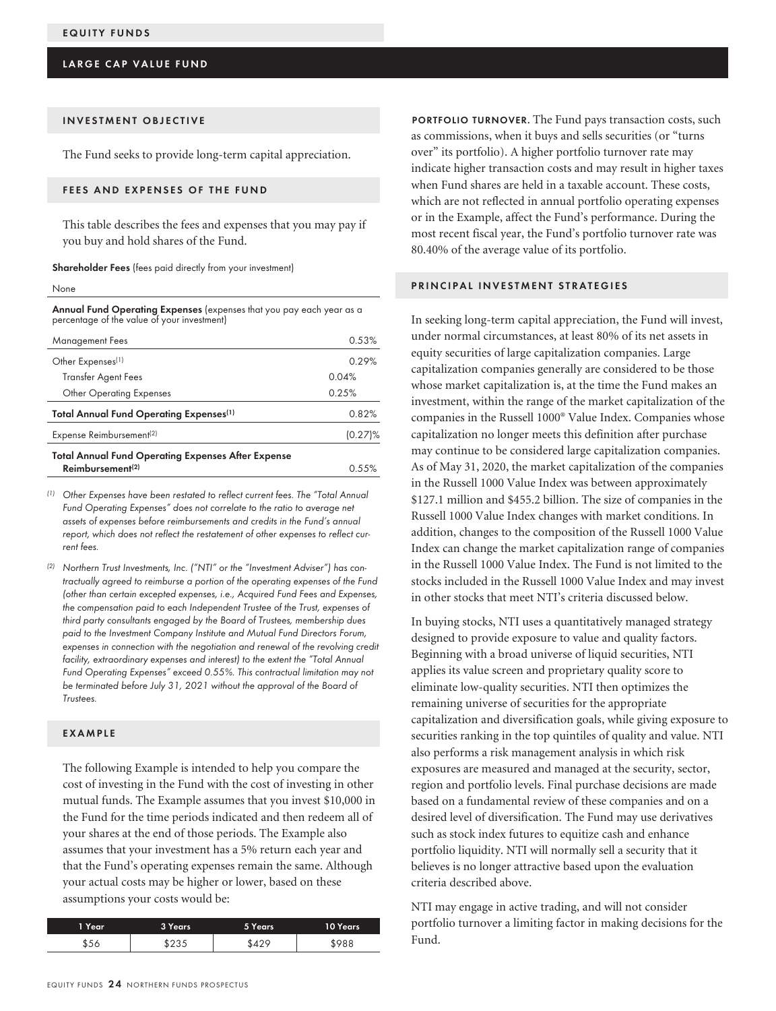#### **LARGE CAP VALUE FUND**

### **INVESTMENT OBJECTIVE**

The Fund seeks to provide long-term capital appreciation.

#### **FEES AND EXPENSES OF THE FUND**

This table describes the fees and expenses that you may pay if you buy and hold shares of the Fund.

**Shareholder Fees** (fees paid directly from your investment)

#### None

**Annual Fund Operating Expenses** (expenses that you pay each year as a percentage of the value of your investment)

| <b>Total Annual Fund Operating Expenses After Expense</b> |            |
|-----------------------------------------------------------|------------|
| Expense Reimbursement <sup>(2)</sup>                      | $(0.27)$ % |
| Total Annual Fund Operating Expenses <sup>(1)</sup>       | 0.82%      |
| <b>Other Operating Expenses</b>                           | 0.25%      |
| <b>Transfer Agent Fees</b>                                | 0.04%      |
| Other Expenses <sup>(1)</sup>                             | 0.29%      |
| <b>Management Fees</b>                                    | 0.53%      |

**Reimbursement(2)** 0.55% (1) Other Expenses have been restated to reflect current fees. The "Total Annual

Fund Operating Expenses" does not correlate to the ratio to average net assets of expenses before reimbursements and credits in the Fund's annual report, which does not reflect the restatement of other expenses to reflect current fees.

(2) Northern Trust Investments, Inc. ("NTI" or the "Investment Adviser") has contractually agreed to reimburse a portion of the operating expenses of the Fund (other than certain excepted expenses, i.e., Acquired Fund Fees and Expenses, the compensation paid to each Independent Trustee of the Trust, expenses of third party consultants engaged by the Board of Trustees, membership dues paid to the Investment Company Institute and Mutual Fund Directors Forum, expenses in connection with the negotiation and renewal of the revolving credit facility, extraordinary expenses and interest) to the extent the "Total Annual Fund Operating Expenses" exceed 0.55%. This contractual limitation may not be terminated before July 31, 2021 without the approval of the Board of Trustees.

### **EXAMPLE**

The following Example is intended to help you compare the cost of investing in the Fund with the cost of investing in other mutual funds. The Example assumes that you invest \$10,000 in the Fund for the time periods indicated and then redeem all of your shares at the end of those periods. The Example also assumes that your investment has a 5% return each year and that the Fund's operating expenses remain the same. Although your actual costs may be higher or lower, based on these assumptions your costs would be:

| 1 Year | 3 Years | 5 Years | 10 Years |
|--------|---------|---------|----------|
| \$56   | \$235   | 429ء    | \$988    |

**PORTFOLIO TURNOVER.** The Fund pays transaction costs, such as commissions, when it buys and sells securities (or "turns over" its portfolio). A higher portfolio turnover rate may indicate higher transaction costs and may result in higher taxes when Fund shares are held in a taxable account. These costs, which are not reflected in annual portfolio operating expenses or in the Example, affect the Fund's performance. During the most recent fiscal year, the Fund's portfolio turnover rate was 80.40% of the average value of its portfolio.

### **PRINCIPAL INVESTMENT STRATEGIES**

In seeking long-term capital appreciation, the Fund will invest, under normal circumstances, at least 80% of its net assets in equity securities of large capitalization companies. Large capitalization companies generally are considered to be those whose market capitalization is, at the time the Fund makes an investment, within the range of the market capitalization of the companies in the Russell 1000® Value Index. Companies whose capitalization no longer meets this definition after purchase may continue to be considered large capitalization companies. As of May 31, 2020, the market capitalization of the companies in the Russell 1000 Value Index was between approximately \$127.1 million and \$455.2 billion. The size of companies in the Russell 1000 Value Index changes with market conditions. In addition, changes to the composition of the Russell 1000 Value Index can change the market capitalization range of companies in the Russell 1000 Value Index. The Fund is not limited to the stocks included in the Russell 1000 Value Index and may invest in other stocks that meet NTI's criteria discussed below.

In buying stocks, NTI uses a quantitatively managed strategy designed to provide exposure to value and quality factors. Beginning with a broad universe of liquid securities, NTI applies its value screen and proprietary quality score to eliminate low-quality securities. NTI then optimizes the remaining universe of securities for the appropriate capitalization and diversification goals, while giving exposure to securities ranking in the top quintiles of quality and value. NTI also performs a risk management analysis in which risk exposures are measured and managed at the security, sector, region and portfolio levels. Final purchase decisions are made based on a fundamental review of these companies and on a desired level of diversification. The Fund may use derivatives such as stock index futures to equitize cash and enhance portfolio liquidity. NTI will normally sell a security that it believes is no longer attractive based upon the evaluation criteria described above.

NTI may engage in active trading, and will not consider portfolio turnover a limiting factor in making decisions for the Fund.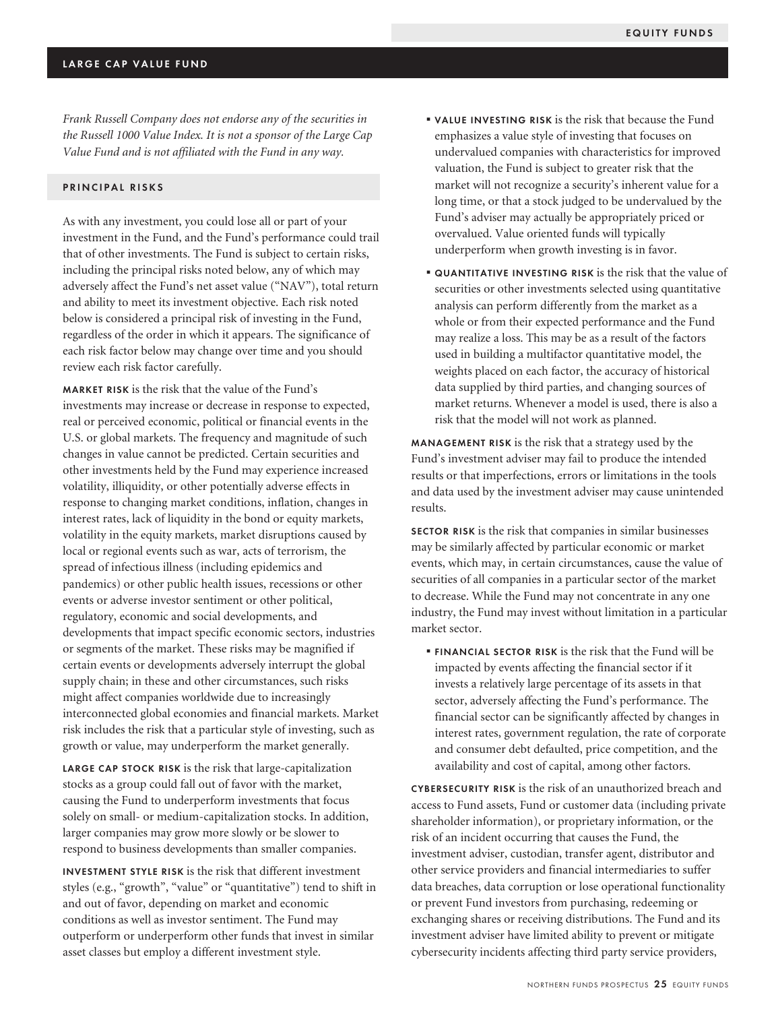*Frank Russell Company does not endorse any of the securities in the Russell 1000 Value Index. It is not a sponsor of the Large Cap Value Fund and is not affiliated with the Fund in any way.*

### **PRINCIPAL RISKS**

As with any investment, you could lose all or part of your investment in the Fund, and the Fund's performance could trail that of other investments. The Fund is subject to certain risks, including the principal risks noted below, any of which may adversely affect the Fund's net asset value ("NAV"), total return and ability to meet its investment objective. Each risk noted below is considered a principal risk of investing in the Fund, regardless of the order in which it appears. The significance of each risk factor below may change over time and you should review each risk factor carefully.

**MARKET RISK** is the risk that the value of the Fund's investments may increase or decrease in response to expected, real or perceived economic, political or financial events in the U.S. or global markets. The frequency and magnitude of such changes in value cannot be predicted. Certain securities and other investments held by the Fund may experience increased volatility, illiquidity, or other potentially adverse effects in response to changing market conditions, inflation, changes in interest rates, lack of liquidity in the bond or equity markets, volatility in the equity markets, market disruptions caused by local or regional events such as war, acts of terrorism, the spread of infectious illness (including epidemics and pandemics) or other public health issues, recessions or other events or adverse investor sentiment or other political, regulatory, economic and social developments, and developments that impact specific economic sectors, industries or segments of the market. These risks may be magnified if certain events or developments adversely interrupt the global supply chain; in these and other circumstances, such risks might affect companies worldwide due to increasingly interconnected global economies and financial markets. Market risk includes the risk that a particular style of investing, such as growth or value, may underperform the market generally.

**LARGE CAP STOCK RISK** is the risk that large-capitalization stocks as a group could fall out of favor with the market, causing the Fund to underperform investments that focus solely on small- or medium-capitalization stocks. In addition, larger companies may grow more slowly or be slower to respond to business developments than smaller companies.

**INVESTMENT STYLE RISK** is the risk that different investment styles (e.g., "growth", "value" or "quantitative") tend to shift in and out of favor, depending on market and economic conditions as well as investor sentiment. The Fund may outperform or underperform other funds that invest in similar asset classes but employ a different investment style.

- **VALUE INVESTING RISK** is the risk that because the Fund emphasizes a value style of investing that focuses on undervalued companies with characteristics for improved valuation, the Fund is subject to greater risk that the market will not recognize a security's inherent value for a long time, or that a stock judged to be undervalued by the Fund's adviser may actually be appropriately priced or overvalued. Value oriented funds will typically underperform when growth investing is in favor.
- **QUANTITATIVE INVESTING RISK** is the risk that the value of securities or other investments selected using quantitative analysis can perform differently from the market as a whole or from their expected performance and the Fund may realize a loss. This may be as a result of the factors used in building a multifactor quantitative model, the weights placed on each factor, the accuracy of historical data supplied by third parties, and changing sources of market returns. Whenever a model is used, there is also a risk that the model will not work as planned.

**MANAGEMENT RISK** is the risk that a strategy used by the Fund's investment adviser may fail to produce the intended results or that imperfections, errors or limitations in the tools and data used by the investment adviser may cause unintended results.

**SECTOR RISK** is the risk that companies in similar businesses may be similarly affected by particular economic or market events, which may, in certain circumstances, cause the value of securities of all companies in a particular sector of the market to decrease. While the Fund may not concentrate in any one industry, the Fund may invest without limitation in a particular market sector.

▪ **FINANCIAL SECTOR RISK** is the risk that the Fund will be impacted by events affecting the financial sector if it invests a relatively large percentage of its assets in that sector, adversely affecting the Fund's performance. The financial sector can be significantly affected by changes in interest rates, government regulation, the rate of corporate and consumer debt defaulted, price competition, and the availability and cost of capital, among other factors.

**CYBERSECURITY RISK** is the risk of an unauthorized breach and access to Fund assets, Fund or customer data (including private shareholder information), or proprietary information, or the risk of an incident occurring that causes the Fund, the investment adviser, custodian, transfer agent, distributor and other service providers and financial intermediaries to suffer data breaches, data corruption or lose operational functionality or prevent Fund investors from purchasing, redeeming or exchanging shares or receiving distributions. The Fund and its investment adviser have limited ability to prevent or mitigate cybersecurity incidents affecting third party service providers,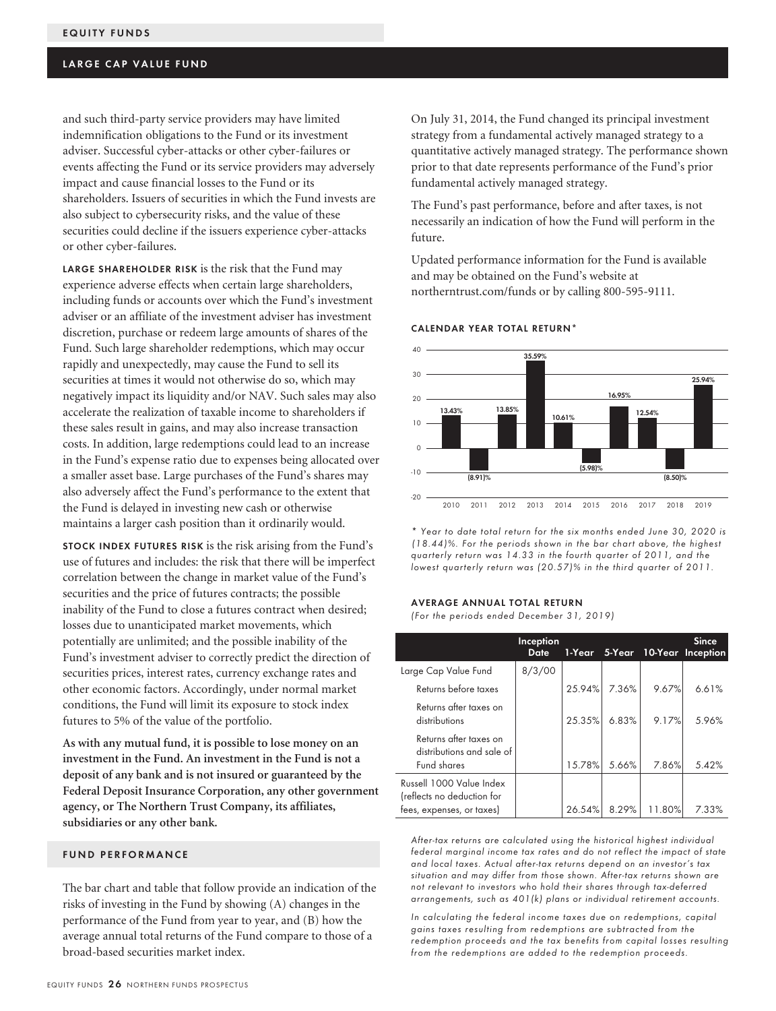#### **LARGE CAP VALUE FUND**

and such third-party service providers may have limited indemnification obligations to the Fund or its investment adviser. Successful cyber-attacks or other cyber-failures or events affecting the Fund or its service providers may adversely impact and cause financial losses to the Fund or its shareholders. Issuers of securities in which the Fund invests are also subject to cybersecurity risks, and the value of these securities could decline if the issuers experience cyber-attacks or other cyber-failures.

**LARGE SHAREHOLDER RISK** is the risk that the Fund may experience adverse effects when certain large shareholders, including funds or accounts over which the Fund's investment adviser or an affiliate of the investment adviser has investment discretion, purchase or redeem large amounts of shares of the Fund. Such large shareholder redemptions, which may occur rapidly and unexpectedly, may cause the Fund to sell its securities at times it would not otherwise do so, which may negatively impact its liquidity and/or NAV. Such sales may also accelerate the realization of taxable income to shareholders if these sales result in gains, and may also increase transaction costs. In addition, large redemptions could lead to an increase in the Fund's expense ratio due to expenses being allocated over a smaller asset base. Large purchases of the Fund's shares may also adversely affect the Fund's performance to the extent that the Fund is delayed in investing new cash or otherwise maintains a larger cash position than it ordinarily would.

**STOCK INDEX FUTURES RISK** is the risk arising from the Fund's use of futures and includes: the risk that there will be imperfect correlation between the change in market value of the Fund's securities and the price of futures contracts; the possible inability of the Fund to close a futures contract when desired; losses due to unanticipated market movements, which potentially are unlimited; and the possible inability of the Fund's investment adviser to correctly predict the direction of securities prices, interest rates, currency exchange rates and other economic factors. Accordingly, under normal market conditions, the Fund will limit its exposure to stock index futures to 5% of the value of the portfolio.

**As with any mutual fund, it is possible to lose money on an investment in the Fund. An investment in the Fund is not a deposit of any bank and is not insured or guaranteed by the Federal Deposit Insurance Corporation, any other government agency, or The Northern Trust Company, its affiliates, subsidiaries or any other bank.**

### **FUND PERFORMANCE**

The bar chart and table that follow provide an indication of the risks of investing in the Fund by showing (A) changes in the performance of the Fund from year to year, and (B) how the average annual total returns of the Fund compare to those of a broad-based securities market index.

On July 31, 2014, the Fund changed its principal investment strategy from a fundamental actively managed strategy to a quantitative actively managed strategy. The performance shown prior to that date represents performance of the Fund's prior fundamental actively managed strategy.

The Fund's past performance, before and after taxes, is not necessarily an indication of how the Fund will perform in the future.

Updated performance information for the Fund is available and may be obtained on the Fund's website at northerntrust.com/funds or by calling 800-595-9111.



\* Year to date total return for the six months ended June 30, 2020 is (18.44)%. For the periods shown in the bar chart above, the highest quarterly return was 14.33 in the fourth quarter of 2011, and the lowest quarterly return was (20.57)% in the third quarter of 2011.

#### **AVERAGE ANNUAL TOTAL RETURN**

**CALENDAR YEAR TOTAL RETURN\***

(For the periods ended December 31, 2019)

|                                                                                     | Inception<br>Date | 1-Year 5-Year |       |        | <b>Since</b><br>10-Year Inception |
|-------------------------------------------------------------------------------------|-------------------|---------------|-------|--------|-----------------------------------|
| Large Cap Value Fund                                                                | 8/3/00            |               |       |        |                                   |
| Returns before taxes                                                                |                   | 25.94%        | 7.36% | 9.67%  | 6.61%                             |
| Returns after taxes on<br>distributions                                             |                   | 25.35%        | 6.83% | 9.17%  | 5.96%                             |
| Returns after taxes on<br>distributions and sale of<br>Fund shares                  |                   | 15.78%        | 5.66% | 7.86%  | 5.42%                             |
| Russell 1000 Value Index<br>(reflects no deduction for<br>fees, expenses, or taxes) |                   | 26.54%        | 8.29% | 11.80% | 7.33%                             |

After-tax returns are calculated using the historical highest individual federal marginal income tax rates and do not reflect the impact of state and local taxes. Actual after-tax returns depend on an investor's tax situation and may differ from those shown. After-tax returns shown are not relevant to investors who hold their shares through tax-deferred arrangements, such as 401(k) plans or individual retirement accounts.

In calculating the federal income taxes due on redemptions, capital gains taxes resulting from redemptions are subtracted from the redemption proceeds and the tax benefits from capital losses resulting from the redemptions are added to the redemption proceeds.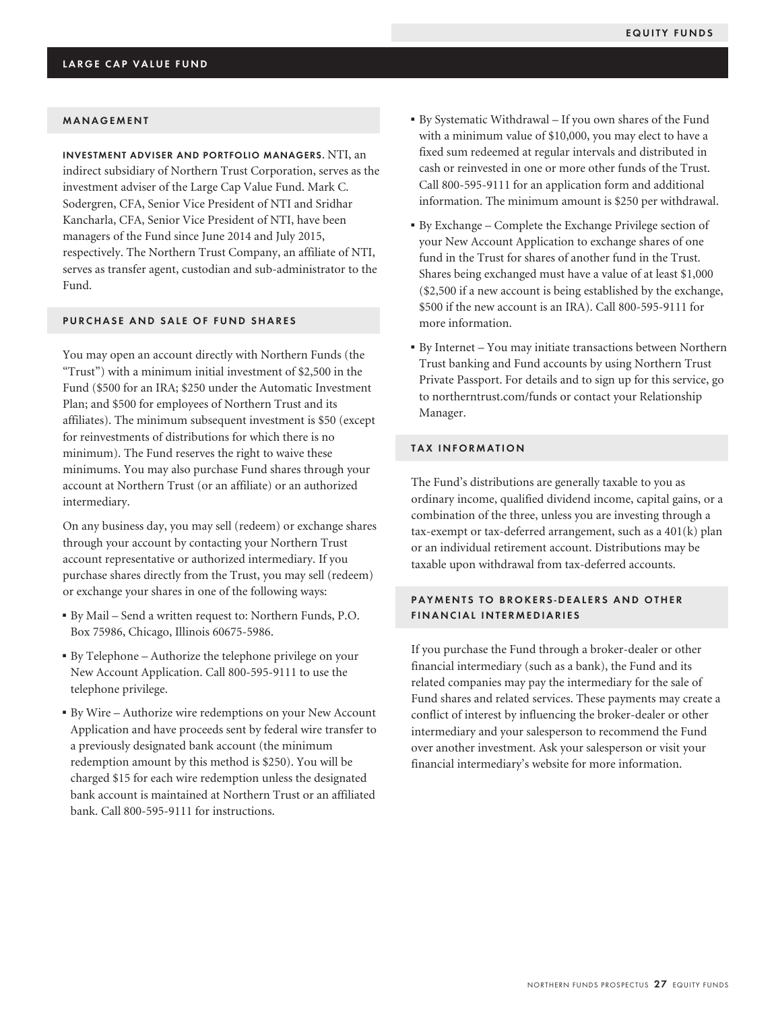#### **LARGE CAP VALUE FUND**

### **MANAGEMENT**

**INVESTMENT ADVISER AND PORTFOLIO MANAGERS.** NTI, an indirect subsidiary of Northern Trust Corporation, serves as the investment adviser of the Large Cap Value Fund. Mark C. Sodergren, CFA, Senior Vice President of NTI and Sridhar Kancharla, CFA, Senior Vice President of NTI, have been managers of the Fund since June 2014 and July 2015, respectively. The Northern Trust Company, an affiliate of NTI, serves as transfer agent, custodian and sub-administrator to the Fund.

### **PURCHASE AND SALE OF FUND SHARES**

You may open an account directly with Northern Funds (the "Trust") with a minimum initial investment of \$2,500 in the Fund (\$500 for an IRA; \$250 under the Automatic Investment Plan; and \$500 for employees of Northern Trust and its affiliates). The minimum subsequent investment is \$50 (except for reinvestments of distributions for which there is no minimum). The Fund reserves the right to waive these minimums. You may also purchase Fund shares through your account at Northern Trust (or an affiliate) or an authorized intermediary.

On any business day, you may sell (redeem) or exchange shares through your account by contacting your Northern Trust account representative or authorized intermediary. If you purchase shares directly from the Trust, you may sell (redeem) or exchange your shares in one of the following ways:

- By Mail Send a written request to: Northern Funds, P.O. Box 75986, Chicago, Illinois 60675-5986.
- By Telephone Authorize the telephone privilege on your New Account Application. Call 800-595-9111 to use the telephone privilege.
- By Wire Authorize wire redemptions on your New Account Application and have proceeds sent by federal wire transfer to a previously designated bank account (the minimum redemption amount by this method is \$250). You will be charged \$15 for each wire redemption unless the designated bank account is maintained at Northern Trust or an affiliated bank. Call 800-595-9111 for instructions.
- By Systematic Withdrawal If you own shares of the Fund with a minimum value of \$10,000, you may elect to have a fixed sum redeemed at regular intervals and distributed in cash or reinvested in one or more other funds of the Trust. Call 800-595-9111 for an application form and additional information. The minimum amount is \$250 per withdrawal.
- By Exchange Complete the Exchange Privilege section of your New Account Application to exchange shares of one fund in the Trust for shares of another fund in the Trust. Shares being exchanged must have a value of at least \$1,000 (\$2,500 if a new account is being established by the exchange, \$500 if the new account is an IRA). Call 800-595-9111 for more information.
- By Internet You may initiate transactions between Northern Trust banking and Fund accounts by using Northern Trust Private Passport. For details and to sign up for this service, go to northerntrust.com/funds or contact your Relationship Manager.

### **TAX INFORMATION**

The Fund's distributions are generally taxable to you as ordinary income, qualified dividend income, capital gains, or a combination of the three, unless you are investing through a tax-exempt or tax-deferred arrangement, such as a 401(k) plan or an individual retirement account. Distributions may be taxable upon withdrawal from tax-deferred accounts.

### **PAYMENTS TO BROKERS-DEALERS AND OTHER FINANCIAL INTERMEDIARIES**

If you purchase the Fund through a broker-dealer or other financial intermediary (such as a bank), the Fund and its related companies may pay the intermediary for the sale of Fund shares and related services. These payments may create a conflict of interest by influencing the broker-dealer or other intermediary and your salesperson to recommend the Fund over another investment. Ask your salesperson or visit your financial intermediary's website for more information.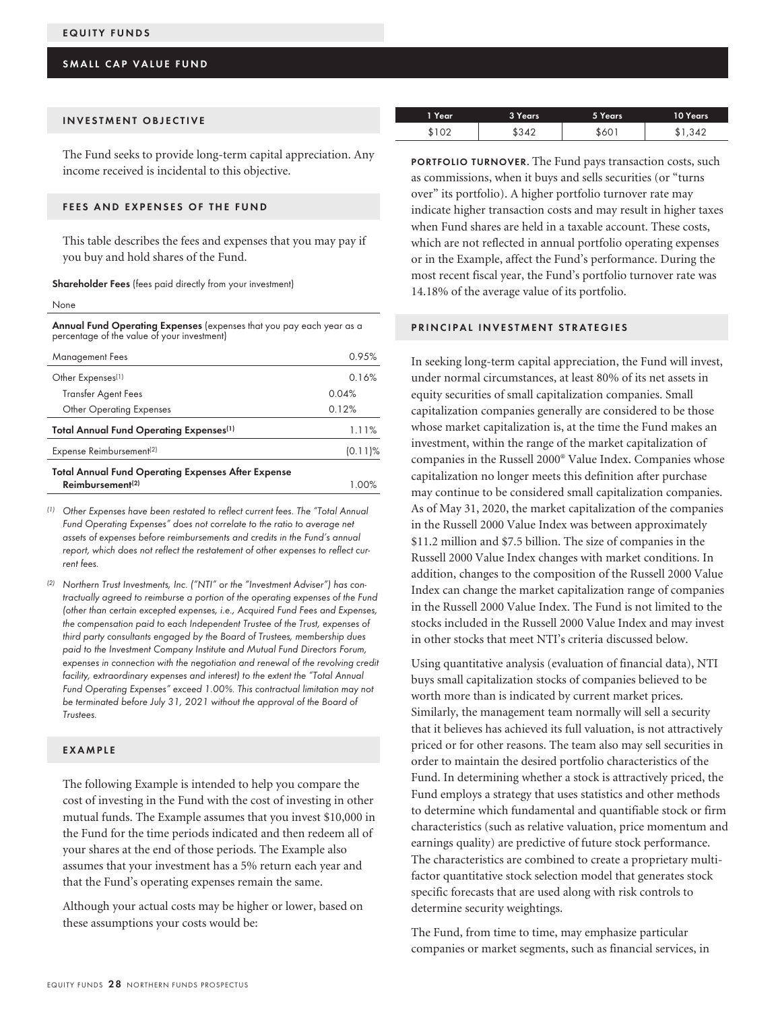### **INVESTMENT OBJECTIVE**

The Fund seeks to provide long-term capital appreciation. Any income received is incidental to this objective.

### **FEES AND EXPENSES OF THE FUND**

This table describes the fees and expenses that you may pay if you buy and hold shares of the Fund.

**Shareholder Fees** (fees paid directly from your investment)

None

**Annual Fund Operating Expenses** (expenses that you pay each year as a percentage of the value of your investment)

| <b>Management Fees</b>                                    | 0.95%      |
|-----------------------------------------------------------|------------|
| Other Expenses <sup>(1)</sup>                             | 0.16%      |
| <b>Transfer Agent Fees</b>                                | 0.04%      |
| <b>Other Operating Expenses</b>                           | 0.12%      |
| Total Annual Fund Operating Expenses <sup>(1)</sup>       | 1.11%      |
| Expense Reimbursement <sup>(2)</sup>                      | $(0.11)\%$ |
| <b>Total Annual Fund Operating Expenses After Expense</b> |            |

Reimbursement<sup>(2)</sup> 1.00%

(1) Other Expenses have been restated to reflect current fees. The "Total Annual Fund Operating Expenses" does not correlate to the ratio to average net assets of expenses before reimbursements and credits in the Fund's annual report, which does not reflect the restatement of other expenses to reflect current fees.

(2) Northern Trust Investments, Inc. ("NTI" or the "Investment Adviser") has contractually agreed to reimburse a portion of the operating expenses of the Fund (other than certain excepted expenses, i.e., Acquired Fund Fees and Expenses, the compensation paid to each Independent Trustee of the Trust, expenses of third party consultants engaged by the Board of Trustees, membership dues paid to the Investment Company Institute and Mutual Fund Directors Forum, expenses in connection with the negotiation and renewal of the revolving credit facility, extraordinary expenses and interest) to the extent the "Total Annual Fund Operating Expenses" exceed 1.00%. This contractual limitation may not be terminated before July 31, 2021 without the approval of the Board of **Trustees** 

### **EXAMPLE**

The following Example is intended to help you compare the cost of investing in the Fund with the cost of investing in other mutual funds. The Example assumes that you invest \$10,000 in the Fund for the time periods indicated and then redeem all of your shares at the end of those periods. The Example also assumes that your investment has a 5% return each year and that the Fund's operating expenses remain the same.

Although your actual costs may be higher or lower, based on these assumptions your costs would be:

| 1 Year | 3 Years | 5 Years | 10 Years |
|--------|---------|---------|----------|
| \$102  | \$342   | \$601   | \$1.342  |

**PORTFOLIO TURNOVER.** The Fund pays transaction costs, such as commissions, when it buys and sells securities (or "turns over" its portfolio). A higher portfolio turnover rate may indicate higher transaction costs and may result in higher taxes when Fund shares are held in a taxable account. These costs, which are not reflected in annual portfolio operating expenses or in the Example, affect the Fund's performance. During the most recent fiscal year, the Fund's portfolio turnover rate was 14.18% of the average value of its portfolio.

### **PRINCIPAL INVESTMENT STRATEGIES**

In seeking long-term capital appreciation, the Fund will invest, under normal circumstances, at least 80% of its net assets in equity securities of small capitalization companies. Small capitalization companies generally are considered to be those whose market capitalization is, at the time the Fund makes an investment, within the range of the market capitalization of companies in the Russell 2000® Value Index. Companies whose capitalization no longer meets this definition after purchase may continue to be considered small capitalization companies. As of May 31, 2020, the market capitalization of the companies in the Russell 2000 Value Index was between approximately \$11.2 million and \$7.5 billion. The size of companies in the Russell 2000 Value Index changes with market conditions. In addition, changes to the composition of the Russell 2000 Value Index can change the market capitalization range of companies in the Russell 2000 Value Index. The Fund is not limited to the stocks included in the Russell 2000 Value Index and may invest in other stocks that meet NTI's criteria discussed below.

Using quantitative analysis (evaluation of financial data), NTI buys small capitalization stocks of companies believed to be worth more than is indicated by current market prices. Similarly, the management team normally will sell a security that it believes has achieved its full valuation, is not attractively priced or for other reasons. The team also may sell securities in order to maintain the desired portfolio characteristics of the Fund. In determining whether a stock is attractively priced, the Fund employs a strategy that uses statistics and other methods to determine which fundamental and quantifiable stock or firm characteristics (such as relative valuation, price momentum and earnings quality) are predictive of future stock performance. The characteristics are combined to create a proprietary multifactor quantitative stock selection model that generates stock specific forecasts that are used along with risk controls to determine security weightings.

The Fund, from time to time, may emphasize particular companies or market segments, such as financial services, in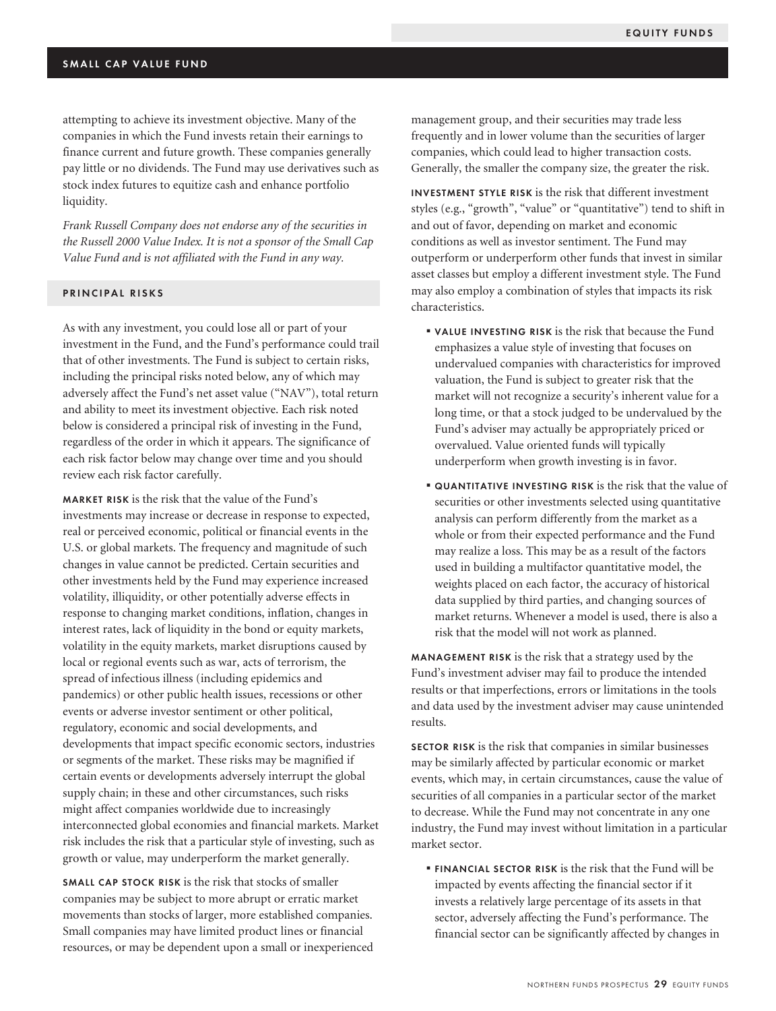attempting to achieve its investment objective. Many of the companies in which the Fund invests retain their earnings to finance current and future growth. These companies generally pay little or no dividends. The Fund may use derivatives such as stock index futures to equitize cash and enhance portfolio liquidity.

*Frank Russell Company does not endorse any of the securities in the Russell 2000 Value Index. It is not a sponsor of the Small Cap Value Fund and is not affiliated with the Fund in any way.*

#### **PRINCIPAL RISKS**

As with any investment, you could lose all or part of your investment in the Fund, and the Fund's performance could trail that of other investments. The Fund is subject to certain risks, including the principal risks noted below, any of which may adversely affect the Fund's net asset value ("NAV"), total return and ability to meet its investment objective. Each risk noted below is considered a principal risk of investing in the Fund, regardless of the order in which it appears. The significance of each risk factor below may change over time and you should review each risk factor carefully.

**MARKET RISK** is the risk that the value of the Fund's investments may increase or decrease in response to expected, real or perceived economic, political or financial events in the U.S. or global markets. The frequency and magnitude of such changes in value cannot be predicted. Certain securities and other investments held by the Fund may experience increased volatility, illiquidity, or other potentially adverse effects in response to changing market conditions, inflation, changes in interest rates, lack of liquidity in the bond or equity markets, volatility in the equity markets, market disruptions caused by local or regional events such as war, acts of terrorism, the spread of infectious illness (including epidemics and pandemics) or other public health issues, recessions or other events or adverse investor sentiment or other political, regulatory, economic and social developments, and developments that impact specific economic sectors, industries or segments of the market. These risks may be magnified if certain events or developments adversely interrupt the global supply chain; in these and other circumstances, such risks might affect companies worldwide due to increasingly interconnected global economies and financial markets. Market risk includes the risk that a particular style of investing, such as growth or value, may underperform the market generally.

**SMALL CAP STOCK RISK** is the risk that stocks of smaller companies may be subject to more abrupt or erratic market movements than stocks of larger, more established companies. Small companies may have limited product lines or financial resources, or may be dependent upon a small or inexperienced management group, and their securities may trade less frequently and in lower volume than the securities of larger companies, which could lead to higher transaction costs. Generally, the smaller the company size, the greater the risk.

**INVESTMENT STYLE RISK** is the risk that different investment styles (e.g., "growth", "value" or "quantitative") tend to shift in and out of favor, depending on market and economic conditions as well as investor sentiment. The Fund may outperform or underperform other funds that invest in similar asset classes but employ a different investment style. The Fund may also employ a combination of styles that impacts its risk characteristics.

- **VALUE INVESTING RISK** is the risk that because the Fund emphasizes a value style of investing that focuses on undervalued companies with characteristics for improved valuation, the Fund is subject to greater risk that the market will not recognize a security's inherent value for a long time, or that a stock judged to be undervalued by the Fund's adviser may actually be appropriately priced or overvalued. Value oriented funds will typically underperform when growth investing is in favor.
- **QUANTITATIVE INVESTING RISK** is the risk that the value of securities or other investments selected using quantitative analysis can perform differently from the market as a whole or from their expected performance and the Fund may realize a loss. This may be as a result of the factors used in building a multifactor quantitative model, the weights placed on each factor, the accuracy of historical data supplied by third parties, and changing sources of market returns. Whenever a model is used, there is also a risk that the model will not work as planned.

**MANAGEMENT RISK** is the risk that a strategy used by the Fund's investment adviser may fail to produce the intended results or that imperfections, errors or limitations in the tools and data used by the investment adviser may cause unintended results.

**SECTOR RISK** is the risk that companies in similar businesses may be similarly affected by particular economic or market events, which may, in certain circumstances, cause the value of securities of all companies in a particular sector of the market to decrease. While the Fund may not concentrate in any one industry, the Fund may invest without limitation in a particular market sector.

▪ **FINANCIAL SECTOR RISK** is the risk that the Fund will be impacted by events affecting the financial sector if it invests a relatively large percentage of its assets in that sector, adversely affecting the Fund's performance. The financial sector can be significantly affected by changes in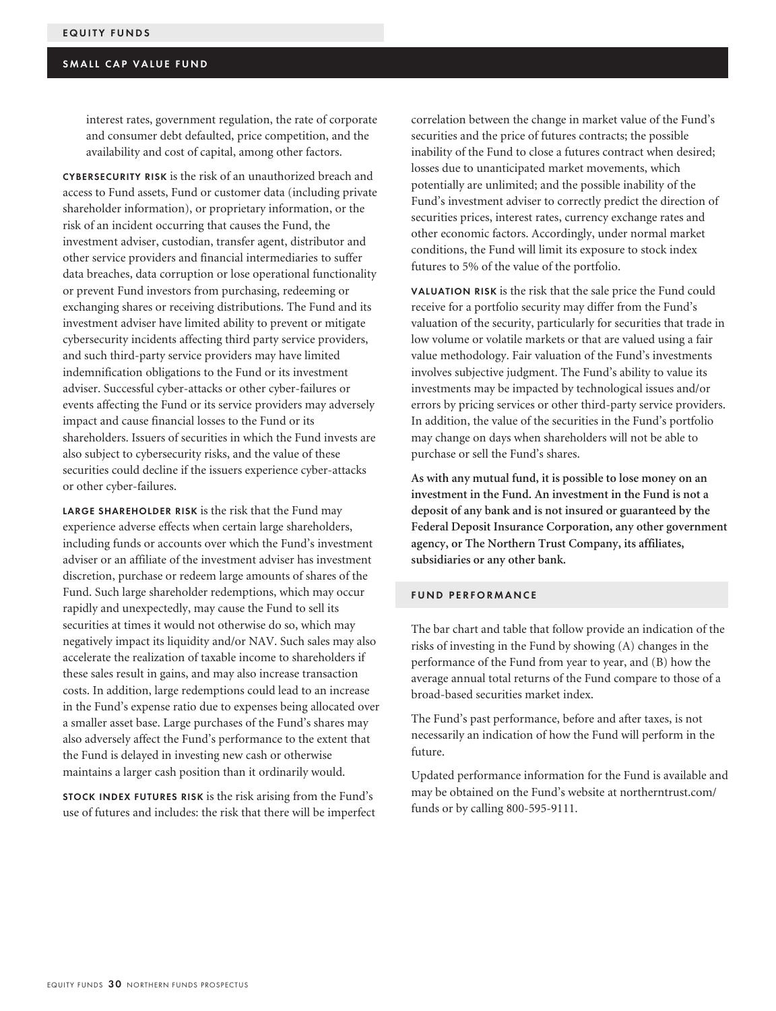interest rates, government regulation, the rate of corporate and consumer debt defaulted, price competition, and the availability and cost of capital, among other factors.

**CYBERSECURITY RISK** is the risk of an unauthorized breach and access to Fund assets, Fund or customer data (including private shareholder information), or proprietary information, or the risk of an incident occurring that causes the Fund, the investment adviser, custodian, transfer agent, distributor and other service providers and financial intermediaries to suffer data breaches, data corruption or lose operational functionality or prevent Fund investors from purchasing, redeeming or exchanging shares or receiving distributions. The Fund and its investment adviser have limited ability to prevent or mitigate cybersecurity incidents affecting third party service providers, and such third-party service providers may have limited indemnification obligations to the Fund or its investment adviser. Successful cyber-attacks or other cyber-failures or events affecting the Fund or its service providers may adversely impact and cause financial losses to the Fund or its shareholders. Issuers of securities in which the Fund invests are also subject to cybersecurity risks, and the value of these securities could decline if the issuers experience cyber-attacks or other cyber-failures.

**LARGE SHAREHOLDER RISK** is the risk that the Fund may experience adverse effects when certain large shareholders, including funds or accounts over which the Fund's investment adviser or an affiliate of the investment adviser has investment discretion, purchase or redeem large amounts of shares of the Fund. Such large shareholder redemptions, which may occur rapidly and unexpectedly, may cause the Fund to sell its securities at times it would not otherwise do so, which may negatively impact its liquidity and/or NAV. Such sales may also accelerate the realization of taxable income to shareholders if these sales result in gains, and may also increase transaction costs. In addition, large redemptions could lead to an increase in the Fund's expense ratio due to expenses being allocated over a smaller asset base. Large purchases of the Fund's shares may also adversely affect the Fund's performance to the extent that the Fund is delayed in investing new cash or otherwise maintains a larger cash position than it ordinarily would.

**STOCK INDEX FUTURES RISK** is the risk arising from the Fund's use of futures and includes: the risk that there will be imperfect correlation between the change in market value of the Fund's securities and the price of futures contracts; the possible inability of the Fund to close a futures contract when desired; losses due to unanticipated market movements, which potentially are unlimited; and the possible inability of the Fund's investment adviser to correctly predict the direction of securities prices, interest rates, currency exchange rates and other economic factors. Accordingly, under normal market conditions, the Fund will limit its exposure to stock index futures to 5% of the value of the portfolio.

**VALUATION RISK** is the risk that the sale price the Fund could receive for a portfolio security may differ from the Fund's valuation of the security, particularly for securities that trade in low volume or volatile markets or that are valued using a fair value methodology. Fair valuation of the Fund's investments involves subjective judgment. The Fund's ability to value its investments may be impacted by technological issues and/or errors by pricing services or other third-party service providers. In addition, the value of the securities in the Fund's portfolio may change on days when shareholders will not be able to purchase or sell the Fund's shares.

**As with any mutual fund, it is possible to lose money on an investment in the Fund. An investment in the Fund is not a deposit of any bank and is not insured or guaranteed by the Federal Deposit Insurance Corporation, any other government agency, or The Northern Trust Company, its affiliates, subsidiaries or any other bank.**

### **FUND PERFORMANCE**

The bar chart and table that follow provide an indication of the risks of investing in the Fund by showing (A) changes in the performance of the Fund from year to year, and (B) how the average annual total returns of the Fund compare to those of a broad-based securities market index.

The Fund's past performance, before and after taxes, is not necessarily an indication of how the Fund will perform in the future.

Updated performance information for the Fund is available and may be obtained on the Fund's website at northerntrust.com/ funds or by calling 800-595-9111.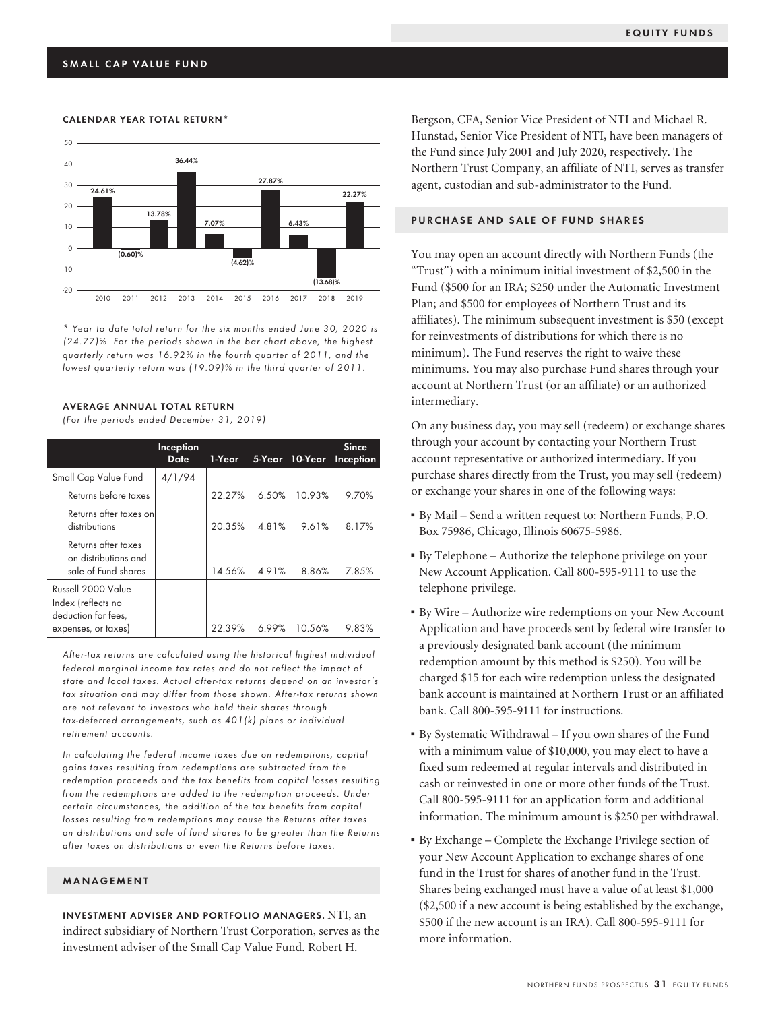**CALENDAR YEAR TOTAL RETURN\***

#### -20 -10  $\Omega$ 10 20 30 40 50 2010 2011 2012 2013 2014 2015 2016 2018 2019 2017 **24.61% (0.60)% 13.78% 36.44% 7.07% (4.62)% (13.68)% 27.87% 22.27% 6.43%**

\* Year to date total return for the six months ended June 30, 2020 is (24.77)%. For the periods shown in the bar chart above, the highest quarterly return was 16.92% in the fourth quarter of 2011, and the lowest quarterly return was (19.09)% in the third quarter of 2011.

#### **AVERAGE ANNUAL TOTAL RETURN**

(For the periods ended December 31, 2019)

|                                                                                        | Inception<br>Date | 1-Year | 5-Year | 10-Year | <b>Since</b><br>Inception |
|----------------------------------------------------------------------------------------|-------------------|--------|--------|---------|---------------------------|
| Small Cap Value Fund                                                                   | 4/1/94            |        |        |         |                           |
| Returns before taxes                                                                   |                   | 22.27% | 6.50%  | 10.93%  | 9.70%                     |
| Returns after taxes on<br>distributions                                                |                   | 20.35% | 4.81%  | 9.61%   | 8.17%                     |
| Returns after taxes<br>on distributions and<br>sale of Fund shares                     |                   | 14.56% | 4.91%  | 8.86%   | 7.85%                     |
| Russell 2000 Value<br>Index (reflects no<br>deduction for fees,<br>expenses, or taxes) |                   | 22.39% | 6.99%  | 10.56%  | 9.83%                     |

After-tax returns are calculated using the historical highest individual federal marginal income tax rates and do not reflect the impact of state and local taxes. Actual after-tax returns depend on an investor's tax situation and may differ from those shown. After-tax returns shown are not relevant to investors who hold their shares through tax-deferred arrangements, such as 401(k) plans or individual retirement accounts.

In calculating the federal income taxes due on redemptions, capital gains taxes resulting from redemptions are subtracted from the redemption proceeds and the tax benefits from capital losses resulting from the redemptions are added to the redemption proceeds. Under certain circumstances, the addition of the tax benefits from capital losses resulting from redemptions may cause the Returns after taxes on distributions and sale of fund shares to be greater than the Returns after taxes on distributions or even the Returns before taxes.

### **MANAGEMENT**

**INVESTMENT ADVISER AND PORTFOLIO MANAGERS.** NTI, an indirect subsidiary of Northern Trust Corporation, serves as the investment adviser of the Small Cap Value Fund. Robert H.

Bergson, CFA, Senior Vice President of NTI and Michael R. Hunstad, Senior Vice President of NTI, have been managers of the Fund since July 2001 and July 2020, respectively. The Northern Trust Company, an affiliate of NTI, serves as transfer agent, custodian and sub-administrator to the Fund.

### **PURCHASE AND SALE OF FUND SHARES**

You may open an account directly with Northern Funds (the "Trust") with a minimum initial investment of \$2,500 in the Fund (\$500 for an IRA; \$250 under the Automatic Investment Plan; and \$500 for employees of Northern Trust and its affiliates). The minimum subsequent investment is \$50 (except for reinvestments of distributions for which there is no minimum). The Fund reserves the right to waive these minimums. You may also purchase Fund shares through your account at Northern Trust (or an affiliate) or an authorized intermediary.

On any business day, you may sell (redeem) or exchange shares through your account by contacting your Northern Trust account representative or authorized intermediary. If you purchase shares directly from the Trust, you may sell (redeem) or exchange your shares in one of the following ways:

- By Mail Send a written request to: Northern Funds, P.O. Box 75986, Chicago, Illinois 60675-5986.
- $\bullet$  By Telephone Authorize the telephone privilege on your New Account Application. Call 800-595-9111 to use the telephone privilege.
- By Wire Authorize wire redemptions on your New Account Application and have proceeds sent by federal wire transfer to a previously designated bank account (the minimum redemption amount by this method is \$250). You will be charged \$15 for each wire redemption unless the designated bank account is maintained at Northern Trust or an affiliated bank. Call 800-595-9111 for instructions.
- By Systematic Withdrawal If you own shares of the Fund with a minimum value of \$10,000, you may elect to have a fixed sum redeemed at regular intervals and distributed in cash or reinvested in one or more other funds of the Trust. Call 800-595-9111 for an application form and additional information. The minimum amount is \$250 per withdrawal.
- By Exchange Complete the Exchange Privilege section of your New Account Application to exchange shares of one fund in the Trust for shares of another fund in the Trust. Shares being exchanged must have a value of at least \$1,000 (\$2,500 if a new account is being established by the exchange, \$500 if the new account is an IRA). Call 800-595-9111 for more information.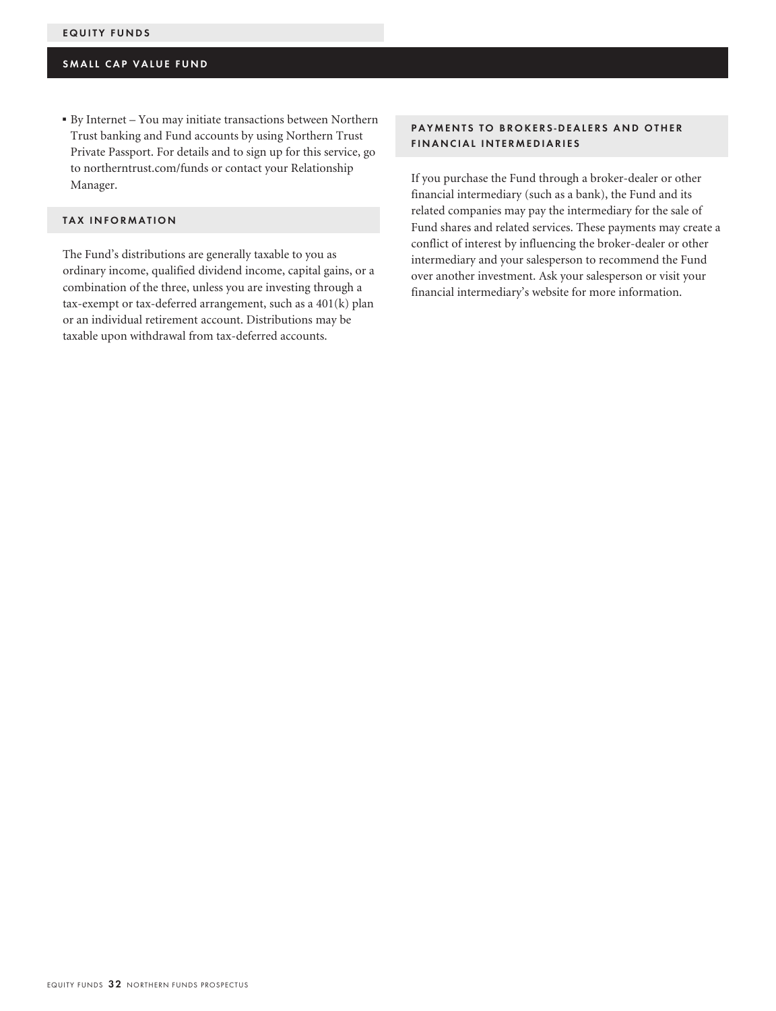▪ By Internet – You may initiate transactions between Northern Trust banking and Fund accounts by using Northern Trust Private Passport. For details and to sign up for this service, go to northerntrust.com/funds or contact your Relationship Manager.

### **TAX INFORMATION**

The Fund's distributions are generally taxable to you as ordinary income, qualified dividend income, capital gains, or a combination of the three, unless you are investing through a tax-exempt or tax-deferred arrangement, such as a 401(k) plan or an individual retirement account. Distributions may be taxable upon withdrawal from tax-deferred accounts.

### **PAYMENTS TO BROKERS-DEALERS AND OTHER FINANCIAL INTERMEDIARIES**

If you purchase the Fund through a broker-dealer or other financial intermediary (such as a bank), the Fund and its related companies may pay the intermediary for the sale of Fund shares and related services. These payments may create a conflict of interest by influencing the broker-dealer or other intermediary and your salesperson to recommend the Fund over another investment. Ask your salesperson or visit your financial intermediary's website for more information.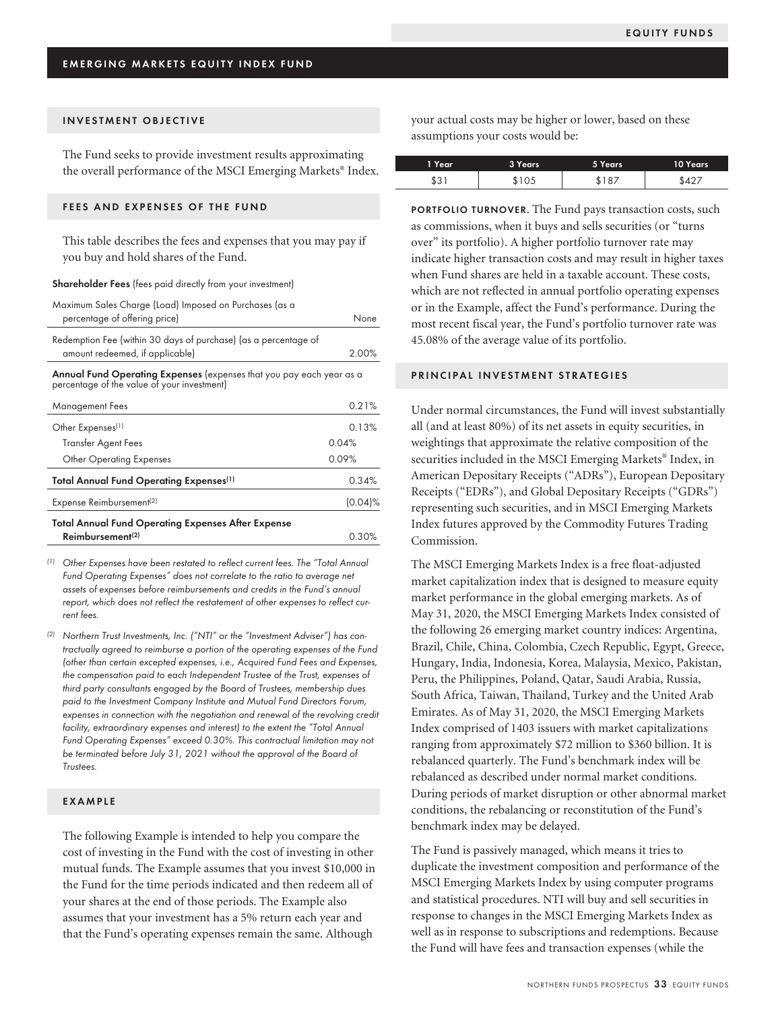### **INVESTMENT OBJECTIVE**

The Fund seeks to provide investment results approximating the overall performance of the MSCI Emerging Markets® Index.

#### **FEES AND EXPENSES OF THE FUND**

This table describes the fees and expenses that you may pay if you buy and hold shares of the Fund.

#### **Shareholder Fees** (fees paid directly from your investment)

| Maximum Sales Charge (Load) Imposed on Purchases (as a                                                                     |            |
|----------------------------------------------------------------------------------------------------------------------------|------------|
| percentage of offering price)                                                                                              | None       |
| Redemption Fee (within 30 days of purchase) (as a percentage of<br>amount redeemed, if applicable)                         | 2.00%      |
|                                                                                                                            |            |
| <b>Annual Fund Operating Expenses</b> (expenses that you pay each year as a<br>percentage of the value of your investment) |            |
| <b>Management Fees</b>                                                                                                     | 0.21%      |
| Other Expenses <sup>(1)</sup>                                                                                              | 0.13%      |
| <b>Transfer Agent Fees</b>                                                                                                 | 0.04%      |
| <b>Other Operating Expenses</b>                                                                                            | 0.09%      |
| <b>Total Annual Fund Operating Expenses</b> <sup>(1)</sup>                                                                 | 0.34%      |
| Expense Reimbursement <sup>(2)</sup>                                                                                       | $(0.04)\%$ |
| <b>Total Annual Fund Operating Expenses After Expense</b>                                                                  |            |
| Reimbursement <sup>(2)</sup>                                                                                               | 0.30%      |

(1) Other Expenses have been restated to reflect current fees. The "Total Annual Fund Operating Expenses" does not correlate to the ratio to average net assets of expenses before reimbursements and credits in the Fund's annual report, which does not reflect the restatement of other expenses to reflect current fees.

(2) Northern Trust Investments, Inc. ("NTI" or the "Investment Adviser") has contractually agreed to reimburse a portion of the operating expenses of the Fund (other than certain excepted expenses, i.e., Acquired Fund Fees and Expenses, the compensation paid to each Independent Trustee of the Trust, expenses of third party consultants engaged by the Board of Trustees, membership dues paid to the Investment Company Institute and Mutual Fund Directors Forum, expenses in connection with the negotiation and renewal of the revolving credit facility, extraordinary expenses and interest) to the extent the "Total Annual Fund Operating Expenses" exceed 0.30%. This contractual limitation may not be terminated before July 31, 2021 without the approval of the Board of **Trustees** 

### **EXAMPLE**

The following Example is intended to help you compare the cost of investing in the Fund with the cost of investing in other mutual funds. The Example assumes that you invest \$10,000 in the Fund for the time periods indicated and then redeem all of your shares at the end of those periods. The Example also assumes that your investment has a 5% return each year and that the Fund's operating expenses remain the same. Although

your actual costs may be higher or lower, based on these assumptions your costs would be:

| l Year | 3 Years | 5 Years | 10 Years |
|--------|---------|---------|----------|
| \$31   | \$105   | 187     | \$427    |

**PORTFOLIO TURNOVER.** The Fund pays transaction costs, such as commissions, when it buys and sells securities (or "turns over" its portfolio). A higher portfolio turnover rate may indicate higher transaction costs and may result in higher taxes when Fund shares are held in a taxable account. These costs, which are not reflected in annual portfolio operating expenses or in the Example, affect the Fund's performance. During the most recent fiscal year, the Fund's portfolio turnover rate was 45.08% of the average value of its portfolio.

#### **PRINCIPAL INVESTMENT STRATEGIES**

Under normal circumstances, the Fund will invest substantially all (and at least 80%) of its net assets in equity securities, in weightings that approximate the relative composition of the securities included in the MSCI Emerging Markets® Index, in American Depositary Receipts ("ADRs"), European Depositary Receipts ("EDRs"), and Global Depositary Receipts ("GDRs") representing such securities, and in MSCI Emerging Markets Index futures approved by the Commodity Futures Trading Commission.

The MSCI Emerging Markets Index is a free float-adjusted market capitalization index that is designed to measure equity market performance in the global emerging markets. As of May 31, 2020, the MSCI Emerging Markets Index consisted of the following 26 emerging market country indices: Argentina, Brazil, Chile, China, Colombia, Czech Republic, Egypt, Greece, Hungary, India, Indonesia, Korea, Malaysia, Mexico, Pakistan, Peru, the Philippines, Poland, Qatar, Saudi Arabia, Russia, South Africa, Taiwan, Thailand, Turkey and the United Arab Emirates. As of May 31, 2020, the MSCI Emerging Markets Index comprised of 1403 issuers with market capitalizations ranging from approximately \$72 million to \$360 billion. It is rebalanced quarterly. The Fund's benchmark index will be rebalanced as described under normal market conditions. During periods of market disruption or other abnormal market conditions, the rebalancing or reconstitution of the Fund's benchmark index may be delayed.

The Fund is passively managed, which means it tries to duplicate the investment composition and performance of the MSCI Emerging Markets Index by using computer programs and statistical procedures. NTI will buy and sell securities in response to changes in the MSCI Emerging Markets Index as well as in response to subscriptions and redemptions. Because the Fund will have fees and transaction expenses (while the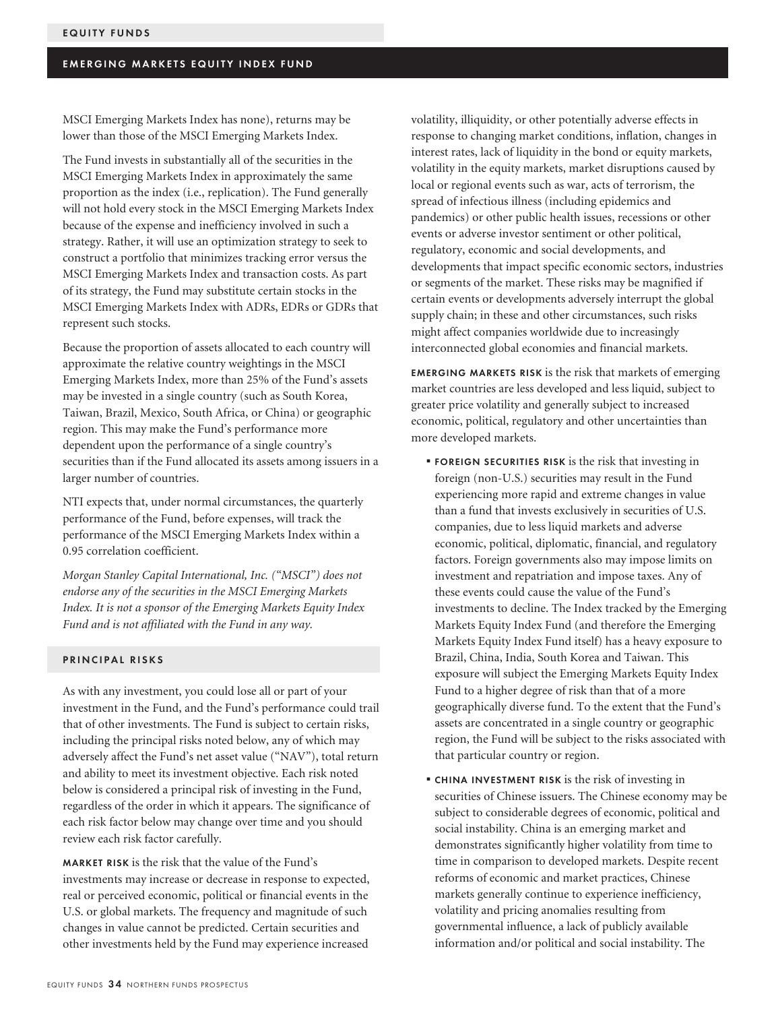#### **EMERGING MARKETS EQUITY INDEX FUND**

MSCI Emerging Markets Index has none), returns may be lower than those of the MSCI Emerging Markets Index.

The Fund invests in substantially all of the securities in the MSCI Emerging Markets Index in approximately the same proportion as the index (i.e., replication). The Fund generally will not hold every stock in the MSCI Emerging Markets Index because of the expense and inefficiency involved in such a strategy. Rather, it will use an optimization strategy to seek to construct a portfolio that minimizes tracking error versus the MSCI Emerging Markets Index and transaction costs. As part of its strategy, the Fund may substitute certain stocks in the MSCI Emerging Markets Index with ADRs, EDRs or GDRs that represent such stocks.

Because the proportion of assets allocated to each country will approximate the relative country weightings in the MSCI Emerging Markets Index, more than 25% of the Fund's assets may be invested in a single country (such as South Korea, Taiwan, Brazil, Mexico, South Africa, or China) or geographic region. This may make the Fund's performance more dependent upon the performance of a single country's securities than if the Fund allocated its assets among issuers in a larger number of countries.

NTI expects that, under normal circumstances, the quarterly performance of the Fund, before expenses, will track the performance of the MSCI Emerging Markets Index within a 0.95 correlation coefficient.

*Morgan Stanley Capital International, Inc. ("MSCI") does not endorse any of the securities in the MSCI Emerging Markets Index. It is not a sponsor of the Emerging Markets Equity Index Fund and is not affiliated with the Fund in any way.*

### **PRINCIPAL RISKS**

As with any investment, you could lose all or part of your investment in the Fund, and the Fund's performance could trail that of other investments. The Fund is subject to certain risks, including the principal risks noted below, any of which may adversely affect the Fund's net asset value ("NAV"), total return and ability to meet its investment objective. Each risk noted below is considered a principal risk of investing in the Fund, regardless of the order in which it appears. The significance of each risk factor below may change over time and you should review each risk factor carefully.

**MARKET RISK** is the risk that the value of the Fund's investments may increase or decrease in response to expected, real or perceived economic, political or financial events in the U.S. or global markets. The frequency and magnitude of such changes in value cannot be predicted. Certain securities and other investments held by the Fund may experience increased

volatility, illiquidity, or other potentially adverse effects in response to changing market conditions, inflation, changes in interest rates, lack of liquidity in the bond or equity markets, volatility in the equity markets, market disruptions caused by local or regional events such as war, acts of terrorism, the spread of infectious illness (including epidemics and pandemics) or other public health issues, recessions or other events or adverse investor sentiment or other political, regulatory, economic and social developments, and developments that impact specific economic sectors, industries or segments of the market. These risks may be magnified if certain events or developments adversely interrupt the global supply chain; in these and other circumstances, such risks might affect companies worldwide due to increasingly interconnected global economies and financial markets.

**EMERGING MARKETS RISK** is the risk that markets of emerging market countries are less developed and less liquid, subject to greater price volatility and generally subject to increased economic, political, regulatory and other uncertainties than more developed markets.

- **FOREIGN SECURITIES RISK** is the risk that investing in foreign (non-U.S.) securities may result in the Fund experiencing more rapid and extreme changes in value than a fund that invests exclusively in securities of U.S. companies, due to less liquid markets and adverse economic, political, diplomatic, financial, and regulatory factors. Foreign governments also may impose limits on investment and repatriation and impose taxes. Any of these events could cause the value of the Fund's investments to decline. The Index tracked by the Emerging Markets Equity Index Fund (and therefore the Emerging Markets Equity Index Fund itself) has a heavy exposure to Brazil, China, India, South Korea and Taiwan. This exposure will subject the Emerging Markets Equity Index Fund to a higher degree of risk than that of a more geographically diverse fund. To the extent that the Fund's assets are concentrated in a single country or geographic region, the Fund will be subject to the risks associated with that particular country or region.
- **CHINA INVESTMENT RISK** is the risk of investing in securities of Chinese issuers. The Chinese economy may be subject to considerable degrees of economic, political and social instability. China is an emerging market and demonstrates significantly higher volatility from time to time in comparison to developed markets. Despite recent reforms of economic and market practices, Chinese markets generally continue to experience inefficiency, volatility and pricing anomalies resulting from governmental influence, a lack of publicly available information and/or political and social instability. The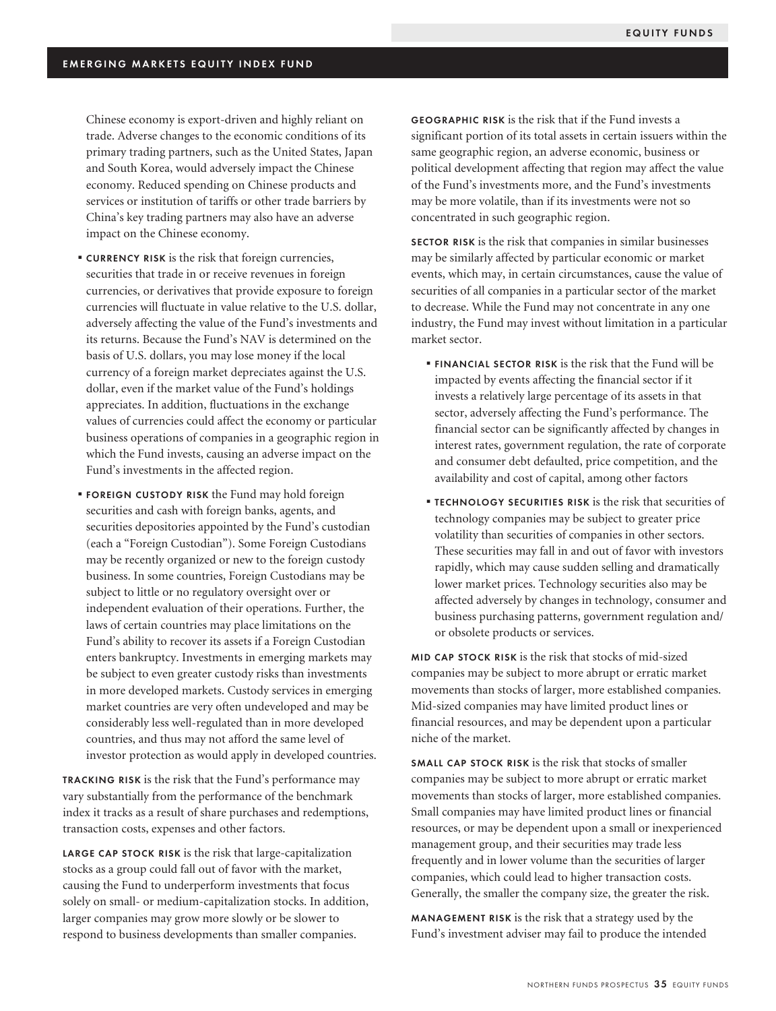Chinese economy is export-driven and highly reliant on trade. Adverse changes to the economic conditions of its primary trading partners, such as the United States, Japan and South Korea, would adversely impact the Chinese economy. Reduced spending on Chinese products and services or institution of tariffs or other trade barriers by China's key trading partners may also have an adverse impact on the Chinese economy.

- **CURRENCY RISK** is the risk that foreign currencies, securities that trade in or receive revenues in foreign currencies, or derivatives that provide exposure to foreign currencies will fluctuate in value relative to the U.S. dollar, adversely affecting the value of the Fund's investments and its returns. Because the Fund's NAV is determined on the basis of U.S. dollars, you may lose money if the local currency of a foreign market depreciates against the U.S. dollar, even if the market value of the Fund's holdings appreciates. In addition, fluctuations in the exchange values of currencies could affect the economy or particular business operations of companies in a geographic region in which the Fund invests, causing an adverse impact on the Fund's investments in the affected region.
- **FOREIGN CUSTODY RISK** the Fund may hold foreign securities and cash with foreign banks, agents, and securities depositories appointed by the Fund's custodian (each a "Foreign Custodian"). Some Foreign Custodians may be recently organized or new to the foreign custody business. In some countries, Foreign Custodians may be subject to little or no regulatory oversight over or independent evaluation of their operations. Further, the laws of certain countries may place limitations on the Fund's ability to recover its assets if a Foreign Custodian enters bankruptcy. Investments in emerging markets may be subject to even greater custody risks than investments in more developed markets. Custody services in emerging market countries are very often undeveloped and may be considerably less well-regulated than in more developed countries, and thus may not afford the same level of investor protection as would apply in developed countries.

**TRACKING RISK** is the risk that the Fund's performance may vary substantially from the performance of the benchmark index it tracks as a result of share purchases and redemptions, transaction costs, expenses and other factors.

**LARGE CAP STOCK RISK** is the risk that large-capitalization stocks as a group could fall out of favor with the market, causing the Fund to underperform investments that focus solely on small- or medium-capitalization stocks. In addition, larger companies may grow more slowly or be slower to respond to business developments than smaller companies.

**GEOGRAPHIC RISK** is the risk that if the Fund invests a significant portion of its total assets in certain issuers within the same geographic region, an adverse economic, business or political development affecting that region may affect the value of the Fund's investments more, and the Fund's investments may be more volatile, than if its investments were not so concentrated in such geographic region.

**SECTOR RISK** is the risk that companies in similar businesses may be similarly affected by particular economic or market events, which may, in certain circumstances, cause the value of securities of all companies in a particular sector of the market to decrease. While the Fund may not concentrate in any one industry, the Fund may invest without limitation in a particular market sector.

- **FINANCIAL SECTOR RISK** is the risk that the Fund will be impacted by events affecting the financial sector if it invests a relatively large percentage of its assets in that sector, adversely affecting the Fund's performance. The financial sector can be significantly affected by changes in interest rates, government regulation, the rate of corporate and consumer debt defaulted, price competition, and the availability and cost of capital, among other factors
- **EXECUATE:** TECHNOLOGY SECURITIES RISK is the risk that securities of technology companies may be subject to greater price volatility than securities of companies in other sectors. These securities may fall in and out of favor with investors rapidly, which may cause sudden selling and dramatically lower market prices. Technology securities also may be affected adversely by changes in technology, consumer and business purchasing patterns, government regulation and/ or obsolete products or services.

**MID CAP STOCK RISK** is the risk that stocks of mid-sized companies may be subject to more abrupt or erratic market movements than stocks of larger, more established companies. Mid-sized companies may have limited product lines or financial resources, and may be dependent upon a particular niche of the market.

**SMALL CAP STOCK RISK** is the risk that stocks of smaller companies may be subject to more abrupt or erratic market movements than stocks of larger, more established companies. Small companies may have limited product lines or financial resources, or may be dependent upon a small or inexperienced management group, and their securities may trade less frequently and in lower volume than the securities of larger companies, which could lead to higher transaction costs. Generally, the smaller the company size, the greater the risk.

**MANAGEMENT RISK** is the risk that a strategy used by the Fund's investment adviser may fail to produce the intended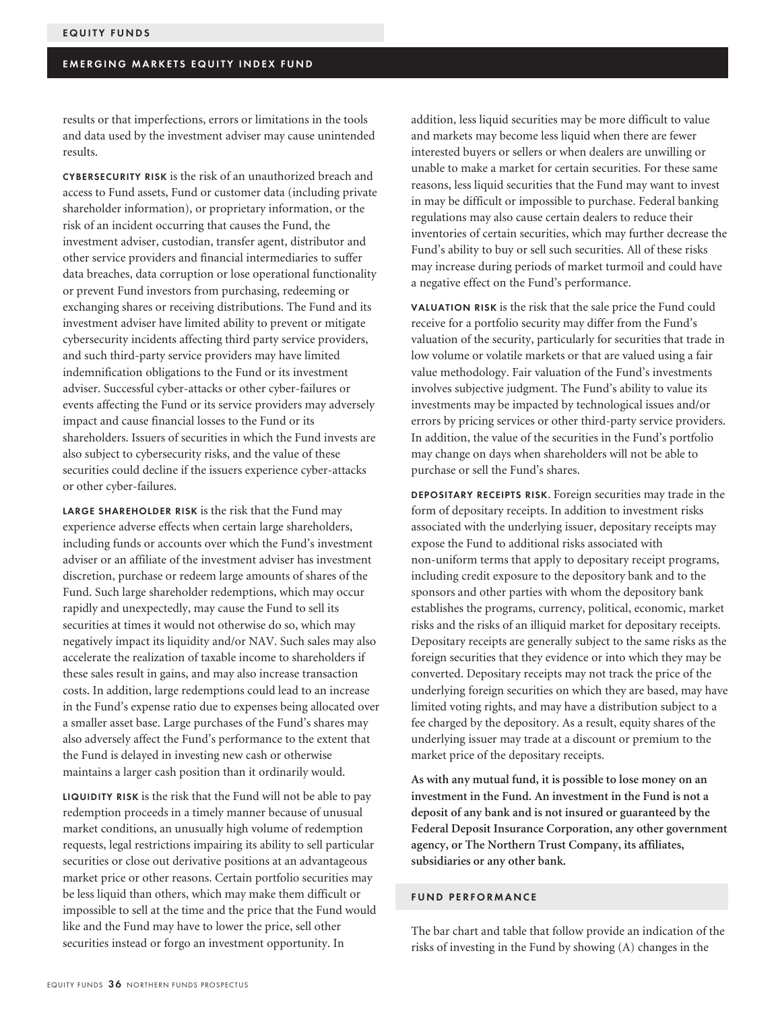#### **EMERGING MARKETS EQUITY INDEX FUND**

results or that imperfections, errors or limitations in the tools and data used by the investment adviser may cause unintended results.

**CYBERSECURITY RISK** is the risk of an unauthorized breach and access to Fund assets, Fund or customer data (including private shareholder information), or proprietary information, or the risk of an incident occurring that causes the Fund, the investment adviser, custodian, transfer agent, distributor and other service providers and financial intermediaries to suffer data breaches, data corruption or lose operational functionality or prevent Fund investors from purchasing, redeeming or exchanging shares or receiving distributions. The Fund and its investment adviser have limited ability to prevent or mitigate cybersecurity incidents affecting third party service providers, and such third-party service providers may have limited indemnification obligations to the Fund or its investment adviser. Successful cyber-attacks or other cyber-failures or events affecting the Fund or its service providers may adversely impact and cause financial losses to the Fund or its shareholders. Issuers of securities in which the Fund invests are also subject to cybersecurity risks, and the value of these securities could decline if the issuers experience cyber-attacks or other cyber-failures.

**LARGE SHAREHOLDER RISK** is the risk that the Fund may experience adverse effects when certain large shareholders, including funds or accounts over which the Fund's investment adviser or an affiliate of the investment adviser has investment discretion, purchase or redeem large amounts of shares of the Fund. Such large shareholder redemptions, which may occur rapidly and unexpectedly, may cause the Fund to sell its securities at times it would not otherwise do so, which may negatively impact its liquidity and/or NAV. Such sales may also accelerate the realization of taxable income to shareholders if these sales result in gains, and may also increase transaction costs. In addition, large redemptions could lead to an increase in the Fund's expense ratio due to expenses being allocated over a smaller asset base. Large purchases of the Fund's shares may also adversely affect the Fund's performance to the extent that the Fund is delayed in investing new cash or otherwise maintains a larger cash position than it ordinarily would.

**LIQUIDITY RISK** is the risk that the Fund will not be able to pay redemption proceeds in a timely manner because of unusual market conditions, an unusually high volume of redemption requests, legal restrictions impairing its ability to sell particular securities or close out derivative positions at an advantageous market price or other reasons. Certain portfolio securities may be less liquid than others, which may make them difficult or impossible to sell at the time and the price that the Fund would like and the Fund may have to lower the price, sell other securities instead or forgo an investment opportunity. In

addition, less liquid securities may be more difficult to value and markets may become less liquid when there are fewer interested buyers or sellers or when dealers are unwilling or unable to make a market for certain securities. For these same reasons, less liquid securities that the Fund may want to invest in may be difficult or impossible to purchase. Federal banking regulations may also cause certain dealers to reduce their inventories of certain securities, which may further decrease the Fund's ability to buy or sell such securities. All of these risks may increase during periods of market turmoil and could have a negative effect on the Fund's performance.

**VALUATION RISK** is the risk that the sale price the Fund could receive for a portfolio security may differ from the Fund's valuation of the security, particularly for securities that trade in low volume or volatile markets or that are valued using a fair value methodology. Fair valuation of the Fund's investments involves subjective judgment. The Fund's ability to value its investments may be impacted by technological issues and/or errors by pricing services or other third-party service providers. In addition, the value of the securities in the Fund's portfolio may change on days when shareholders will not be able to purchase or sell the Fund's shares.

**DEPOSITARY RECEIPTS RISK.** Foreign securities may trade in the form of depositary receipts. In addition to investment risks associated with the underlying issuer, depositary receipts may expose the Fund to additional risks associated with non-uniform terms that apply to depositary receipt programs, including credit exposure to the depository bank and to the sponsors and other parties with whom the depository bank establishes the programs, currency, political, economic, market risks and the risks of an illiquid market for depositary receipts. Depositary receipts are generally subject to the same risks as the foreign securities that they evidence or into which they may be converted. Depositary receipts may not track the price of the underlying foreign securities on which they are based, may have limited voting rights, and may have a distribution subject to a fee charged by the depository. As a result, equity shares of the underlying issuer may trade at a discount or premium to the market price of the depositary receipts.

**As with any mutual fund, it is possible to lose money on an investment in the Fund. An investment in the Fund is not a deposit of any bank and is not insured or guaranteed by the Federal Deposit Insurance Corporation, any other government agency, or The Northern Trust Company, its affiliates, subsidiaries or any other bank.**

### **FUND PERFORMANCE**

The bar chart and table that follow provide an indication of the risks of investing in the Fund by showing (A) changes in the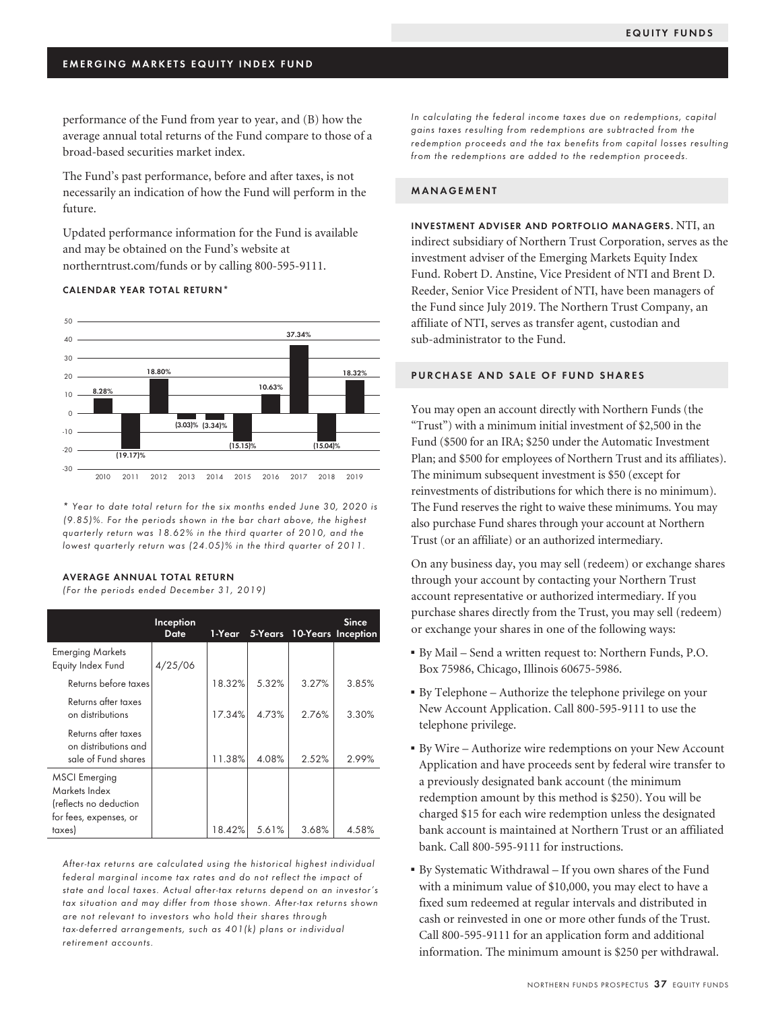#### **EMERGING MARKETS EQUITY INDEX FUND**

performance of the Fund from year to year, and (B) how the average annual total returns of the Fund compare to those of a broad-based securities market index.

The Fund's past performance, before and after taxes, is not necessarily an indication of how the Fund will perform in the future.

Updated performance information for the Fund is available and may be obtained on the Fund's website at northerntrust.com/funds or by calling 800-595-9111.

#### **CALENDAR YEAR TOTAL RETURN\***



\* Year to date total return for the six months ended June 30, 2020 is (9.85)%. For the periods shown in the bar chart above, the highest quarterly return was 18.62% in the third quarter of 2010, and the lowest quarterly return was (24.05)% in the third quarter of 2011.

#### **AVERAGE ANNUAL TOTAL RETURN**

(For the periods ended December 31, 2019)

|                                                                                           | Inception<br>Date | 1-Year |       |       | <b>Since</b><br>5-Years 10-Years Inception |
|-------------------------------------------------------------------------------------------|-------------------|--------|-------|-------|--------------------------------------------|
| <b>Emerging Markets</b><br>Equity Index Fund                                              | 4/25/06           |        |       |       |                                            |
| Returns before taxes                                                                      |                   | 18.32% | 5.32% | 3.27% | 3.85%                                      |
| Returns after taxes<br>on distributions                                                   |                   | 17.34% | 4.73% | 2.76% | 3.30%                                      |
| Returns after taxes<br>on distributions and<br>sale of Fund shares                        |                   | 11.38% | 4.08% | 2.52% | 2.99%                                      |
| <b>MSCI</b> Emerging<br>Markets Index<br>(reflects no deduction<br>for fees, expenses, or |                   |        |       |       |                                            |
| taxes)                                                                                    |                   | 18.42% | 5.61% | 3.68% | 4.58%                                      |

After-tax returns are calculated using the historical highest individual federal marginal income tax rates and do not reflect the impact of state and local taxes. Actual after-tax returns depend on an investor's tax situation and may differ from those shown. After-tax returns shown are not relevant to investors who hold their shares through tax-deferred arrangements, such as 401(k) plans or individual retirement accounts.

In calculating the federal income taxes due on redemptions, capital gains taxes resulting from redemptions are subtracted from the redemption proceeds and the tax benefits from capital losses resulting from the redemptions are added to the redemption proceeds.

#### **MANAGEMENT**

**INVESTMENT ADVISER AND PORTFOLIO MANAGERS.** NTI, an indirect subsidiary of Northern Trust Corporation, serves as the investment adviser of the Emerging Markets Equity Index Fund. Robert D. Anstine, Vice President of NTI and Brent D. Reeder, Senior Vice President of NTI, have been managers of the Fund since July 2019. The Northern Trust Company, an affiliate of NTI, serves as transfer agent, custodian and sub-administrator to the Fund.

## **PURCHASE AND SALE OF FUND SHARES**

You may open an account directly with Northern Funds (the "Trust") with a minimum initial investment of \$2,500 in the Fund (\$500 for an IRA; \$250 under the Automatic Investment Plan; and \$500 for employees of Northern Trust and its affiliates). The minimum subsequent investment is \$50 (except for reinvestments of distributions for which there is no minimum). The Fund reserves the right to waive these minimums. You may also purchase Fund shares through your account at Northern Trust (or an affiliate) or an authorized intermediary.

On any business day, you may sell (redeem) or exchange shares through your account by contacting your Northern Trust account representative or authorized intermediary. If you purchase shares directly from the Trust, you may sell (redeem) or exchange your shares in one of the following ways:

- By Mail Send a written request to: Northern Funds, P.O. Box 75986, Chicago, Illinois 60675-5986.
- $\bullet$  By Telephone Authorize the telephone privilege on your New Account Application. Call 800-595-9111 to use the telephone privilege.
- By Wire Authorize wire redemptions on your New Account Application and have proceeds sent by federal wire transfer to a previously designated bank account (the minimum redemption amount by this method is \$250). You will be charged \$15 for each wire redemption unless the designated bank account is maintained at Northern Trust or an affiliated bank. Call 800-595-9111 for instructions.
- By Systematic Withdrawal If you own shares of the Fund with a minimum value of \$10,000, you may elect to have a fixed sum redeemed at regular intervals and distributed in cash or reinvested in one or more other funds of the Trust. Call 800-595-9111 for an application form and additional information. The minimum amount is \$250 per withdrawal.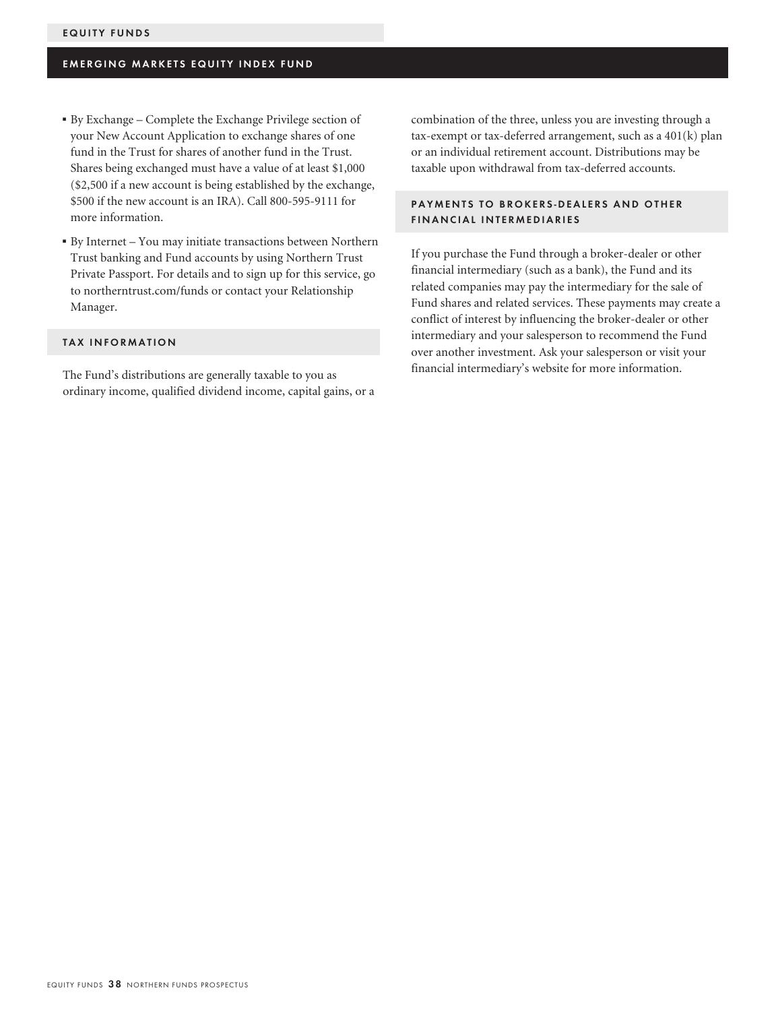#### **EMERGING MARKETS EQUITY INDEX FUND**

- By Exchange Complete the Exchange Privilege section of your New Account Application to exchange shares of one fund in the Trust for shares of another fund in the Trust. Shares being exchanged must have a value of at least \$1,000 (\$2,500 if a new account is being established by the exchange, \$500 if the new account is an IRA). Call 800-595-9111 for more information.
- By Internet You may initiate transactions between Northern Trust banking and Fund accounts by using Northern Trust Private Passport. For details and to sign up for this service, go to northerntrust.com/funds or contact your Relationship Manager.

## **TAX INFORMATION**

The Fund's distributions are generally taxable to you as ordinary income, qualified dividend income, capital gains, or a combination of the three, unless you are investing through a tax-exempt or tax-deferred arrangement, such as a 401(k) plan or an individual retirement account. Distributions may be taxable upon withdrawal from tax-deferred accounts.

## **PAYMENTS TO BROKERS-DEALERS AND OTHER FINANCIAL INTERMEDIARIES**

If you purchase the Fund through a broker-dealer or other financial intermediary (such as a bank), the Fund and its related companies may pay the intermediary for the sale of Fund shares and related services. These payments may create a conflict of interest by influencing the broker-dealer or other intermediary and your salesperson to recommend the Fund over another investment. Ask your salesperson or visit your financial intermediary's website for more information.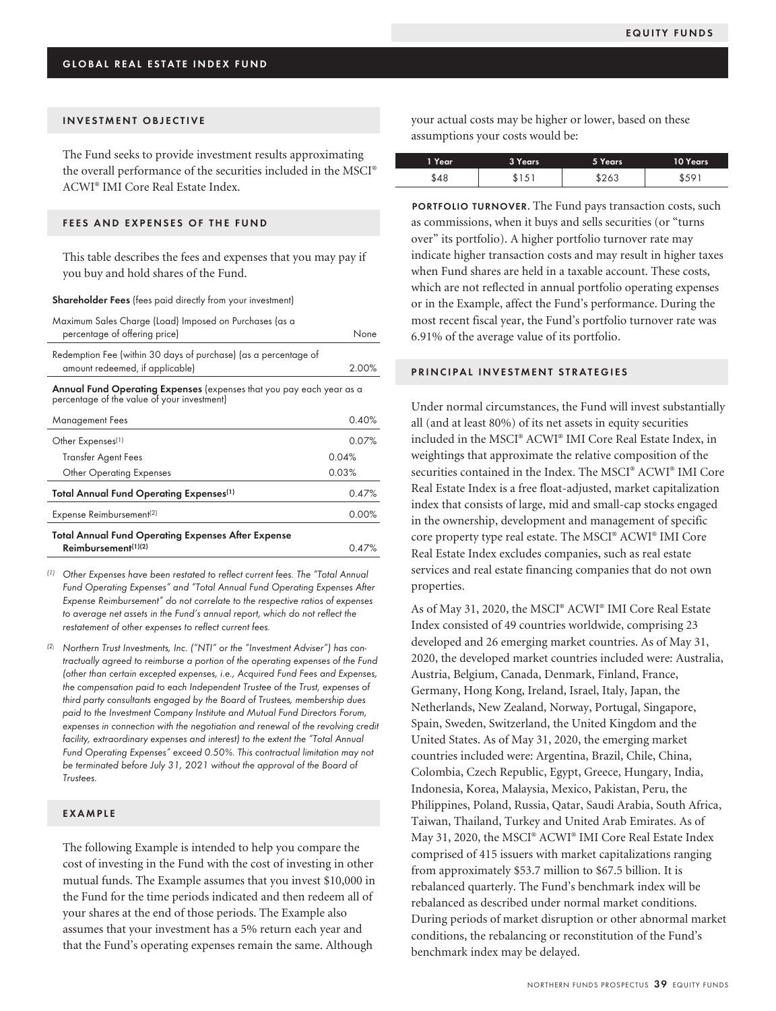#### **INVESTMENT OBJECTIVE**

The Fund seeks to provide investment results approximating the overall performance of the securities included in the MSCI® ACWI® IMI Core Real Estate Index.

#### **FEES AND EXPENSES OF THE FUND**

This table describes the fees and expenses that you may pay if you buy and hold shares of the Fund.

**Shareholder Fees** (fees paid directly from your investment)

| Maximum Sales Charge (Load) Imposed on Purchases (as a          |       |
|-----------------------------------------------------------------|-------|
| percentage of offering price)                                   | None  |
| Redemption Fee (within 30 days of purchase) (as a percentage of |       |
| amount redeemed, if applicable)                                 | 2.00% |

**Annual Fund Operating Expenses** (expenses that you pay each year as a percentage of the value of your investment)

| <b>Management Fees</b>                                    | 0.40%    |
|-----------------------------------------------------------|----------|
| Other Expenses <sup>(1)</sup>                             | $0.07\%$ |
| <b>Transfer Agent Fees</b>                                | 0.04%    |
| <b>Other Operating Expenses</b>                           | 0.03%    |
| Total Annual Fund Operating Expenses <sup>(1)</sup>       | 0.47%    |
| Expense Reimbursement <sup>(2)</sup>                      | $0.00\%$ |
| <b>Total Annual Fund Operating Expenses After Expense</b> |          |
| Reimbursement <sup>(1)(2)</sup>                           | 0.47%    |

- (1) Other Expenses have been restated to reflect current fees. The "Total Annual Fund Operating Expenses" and "Total Annual Fund Operating Expenses After Expense Reimbursement" do not correlate to the respective ratios of expenses to average net assets in the Fund's annual report, which do not reflect the restatement of other expenses to reflect current fees.
- (2) Northern Trust Investments, Inc. ("NTI" or the "Investment Adviser") has contractually agreed to reimburse a portion of the operating expenses of the Fund (other than certain excepted expenses, i.e., Acquired Fund Fees and Expenses, the compensation paid to each Independent Trustee of the Trust, expenses of third party consultants engaged by the Board of Trustees, membership dues paid to the Investment Company Institute and Mutual Fund Directors Forum, expenses in connection with the negotiation and renewal of the revolving credit facility, extraordinary expenses and interest) to the extent the "Total Annual Fund Operating Expenses" exceed 0.50%. This contractual limitation may not be terminated before July 31, 2021 without the approval of the Board of Trustees.

## **EXAMPLE**

The following Example is intended to help you compare the cost of investing in the Fund with the cost of investing in other mutual funds. The Example assumes that you invest \$10,000 in the Fund for the time periods indicated and then redeem all of your shares at the end of those periods. The Example also assumes that your investment has a 5% return each year and that the Fund's operating expenses remain the same. Although

your actual costs may be higher or lower, based on these assumptions your costs would be:

| Year | 3 Years | 5 Years | 10 Years |
|------|---------|---------|----------|
| \$48 | : 151   | \$263   | \$591    |

**PORTFOLIO TURNOVER.** The Fund pays transaction costs, such as commissions, when it buys and sells securities (or "turns over" its portfolio). A higher portfolio turnover rate may indicate higher transaction costs and may result in higher taxes when Fund shares are held in a taxable account. These costs, which are not reflected in annual portfolio operating expenses or in the Example, affect the Fund's performance. During the most recent fiscal year, the Fund's portfolio turnover rate was 6.91% of the average value of its portfolio.

#### **PRINCIPAL INVESTMENT STRATEGIES**

Under normal circumstances, the Fund will invest substantially all (and at least 80%) of its net assets in equity securities included in the MSCI® ACWI® IMI Core Real Estate Index, in weightings that approximate the relative composition of the securities contained in the Index. The MSCI® ACWI® IMI Core Real Estate Index is a free float-adjusted, market capitalization index that consists of large, mid and small-cap stocks engaged in the ownership, development and management of specific core property type real estate. The MSCI® ACWI® IMI Core Real Estate Index excludes companies, such as real estate services and real estate financing companies that do not own properties.

As of May 31, 2020, the MSCI® ACWI® IMI Core Real Estate Index consisted of 49 countries worldwide, comprising 23 developed and 26 emerging market countries. As of May 31, 2020, the developed market countries included were: Australia, Austria, Belgium, Canada, Denmark, Finland, France, Germany, Hong Kong, Ireland, Israel, Italy, Japan, the Netherlands, New Zealand, Norway, Portugal, Singapore, Spain, Sweden, Switzerland, the United Kingdom and the United States. As of May 31, 2020, the emerging market countries included were: Argentina, Brazil, Chile, China, Colombia, Czech Republic, Egypt, Greece, Hungary, India, Indonesia, Korea, Malaysia, Mexico, Pakistan, Peru, the Philippines, Poland, Russia, Qatar, Saudi Arabia, South Africa, Taiwan, Thailand, Turkey and United Arab Emirates. As of May 31, 2020, the MSCI® ACWI® IMI Core Real Estate Index comprised of 415 issuers with market capitalizations ranging from approximately \$53.7 million to \$67.5 billion. It is rebalanced quarterly. The Fund's benchmark index will be rebalanced as described under normal market conditions. During periods of market disruption or other abnormal market conditions, the rebalancing or reconstitution of the Fund's benchmark index may be delayed.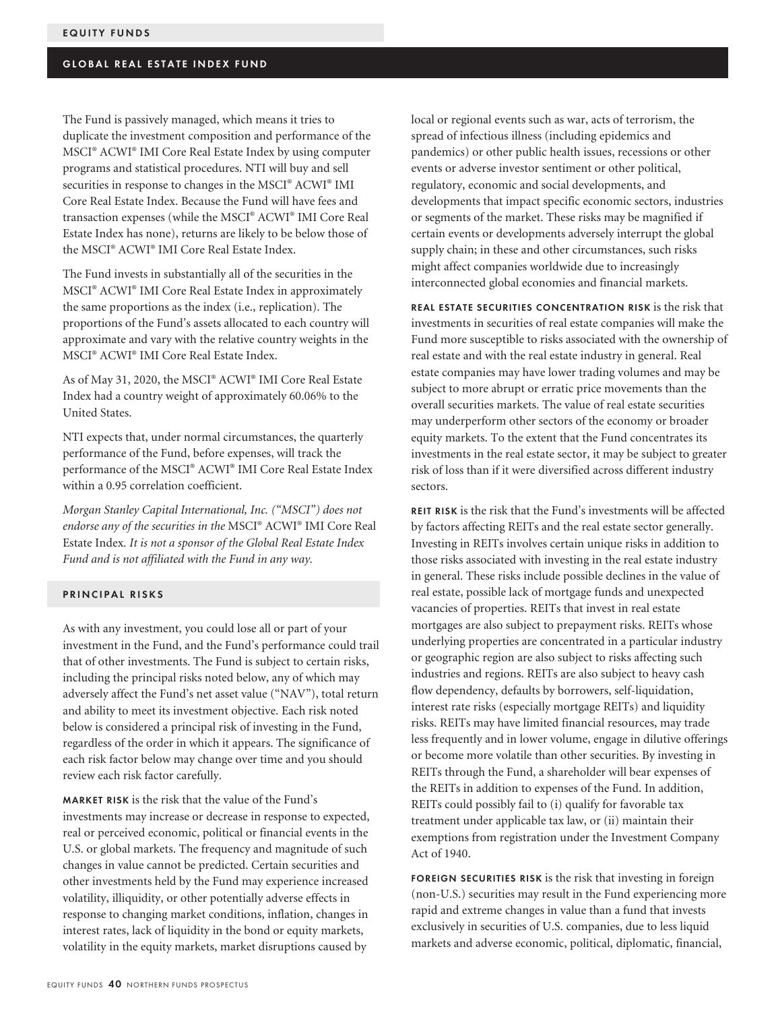The Fund is passively managed, which means it tries to duplicate the investment composition and performance of the MSCI® ACWI® IMI Core Real Estate Index by using computer programs and statistical procedures. NTI will buy and sell securities in response to changes in the MSCI® ACWI® IMI Core Real Estate Index. Because the Fund will have fees and transaction expenses (while the MSCI® ACWI® IMI Core Real Estate Index has none), returns are likely to be below those of the MSCI® ACWI® IMI Core Real Estate Index.

The Fund invests in substantially all of the securities in the MSCI® ACWI® IMI Core Real Estate Index in approximately the same proportions as the index (i.e., replication). The proportions of the Fund's assets allocated to each country will approximate and vary with the relative country weights in the MSCI® ACWI® IMI Core Real Estate Index.

As of May 31, 2020, the MSCI® ACWI® IMI Core Real Estate Index had a country weight of approximately 60.06% to the United States.

NTI expects that, under normal circumstances, the quarterly performance of the Fund, before expenses, will track the performance of the MSCI® ACWI® IMI Core Real Estate Index within a 0.95 correlation coefficient.

*Morgan Stanley Capital International, Inc. ("MSCI") does not endorse any of the securities in the* MSCI® ACWI® IMI Core Real Estate Index*. It is not a sponsor of the Global Real Estate Index Fund and is not affiliated with the Fund in any way.*

## **PRINCIPAL RISKS**

As with any investment, you could lose all or part of your investment in the Fund, and the Fund's performance could trail that of other investments. The Fund is subject to certain risks, including the principal risks noted below, any of which may adversely affect the Fund's net asset value ("NAV"), total return and ability to meet its investment objective. Each risk noted below is considered a principal risk of investing in the Fund, regardless of the order in which it appears. The significance of each risk factor below may change over time and you should review each risk factor carefully.

**MARKET RISK** is the risk that the value of the Fund's investments may increase or decrease in response to expected, real or perceived economic, political or financial events in the U.S. or global markets. The frequency and magnitude of such changes in value cannot be predicted. Certain securities and other investments held by the Fund may experience increased volatility, illiquidity, or other potentially adverse effects in response to changing market conditions, inflation, changes in interest rates, lack of liquidity in the bond or equity markets, volatility in the equity markets, market disruptions caused by

local or regional events such as war, acts of terrorism, the spread of infectious illness (including epidemics and pandemics) or other public health issues, recessions or other events or adverse investor sentiment or other political, regulatory, economic and social developments, and developments that impact specific economic sectors, industries or segments of the market. These risks may be magnified if certain events or developments adversely interrupt the global supply chain; in these and other circumstances, such risks might affect companies worldwide due to increasingly interconnected global economies and financial markets.

**REAL ESTATE SECURITIES CONCENTRATION RISK** is the risk that investments in securities of real estate companies will make the Fund more susceptible to risks associated with the ownership of real estate and with the real estate industry in general. Real estate companies may have lower trading volumes and may be subject to more abrupt or erratic price movements than the overall securities markets. The value of real estate securities may underperform other sectors of the economy or broader equity markets. To the extent that the Fund concentrates its investments in the real estate sector, it may be subject to greater risk of loss than if it were diversified across different industry sectors.

**REIT RISK** is the risk that the Fund's investments will be affected by factors affecting REITs and the real estate sector generally. Investing in REITs involves certain unique risks in addition to those risks associated with investing in the real estate industry in general. These risks include possible declines in the value of real estate, possible lack of mortgage funds and unexpected vacancies of properties. REITs that invest in real estate mortgages are also subject to prepayment risks. REITs whose underlying properties are concentrated in a particular industry or geographic region are also subject to risks affecting such industries and regions. REITs are also subject to heavy cash flow dependency, defaults by borrowers, self-liquidation, interest rate risks (especially mortgage REITs) and liquidity risks. REITs may have limited financial resources, may trade less frequently and in lower volume, engage in dilutive offerings or become more volatile than other securities. By investing in REITs through the Fund, a shareholder will bear expenses of the REITs in addition to expenses of the Fund. In addition, REITs could possibly fail to (i) qualify for favorable tax treatment under applicable tax law, or (ii) maintain their exemptions from registration under the Investment Company Act of 1940.

**FOREIGN SECURITIES RISK** is the risk that investing in foreign (non-U.S.) securities may result in the Fund experiencing more rapid and extreme changes in value than a fund that invests exclusively in securities of U.S. companies, due to less liquid markets and adverse economic, political, diplomatic, financial,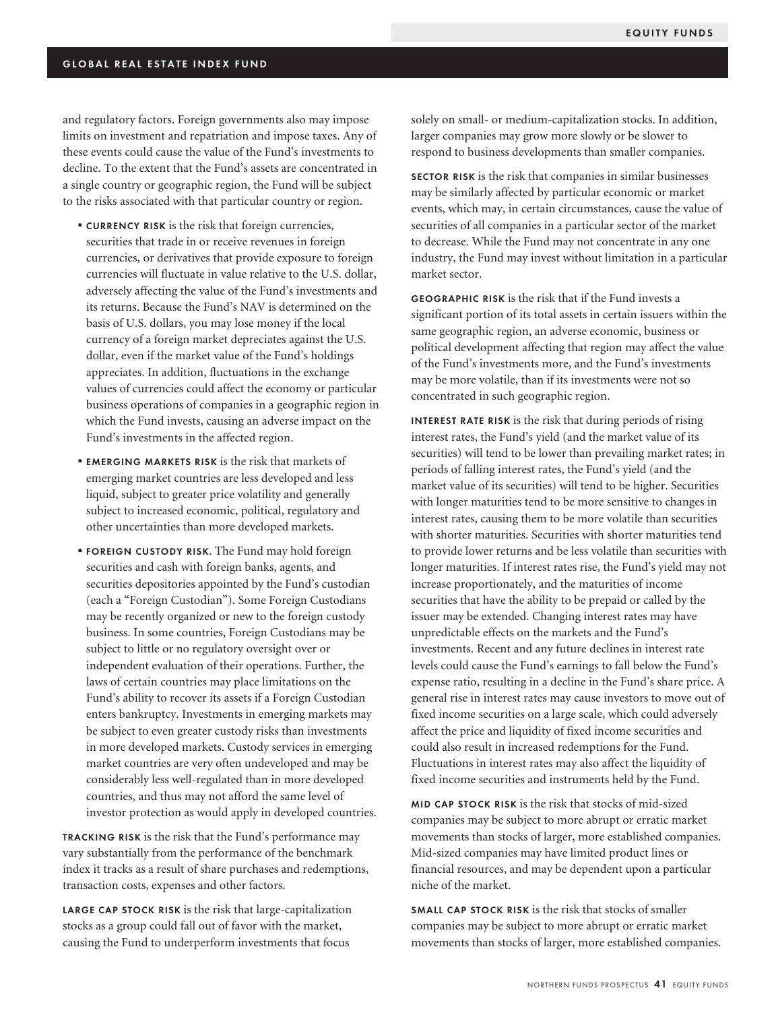and regulatory factors. Foreign governments also may impose limits on investment and repatriation and impose taxes. Any of these events could cause the value of the Fund's investments to decline. To the extent that the Fund's assets are concentrated in a single country or geographic region, the Fund will be subject to the risks associated with that particular country or region.

- **CURRENCY RISK** is the risk that foreign currencies, securities that trade in or receive revenues in foreign currencies, or derivatives that provide exposure to foreign currencies will fluctuate in value relative to the U.S. dollar, adversely affecting the value of the Fund's investments and its returns. Because the Fund's NAV is determined on the basis of U.S. dollars, you may lose money if the local currency of a foreign market depreciates against the U.S. dollar, even if the market value of the Fund's holdings appreciates. In addition, fluctuations in the exchange values of currencies could affect the economy or particular business operations of companies in a geographic region in which the Fund invests, causing an adverse impact on the Fund's investments in the affected region.
- **EMERGING MARKETS RISK** is the risk that markets of emerging market countries are less developed and less liquid, subject to greater price volatility and generally subject to increased economic, political, regulatory and other uncertainties than more developed markets.
- **FOREIGN CUSTODY RISK.** The Fund may hold foreign securities and cash with foreign banks, agents, and securities depositories appointed by the Fund's custodian (each a "Foreign Custodian"). Some Foreign Custodians may be recently organized or new to the foreign custody business. In some countries, Foreign Custodians may be subject to little or no regulatory oversight over or independent evaluation of their operations. Further, the laws of certain countries may place limitations on the Fund's ability to recover its assets if a Foreign Custodian enters bankruptcy. Investments in emerging markets may be subject to even greater custody risks than investments in more developed markets. Custody services in emerging market countries are very often undeveloped and may be considerably less well-regulated than in more developed countries, and thus may not afford the same level of investor protection as would apply in developed countries.

**TRACKING RISK** is the risk that the Fund's performance may vary substantially from the performance of the benchmark index it tracks as a result of share purchases and redemptions, transaction costs, expenses and other factors.

**LARGE CAP STOCK RISK** is the risk that large-capitalization stocks as a group could fall out of favor with the market, causing the Fund to underperform investments that focus

solely on small- or medium-capitalization stocks. In addition, larger companies may grow more slowly or be slower to respond to business developments than smaller companies.

**SECTOR RISK** is the risk that companies in similar businesses may be similarly affected by particular economic or market events, which may, in certain circumstances, cause the value of securities of all companies in a particular sector of the market to decrease. While the Fund may not concentrate in any one industry, the Fund may invest without limitation in a particular market sector.

**GEOGRAPHIC RISK** is the risk that if the Fund invests a significant portion of its total assets in certain issuers within the same geographic region, an adverse economic, business or political development affecting that region may affect the value of the Fund's investments more, and the Fund's investments may be more volatile, than if its investments were not so concentrated in such geographic region.

**INTEREST RATE RISK** is the risk that during periods of rising interest rates, the Fund's yield (and the market value of its securities) will tend to be lower than prevailing market rates; in periods of falling interest rates, the Fund's yield (and the market value of its securities) will tend to be higher. Securities with longer maturities tend to be more sensitive to changes in interest rates, causing them to be more volatile than securities with shorter maturities. Securities with shorter maturities tend to provide lower returns and be less volatile than securities with longer maturities. If interest rates rise, the Fund's yield may not increase proportionately, and the maturities of income securities that have the ability to be prepaid or called by the issuer may be extended. Changing interest rates may have unpredictable effects on the markets and the Fund's investments. Recent and any future declines in interest rate levels could cause the Fund's earnings to fall below the Fund's expense ratio, resulting in a decline in the Fund's share price. A general rise in interest rates may cause investors to move out of fixed income securities on a large scale, which could adversely affect the price and liquidity of fixed income securities and could also result in increased redemptions for the Fund. Fluctuations in interest rates may also affect the liquidity of fixed income securities and instruments held by the Fund.

**MID CAP STOCK RISK** is the risk that stocks of mid-sized companies may be subject to more abrupt or erratic market movements than stocks of larger, more established companies. Mid-sized companies may have limited product lines or financial resources, and may be dependent upon a particular niche of the market.

**SMALL CAP STOCK RISK** is the risk that stocks of smaller companies may be subject to more abrupt or erratic market movements than stocks of larger, more established companies.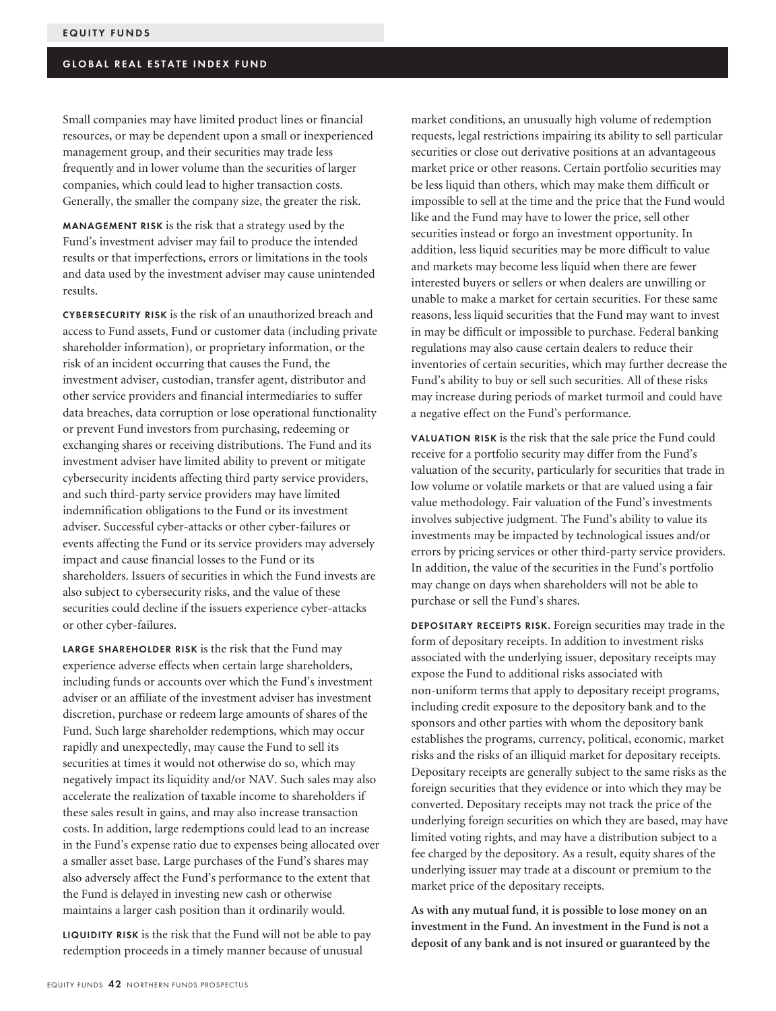Small companies may have limited product lines or financial resources, or may be dependent upon a small or inexperienced management group, and their securities may trade less frequently and in lower volume than the securities of larger companies, which could lead to higher transaction costs. Generally, the smaller the company size, the greater the risk.

**MANAGEMENT RISK** is the risk that a strategy used by the Fund's investment adviser may fail to produce the intended results or that imperfections, errors or limitations in the tools and data used by the investment adviser may cause unintended results.

**CYBERSECURITY RISK** is the risk of an unauthorized breach and access to Fund assets, Fund or customer data (including private shareholder information), or proprietary information, or the risk of an incident occurring that causes the Fund, the investment adviser, custodian, transfer agent, distributor and other service providers and financial intermediaries to suffer data breaches, data corruption or lose operational functionality or prevent Fund investors from purchasing, redeeming or exchanging shares or receiving distributions. The Fund and its investment adviser have limited ability to prevent or mitigate cybersecurity incidents affecting third party service providers, and such third-party service providers may have limited indemnification obligations to the Fund or its investment adviser. Successful cyber-attacks or other cyber-failures or events affecting the Fund or its service providers may adversely impact and cause financial losses to the Fund or its shareholders. Issuers of securities in which the Fund invests are also subject to cybersecurity risks, and the value of these securities could decline if the issuers experience cyber-attacks or other cyber-failures.

**LARGE SHAREHOLDER RISK** is the risk that the Fund may experience adverse effects when certain large shareholders, including funds or accounts over which the Fund's investment adviser or an affiliate of the investment adviser has investment discretion, purchase or redeem large amounts of shares of the Fund. Such large shareholder redemptions, which may occur rapidly and unexpectedly, may cause the Fund to sell its securities at times it would not otherwise do so, which may negatively impact its liquidity and/or NAV. Such sales may also accelerate the realization of taxable income to shareholders if these sales result in gains, and may also increase transaction costs. In addition, large redemptions could lead to an increase in the Fund's expense ratio due to expenses being allocated over a smaller asset base. Large purchases of the Fund's shares may also adversely affect the Fund's performance to the extent that the Fund is delayed in investing new cash or otherwise maintains a larger cash position than it ordinarily would.

**LIQUIDITY RISK** is the risk that the Fund will not be able to pay redemption proceeds in a timely manner because of unusual

market conditions, an unusually high volume of redemption requests, legal restrictions impairing its ability to sell particular securities or close out derivative positions at an advantageous market price or other reasons. Certain portfolio securities may be less liquid than others, which may make them difficult or impossible to sell at the time and the price that the Fund would like and the Fund may have to lower the price, sell other securities instead or forgo an investment opportunity. In addition, less liquid securities may be more difficult to value and markets may become less liquid when there are fewer interested buyers or sellers or when dealers are unwilling or unable to make a market for certain securities. For these same reasons, less liquid securities that the Fund may want to invest in may be difficult or impossible to purchase. Federal banking regulations may also cause certain dealers to reduce their inventories of certain securities, which may further decrease the Fund's ability to buy or sell such securities. All of these risks may increase during periods of market turmoil and could have a negative effect on the Fund's performance.

**VALUATION RISK** is the risk that the sale price the Fund could receive for a portfolio security may differ from the Fund's valuation of the security, particularly for securities that trade in low volume or volatile markets or that are valued using a fair value methodology. Fair valuation of the Fund's investments involves subjective judgment. The Fund's ability to value its investments may be impacted by technological issues and/or errors by pricing services or other third-party service providers. In addition, the value of the securities in the Fund's portfolio may change on days when shareholders will not be able to purchase or sell the Fund's shares.

**DEPOSITARY RECEIPTS RISK.** Foreign securities may trade in the form of depositary receipts. In addition to investment risks associated with the underlying issuer, depositary receipts may expose the Fund to additional risks associated with non-uniform terms that apply to depositary receipt programs, including credit exposure to the depository bank and to the sponsors and other parties with whom the depository bank establishes the programs, currency, political, economic, market risks and the risks of an illiquid market for depositary receipts. Depositary receipts are generally subject to the same risks as the foreign securities that they evidence or into which they may be converted. Depositary receipts may not track the price of the underlying foreign securities on which they are based, may have limited voting rights, and may have a distribution subject to a fee charged by the depository. As a result, equity shares of the underlying issuer may trade at a discount or premium to the market price of the depositary receipts.

**As with any mutual fund, it is possible to lose money on an investment in the Fund. An investment in the Fund is not a deposit of any bank and is not insured or guaranteed by the**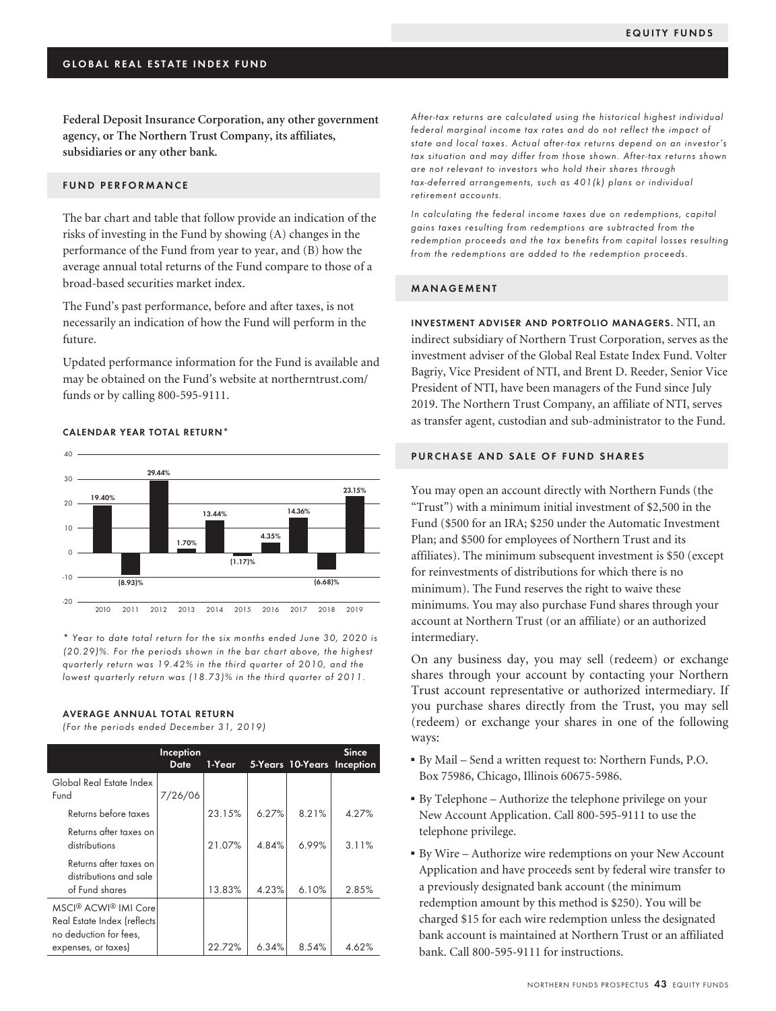**Federal Deposit Insurance Corporation, any other government agency, or The Northern Trust Company, its affiliates, subsidiaries or any other bank.**

#### **FUND PERFORMANCE**

The bar chart and table that follow provide an indication of the risks of investing in the Fund by showing (A) changes in the performance of the Fund from year to year, and (B) how the average annual total returns of the Fund compare to those of a broad-based securities market index.

The Fund's past performance, before and after taxes, is not necessarily an indication of how the Fund will perform in the future.

Updated performance information for the Fund is available and may be obtained on the Fund's website at northerntrust.com/ funds or by calling 800-595-9111.

#### **CALENDAR YEAR TOTAL RETURN\***



\* Year to date total return for the six months ended June 30, 2020 is (20.29)%. For the periods shown in the bar chart above, the highest quarterly return was 19.42% in the third quarter of 2010, and the lowest quarterly return was (18.73)% in the third quarter of 2011.

#### **AVERAGE ANNUAL TOTAL RETURN**

(For the periods ended December 31, 2019)

|                                                                                                                               | Inception<br>Date | 1-Year |       |       | <b>Since</b><br>5-Years 10-Years Inception |
|-------------------------------------------------------------------------------------------------------------------------------|-------------------|--------|-------|-------|--------------------------------------------|
| Global Real Estate Index<br>Fund                                                                                              | 7/26/06           |        |       |       |                                            |
| Returns before taxes                                                                                                          |                   | 23.15% | 6.27% | 8.21% | 4.27%                                      |
| Returns after taxes on<br>distributions                                                                                       |                   | 21.07% | 4.84% | 6.99% | 3.11%                                      |
| Returns after taxes on<br>distributions and sale<br>of Fund shares                                                            |                   | 13.83% | 4.23% | 6.10% | 2.85%                                      |
| MSCI <sup>®</sup> ACWI <sup>®</sup> IMI Core<br>Real Estate Index (reflects)<br>no deduction for fees,<br>expenses, or taxes) |                   | 22.72% | 6.34% | 8.54% | 4.62%                                      |

After-tax returns are calculated using the historical highest individual federal marginal income tax rates and do not reflect the impact of state and local taxes. Actual after-tax returns depend on an investor's tax situation and may differ from those shown. After-tax returns shown are not relevant to investors who hold their shares through tax-deferred arrangements, such as 401(k) plans or individual retirement accounts.

In calculating the federal income taxes due on redemptions, capital gains taxes resulting from redemptions are subtracted from the redemption proceeds and the tax benefits from capital losses resulting from the redemptions are added to the redemption proceeds.

## **MANAGEMENT**

**INVESTMENT ADVISER AND PORTFOLIO MANAGERS.** NTI, an indirect subsidiary of Northern Trust Corporation, serves as the investment adviser of the Global Real Estate Index Fund. Volter Bagriy, Vice President of NTI, and Brent D. Reeder, Senior Vice President of NTI, have been managers of the Fund since July 2019. The Northern Trust Company, an affiliate of NTI, serves as transfer agent, custodian and sub-administrator to the Fund.

### **PURCHASE AND SALE OF FUND SHARES**

You may open an account directly with Northern Funds (the "Trust") with a minimum initial investment of \$2,500 in the Fund (\$500 for an IRA; \$250 under the Automatic Investment Plan; and \$500 for employees of Northern Trust and its affiliates). The minimum subsequent investment is \$50 (except for reinvestments of distributions for which there is no minimum). The Fund reserves the right to waive these minimums. You may also purchase Fund shares through your account at Northern Trust (or an affiliate) or an authorized intermediary.

On any business day, you may sell (redeem) or exchange shares through your account by contacting your Northern Trust account representative or authorized intermediary. If you purchase shares directly from the Trust, you may sell (redeem) or exchange your shares in one of the following ways:

- By Mail Send a written request to: Northern Funds, P.O. Box 75986, Chicago, Illinois 60675-5986.
- By Telephone Authorize the telephone privilege on your New Account Application. Call 800-595-9111 to use the telephone privilege.
- By Wire Authorize wire redemptions on your New Account Application and have proceeds sent by federal wire transfer to a previously designated bank account (the minimum redemption amount by this method is \$250). You will be charged \$15 for each wire redemption unless the designated bank account is maintained at Northern Trust or an affiliated bank. Call 800-595-9111 for instructions.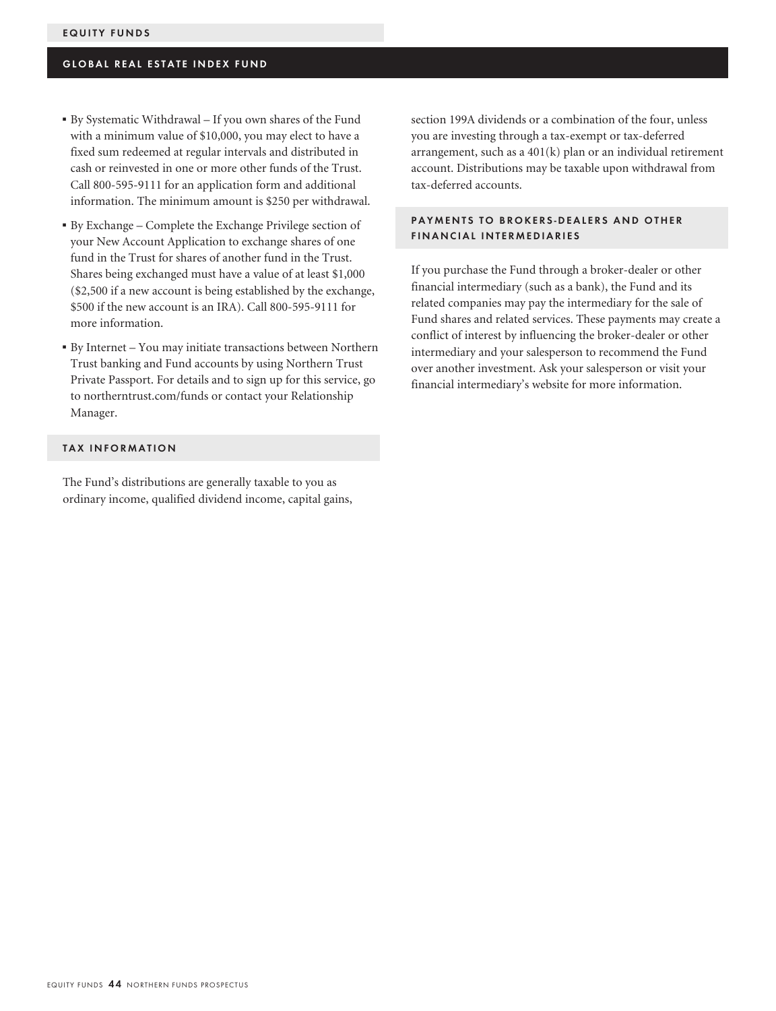- By Systematic Withdrawal If you own shares of the Fund with a minimum value of \$10,000, you may elect to have a fixed sum redeemed at regular intervals and distributed in cash or reinvested in one or more other funds of the Trust. Call 800-595-9111 for an application form and additional information. The minimum amount is \$250 per withdrawal.
- By Exchange Complete the Exchange Privilege section of your New Account Application to exchange shares of one fund in the Trust for shares of another fund in the Trust. Shares being exchanged must have a value of at least \$1,000 (\$2,500 if a new account is being established by the exchange, \$500 if the new account is an IRA). Call 800-595-9111 for more information.
- By Internet You may initiate transactions between Northern Trust banking and Fund accounts by using Northern Trust Private Passport. For details and to sign up for this service, go to northerntrust.com/funds or contact your Relationship Manager.

#### **TAX INFORMATION**

The Fund's distributions are generally taxable to you as ordinary income, qualified dividend income, capital gains, section 199A dividends or a combination of the four, unless you are investing through a tax-exempt or tax-deferred arrangement, such as a 401(k) plan or an individual retirement account. Distributions may be taxable upon withdrawal from tax-deferred accounts.

## **PAYMENTS TO BROKERS-DEALERS AND OTHER FINANCIAL INTERMEDIARIES**

If you purchase the Fund through a broker-dealer or other financial intermediary (such as a bank), the Fund and its related companies may pay the intermediary for the sale of Fund shares and related services. These payments may create a conflict of interest by influencing the broker-dealer or other intermediary and your salesperson to recommend the Fund over another investment. Ask your salesperson or visit your financial intermediary's website for more information.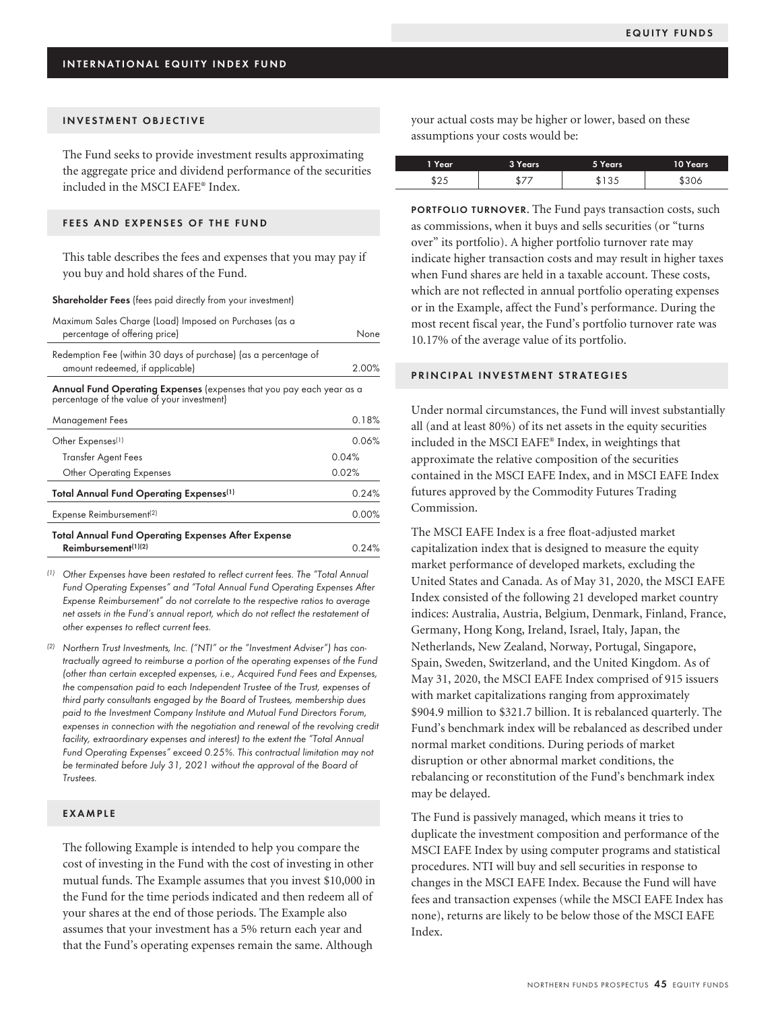## **INVESTMENT OBJECTIVE**

The Fund seeks to provide investment results approximating the aggregate price and dividend performance of the securities included in the MSCI EAFE® Index.

#### **FEES AND EXPENSES OF THE FUND**

This table describes the fees and expenses that you may pay if you buy and hold shares of the Fund.

**Shareholder Fees** (fees paid directly from your investment)

| Maximum Sales Charge (Load) Imposed on Purchases (as a          |       |  |  |
|-----------------------------------------------------------------|-------|--|--|
| percentage of offering price)                                   | None  |  |  |
| Redemption Fee (within 30 days of purchase) (as a percentage of |       |  |  |
| amount redeemed, if applicable)                                 | 2.00% |  |  |

**Annual Fund Operating Expenses** (expenses that you pay each year as a percentage of the value of your investment)

| Management Fees                                           | 0.18%    |
|-----------------------------------------------------------|----------|
| Other Expenses <sup>(1)</sup>                             | 0.06%    |
| <b>Transfer Agent Fees</b>                                | 0.04%    |
| <b>Other Operating Expenses</b>                           | 0.02%    |
| Total Annual Fund Operating Expenses <sup>(1)</sup>       | 0.24%    |
| Expense Reimbursement <sup>(2)</sup>                      | $0.00\%$ |
| <b>Total Annual Fund Operating Expenses After Expense</b> |          |
| Reimbursement <sup>(1)(2)</sup>                           | 0.24%    |

(1) Other Expenses have been restated to reflect current fees. The "Total Annual Fund Operating Expenses" and "Total Annual Fund Operating Expenses After Expense Reimbursement" do not correlate to the respective ratios to average net assets in the Fund's annual report, which do not reflect the restatement of other expenses to reflect current fees.

(2) Northern Trust Investments, Inc. ("NTI" or the "Investment Adviser") has contractually agreed to reimburse a portion of the operating expenses of the Fund (other than certain excepted expenses, i.e., Acquired Fund Fees and Expenses, the compensation paid to each Independent Trustee of the Trust, expenses of third party consultants engaged by the Board of Trustees, membership dues paid to the Investment Company Institute and Mutual Fund Directors Forum, expenses in connection with the negotiation and renewal of the revolving credit facility, extraordinary expenses and interest) to the extent the "Total Annual Fund Operating Expenses" exceed 0.25%. This contractual limitation may not be terminated before July 31, 2021 without the approval of the Board of Trustees.

## **EXAMPLE**

The following Example is intended to help you compare the cost of investing in the Fund with the cost of investing in other mutual funds. The Example assumes that you invest \$10,000 in the Fund for the time periods indicated and then redeem all of your shares at the end of those periods. The Example also assumes that your investment has a 5% return each year and that the Fund's operating expenses remain the same. Although

your actual costs may be higher or lower, based on these assumptions your costs would be:

| l Year'     | 3 Years | 5 Years | 10 Years |
|-------------|---------|---------|----------|
| ぐつら<br>ت∠تت | フフ      | 100     | \$306    |

**PORTFOLIO TURNOVER.** The Fund pays transaction costs, such as commissions, when it buys and sells securities (or "turns over" its portfolio). A higher portfolio turnover rate may indicate higher transaction costs and may result in higher taxes when Fund shares are held in a taxable account. These costs, which are not reflected in annual portfolio operating expenses or in the Example, affect the Fund's performance. During the most recent fiscal year, the Fund's portfolio turnover rate was 10.17% of the average value of its portfolio.

#### **PRINCIPAL INVESTMENT STRATEGIES**

Under normal circumstances, the Fund will invest substantially all (and at least 80%) of its net assets in the equity securities included in the MSCI EAFE® Index, in weightings that approximate the relative composition of the securities contained in the MSCI EAFE Index, and in MSCI EAFE Index futures approved by the Commodity Futures Trading Commission.

The MSCI EAFE Index is a free float-adjusted market capitalization index that is designed to measure the equity market performance of developed markets, excluding the United States and Canada. As of May 31, 2020, the MSCI EAFE Index consisted of the following 21 developed market country indices: Australia, Austria, Belgium, Denmark, Finland, France, Germany, Hong Kong, Ireland, Israel, Italy, Japan, the Netherlands, New Zealand, Norway, Portugal, Singapore, Spain, Sweden, Switzerland, and the United Kingdom. As of May 31, 2020, the MSCI EAFE Index comprised of 915 issuers with market capitalizations ranging from approximately \$904.9 million to \$321.7 billion. It is rebalanced quarterly. The Fund's benchmark index will be rebalanced as described under normal market conditions. During periods of market disruption or other abnormal market conditions, the rebalancing or reconstitution of the Fund's benchmark index may be delayed.

The Fund is passively managed, which means it tries to duplicate the investment composition and performance of the MSCI EAFE Index by using computer programs and statistical procedures. NTI will buy and sell securities in response to changes in the MSCI EAFE Index. Because the Fund will have fees and transaction expenses (while the MSCI EAFE Index has none), returns are likely to be below those of the MSCI EAFE Index.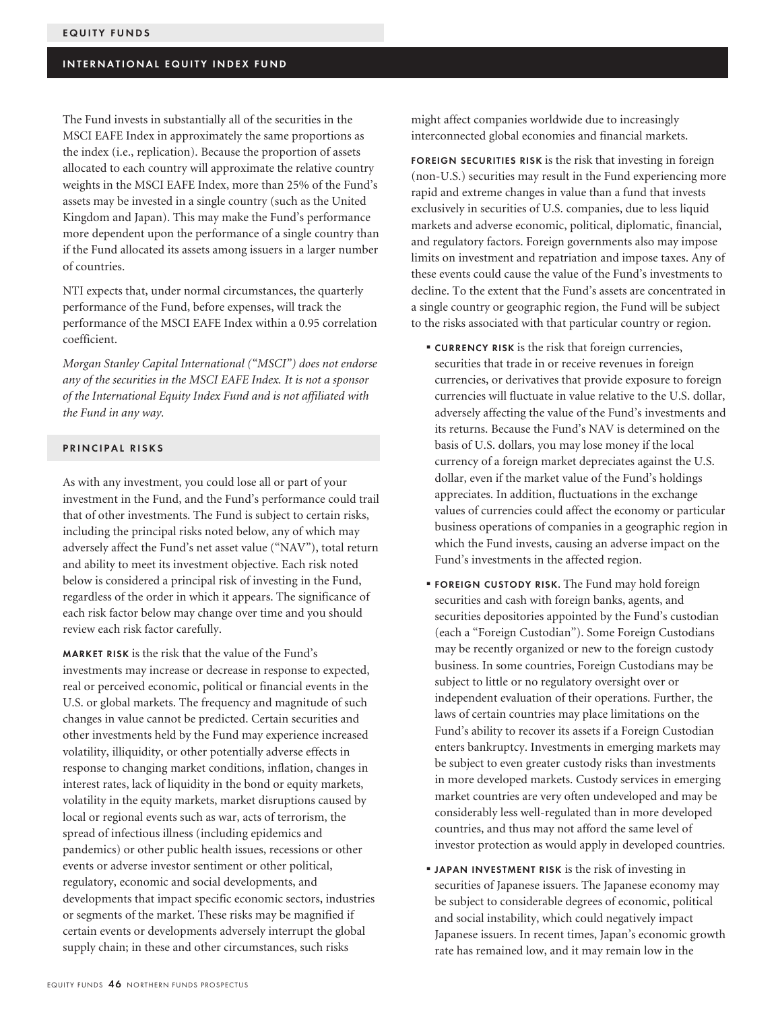#### **INTERNATIONAL EQUITY INDEX FUND**

The Fund invests in substantially all of the securities in the MSCI EAFE Index in approximately the same proportions as the index (i.e., replication). Because the proportion of assets allocated to each country will approximate the relative country weights in the MSCI EAFE Index, more than 25% of the Fund's assets may be invested in a single country (such as the United Kingdom and Japan). This may make the Fund's performance more dependent upon the performance of a single country than if the Fund allocated its assets among issuers in a larger number of countries.

NTI expects that, under normal circumstances, the quarterly performance of the Fund, before expenses, will track the performance of the MSCI EAFE Index within a 0.95 correlation coefficient.

*Morgan Stanley Capital International ("MSCI") does not endorse any of the securities in the MSCI EAFE Index. It is not a sponsor of the International Equity Index Fund and is not affiliated with the Fund in any way.*

## **PRINCIPAL RISKS**

As with any investment, you could lose all or part of your investment in the Fund, and the Fund's performance could trail that of other investments. The Fund is subject to certain risks, including the principal risks noted below, any of which may adversely affect the Fund's net asset value ("NAV"), total return and ability to meet its investment objective. Each risk noted below is considered a principal risk of investing in the Fund, regardless of the order in which it appears. The significance of each risk factor below may change over time and you should review each risk factor carefully.

**MARKET RISK** is the risk that the value of the Fund's investments may increase or decrease in response to expected, real or perceived economic, political or financial events in the U.S. or global markets. The frequency and magnitude of such changes in value cannot be predicted. Certain securities and other investments held by the Fund may experience increased volatility, illiquidity, or other potentially adverse effects in response to changing market conditions, inflation, changes in interest rates, lack of liquidity in the bond or equity markets, volatility in the equity markets, market disruptions caused by local or regional events such as war, acts of terrorism, the spread of infectious illness (including epidemics and pandemics) or other public health issues, recessions or other events or adverse investor sentiment or other political, regulatory, economic and social developments, and developments that impact specific economic sectors, industries or segments of the market. These risks may be magnified if certain events or developments adversely interrupt the global supply chain; in these and other circumstances, such risks

might affect companies worldwide due to increasingly interconnected global economies and financial markets.

**FOREIGN SECURITIES RISK** is the risk that investing in foreign (non-U.S.) securities may result in the Fund experiencing more rapid and extreme changes in value than a fund that invests exclusively in securities of U.S. companies, due to less liquid markets and adverse economic, political, diplomatic, financial, and regulatory factors. Foreign governments also may impose limits on investment and repatriation and impose taxes. Any of these events could cause the value of the Fund's investments to decline. To the extent that the Fund's assets are concentrated in a single country or geographic region, the Fund will be subject to the risks associated with that particular country or region.

- **CURRENCY RISK** is the risk that foreign currencies, securities that trade in or receive revenues in foreign currencies, or derivatives that provide exposure to foreign currencies will fluctuate in value relative to the U.S. dollar, adversely affecting the value of the Fund's investments and its returns. Because the Fund's NAV is determined on the basis of U.S. dollars, you may lose money if the local currency of a foreign market depreciates against the U.S. dollar, even if the market value of the Fund's holdings appreciates. In addition, fluctuations in the exchange values of currencies could affect the economy or particular business operations of companies in a geographic region in which the Fund invests, causing an adverse impact on the Fund's investments in the affected region.
- **FOREIGN CUSTODY RISK.** The Fund may hold foreign securities and cash with foreign banks, agents, and securities depositories appointed by the Fund's custodian (each a "Foreign Custodian"). Some Foreign Custodians may be recently organized or new to the foreign custody business. In some countries, Foreign Custodians may be subject to little or no regulatory oversight over or independent evaluation of their operations. Further, the laws of certain countries may place limitations on the Fund's ability to recover its assets if a Foreign Custodian enters bankruptcy. Investments in emerging markets may be subject to even greater custody risks than investments in more developed markets. Custody services in emerging market countries are very often undeveloped and may be considerably less well-regulated than in more developed countries, and thus may not afford the same level of investor protection as would apply in developed countries.
- **JAPAN INVESTMENT RISK** is the risk of investing in securities of Japanese issuers. The Japanese economy may be subject to considerable degrees of economic, political and social instability, which could negatively impact Japanese issuers. In recent times, Japan's economic growth rate has remained low, and it may remain low in the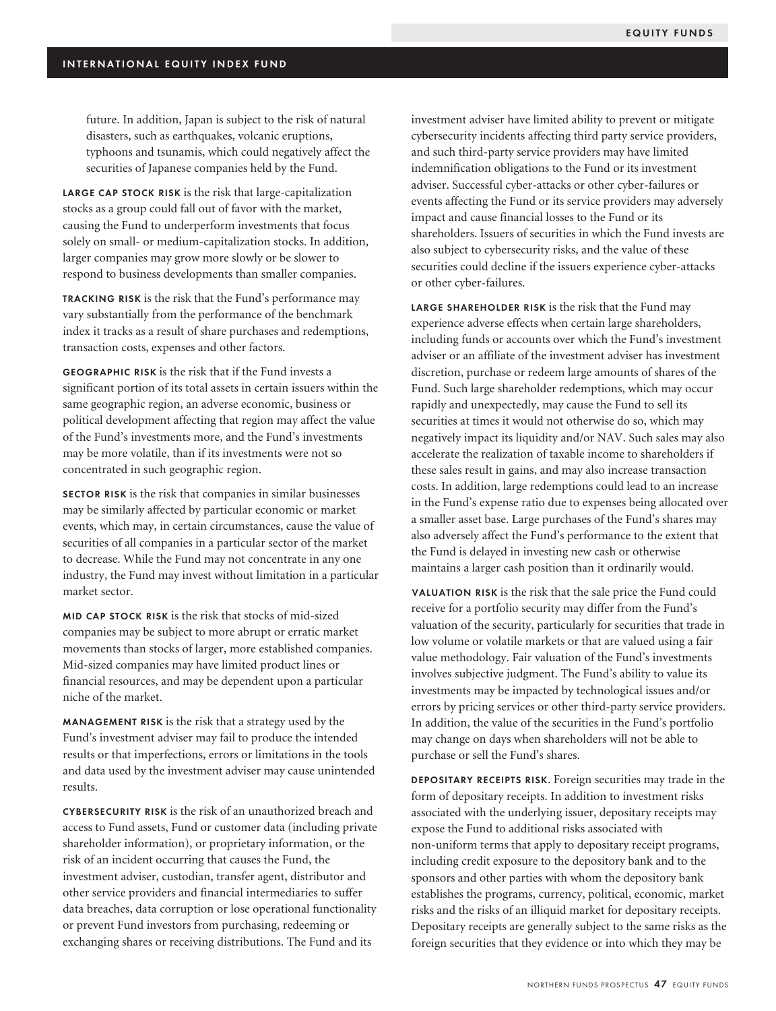future. In addition, Japan is subject to the risk of natural disasters, such as earthquakes, volcanic eruptions, typhoons and tsunamis, which could negatively affect the securities of Japanese companies held by the Fund.

**LARGE CAP STOCK RISK** is the risk that large-capitalization stocks as a group could fall out of favor with the market, causing the Fund to underperform investments that focus solely on small- or medium-capitalization stocks. In addition, larger companies may grow more slowly or be slower to respond to business developments than smaller companies.

**TRACKING RISK** is the risk that the Fund's performance may vary substantially from the performance of the benchmark index it tracks as a result of share purchases and redemptions, transaction costs, expenses and other factors.

**GEOGRAPHIC RISK** is the risk that if the Fund invests a significant portion of its total assets in certain issuers within the same geographic region, an adverse economic, business or political development affecting that region may affect the value of the Fund's investments more, and the Fund's investments may be more volatile, than if its investments were not so concentrated in such geographic region.

**SECTOR RISK** is the risk that companies in similar businesses may be similarly affected by particular economic or market events, which may, in certain circumstances, cause the value of securities of all companies in a particular sector of the market to decrease. While the Fund may not concentrate in any one industry, the Fund may invest without limitation in a particular market sector.

**MID CAP STOCK RISK** is the risk that stocks of mid-sized companies may be subject to more abrupt or erratic market movements than stocks of larger, more established companies. Mid-sized companies may have limited product lines or financial resources, and may be dependent upon a particular niche of the market.

**MANAGEMENT RISK** is the risk that a strategy used by the Fund's investment adviser may fail to produce the intended results or that imperfections, errors or limitations in the tools and data used by the investment adviser may cause unintended results.

**CYBERSECURITY RISK** is the risk of an unauthorized breach and access to Fund assets, Fund or customer data (including private shareholder information), or proprietary information, or the risk of an incident occurring that causes the Fund, the investment adviser, custodian, transfer agent, distributor and other service providers and financial intermediaries to suffer data breaches, data corruption or lose operational functionality or prevent Fund investors from purchasing, redeeming or exchanging shares or receiving distributions. The Fund and its

investment adviser have limited ability to prevent or mitigate cybersecurity incidents affecting third party service providers, and such third-party service providers may have limited indemnification obligations to the Fund or its investment adviser. Successful cyber-attacks or other cyber-failures or events affecting the Fund or its service providers may adversely impact and cause financial losses to the Fund or its shareholders. Issuers of securities in which the Fund invests are also subject to cybersecurity risks, and the value of these securities could decline if the issuers experience cyber-attacks or other cyber-failures.

**LARGE SHAREHOLDER RISK** is the risk that the Fund may experience adverse effects when certain large shareholders, including funds or accounts over which the Fund's investment adviser or an affiliate of the investment adviser has investment discretion, purchase or redeem large amounts of shares of the Fund. Such large shareholder redemptions, which may occur rapidly and unexpectedly, may cause the Fund to sell its securities at times it would not otherwise do so, which may negatively impact its liquidity and/or NAV. Such sales may also accelerate the realization of taxable income to shareholders if these sales result in gains, and may also increase transaction costs. In addition, large redemptions could lead to an increase in the Fund's expense ratio due to expenses being allocated over a smaller asset base. Large purchases of the Fund's shares may also adversely affect the Fund's performance to the extent that the Fund is delayed in investing new cash or otherwise maintains a larger cash position than it ordinarily would.

**VALUATION RISK** is the risk that the sale price the Fund could receive for a portfolio security may differ from the Fund's valuation of the security, particularly for securities that trade in low volume or volatile markets or that are valued using a fair value methodology. Fair valuation of the Fund's investments involves subjective judgment. The Fund's ability to value its investments may be impacted by technological issues and/or errors by pricing services or other third-party service providers. In addition, the value of the securities in the Fund's portfolio may change on days when shareholders will not be able to purchase or sell the Fund's shares.

**DEPOSITARY RECEIPTS RISK.** Foreign securities may trade in the form of depositary receipts. In addition to investment risks associated with the underlying issuer, depositary receipts may expose the Fund to additional risks associated with non-uniform terms that apply to depositary receipt programs, including credit exposure to the depository bank and to the sponsors and other parties with whom the depository bank establishes the programs, currency, political, economic, market risks and the risks of an illiquid market for depositary receipts. Depositary receipts are generally subject to the same risks as the foreign securities that they evidence or into which they may be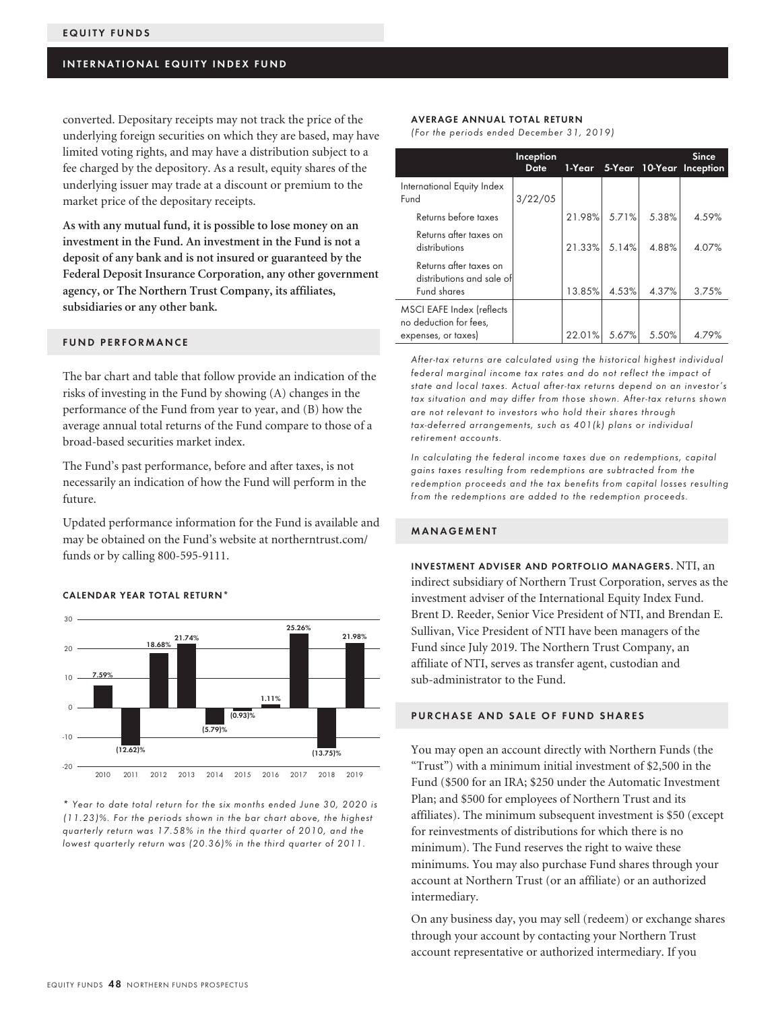#### **INTERNATIONAL EQUITY INDEX FUND**

converted. Depositary receipts may not track the price of the underlying foreign securities on which they are based, may have limited voting rights, and may have a distribution subject to a fee charged by the depository. As a result, equity shares of the underlying issuer may trade at a discount or premium to the market price of the depositary receipts.

**As with any mutual fund, it is possible to lose money on an investment in the Fund. An investment in the Fund is not a deposit of any bank and is not insured or guaranteed by the Federal Deposit Insurance Corporation, any other government agency, or The Northern Trust Company, its affiliates, subsidiaries or any other bank.**

#### **FUND PERFORMANCE**

The bar chart and table that follow provide an indication of the risks of investing in the Fund by showing (A) changes in the performance of the Fund from year to year, and (B) how the average annual total returns of the Fund compare to those of a broad-based securities market index.

The Fund's past performance, before and after taxes, is not necessarily an indication of how the Fund will perform in the future.

Updated performance information for the Fund is available and may be obtained on the Fund's website at northerntrust.com/ funds or by calling 800-595-9111.



#### **CALENDAR YEAR TOTAL RETURN\***

\* Year to date total return for the six months ended June 30, 2020 is (11.23)%. For the periods shown in the bar chart above, the highest quarterly return was 17.58% in the third quarter of 2010, and the lowest quarterly return was (20.36)% in the third quarter of 2011.

#### **AVERAGE ANNUAL TOTAL RETURN**

(For the periods ended December 31, 2019)

|                                                                                   | Inception<br>Date | 1-Year |       |       | <b>Since</b><br>5-Year 10-Year Inception |
|-----------------------------------------------------------------------------------|-------------------|--------|-------|-------|------------------------------------------|
| International Equity Index<br>Fund                                                | 3/22/05           |        |       |       |                                          |
| Returns before taxes                                                              |                   | 21.98% | 5.71% | 5.38% | 4.59%                                    |
| Returns after taxes on<br>distributions                                           |                   | 21.33% | 5.14% | 4.88% | 4.07%                                    |
| Returns after taxes on<br>distributions and sale of<br><b>Fund shares</b>         |                   | 13.85% | 4.53% | 4.37% | 3.75%                                    |
| <b>MSCI EAFE Index (reflects</b><br>no deduction for fees,<br>expenses, or taxes) |                   | 22.01% | 5.67% | 5.50% | 479%                                     |

After-tax returns are calculated using the historical highest individual federal marginal income tax rates and do not reflect the impact of state and local taxes. Actual after-tax returns depend on an investor's tax situation and may differ from those shown. After-tax returns shown are not relevant to investors who hold their shares through tax-deferred arrangements, such as 401(k) plans or individual retirement accounts.

In calculating the federal income taxes due on redemptions, capital gains taxes resulting from redemptions are subtracted from the redemption proceeds and the tax benefits from capital losses resulting from the redemptions are added to the redemption proceeds.

## **MANAGEMENT**

**INVESTMENT ADVISER AND PORTFOLIO MANAGERS.** NTI, an indirect subsidiary of Northern Trust Corporation, serves as the investment adviser of the International Equity Index Fund. Brent D. Reeder, Senior Vice President of NTI, and Brendan E. Sullivan, Vice President of NTI have been managers of the Fund since July 2019. The Northern Trust Company, an affiliate of NTI, serves as transfer agent, custodian and sub-administrator to the Fund.

### **PURCHASE AND SALE OF FUND SHARES**

You may open an account directly with Northern Funds (the "Trust") with a minimum initial investment of \$2,500 in the Fund (\$500 for an IRA; \$250 under the Automatic Investment Plan; and \$500 for employees of Northern Trust and its affiliates). The minimum subsequent investment is \$50 (except for reinvestments of distributions for which there is no minimum). The Fund reserves the right to waive these minimums. You may also purchase Fund shares through your account at Northern Trust (or an affiliate) or an authorized intermediary.

On any business day, you may sell (redeem) or exchange shares through your account by contacting your Northern Trust account representative or authorized intermediary. If you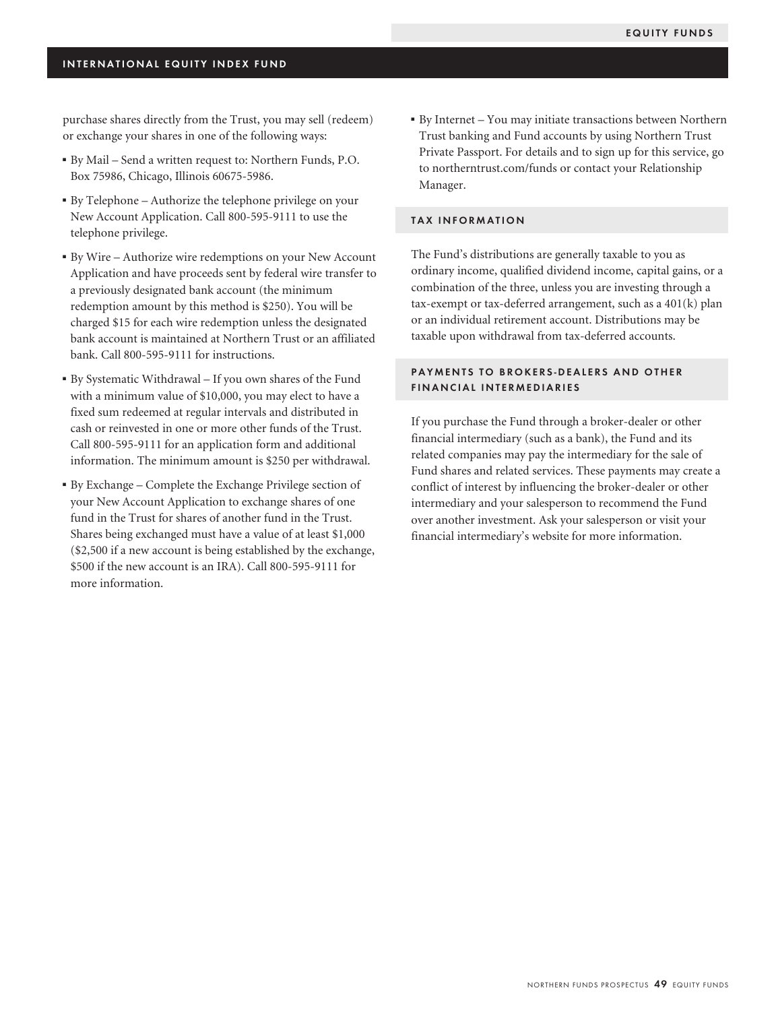#### **INTERNATIONAL EQUITY INDEX FUND**

purchase shares directly from the Trust, you may sell (redeem) or exchange your shares in one of the following ways:

- By Mail Send a written request to: Northern Funds, P.O. Box 75986, Chicago, Illinois 60675-5986.
- By Telephone Authorize the telephone privilege on your New Account Application. Call 800-595-9111 to use the telephone privilege.
- By Wire Authorize wire redemptions on your New Account Application and have proceeds sent by federal wire transfer to a previously designated bank account (the minimum redemption amount by this method is \$250). You will be charged \$15 for each wire redemption unless the designated bank account is maintained at Northern Trust or an affiliated bank. Call 800-595-9111 for instructions.
- By Systematic Withdrawal If you own shares of the Fund with a minimum value of \$10,000, you may elect to have a fixed sum redeemed at regular intervals and distributed in cash or reinvested in one or more other funds of the Trust. Call 800-595-9111 for an application form and additional information. The minimum amount is \$250 per withdrawal.
- By Exchange Complete the Exchange Privilege section of your New Account Application to exchange shares of one fund in the Trust for shares of another fund in the Trust. Shares being exchanged must have a value of at least \$1,000 (\$2,500 if a new account is being established by the exchange, \$500 if the new account is an IRA). Call 800-595-9111 for more information.

▪ By Internet – You may initiate transactions between Northern Trust banking and Fund accounts by using Northern Trust Private Passport. For details and to sign up for this service, go to northerntrust.com/funds or contact your Relationship Manager.

## **TAX INFORMATION**

The Fund's distributions are generally taxable to you as ordinary income, qualified dividend income, capital gains, or a combination of the three, unless you are investing through a tax-exempt or tax-deferred arrangement, such as a 401(k) plan or an individual retirement account. Distributions may be taxable upon withdrawal from tax-deferred accounts.

## **PAYMENTS TO BROKERS-DEALERS AND OTHER FINANCIAL INTERMEDIARIES**

If you purchase the Fund through a broker-dealer or other financial intermediary (such as a bank), the Fund and its related companies may pay the intermediary for the sale of Fund shares and related services. These payments may create a conflict of interest by influencing the broker-dealer or other intermediary and your salesperson to recommend the Fund over another investment. Ask your salesperson or visit your financial intermediary's website for more information.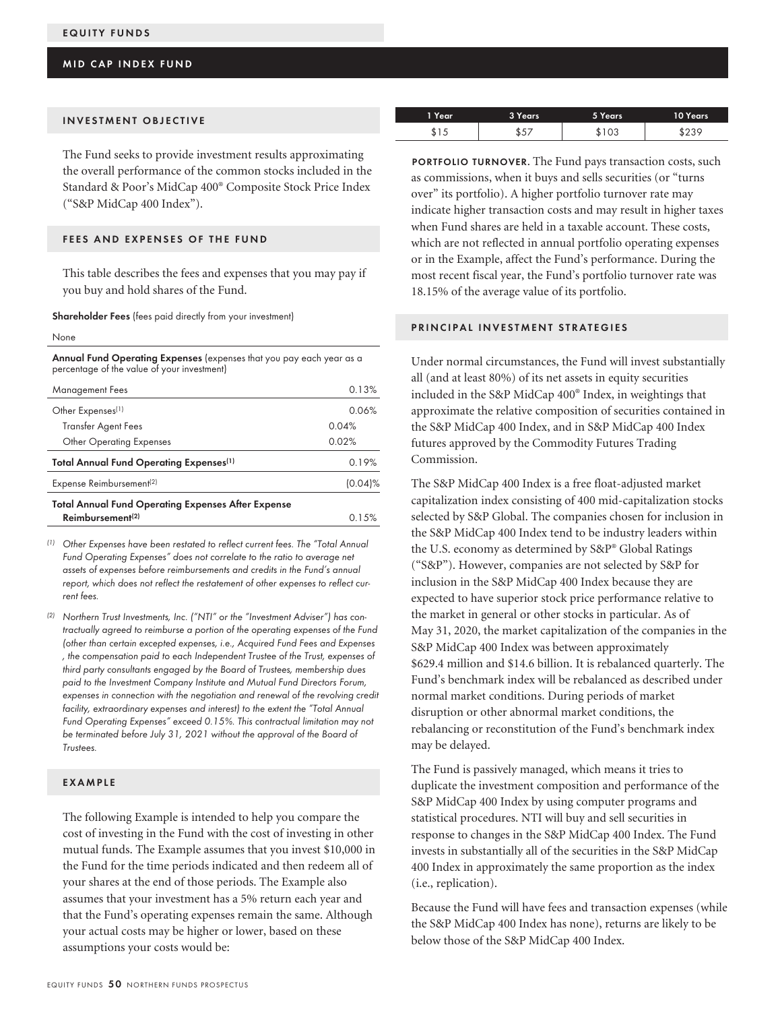## **INVESTMENT OBJECTIVE**

The Fund seeks to provide investment results approximating the overall performance of the common stocks included in the Standard & Poor's MidCap 400® Composite Stock Price Index ("S&P MidCap 400 Index").

#### **FEES AND EXPENSES OF THE FUND**

This table describes the fees and expenses that you may pay if you buy and hold shares of the Fund.

**Shareholder Fees** (fees paid directly from your investment)

#### None

**Annual Fund Operating Expenses** (expenses that you pay each year as a percentage of the value of your investment)

| <b>Management Fees</b>                                    | 0.13%      |
|-----------------------------------------------------------|------------|
| Other Expenses <sup>(1)</sup>                             | 0.06%      |
| <b>Transfer Agent Fees</b>                                | 0.04%      |
| <b>Other Operating Expenses</b>                           | 0.02%      |
| Total Annual Fund Operating Expenses <sup>(1)</sup>       | 0.19%      |
| Expense Reimbursement <sup>(2)</sup>                      | $(0.04)\%$ |
| <b>Total Annual Fund Operating Expenses After Expense</b> |            |
| Reimbursement <sup>(2)</sup>                              | 0.15%      |

(1) Other Expenses have been restated to reflect current fees. The "Total Annual Fund Operating Expenses" does not correlate to the ratio to average net assets of expenses before reimbursements and credits in the Fund's annual report, which does not reflect the restatement of other expenses to reflect current fees.

(2) Northern Trust Investments, Inc. ("NTI" or the "Investment Adviser") has contractually agreed to reimburse a portion of the operating expenses of the Fund (other than certain excepted expenses, i.e., Acquired Fund Fees and Expenses , the compensation paid to each Independent Trustee of the Trust, expenses of third party consultants engaged by the Board of Trustees, membership dues paid to the Investment Company Institute and Mutual Fund Directors Forum, expenses in connection with the negotiation and renewal of the revolving credit facility, extraordinary expenses and interest) to the extent the "Total Annual Fund Operating Expenses" exceed 0.15%. This contractual limitation may not be terminated before July 31, 2021 without the approval of the Board of Trustees.

## **EXAMPLE**

The following Example is intended to help you compare the cost of investing in the Fund with the cost of investing in other mutual funds. The Example assumes that you invest \$10,000 in the Fund for the time periods indicated and then redeem all of your shares at the end of those periods. The Example also assumes that your investment has a 5% return each year and that the Fund's operating expenses remain the same. Although your actual costs may be higher or lower, based on these assumptions your costs would be:

| 1 Year | 3 Years' | 5 Years | 10 Years |
|--------|----------|---------|----------|
| \$15   | \$57     | \$103   | \$239    |

**PORTFOLIO TURNOVER.** The Fund pays transaction costs, such as commissions, when it buys and sells securities (or "turns over" its portfolio). A higher portfolio turnover rate may indicate higher transaction costs and may result in higher taxes when Fund shares are held in a taxable account. These costs, which are not reflected in annual portfolio operating expenses or in the Example, affect the Fund's performance. During the most recent fiscal year, the Fund's portfolio turnover rate was 18.15% of the average value of its portfolio.

#### **PRINCIPAL INVESTMENT STRATEGIES**

Under normal circumstances, the Fund will invest substantially all (and at least 80%) of its net assets in equity securities included in the S&P MidCap 400® Index, in weightings that approximate the relative composition of securities contained in the S&P MidCap 400 Index, and in S&P MidCap 400 Index futures approved by the Commodity Futures Trading Commission.

The S&P MidCap 400 Index is a free float-adjusted market capitalization index consisting of 400 mid-capitalization stocks selected by S&P Global. The companies chosen for inclusion in the S&P MidCap 400 Index tend to be industry leaders within the U.S. economy as determined by S&P® Global Ratings ("S&P"). However, companies are not selected by S&P for inclusion in the S&P MidCap 400 Index because they are expected to have superior stock price performance relative to the market in general or other stocks in particular. As of May 31, 2020, the market capitalization of the companies in the S&P MidCap 400 Index was between approximately \$629.4 million and \$14.6 billion. It is rebalanced quarterly. The Fund's benchmark index will be rebalanced as described under normal market conditions. During periods of market disruption or other abnormal market conditions, the rebalancing or reconstitution of the Fund's benchmark index may be delayed.

The Fund is passively managed, which means it tries to duplicate the investment composition and performance of the S&P MidCap 400 Index by using computer programs and statistical procedures. NTI will buy and sell securities in response to changes in the S&P MidCap 400 Index. The Fund invests in substantially all of the securities in the S&P MidCap 400 Index in approximately the same proportion as the index (i.e., replication).

Because the Fund will have fees and transaction expenses (while the S&P MidCap 400 Index has none), returns are likely to be below those of the S&P MidCap 400 Index.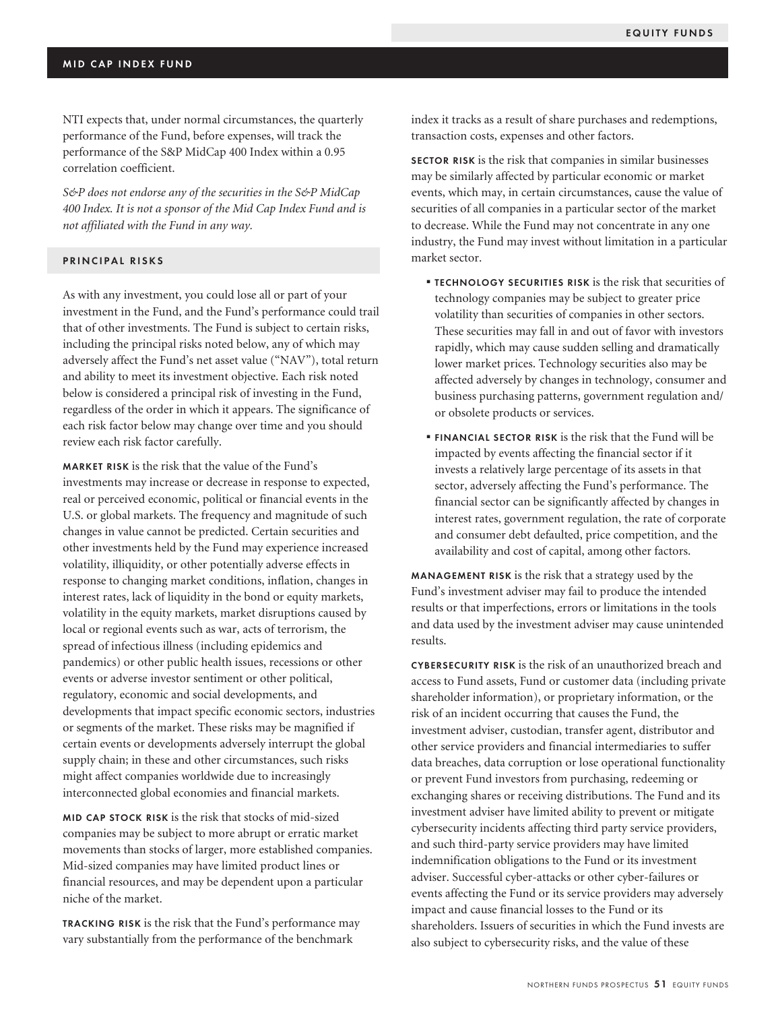#### **MID CAP INDEX FUND**

NTI expects that, under normal circumstances, the quarterly performance of the Fund, before expenses, will track the performance of the S&P MidCap 400 Index within a 0.95 correlation coefficient.

*S&P does not endorse any of the securities in the S&P MidCap 400 Index. It is not a sponsor of the Mid Cap Index Fund and is not affiliated with the Fund in any way.*

## **PRINCIPAL RISKS**

As with any investment, you could lose all or part of your investment in the Fund, and the Fund's performance could trail that of other investments. The Fund is subject to certain risks, including the principal risks noted below, any of which may adversely affect the Fund's net asset value ("NAV"), total return and ability to meet its investment objective. Each risk noted below is considered a principal risk of investing in the Fund, regardless of the order in which it appears. The significance of each risk factor below may change over time and you should review each risk factor carefully.

**MARKET RISK** is the risk that the value of the Fund's investments may increase or decrease in response to expected, real or perceived economic, political or financial events in the U.S. or global markets. The frequency and magnitude of such changes in value cannot be predicted. Certain securities and other investments held by the Fund may experience increased volatility, illiquidity, or other potentially adverse effects in response to changing market conditions, inflation, changes in interest rates, lack of liquidity in the bond or equity markets, volatility in the equity markets, market disruptions caused by local or regional events such as war, acts of terrorism, the spread of infectious illness (including epidemics and pandemics) or other public health issues, recessions or other events or adverse investor sentiment or other political, regulatory, economic and social developments, and developments that impact specific economic sectors, industries or segments of the market. These risks may be magnified if certain events or developments adversely interrupt the global supply chain; in these and other circumstances, such risks might affect companies worldwide due to increasingly interconnected global economies and financial markets.

**MID CAP STOCK RISK** is the risk that stocks of mid-sized companies may be subject to more abrupt or erratic market movements than stocks of larger, more established companies. Mid-sized companies may have limited product lines or financial resources, and may be dependent upon a particular niche of the market.

**TRACKING RISK** is the risk that the Fund's performance may vary substantially from the performance of the benchmark

index it tracks as a result of share purchases and redemptions, transaction costs, expenses and other factors.

**SECTOR RISK** is the risk that companies in similar businesses may be similarly affected by particular economic or market events, which may, in certain circumstances, cause the value of securities of all companies in a particular sector of the market to decrease. While the Fund may not concentrate in any one industry, the Fund may invest without limitation in a particular market sector.

- **EXECUATE:** TECHNOLOGY SECURITIES RISK is the risk that securities of technology companies may be subject to greater price volatility than securities of companies in other sectors. These securities may fall in and out of favor with investors rapidly, which may cause sudden selling and dramatically lower market prices. Technology securities also may be affected adversely by changes in technology, consumer and business purchasing patterns, government regulation and/ or obsolete products or services.
- **FINANCIAL SECTOR RISK** is the risk that the Fund will be impacted by events affecting the financial sector if it invests a relatively large percentage of its assets in that sector, adversely affecting the Fund's performance. The financial sector can be significantly affected by changes in interest rates, government regulation, the rate of corporate and consumer debt defaulted, price competition, and the availability and cost of capital, among other factors.

**MANAGEMENT RISK** is the risk that a strategy used by the Fund's investment adviser may fail to produce the intended results or that imperfections, errors or limitations in the tools and data used by the investment adviser may cause unintended results.

**CYBERSECURITY RISK** is the risk of an unauthorized breach and access to Fund assets, Fund or customer data (including private shareholder information), or proprietary information, or the risk of an incident occurring that causes the Fund, the investment adviser, custodian, transfer agent, distributor and other service providers and financial intermediaries to suffer data breaches, data corruption or lose operational functionality or prevent Fund investors from purchasing, redeeming or exchanging shares or receiving distributions. The Fund and its investment adviser have limited ability to prevent or mitigate cybersecurity incidents affecting third party service providers, and such third-party service providers may have limited indemnification obligations to the Fund or its investment adviser. Successful cyber-attacks or other cyber-failures or events affecting the Fund or its service providers may adversely impact and cause financial losses to the Fund or its shareholders. Issuers of securities in which the Fund invests are also subject to cybersecurity risks, and the value of these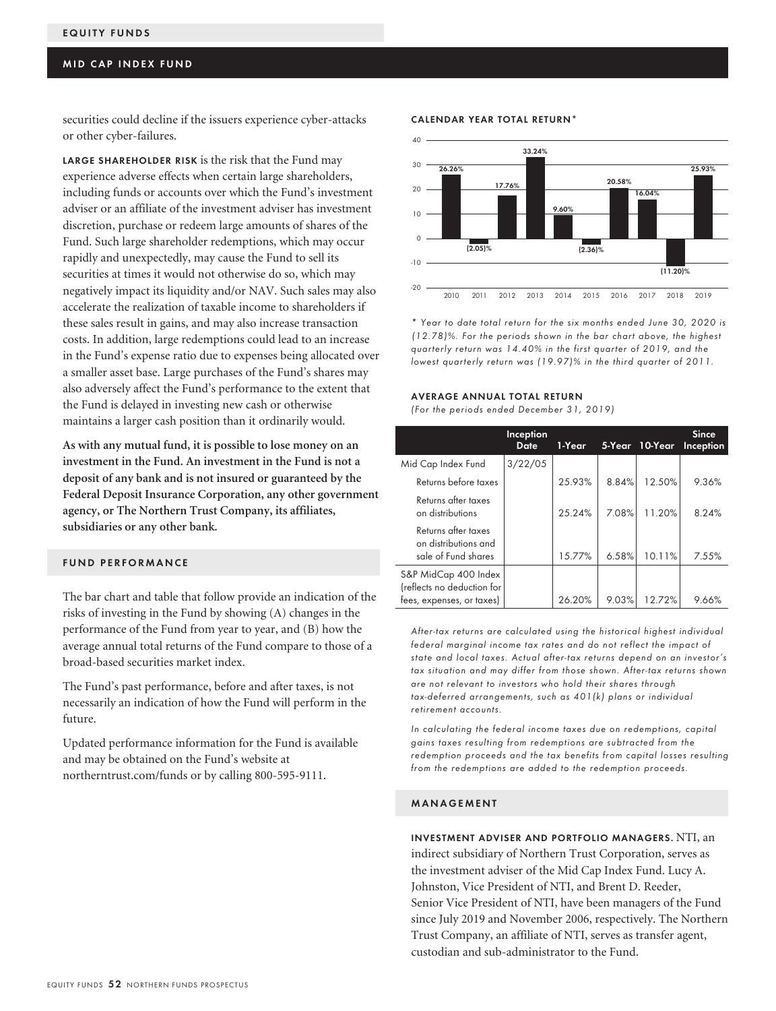#### **MID CAP INDEX FUND**

securities could decline if the issuers experience cyber-attacks or other cyber-failures.

**LARGE SHAREHOLDER RISK** is the risk that the Fund may experience adverse effects when certain large shareholders, including funds or accounts over which the Fund's investment adviser or an affiliate of the investment adviser has investment discretion, purchase or redeem large amounts of shares of the Fund. Such large shareholder redemptions, which may occur rapidly and unexpectedly, may cause the Fund to sell its securities at times it would not otherwise do so, which may negatively impact its liquidity and/or NAV. Such sales may also accelerate the realization of taxable income to shareholders if these sales result in gains, and may also increase transaction costs. In addition, large redemptions could lead to an increase in the Fund's expense ratio due to expenses being allocated over a smaller asset base. Large purchases of the Fund's shares may also adversely affect the Fund's performance to the extent that the Fund is delayed in investing new cash or otherwise maintains a larger cash position than it ordinarily would.

**As with any mutual fund, it is possible to lose money on an investment in the Fund. An investment in the Fund is not a deposit of any bank and is not insured or guaranteed by the Federal Deposit Insurance Corporation, any other government agency, or The Northern Trust Company, its affiliates, subsidiaries or any other bank.**

#### **FUND PERFORMANCE**

The bar chart and table that follow provide an indication of the risks of investing in the Fund by showing (A) changes in the performance of the Fund from year to year, and (B) how the average annual total returns of the Fund compare to those of a broad-based securities market index.

The Fund's past performance, before and after taxes, is not necessarily an indication of how the Fund will perform in the future.

Updated performance information for the Fund is available and may be obtained on the Fund's website at northerntrust.com/funds or by calling 800-595-9111.

#### **CALENDAR YEAR TOTAL RETURN\***



\* Year to date total return for the six months ended June 30, 2020 is (12.78)%. For the periods shown in the bar chart above, the highest quarterly return was 14.40% in the first quarter of 2019, and the lowest quarterly return was (19.97)% in the third quarter of 2011.

#### **AVERAGE ANNUAL TOTAL RETURN**

(For the periods ended December 31, 2019)

|                                                                                 | Inception<br>Date | 1-Year | 5-Year | 10-Year | <b>Since</b><br>Inception |
|---------------------------------------------------------------------------------|-------------------|--------|--------|---------|---------------------------|
| Mid Cap Index Fund                                                              | 3/22/05           |        |        |         |                           |
| Returns before taxes                                                            |                   | 25.93% | 8.84%  | 12.50%  | 9.36%                     |
| Returns after taxes<br>on distributions                                         |                   | 25.24% | 7.08%  | 11.20%  | 8.24%                     |
| Returns after taxes<br>on distributions and<br>sale of Fund shares              |                   | 15.77% | 6.58%  | 10.11%  | 7.55%                     |
| S&P MidCap 400 Index<br>(reflects no deduction for<br>fees, expenses, or taxes) |                   | 26.20% | 9.03%  | 12.72%  | 9.66%                     |

After-tax returns are calculated using the historical highest individual federal marginal income tax rates and do not reflect the impact of state and local taxes. Actual after-tax returns depend on an investor's tax situation and may differ from those shown. After-tax returns shown are not relevant to investors who hold their shares through tax-deferred arrangements, such as 401(k) plans or individual retirement accounts.

In calculating the federal income taxes due on redemptions, capital gains taxes resulting from redemptions are subtracted from the redemption proceeds and the tax benefits from capital losses resulting from the redemptions are added to the redemption proceeds.

## **MANAGEMENT**

**INVESTMENT ADVISER AND PORTFOLIO MANAGERS.** NTI, an indirect subsidiary of Northern Trust Corporation, serves as the investment adviser of the Mid Cap Index Fund. Lucy A. Johnston, Vice President of NTI, and Brent D. Reeder, Senior Vice President of NTI, have been managers of the Fund since July 2019 and November 2006, respectively. The Northern Trust Company, an affiliate of NTI, serves as transfer agent, custodian and sub-administrator to the Fund.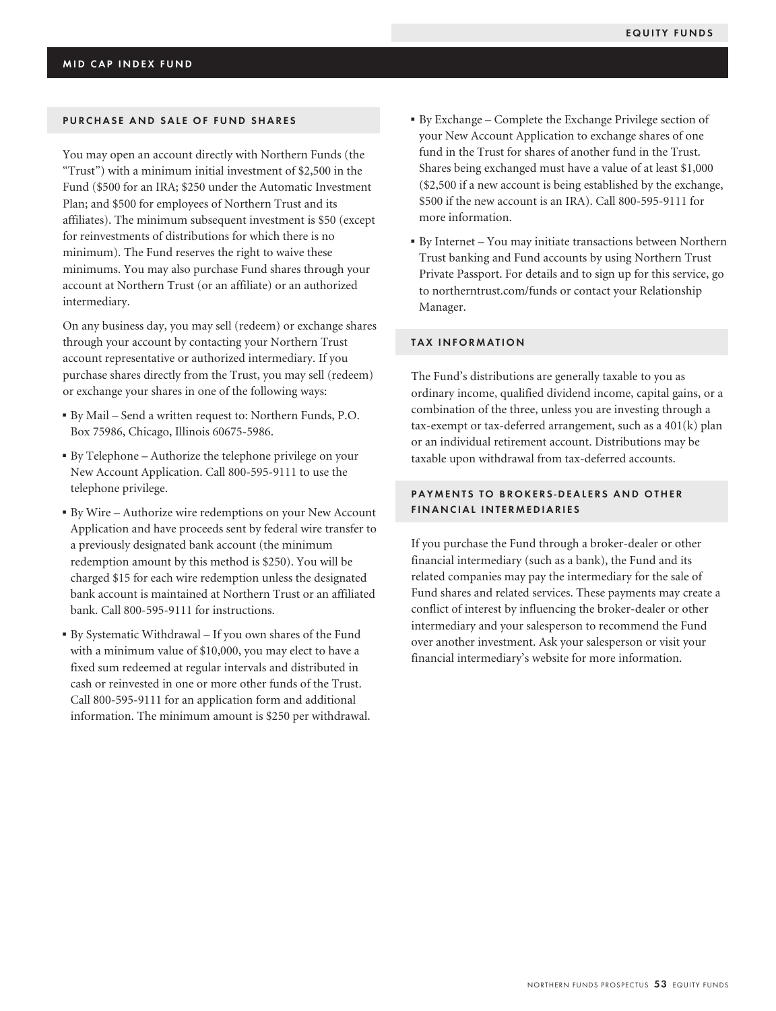## **PURCHASE AND SALE OF FUND SHARES**

You may open an account directly with Northern Funds (the "Trust") with a minimum initial investment of \$2,500 in the Fund (\$500 for an IRA; \$250 under the Automatic Investment Plan; and \$500 for employees of Northern Trust and its affiliates). The minimum subsequent investment is \$50 (except for reinvestments of distributions for which there is no minimum). The Fund reserves the right to waive these minimums. You may also purchase Fund shares through your account at Northern Trust (or an affiliate) or an authorized intermediary.

On any business day, you may sell (redeem) or exchange shares through your account by contacting your Northern Trust account representative or authorized intermediary. If you purchase shares directly from the Trust, you may sell (redeem) or exchange your shares in one of the following ways:

- By Mail Send a written request to: Northern Funds, P.O. Box 75986, Chicago, Illinois 60675-5986.
- By Telephone Authorize the telephone privilege on your New Account Application. Call 800-595-9111 to use the telephone privilege.
- By Wire Authorize wire redemptions on your New Account Application and have proceeds sent by federal wire transfer to a previously designated bank account (the minimum redemption amount by this method is \$250). You will be charged \$15 for each wire redemption unless the designated bank account is maintained at Northern Trust or an affiliated bank. Call 800-595-9111 for instructions.
- By Systematic Withdrawal If you own shares of the Fund with a minimum value of \$10,000, you may elect to have a fixed sum redeemed at regular intervals and distributed in cash or reinvested in one or more other funds of the Trust. Call 800-595-9111 for an application form and additional information. The minimum amount is \$250 per withdrawal.
- By Exchange Complete the Exchange Privilege section of your New Account Application to exchange shares of one fund in the Trust for shares of another fund in the Trust. Shares being exchanged must have a value of at least \$1,000 (\$2,500 if a new account is being established by the exchange, \$500 if the new account is an IRA). Call 800-595-9111 for more information.
- By Internet You may initiate transactions between Northern Trust banking and Fund accounts by using Northern Trust Private Passport. For details and to sign up for this service, go to northerntrust.com/funds or contact your Relationship Manager.

#### **TAX INFORMATION**

The Fund's distributions are generally taxable to you as ordinary income, qualified dividend income, capital gains, or a combination of the three, unless you are investing through a tax-exempt or tax-deferred arrangement, such as a 401(k) plan or an individual retirement account. Distributions may be taxable upon withdrawal from tax-deferred accounts.

## **PAYMENTS TO BROKERS-DEALERS AND OTHER FINANCIAL INTERMEDIARIES**

If you purchase the Fund through a broker-dealer or other financial intermediary (such as a bank), the Fund and its related companies may pay the intermediary for the sale of Fund shares and related services. These payments may create a conflict of interest by influencing the broker-dealer or other intermediary and your salesperson to recommend the Fund over another investment. Ask your salesperson or visit your financial intermediary's website for more information.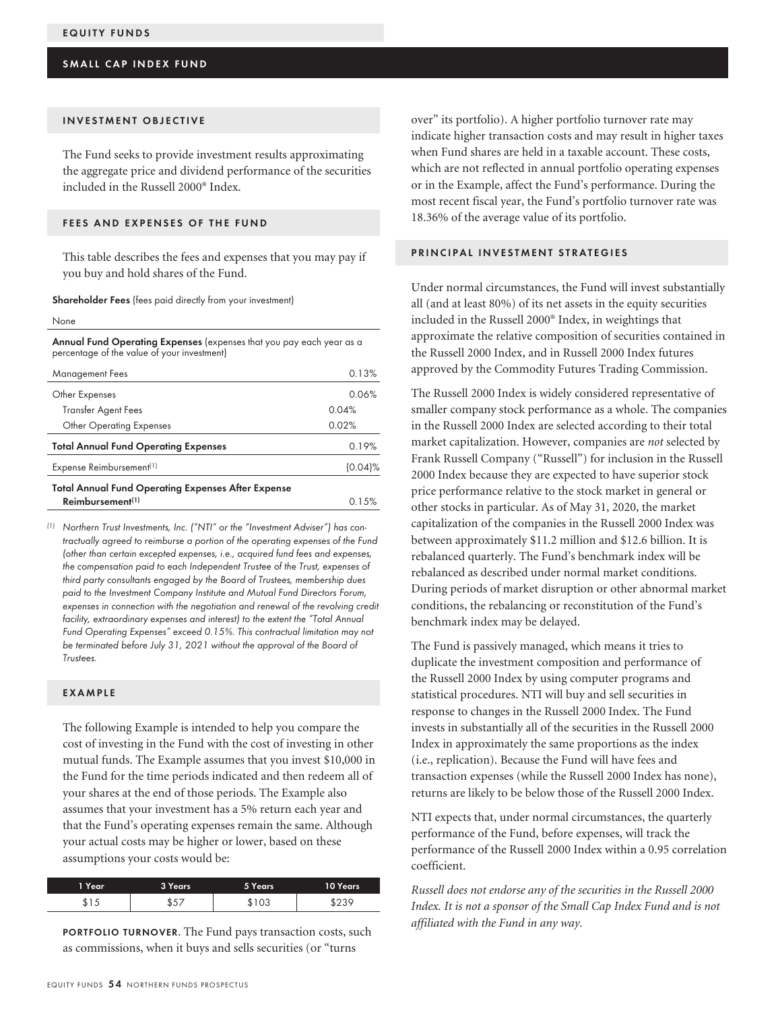#### **SMALL CAP INDEX FUND**

## **INVESTMENT OBJECTIVE**

The Fund seeks to provide investment results approximating the aggregate price and dividend performance of the securities included in the Russell 2000® Index.

#### **FEES AND EXPENSES OF THE FUND**

This table describes the fees and expenses that you may pay if you buy and hold shares of the Fund.

**Shareholder Fees** (fees paid directly from your investment)

None

**Annual Fund Operating Expenses** (expenses that you pay each year as a percentage of the value of your investment)

| <b>Management Fees</b>                                    | 0.13%      |
|-----------------------------------------------------------|------------|
| Other Expenses                                            | 0.06%      |
| <b>Transfer Agent Fees</b>                                | 0.04%      |
| <b>Other Operating Expenses</b>                           | 0.02%      |
| <b>Total Annual Fund Operating Expenses</b>               | 0.19%      |
| Expense Reimbursement <sup>(1)</sup>                      | $(0.04)\%$ |
| <b>Total Annual Fund Operating Expenses After Expense</b> |            |
| Reimbursement <sup>(1)</sup>                              | 0.15%      |

(1) Northern Trust Investments, Inc. ("NTI" or the "Investment Adviser") has contractually agreed to reimburse a portion of the operating expenses of the Fund (other than certain excepted expenses, i.e., acquired fund fees and expenses, the compensation paid to each Independent Trustee of the Trust, expenses of third party consultants engaged by the Board of Trustees, membership dues paid to the Investment Company Institute and Mutual Fund Directors Forum, expenses in connection with the negotiation and renewal of the revolving credit facility, extraordinary expenses and interest) to the extent the "Total Annual Fund Operating Expenses" exceed 0.15%. This contractual limitation may not be terminated before July 31, 2021 without the approval of the Board of **Trustees** 

## **EXAMPLE**

The following Example is intended to help you compare the cost of investing in the Fund with the cost of investing in other mutual funds. The Example assumes that you invest \$10,000 in the Fund for the time periods indicated and then redeem all of your shares at the end of those periods. The Example also assumes that your investment has a 5% return each year and that the Fund's operating expenses remain the same. Although your actual costs may be higher or lower, based on these assumptions your costs would be:

| Year  | 3 Years      | 5 Years | 10 Years |
|-------|--------------|---------|----------|
| 3 I J | . 57<br>ر رو | 103     | \$239    |

**PORTFOLIO TURNOVER.** The Fund pays transaction costs, such as commissions, when it buys and sells securities (or "turns

over" its portfolio). A higher portfolio turnover rate may indicate higher transaction costs and may result in higher taxes when Fund shares are held in a taxable account. These costs, which are not reflected in annual portfolio operating expenses or in the Example, affect the Fund's performance. During the most recent fiscal year, the Fund's portfolio turnover rate was 18.36% of the average value of its portfolio.

#### **PRINCIPAL INVESTMENT STRATEGIES**

Under normal circumstances, the Fund will invest substantially all (and at least 80%) of its net assets in the equity securities included in the Russell 2000® Index, in weightings that approximate the relative composition of securities contained in the Russell 2000 Index, and in Russell 2000 Index futures approved by the Commodity Futures Trading Commission.

The Russell 2000 Index is widely considered representative of smaller company stock performance as a whole. The companies in the Russell 2000 Index are selected according to their total market capitalization. However, companies are *not* selected by Frank Russell Company ("Russell") for inclusion in the Russell 2000 Index because they are expected to have superior stock price performance relative to the stock market in general or other stocks in particular. As of May 31, 2020, the market capitalization of the companies in the Russell 2000 Index was between approximately \$11.2 million and \$12.6 billion. It is rebalanced quarterly. The Fund's benchmark index will be rebalanced as described under normal market conditions. During periods of market disruption or other abnormal market conditions, the rebalancing or reconstitution of the Fund's benchmark index may be delayed.

The Fund is passively managed, which means it tries to duplicate the investment composition and performance of the Russell 2000 Index by using computer programs and statistical procedures. NTI will buy and sell securities in response to changes in the Russell 2000 Index. The Fund invests in substantially all of the securities in the Russell 2000 Index in approximately the same proportions as the index (i.e., replication). Because the Fund will have fees and transaction expenses (while the Russell 2000 Index has none), returns are likely to be below those of the Russell 2000 Index.

NTI expects that, under normal circumstances, the quarterly performance of the Fund, before expenses, will track the performance of the Russell 2000 Index within a 0.95 correlation coefficient.

*Russell does not endorse any of the securities in the Russell 2000 Index. It is not a sponsor of the Small Cap Index Fund and is not affiliated with the Fund in any way.*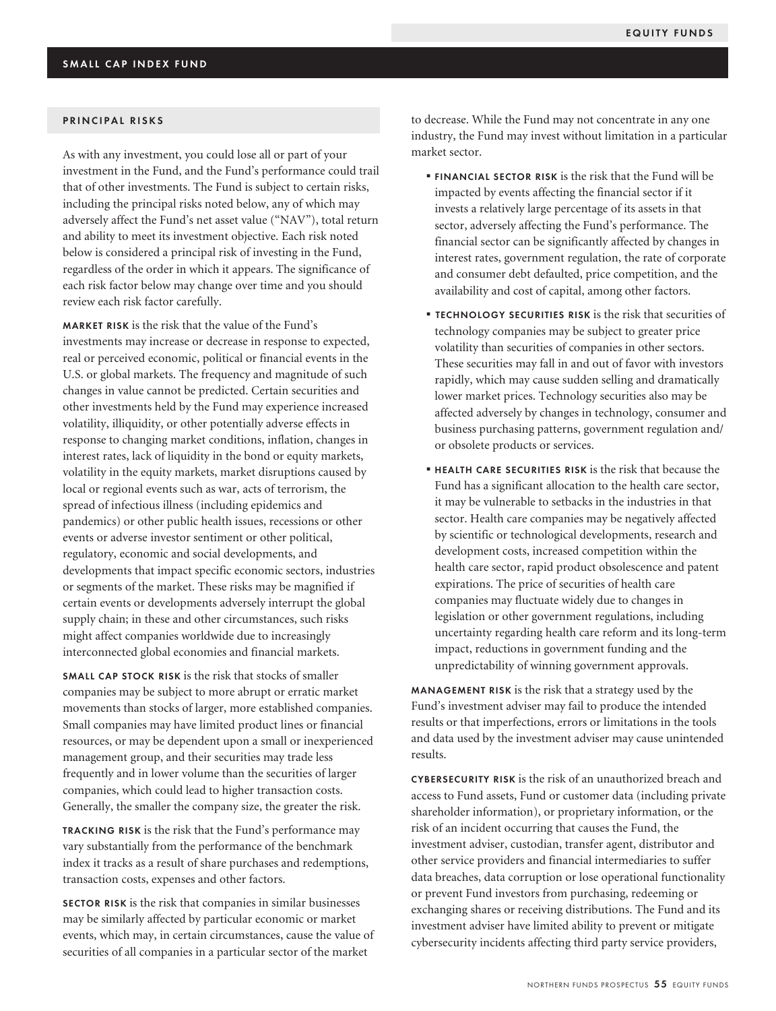## **PRINCIPAL RISKS**

As with any investment, you could lose all or part of your investment in the Fund, and the Fund's performance could trail that of other investments. The Fund is subject to certain risks, including the principal risks noted below, any of which may adversely affect the Fund's net asset value ("NAV"), total return and ability to meet its investment objective. Each risk noted below is considered a principal risk of investing in the Fund, regardless of the order in which it appears. The significance of each risk factor below may change over time and you should review each risk factor carefully.

**MARKET RISK** is the risk that the value of the Fund's investments may increase or decrease in response to expected, real or perceived economic, political or financial events in the U.S. or global markets. The frequency and magnitude of such changes in value cannot be predicted. Certain securities and other investments held by the Fund may experience increased volatility, illiquidity, or other potentially adverse effects in response to changing market conditions, inflation, changes in interest rates, lack of liquidity in the bond or equity markets, volatility in the equity markets, market disruptions caused by local or regional events such as war, acts of terrorism, the spread of infectious illness (including epidemics and pandemics) or other public health issues, recessions or other events or adverse investor sentiment or other political, regulatory, economic and social developments, and developments that impact specific economic sectors, industries or segments of the market. These risks may be magnified if certain events or developments adversely interrupt the global supply chain; in these and other circumstances, such risks might affect companies worldwide due to increasingly interconnected global economies and financial markets.

**SMALL CAP STOCK RISK** is the risk that stocks of smaller companies may be subject to more abrupt or erratic market movements than stocks of larger, more established companies. Small companies may have limited product lines or financial resources, or may be dependent upon a small or inexperienced management group, and their securities may trade less frequently and in lower volume than the securities of larger companies, which could lead to higher transaction costs. Generally, the smaller the company size, the greater the risk.

**TRACKING RISK** is the risk that the Fund's performance may vary substantially from the performance of the benchmark index it tracks as a result of share purchases and redemptions, transaction costs, expenses and other factors.

**SECTOR RISK** is the risk that companies in similar businesses may be similarly affected by particular economic or market events, which may, in certain circumstances, cause the value of securities of all companies in a particular sector of the market

to decrease. While the Fund may not concentrate in any one industry, the Fund may invest without limitation in a particular market sector.

- **FINANCIAL SECTOR RISK** is the risk that the Fund will be impacted by events affecting the financial sector if it invests a relatively large percentage of its assets in that sector, adversely affecting the Fund's performance. The financial sector can be significantly affected by changes in interest rates, government regulation, the rate of corporate and consumer debt defaulted, price competition, and the availability and cost of capital, among other factors.
- **EXECUATE:** TECHNOLOGY SECURITIES RISK is the risk that securities of technology companies may be subject to greater price volatility than securities of companies in other sectors. These securities may fall in and out of favor with investors rapidly, which may cause sudden selling and dramatically lower market prices. Technology securities also may be affected adversely by changes in technology, consumer and business purchasing patterns, government regulation and/ or obsolete products or services.
- **EXECUTE: HEALTH CARE SECURITIES RISK** is the risk that because the Fund has a significant allocation to the health care sector, it may be vulnerable to setbacks in the industries in that sector. Health care companies may be negatively affected by scientific or technological developments, research and development costs, increased competition within the health care sector, rapid product obsolescence and patent expirations. The price of securities of health care companies may fluctuate widely due to changes in legislation or other government regulations, including uncertainty regarding health care reform and its long-term impact, reductions in government funding and the unpredictability of winning government approvals.

**MANAGEMENT RISK** is the risk that a strategy used by the Fund's investment adviser may fail to produce the intended results or that imperfections, errors or limitations in the tools and data used by the investment adviser may cause unintended results.

**CYBERSECURITY RISK** is the risk of an unauthorized breach and access to Fund assets, Fund or customer data (including private shareholder information), or proprietary information, or the risk of an incident occurring that causes the Fund, the investment adviser, custodian, transfer agent, distributor and other service providers and financial intermediaries to suffer data breaches, data corruption or lose operational functionality or prevent Fund investors from purchasing, redeeming or exchanging shares or receiving distributions. The Fund and its investment adviser have limited ability to prevent or mitigate cybersecurity incidents affecting third party service providers,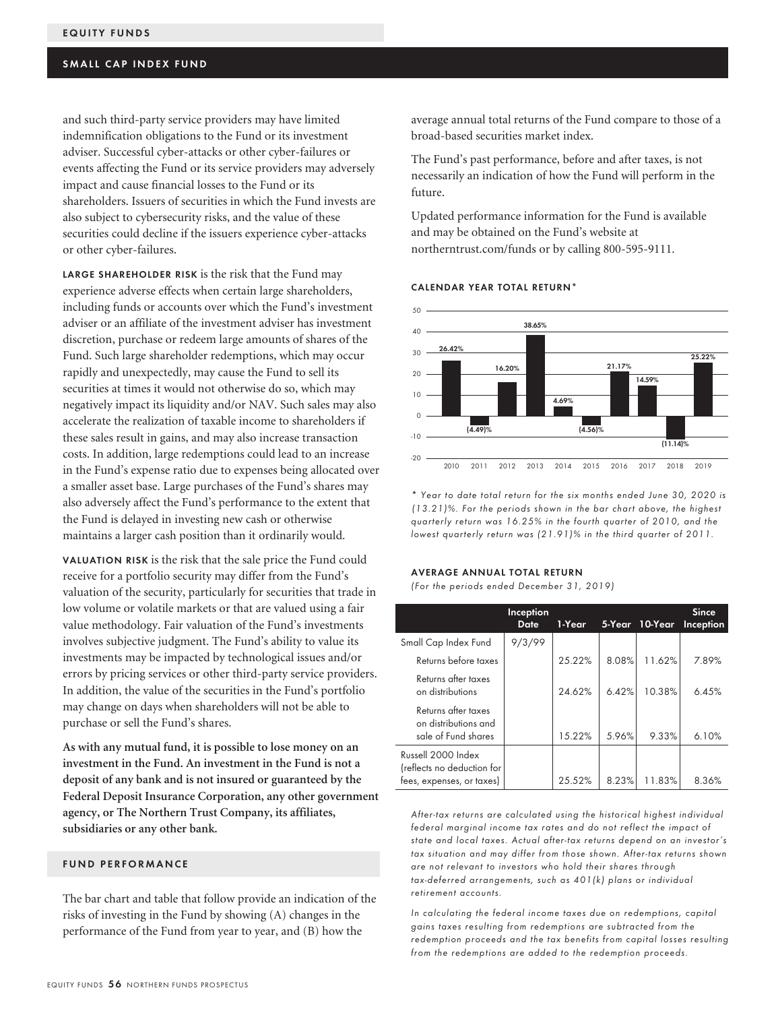#### **SMALL CAP INDEX FUND**

and such third-party service providers may have limited indemnification obligations to the Fund or its investment adviser. Successful cyber-attacks or other cyber-failures or events affecting the Fund or its service providers may adversely impact and cause financial losses to the Fund or its shareholders. Issuers of securities in which the Fund invests are also subject to cybersecurity risks, and the value of these securities could decline if the issuers experience cyber-attacks or other cyber-failures.

**LARGE SHAREHOLDER RISK** is the risk that the Fund may experience adverse effects when certain large shareholders, including funds or accounts over which the Fund's investment adviser or an affiliate of the investment adviser has investment discretion, purchase or redeem large amounts of shares of the Fund. Such large shareholder redemptions, which may occur rapidly and unexpectedly, may cause the Fund to sell its securities at times it would not otherwise do so, which may negatively impact its liquidity and/or NAV. Such sales may also accelerate the realization of taxable income to shareholders if these sales result in gains, and may also increase transaction costs. In addition, large redemptions could lead to an increase in the Fund's expense ratio due to expenses being allocated over a smaller asset base. Large purchases of the Fund's shares may also adversely affect the Fund's performance to the extent that the Fund is delayed in investing new cash or otherwise maintains a larger cash position than it ordinarily would.

**VALUATION RISK** is the risk that the sale price the Fund could receive for a portfolio security may differ from the Fund's valuation of the security, particularly for securities that trade in low volume or volatile markets or that are valued using a fair value methodology. Fair valuation of the Fund's investments involves subjective judgment. The Fund's ability to value its investments may be impacted by technological issues and/or errors by pricing services or other third-party service providers. In addition, the value of the securities in the Fund's portfolio may change on days when shareholders will not be able to purchase or sell the Fund's shares.

**As with any mutual fund, it is possible to lose money on an investment in the Fund. An investment in the Fund is not a deposit of any bank and is not insured or guaranteed by the Federal Deposit Insurance Corporation, any other government agency, or The Northern Trust Company, its affiliates, subsidiaries or any other bank.**

## **FUND PERFORMANCE**

The bar chart and table that follow provide an indication of the risks of investing in the Fund by showing (A) changes in the performance of the Fund from year to year, and (B) how the

average annual total returns of the Fund compare to those of a broad-based securities market index.

The Fund's past performance, before and after taxes, is not necessarily an indication of how the Fund will perform in the future.

Updated performance information for the Fund is available and may be obtained on the Fund's website at northerntrust.com/funds or by calling 800-595-9111.

**CALENDAR YEAR TOTAL RETURN\***



\* Year to date total return for the six months ended June 30, 2020 is (13.21)%. For the periods shown in the bar chart above, the highest quarterly return was 16.25% in the fourth quarter of 2010, and the lowest quarterly return was (21.91)% in the third quarter of 2011.

#### **AVERAGE ANNUAL TOTAL RETURN**

(For the periods ended December 31, 2019)

|                                                                               | Inception<br>Date | 1-Year | 5-Year | 10-Year | <b>Since</b><br>Inception |
|-------------------------------------------------------------------------------|-------------------|--------|--------|---------|---------------------------|
| Small Cap Index Fund                                                          | 9/3/99            |        |        |         |                           |
| Returns before taxes                                                          |                   | 25.22% | 8.08%  | 11.62%  | 7.89%                     |
| Returns after taxes<br>on distributions                                       |                   | 24.62% | 6.42%  | 10.38%  | 6.45%                     |
| Returns after taxes<br>on distributions and<br>sale of Fund shares            |                   | 15.22% | 5.96%  | 9.33%   | 6.10%                     |
| Russell 2000 Index<br>(reflects no deduction for<br>fees, expenses, or taxes) |                   | 25.52% | 8.23%  | 11.83%  | 8.36%                     |

After-tax returns are calculated using the historical highest individual federal marginal income tax rates and do not reflect the impact of state and local taxes. Actual after-tax returns depend on an investor's tax situation and may differ from those shown. After-tax returns shown are not relevant to investors who hold their shares through tax-deferred arrangements, such as 401(k) plans or individual retirement accounts.

In calculating the federal income taxes due on redemptions, capital gains taxes resulting from redemptions are subtracted from the redemption proceeds and the tax benefits from capital losses resulting from the redemptions are added to the redemption proceeds.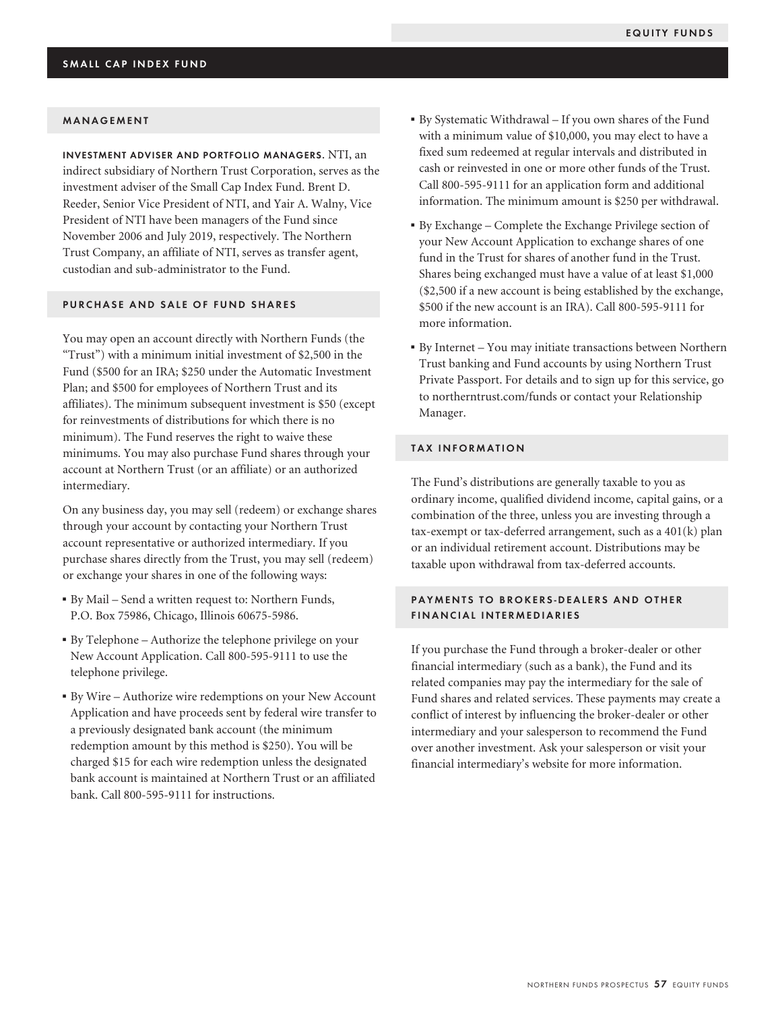## **MANAGEMENT**

**INVESTMENT ADVISER AND PORTFOLIO MANAGERS.** NTI, an indirect subsidiary of Northern Trust Corporation, serves as the investment adviser of the Small Cap Index Fund. Brent D. Reeder, Senior Vice President of NTI, and Yair A. Walny, Vice President of NTI have been managers of the Fund since November 2006 and July 2019, respectively. The Northern Trust Company, an affiliate of NTI, serves as transfer agent, custodian and sub-administrator to the Fund.

### **PURCHASE AND SALE OF FUND SHARES**

You may open an account directly with Northern Funds (the "Trust") with a minimum initial investment of \$2,500 in the Fund (\$500 for an IRA; \$250 under the Automatic Investment Plan; and \$500 for employees of Northern Trust and its affiliates). The minimum subsequent investment is \$50 (except for reinvestments of distributions for which there is no minimum). The Fund reserves the right to waive these minimums. You may also purchase Fund shares through your account at Northern Trust (or an affiliate) or an authorized intermediary.

On any business day, you may sell (redeem) or exchange shares through your account by contacting your Northern Trust account representative or authorized intermediary. If you purchase shares directly from the Trust, you may sell (redeem) or exchange your shares in one of the following ways:

- By Mail Send a written request to: Northern Funds, P.O. Box 75986, Chicago, Illinois 60675-5986.
- By Telephone Authorize the telephone privilege on your New Account Application. Call 800-595-9111 to use the telephone privilege.
- By Wire Authorize wire redemptions on your New Account Application and have proceeds sent by federal wire transfer to a previously designated bank account (the minimum redemption amount by this method is \$250). You will be charged \$15 for each wire redemption unless the designated bank account is maintained at Northern Trust or an affiliated bank. Call 800-595-9111 for instructions.
- By Systematic Withdrawal If you own shares of the Fund with a minimum value of \$10,000, you may elect to have a fixed sum redeemed at regular intervals and distributed in cash or reinvested in one or more other funds of the Trust. Call 800-595-9111 for an application form and additional information. The minimum amount is \$250 per withdrawal.
- $\bullet$  By Exchange Complete the Exchange Privilege section of your New Account Application to exchange shares of one fund in the Trust for shares of another fund in the Trust. Shares being exchanged must have a value of at least \$1,000 (\$2,500 if a new account is being established by the exchange, \$500 if the new account is an IRA). Call 800-595-9111 for more information.
- By Internet You may initiate transactions between Northern Trust banking and Fund accounts by using Northern Trust Private Passport. For details and to sign up for this service, go to northerntrust.com/funds or contact your Relationship Manager.

#### **TAX INFORMATION**

The Fund's distributions are generally taxable to you as ordinary income, qualified dividend income, capital gains, or a combination of the three, unless you are investing through a tax-exempt or tax-deferred arrangement, such as a 401(k) plan or an individual retirement account. Distributions may be taxable upon withdrawal from tax-deferred accounts.

## **PAYMENTS TO BROKERS-DEALERS AND OTHER FINANCIAL INTERMEDIARIES**

If you purchase the Fund through a broker-dealer or other financial intermediary (such as a bank), the Fund and its related companies may pay the intermediary for the sale of Fund shares and related services. These payments may create a conflict of interest by influencing the broker-dealer or other intermediary and your salesperson to recommend the Fund over another investment. Ask your salesperson or visit your financial intermediary's website for more information.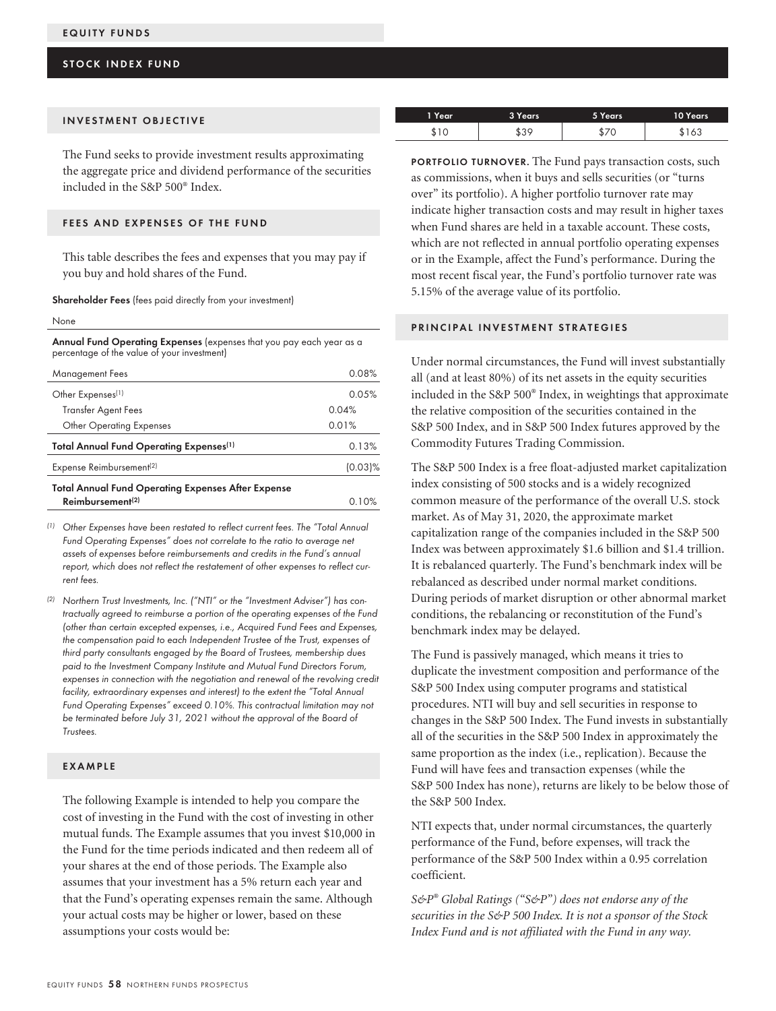## **INVESTMENT OBJECTIVE**

The Fund seeks to provide investment results approximating the aggregate price and dividend performance of the securities included in the S&P 500® Index.

#### **FEES AND EXPENSES OF THE FUND**

This table describes the fees and expenses that you may pay if you buy and hold shares of the Fund.

**Shareholder Fees** (fees paid directly from your investment)

None

**Annual Fund Operating Expenses** (expenses that you pay each year as a percentage of the value of your investment)

| Management Fees                                                                           | 0.08%      |
|-------------------------------------------------------------------------------------------|------------|
| Other Expenses <sup>(1)</sup>                                                             | 0.05%      |
| <b>Transfer Agent Fees</b>                                                                | 0.04%      |
| <b>Other Operating Expenses</b>                                                           | 0.01%      |
| Total Annual Fund Operating Expenses <sup>(1)</sup>                                       | 0.13%      |
| Expense Reimbursement <sup>(2)</sup>                                                      | $(0.03)\%$ |
| <b>Total Annual Fund Operating Expenses After Expense</b><br>Reimbursement <sup>(2)</sup> | 0.10%      |

(1) Other Expenses have been restated to reflect current fees. The "Total Annual Fund Operating Expenses" does not correlate to the ratio to average net assets of expenses before reimbursements and credits in the Fund's annual report, which does not reflect the restatement of other expenses to reflect current fees.

(2) Northern Trust Investments, Inc. ("NTI" or the "Investment Adviser") has contractually agreed to reimburse a portion of the operating expenses of the Fund (other than certain excepted expenses, i.e., Acquired Fund Fees and Expenses, the compensation paid to each Independent Trustee of the Trust, expenses of third party consultants engaged by the Board of Trustees, membership dues paid to the Investment Company Institute and Mutual Fund Directors Forum, expenses in connection with the negotiation and renewal of the revolving credit facility, extraordinary expenses and interest) to the extent the "Total Annual Fund Operating Expenses" exceed 0.10%. This contractual limitation may not be terminated before July 31, 2021 without the approval of the Board of **Trustees** 

#### **EXAMPLE**

The following Example is intended to help you compare the cost of investing in the Fund with the cost of investing in other mutual funds. The Example assumes that you invest \$10,000 in the Fund for the time periods indicated and then redeem all of your shares at the end of those periods. The Example also assumes that your investment has a 5% return each year and that the Fund's operating expenses remain the same. Although your actual costs may be higher or lower, based on these assumptions your costs would be:

| Year | 3 Years | 5 Years | 10 Years |
|------|---------|---------|----------|
| \$10 | \$39    | \$70    | \$163    |

**PORTFOLIO TURNOVER.** The Fund pays transaction costs, such as commissions, when it buys and sells securities (or "turns over" its portfolio). A higher portfolio turnover rate may indicate higher transaction costs and may result in higher taxes when Fund shares are held in a taxable account. These costs, which are not reflected in annual portfolio operating expenses or in the Example, affect the Fund's performance. During the most recent fiscal year, the Fund's portfolio turnover rate was 5.15% of the average value of its portfolio.

#### **PRINCIPAL INVESTMENT STRATEGIES**

Under normal circumstances, the Fund will invest substantially all (and at least 80%) of its net assets in the equity securities included in the S&P 500® Index, in weightings that approximate the relative composition of the securities contained in the S&P 500 Index, and in S&P 500 Index futures approved by the Commodity Futures Trading Commission.

The S&P 500 Index is a free float-adjusted market capitalization index consisting of 500 stocks and is a widely recognized common measure of the performance of the overall U.S. stock market. As of May 31, 2020, the approximate market capitalization range of the companies included in the S&P 500 Index was between approximately \$1.6 billion and \$1.4 trillion. It is rebalanced quarterly. The Fund's benchmark index will be rebalanced as described under normal market conditions. During periods of market disruption or other abnormal market conditions, the rebalancing or reconstitution of the Fund's benchmark index may be delayed.

The Fund is passively managed, which means it tries to duplicate the investment composition and performance of the S&P 500 Index using computer programs and statistical procedures. NTI will buy and sell securities in response to changes in the S&P 500 Index. The Fund invests in substantially all of the securities in the S&P 500 Index in approximately the same proportion as the index (i.e., replication). Because the Fund will have fees and transaction expenses (while the S&P 500 Index has none), returns are likely to be below those of the S&P 500 Index.

NTI expects that, under normal circumstances, the quarterly performance of the Fund, before expenses, will track the performance of the S&P 500 Index within a 0.95 correlation coefficient.

*S&P® Global Ratings ("S&P") does not endorse any of the securities in the S&P 500 Index. It is not a sponsor of the Stock Index Fund and is not affiliated with the Fund in any way.*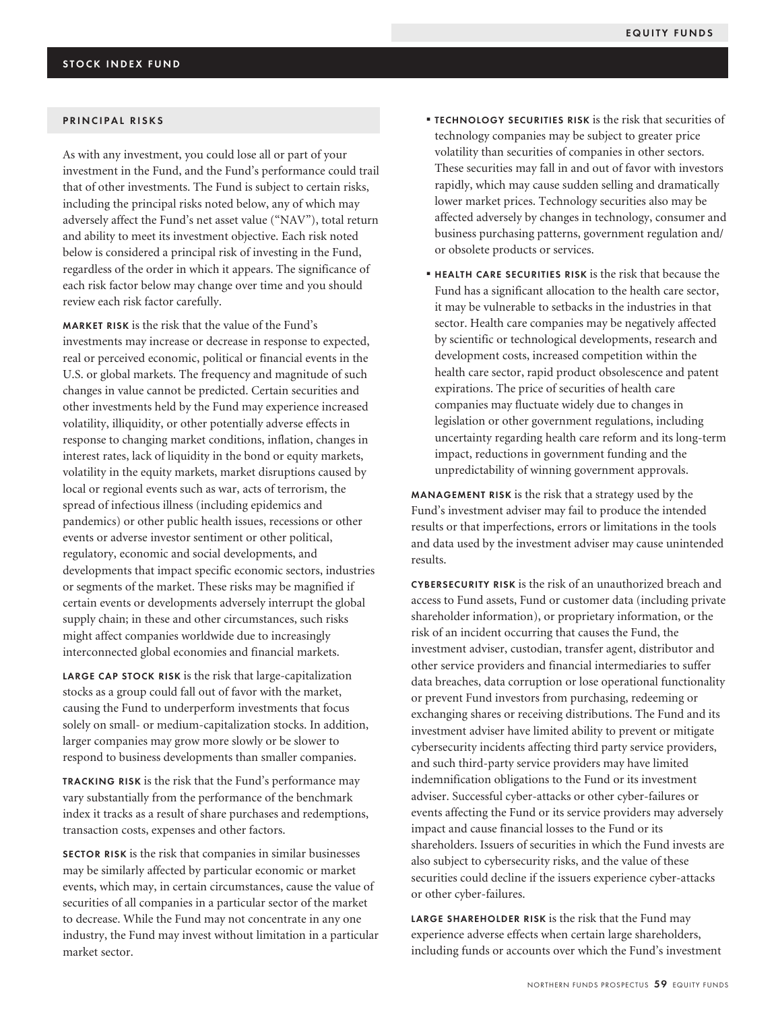## **PRINCIPAL RISKS**

As with any investment, you could lose all or part of your investment in the Fund, and the Fund's performance could trail that of other investments. The Fund is subject to certain risks, including the principal risks noted below, any of which may adversely affect the Fund's net asset value ("NAV"), total return and ability to meet its investment objective. Each risk noted below is considered a principal risk of investing in the Fund, regardless of the order in which it appears. The significance of each risk factor below may change over time and you should review each risk factor carefully.

**MARKET RISK** is the risk that the value of the Fund's investments may increase or decrease in response to expected, real or perceived economic, political or financial events in the U.S. or global markets. The frequency and magnitude of such changes in value cannot be predicted. Certain securities and other investments held by the Fund may experience increased volatility, illiquidity, or other potentially adverse effects in response to changing market conditions, inflation, changes in interest rates, lack of liquidity in the bond or equity markets, volatility in the equity markets, market disruptions caused by local or regional events such as war, acts of terrorism, the spread of infectious illness (including epidemics and pandemics) or other public health issues, recessions or other events or adverse investor sentiment or other political, regulatory, economic and social developments, and developments that impact specific economic sectors, industries or segments of the market. These risks may be magnified if certain events or developments adversely interrupt the global supply chain; in these and other circumstances, such risks might affect companies worldwide due to increasingly interconnected global economies and financial markets.

**LARGE CAP STOCK RISK** is the risk that large-capitalization stocks as a group could fall out of favor with the market, causing the Fund to underperform investments that focus solely on small- or medium-capitalization stocks. In addition, larger companies may grow more slowly or be slower to respond to business developments than smaller companies.

**TRACKING RISK** is the risk that the Fund's performance may vary substantially from the performance of the benchmark index it tracks as a result of share purchases and redemptions, transaction costs, expenses and other factors.

**SECTOR RISK** is the risk that companies in similar businesses may be similarly affected by particular economic or market events, which may, in certain circumstances, cause the value of securities of all companies in a particular sector of the market to decrease. While the Fund may not concentrate in any one industry, the Fund may invest without limitation in a particular market sector.

- **EXECUATE:** TECHNOLOGY SECURITIES RISK is the risk that securities of technology companies may be subject to greater price volatility than securities of companies in other sectors. These securities may fall in and out of favor with investors rapidly, which may cause sudden selling and dramatically lower market prices. Technology securities also may be affected adversely by changes in technology, consumer and business purchasing patterns, government regulation and/ or obsolete products or services.
- **EXECUTE CARE SECURITIES RISK** is the risk that because the Fund has a significant allocation to the health care sector, it may be vulnerable to setbacks in the industries in that sector. Health care companies may be negatively affected by scientific or technological developments, research and development costs, increased competition within the health care sector, rapid product obsolescence and patent expirations. The price of securities of health care companies may fluctuate widely due to changes in legislation or other government regulations, including uncertainty regarding health care reform and its long-term impact, reductions in government funding and the unpredictability of winning government approvals.

**MANAGEMENT RISK** is the risk that a strategy used by the Fund's investment adviser may fail to produce the intended results or that imperfections, errors or limitations in the tools and data used by the investment adviser may cause unintended results.

**CYBERSECURITY RISK** is the risk of an unauthorized breach and access to Fund assets, Fund or customer data (including private shareholder information), or proprietary information, or the risk of an incident occurring that causes the Fund, the investment adviser, custodian, transfer agent, distributor and other service providers and financial intermediaries to suffer data breaches, data corruption or lose operational functionality or prevent Fund investors from purchasing, redeeming or exchanging shares or receiving distributions. The Fund and its investment adviser have limited ability to prevent or mitigate cybersecurity incidents affecting third party service providers, and such third-party service providers may have limited indemnification obligations to the Fund or its investment adviser. Successful cyber-attacks or other cyber-failures or events affecting the Fund or its service providers may adversely impact and cause financial losses to the Fund or its shareholders. Issuers of securities in which the Fund invests are also subject to cybersecurity risks, and the value of these securities could decline if the issuers experience cyber-attacks or other cyber-failures.

**LARGE SHAREHOLDER RISK** is the risk that the Fund may experience adverse effects when certain large shareholders, including funds or accounts over which the Fund's investment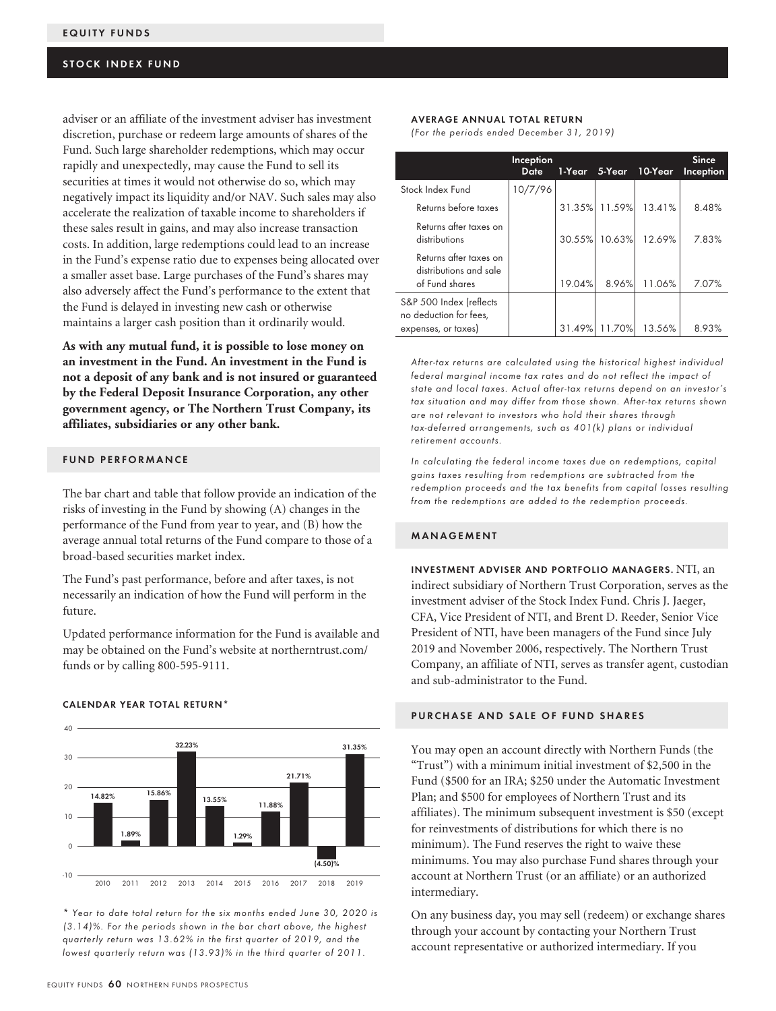#### **STOCK INDEX FUND**

adviser or an affiliate of the investment adviser has investment discretion, purchase or redeem large amounts of shares of the Fund. Such large shareholder redemptions, which may occur rapidly and unexpectedly, may cause the Fund to sell its securities at times it would not otherwise do so, which may negatively impact its liquidity and/or NAV. Such sales may also accelerate the realization of taxable income to shareholders if these sales result in gains, and may also increase transaction costs. In addition, large redemptions could lead to an increase in the Fund's expense ratio due to expenses being allocated over a smaller asset base. Large purchases of the Fund's shares may also adversely affect the Fund's performance to the extent that the Fund is delayed in investing new cash or otherwise maintains a larger cash position than it ordinarily would.

**As with any mutual fund, it is possible to lose money on an investment in the Fund. An investment in the Fund is not a deposit of any bank and is not insured or guaranteed by the Federal Deposit Insurance Corporation, any other government agency, or The Northern Trust Company, its affiliates, subsidiaries or any other bank.**

## **FUND PERFORMANCE**

The bar chart and table that follow provide an indication of the risks of investing in the Fund by showing (A) changes in the performance of the Fund from year to year, and (B) how the average annual total returns of the Fund compare to those of a broad-based securities market index.

The Fund's past performance, before and after taxes, is not necessarily an indication of how the Fund will perform in the future.

Updated performance information for the Fund is available and may be obtained on the Fund's website at northerntrust.com/ funds or by calling 800-595-9111.

#### -10  $\Omega$ 10  $20$ 30 40 2010 2011 2012 2013 2014 2015 2016 2018 2017 **15.86% 1.89% 14.82% 32.23% 13.55% 1.29% 11.88% 21.71% (4.50)% 31.35%** 2019

\* Year to date total return for the six months ended June 30, 2020 is (3.14)%. For the periods shown in the bar chart above, the highest quarterly return was 13.62% in the first quarter of 2019, and the lowest quarterly return was (13.93)% in the third quarter of 2011.

#### **AVERAGE ANNUAL TOTAL RETURN**

(For the periods ended December 31, 2019)

|                                                                          | Inception<br>Date |        | 1-Year 5-Year | 10-Year | <b>Since</b><br>Inception |
|--------------------------------------------------------------------------|-------------------|--------|---------------|---------|---------------------------|
| Stock Index Fund                                                         | 10/7/96           |        |               |         |                           |
| Returns before taxes                                                     |                   | 31.35% | 11.59%        | 13.41%  | 8.48%                     |
| Returns after taxes on<br>distributions                                  |                   | 30.55% | 10.63%        | 12.69%  | 7.83%                     |
| Returns after taxes on<br>distributions and sale<br>of Fund shares       |                   | 19.04% | 8.96%         | 11.06%  | 7.07%                     |
| S&P 500 Index (reflects<br>no deduction for fees,<br>expenses, or taxes) |                   | 31.49% | 11.70%        | 13.56%  | 8.93%                     |

After-tax returns are calculated using the historical highest individual federal marginal income tax rates and do not reflect the impact of state and local taxes. Actual after-tax returns depend on an investor's tax situation and may differ from those shown. After-tax returns shown are not relevant to investors who hold their shares through tax-deferred arrangements, such as 401(k) plans or individual retirement accounts.

In calculating the federal income taxes due on redemptions, capital gains taxes resulting from redemptions are subtracted from the redemption proceeds and the tax benefits from capital losses resulting from the redemptions are added to the redemption proceeds.

#### **MANAGEMENT**

**INVESTMENT ADVISER AND PORTFOLIO MANAGERS.** NTI, an indirect subsidiary of Northern Trust Corporation, serves as the investment adviser of the Stock Index Fund. Chris J. Jaeger, CFA, Vice President of NTI, and Brent D. Reeder, Senior Vice President of NTI, have been managers of the Fund since July 2019 and November 2006, respectively. The Northern Trust Company, an affiliate of NTI, serves as transfer agent, custodian and sub-administrator to the Fund.

### **PURCHASE AND SALE OF FUND SHARES**

You may open an account directly with Northern Funds (the "Trust") with a minimum initial investment of \$2,500 in the Fund (\$500 for an IRA; \$250 under the Automatic Investment Plan; and \$500 for employees of Northern Trust and its affiliates). The minimum subsequent investment is \$50 (except for reinvestments of distributions for which there is no minimum). The Fund reserves the right to waive these minimums. You may also purchase Fund shares through your account at Northern Trust (or an affiliate) or an authorized intermediary.

On any business day, you may sell (redeem) or exchange shares through your account by contacting your Northern Trust account representative or authorized intermediary. If you

**CALENDAR YEAR TOTAL RETURN\***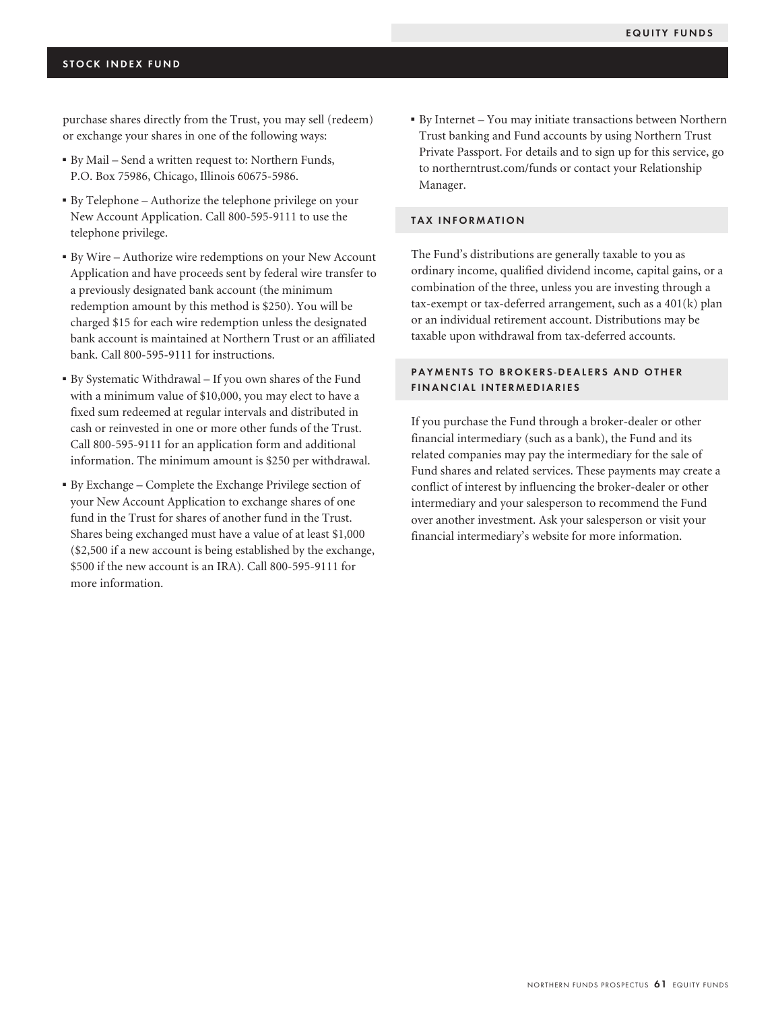#### **STOCK INDEX FUND**

purchase shares directly from the Trust, you may sell (redeem) or exchange your shares in one of the following ways:

- By Mail Send a written request to: Northern Funds, P.O. Box 75986, Chicago, Illinois 60675-5986.
- By Telephone Authorize the telephone privilege on your New Account Application. Call 800-595-9111 to use the telephone privilege.
- By Wire Authorize wire redemptions on your New Account Application and have proceeds sent by federal wire transfer to a previously designated bank account (the minimum redemption amount by this method is \$250). You will be charged \$15 for each wire redemption unless the designated bank account is maintained at Northern Trust or an affiliated bank. Call 800-595-9111 for instructions.
- By Systematic Withdrawal If you own shares of the Fund with a minimum value of \$10,000, you may elect to have a fixed sum redeemed at regular intervals and distributed in cash or reinvested in one or more other funds of the Trust. Call 800-595-9111 for an application form and additional information. The minimum amount is \$250 per withdrawal.
- By Exchange Complete the Exchange Privilege section of your New Account Application to exchange shares of one fund in the Trust for shares of another fund in the Trust. Shares being exchanged must have a value of at least \$1,000 (\$2,500 if a new account is being established by the exchange, \$500 if the new account is an IRA). Call 800-595-9111 for more information.

▪ By Internet – You may initiate transactions between Northern Trust banking and Fund accounts by using Northern Trust Private Passport. For details and to sign up for this service, go to northerntrust.com/funds or contact your Relationship Manager.

#### **TAX INFORMATION**

The Fund's distributions are generally taxable to you as ordinary income, qualified dividend income, capital gains, or a combination of the three, unless you are investing through a tax-exempt or tax-deferred arrangement, such as a 401(k) plan or an individual retirement account. Distributions may be taxable upon withdrawal from tax-deferred accounts.

## **PAYMENTS TO BROKERS-DEALERS AND OTHER FINANCIAL INTERMEDIARIES**

If you purchase the Fund through a broker-dealer or other financial intermediary (such as a bank), the Fund and its related companies may pay the intermediary for the sale of Fund shares and related services. These payments may create a conflict of interest by influencing the broker-dealer or other intermediary and your salesperson to recommend the Fund over another investment. Ask your salesperson or visit your financial intermediary's website for more information.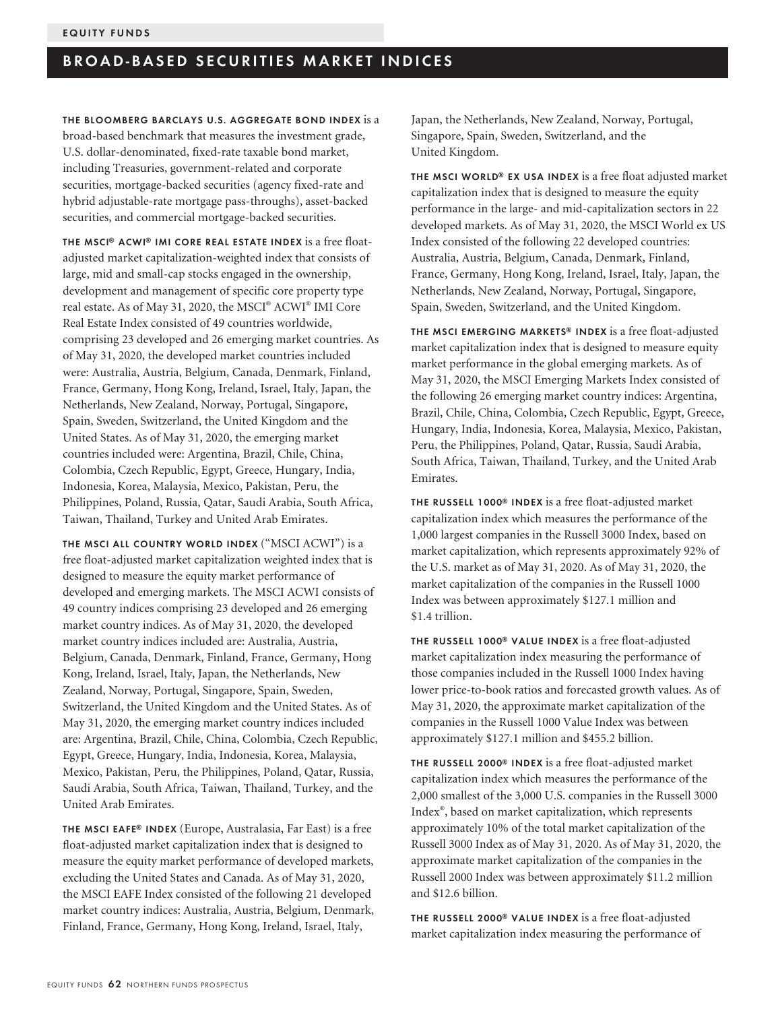# **BROAD-BASED SECURITIES MARKET INDICES**

**THE BLOOMBERG BARCLAYS U.S. AGGREGATE BOND INDEX** is a broad-based benchmark that measures the investment grade, U.S. dollar-denominated, fixed-rate taxable bond market, including Treasuries, government-related and corporate securities, mortgage-backed securities (agency fixed-rate and hybrid adjustable-rate mortgage pass-throughs), asset-backed securities, and commercial mortgage-backed securities.

**THE MSCI® ACWI® IMI CORE REAL ESTATE INDEX** is a free floatadjusted market capitalization-weighted index that consists of large, mid and small-cap stocks engaged in the ownership, development and management of specific core property type real estate. As of May 31, 2020, the MSCI® ACWI® IMI Core Real Estate Index consisted of 49 countries worldwide, comprising 23 developed and 26 emerging market countries. As of May 31, 2020, the developed market countries included were: Australia, Austria, Belgium, Canada, Denmark, Finland, France, Germany, Hong Kong, Ireland, Israel, Italy, Japan, the Netherlands, New Zealand, Norway, Portugal, Singapore, Spain, Sweden, Switzerland, the United Kingdom and the United States. As of May 31, 2020, the emerging market countries included were: Argentina, Brazil, Chile, China, Colombia, Czech Republic, Egypt, Greece, Hungary, India, Indonesia, Korea, Malaysia, Mexico, Pakistan, Peru, the Philippines, Poland, Russia, Qatar, Saudi Arabia, South Africa, Taiwan, Thailand, Turkey and United Arab Emirates.

**THE MSCI ALL COUNTRY WORLD INDEX** ("MSCI ACWI") is a free float-adjusted market capitalization weighted index that is designed to measure the equity market performance of developed and emerging markets. The MSCI ACWI consists of 49 country indices comprising 23 developed and 26 emerging market country indices. As of May 31, 2020, the developed market country indices included are: Australia, Austria, Belgium, Canada, Denmark, Finland, France, Germany, Hong Kong, Ireland, Israel, Italy, Japan, the Netherlands, New Zealand, Norway, Portugal, Singapore, Spain, Sweden, Switzerland, the United Kingdom and the United States. As of May 31, 2020, the emerging market country indices included are: Argentina, Brazil, Chile, China, Colombia, Czech Republic, Egypt, Greece, Hungary, India, Indonesia, Korea, Malaysia, Mexico, Pakistan, Peru, the Philippines, Poland, Qatar, Russia, Saudi Arabia, South Africa, Taiwan, Thailand, Turkey, and the United Arab Emirates.

**THE MSCI EAFE® INDEX** (Europe, Australasia, Far East) is a free float-adjusted market capitalization index that is designed to measure the equity market performance of developed markets, excluding the United States and Canada. As of May 31, 2020, the MSCI EAFE Index consisted of the following 21 developed market country indices: Australia, Austria, Belgium, Denmark, Finland, France, Germany, Hong Kong, Ireland, Israel, Italy,

Japan, the Netherlands, New Zealand, Norway, Portugal, Singapore, Spain, Sweden, Switzerland, and the United Kingdom.

**THE MSCI WORLD® EX USA INDEX** is a free float adjusted market capitalization index that is designed to measure the equity performance in the large- and mid-capitalization sectors in 22 developed markets. As of May 31, 2020, the MSCI World ex US Index consisted of the following 22 developed countries: Australia, Austria, Belgium, Canada, Denmark, Finland, France, Germany, Hong Kong, Ireland, Israel, Italy, Japan, the Netherlands, New Zealand, Norway, Portugal, Singapore, Spain, Sweden, Switzerland, and the United Kingdom.

**THE MSCI EMERGING MARKETS® INDEX** is a free float-adjusted market capitalization index that is designed to measure equity market performance in the global emerging markets. As of May 31, 2020, the MSCI Emerging Markets Index consisted of the following 26 emerging market country indices: Argentina, Brazil, Chile, China, Colombia, Czech Republic, Egypt, Greece, Hungary, India, Indonesia, Korea, Malaysia, Mexico, Pakistan, Peru, the Philippines, Poland, Qatar, Russia, Saudi Arabia, South Africa, Taiwan, Thailand, Turkey, and the United Arab Emirates.

**THE RUSSELL 1000® INDEX** is a free float-adjusted market capitalization index which measures the performance of the 1,000 largest companies in the Russell 3000 Index, based on market capitalization, which represents approximately 92% of the U.S. market as of May 31, 2020. As of May 31, 2020, the market capitalization of the companies in the Russell 1000 Index was between approximately \$127.1 million and \$1.4 trillion.

**THE RUSSELL 1000® VALUE INDEX** is a free float-adjusted market capitalization index measuring the performance of those companies included in the Russell 1000 Index having lower price-to-book ratios and forecasted growth values. As of May 31, 2020, the approximate market capitalization of the companies in the Russell 1000 Value Index was between approximately \$127.1 million and \$455.2 billion.

**THE RUSSELL 2000® INDEX** is a free float-adjusted market capitalization index which measures the performance of the 2,000 smallest of the 3,000 U.S. companies in the Russell 3000 Index®, based on market capitalization, which represents approximately 10% of the total market capitalization of the Russell 3000 Index as of May 31, 2020. As of May 31, 2020, the approximate market capitalization of the companies in the Russell 2000 Index was between approximately \$11.2 million and \$12.6 billion.

**THE RUSSELL 2000® VALUE INDEX** is a free float-adjusted market capitalization index measuring the performance of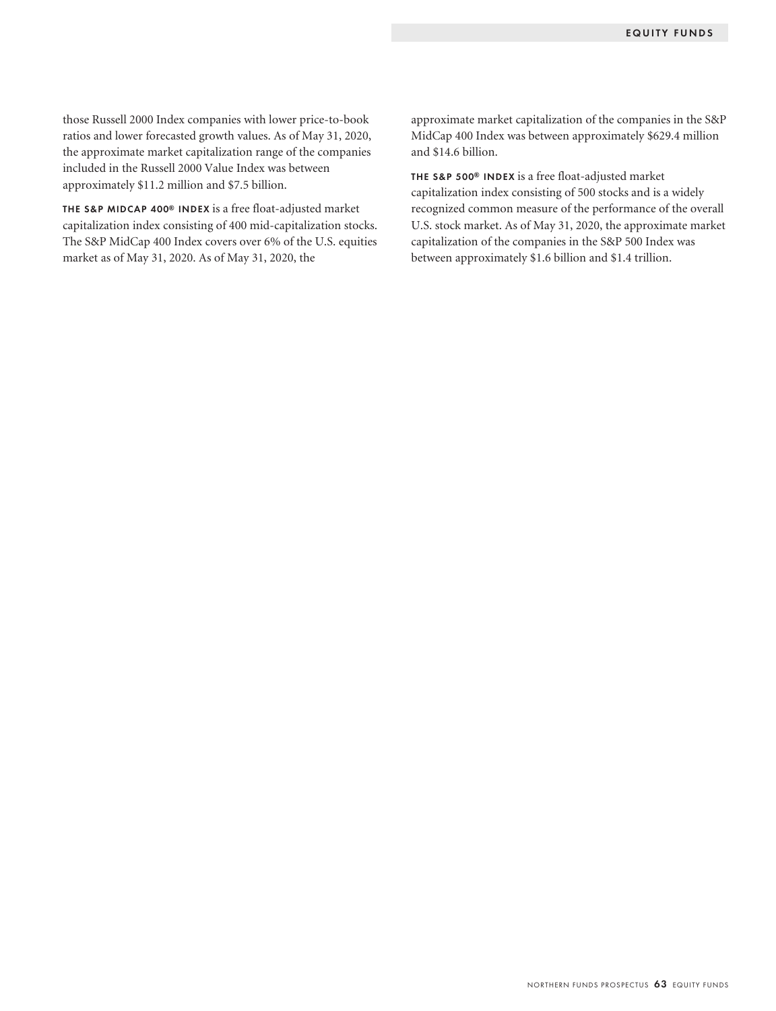those Russell 2000 Index companies with lower price-to-book ratios and lower forecasted growth values. As of May 31, 2020, the approximate market capitalization range of the companies included in the Russell 2000 Value Index was between approximately \$11.2 million and \$7.5 billion.

**THE S&P MIDCAP 400® INDEX** is a free float-adjusted market capitalization index consisting of 400 mid-capitalization stocks. The S&P MidCap 400 Index covers over 6% of the U.S. equities market as of May 31, 2020. As of May 31, 2020, the

approximate market capitalization of the companies in the S&P MidCap 400 Index was between approximately \$629.4 million and \$14.6 billion.

**THE S&P 500® INDEX** is a free float-adjusted market capitalization index consisting of 500 stocks and is a widely recognized common measure of the performance of the overall U.S. stock market. As of May 31, 2020, the approximate market capitalization of the companies in the S&P 500 Index was between approximately \$1.6 billion and \$1.4 trillion.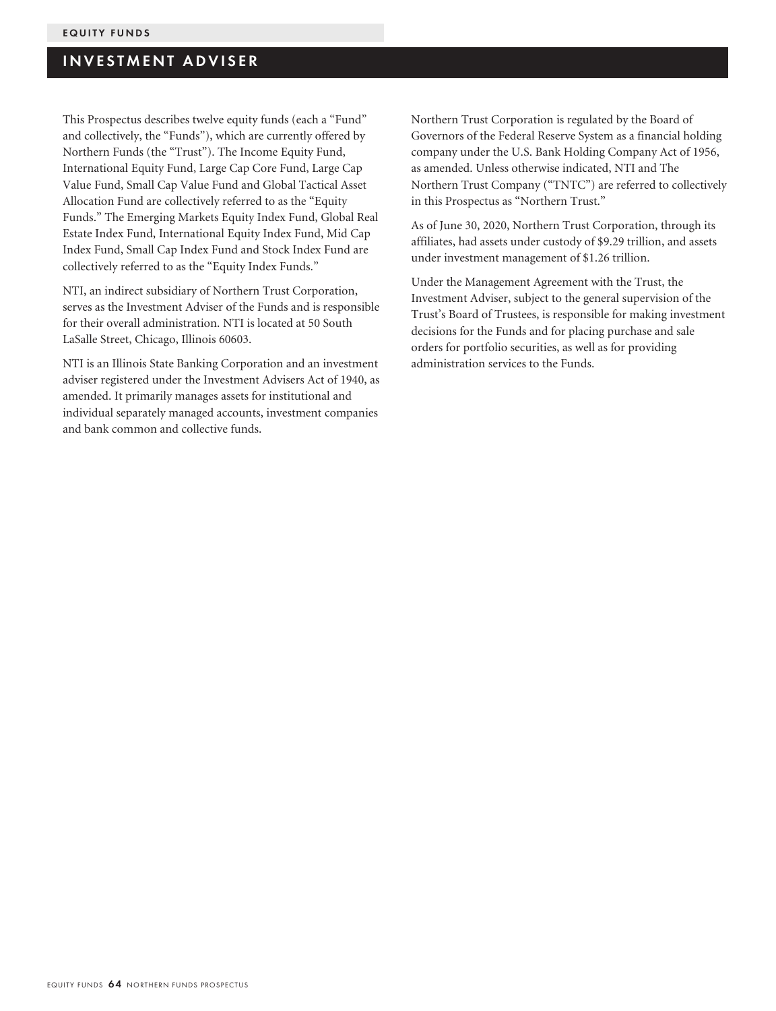## **INVESTMENT ADVISER**

This Prospectus describes twelve equity funds (each a "Fund" and collectively, the "Funds"), which are currently offered by Northern Funds (the "Trust"). The Income Equity Fund, International Equity Fund, Large Cap Core Fund, Large Cap Value Fund, Small Cap Value Fund and Global Tactical Asset Allocation Fund are collectively referred to as the "Equity Funds." The Emerging Markets Equity Index Fund, Global Real Estate Index Fund, International Equity Index Fund, Mid Cap Index Fund, Small Cap Index Fund and Stock Index Fund are collectively referred to as the "Equity Index Funds."

NTI, an indirect subsidiary of Northern Trust Corporation, serves as the Investment Adviser of the Funds and is responsible for their overall administration. NTI is located at 50 South LaSalle Street, Chicago, Illinois 60603.

NTI is an Illinois State Banking Corporation and an investment adviser registered under the Investment Advisers Act of 1940, as amended. It primarily manages assets for institutional and individual separately managed accounts, investment companies and bank common and collective funds.

Northern Trust Corporation is regulated by the Board of Governors of the Federal Reserve System as a financial holding company under the U.S. Bank Holding Company Act of 1956, as amended. Unless otherwise indicated, NTI and The Northern Trust Company ("TNTC") are referred to collectively in this Prospectus as "Northern Trust."

As of June 30, 2020, Northern Trust Corporation, through its affiliates, had assets under custody of \$9.29 trillion, and assets under investment management of \$1.26 trillion.

Under the Management Agreement with the Trust, the Investment Adviser, subject to the general supervision of the Trust's Board of Trustees, is responsible for making investment decisions for the Funds and for placing purchase and sale orders for portfolio securities, as well as for providing administration services to the Funds.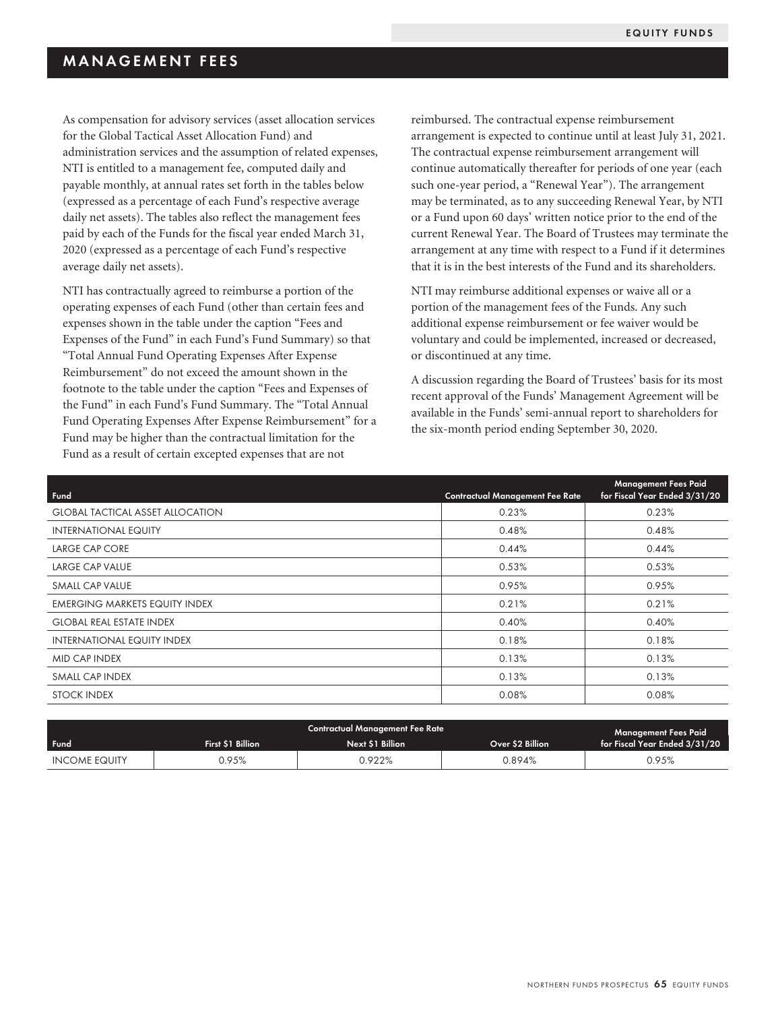## **MANAGEMENT FEES**

As compensation for advisory services (asset allocation services for the Global Tactical Asset Allocation Fund) and administration services and the assumption of related expenses, NTI is entitled to a management fee, computed daily and payable monthly, at annual rates set forth in the tables below (expressed as a percentage of each Fund's respective average daily net assets). The tables also reflect the management fees paid by each of the Funds for the fiscal year ended March 31, 2020 (expressed as a percentage of each Fund's respective average daily net assets).

NTI has contractually agreed to reimburse a portion of the operating expenses of each Fund (other than certain fees and expenses shown in the table under the caption "Fees and Expenses of the Fund" in each Fund's Fund Summary) so that "Total Annual Fund Operating Expenses After Expense Reimbursement" do not exceed the amount shown in the footnote to the table under the caption "Fees and Expenses of the Fund" in each Fund's Fund Summary. The "Total Annual Fund Operating Expenses After Expense Reimbursement" for a Fund may be higher than the contractual limitation for the Fund as a result of certain excepted expenses that are not

reimbursed. The contractual expense reimbursement arrangement is expected to continue until at least July 31, 2021. The contractual expense reimbursement arrangement will continue automatically thereafter for periods of one year (each such one-year period, a "Renewal Year"). The arrangement may be terminated, as to any succeeding Renewal Year, by NTI or a Fund upon 60 days' written notice prior to the end of the current Renewal Year. The Board of Trustees may terminate the arrangement at any time with respect to a Fund if it determines that it is in the best interests of the Fund and its shareholders.

NTI may reimburse additional expenses or waive all or a portion of the management fees of the Funds. Any such additional expense reimbursement or fee waiver would be voluntary and could be implemented, increased or decreased, or discontinued at any time.

A discussion regarding the Board of Trustees' basis for its most recent approval of the Funds' Management Agreement will be available in the Funds' semi-annual report to shareholders for the six-month period ending September 30, 2020.

| Fund                                    | <b>Contractual Management Fee Rate</b> | <b>Management Fees Paid</b><br>for Fiscal Year Ended 3/31/20 |
|-----------------------------------------|----------------------------------------|--------------------------------------------------------------|
| <b>GLOBAL TACTICAL ASSET ALLOCATION</b> | 0.23%                                  | 0.23%                                                        |
| <b>INTERNATIONAL EQUITY</b>             | 0.48%                                  | 0.48%                                                        |
| LARGE CAP CORE                          | 0.44%                                  | 0.44%                                                        |
| LARGE CAP VALUE                         | 0.53%                                  | 0.53%                                                        |
| SMALL CAP VALUE                         | 0.95%                                  | 0.95%                                                        |
| <b>EMERGING MARKETS EQUITY INDEX</b>    | 0.21%                                  | 0.21%                                                        |
| <b>GLOBAL REAL ESTATE INDEX</b>         | 0.40%                                  | 0.40%                                                        |
| <b>INTERNATIONAL EQUITY INDEX</b>       | 0.18%                                  | 0.18%                                                        |
| <b>MID CAP INDEX</b>                    | 0.13%                                  | 0.13%                                                        |
| SMALL CAP INDEX                         | 0.13%                                  | 0.13%                                                        |
| <b>STOCK INDEX</b>                      | 0.08%                                  | 0.08%                                                        |

|               | Management Fees Paid |                  |                  |                               |
|---------------|----------------------|------------------|------------------|-------------------------------|
| <b>Fund</b>   | First \$1 Billion    | Next \$1 Billion | Over \$2 Billion | for Fiscal Year Ended 3/31/20 |
| INCOME EQUITY | 0.95%                | 0.922%           | 0.894%           | 0.95%                         |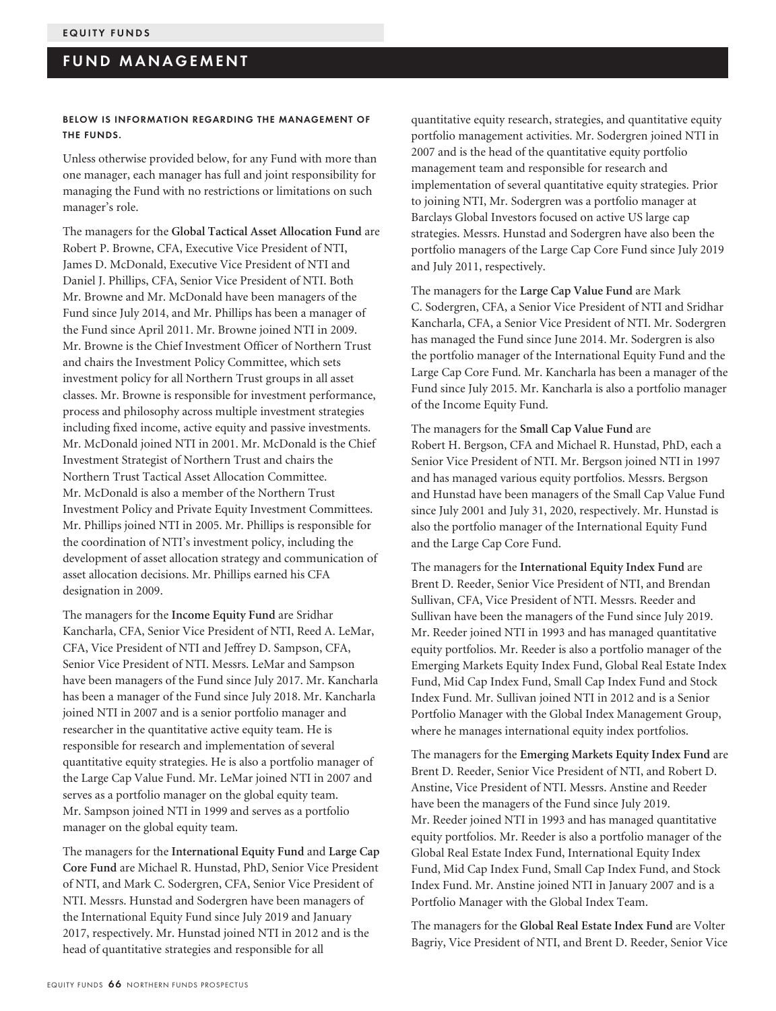## **FUND MANAGEMENT**

### **BELOW IS INFORMATION REGARDING THE MANAGEMENT OF THE FUNDS.**

Unless otherwise provided below, for any Fund with more than one manager, each manager has full and joint responsibility for managing the Fund with no restrictions or limitations on such manager's role.

The managers for the **Global Tactical Asset Allocation Fund** are Robert P. Browne, CFA, Executive Vice President of NTI, James D. McDonald, Executive Vice President of NTI and Daniel J. Phillips, CFA, Senior Vice President of NTI. Both Mr. Browne and Mr. McDonald have been managers of the Fund since July 2014, and Mr. Phillips has been a manager of the Fund since April 2011. Mr. Browne joined NTI in 2009. Mr. Browne is the Chief Investment Officer of Northern Trust and chairs the Investment Policy Committee, which sets investment policy for all Northern Trust groups in all asset classes. Mr. Browne is responsible for investment performance, process and philosophy across multiple investment strategies including fixed income, active equity and passive investments. Mr. McDonald joined NTI in 2001. Mr. McDonald is the Chief Investment Strategist of Northern Trust and chairs the Northern Trust Tactical Asset Allocation Committee. Mr. McDonald is also a member of the Northern Trust Investment Policy and Private Equity Investment Committees. Mr. Phillips joined NTI in 2005. Mr. Phillips is responsible for the coordination of NTI's investment policy, including the development of asset allocation strategy and communication of asset allocation decisions. Mr. Phillips earned his CFA designation in 2009.

The managers for the **Income Equity Fund** are Sridhar Kancharla, CFA, Senior Vice President of NTI, Reed A. LeMar, CFA, Vice President of NTI and Jeffrey D. Sampson, CFA, Senior Vice President of NTI. Messrs. LeMar and Sampson have been managers of the Fund since July 2017. Mr. Kancharla has been a manager of the Fund since July 2018. Mr. Kancharla joined NTI in 2007 and is a senior portfolio manager and researcher in the quantitative active equity team. He is responsible for research and implementation of several quantitative equity strategies. He is also a portfolio manager of the Large Cap Value Fund. Mr. LeMar joined NTI in 2007 and serves as a portfolio manager on the global equity team. Mr. Sampson joined NTI in 1999 and serves as a portfolio manager on the global equity team.

The managers for the **International Equity Fund** and **Large Cap Core Fund** are Michael R. Hunstad, PhD, Senior Vice President of NTI, and Mark C. Sodergren, CFA, Senior Vice President of NTI. Messrs. Hunstad and Sodergren have been managers of the International Equity Fund since July 2019 and January 2017, respectively. Mr. Hunstad joined NTI in 2012 and is the head of quantitative strategies and responsible for all

quantitative equity research, strategies, and quantitative equity portfolio management activities. Mr. Sodergren joined NTI in 2007 and is the head of the quantitative equity portfolio management team and responsible for research and implementation of several quantitative equity strategies. Prior to joining NTI, Mr. Sodergren was a portfolio manager at Barclays Global Investors focused on active US large cap strategies. Messrs. Hunstad and Sodergren have also been the portfolio managers of the Large Cap Core Fund since July 2019 and July 2011, respectively.

The managers for the **Large Cap Value Fund** are Mark C. Sodergren, CFA, a Senior Vice President of NTI and Sridhar Kancharla, CFA, a Senior Vice President of NTI. Mr. Sodergren has managed the Fund since June 2014. Mr. Sodergren is also the portfolio manager of the International Equity Fund and the Large Cap Core Fund. Mr. Kancharla has been a manager of the Fund since July 2015. Mr. Kancharla is also a portfolio manager of the Income Equity Fund.

The managers for the **Small Cap Value Fund** are Robert H. Bergson, CFA and Michael R. Hunstad, PhD, each a Senior Vice President of NTI. Mr. Bergson joined NTI in 1997 and has managed various equity portfolios. Messrs. Bergson and Hunstad have been managers of the Small Cap Value Fund since July 2001 and July 31, 2020, respectively. Mr. Hunstad is also the portfolio manager of the International Equity Fund and the Large Cap Core Fund.

The managers for the **International Equity Index Fund** are Brent D. Reeder, Senior Vice President of NTI, and Brendan Sullivan, CFA, Vice President of NTI. Messrs. Reeder and Sullivan have been the managers of the Fund since July 2019. Mr. Reeder joined NTI in 1993 and has managed quantitative equity portfolios. Mr. Reeder is also a portfolio manager of the Emerging Markets Equity Index Fund, Global Real Estate Index Fund, Mid Cap Index Fund, Small Cap Index Fund and Stock Index Fund. Mr. Sullivan joined NTI in 2012 and is a Senior Portfolio Manager with the Global Index Management Group, where he manages international equity index portfolios.

The managers for the **Emerging Markets Equity Index Fund** are Brent D. Reeder, Senior Vice President of NTI, and Robert D. Anstine, Vice President of NTI. Messrs. Anstine and Reeder have been the managers of the Fund since July 2019. Mr. Reeder joined NTI in 1993 and has managed quantitative equity portfolios. Mr. Reeder is also a portfolio manager of the Global Real Estate Index Fund, International Equity Index Fund, Mid Cap Index Fund, Small Cap Index Fund, and Stock Index Fund. Mr. Anstine joined NTI in January 2007 and is a Portfolio Manager with the Global Index Team.

The managers for the **Global Real Estate Index Fund** are Volter Bagriy, Vice President of NTI, and Brent D. Reeder, Senior Vice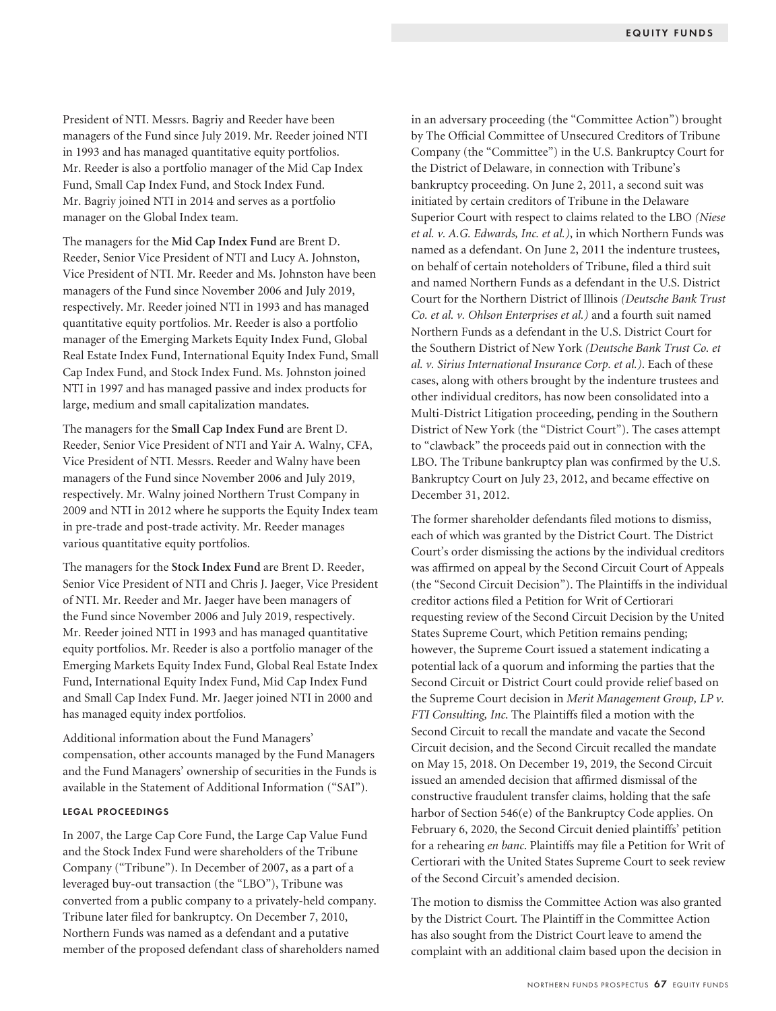President of NTI. Messrs. Bagriy and Reeder have been managers of the Fund since July 2019. Mr. Reeder joined NTI in 1993 and has managed quantitative equity portfolios. Mr. Reeder is also a portfolio manager of the Mid Cap Index Fund, Small Cap Index Fund, and Stock Index Fund. Mr. Bagriy joined NTI in 2014 and serves as a portfolio manager on the Global Index team.

The managers for the **Mid Cap Index Fund** are Brent D. Reeder, Senior Vice President of NTI and Lucy A. Johnston, Vice President of NTI. Mr. Reeder and Ms. Johnston have been managers of the Fund since November 2006 and July 2019, respectively. Mr. Reeder joined NTI in 1993 and has managed quantitative equity portfolios. Mr. Reeder is also a portfolio manager of the Emerging Markets Equity Index Fund, Global Real Estate Index Fund, International Equity Index Fund, Small Cap Index Fund, and Stock Index Fund. Ms. Johnston joined NTI in 1997 and has managed passive and index products for large, medium and small capitalization mandates.

The managers for the **Small Cap Index Fund** are Brent D. Reeder, Senior Vice President of NTI and Yair A. Walny, CFA, Vice President of NTI. Messrs. Reeder and Walny have been managers of the Fund since November 2006 and July 2019, respectively. Mr. Walny joined Northern Trust Company in 2009 and NTI in 2012 where he supports the Equity Index team in pre-trade and post-trade activity. Mr. Reeder manages various quantitative equity portfolios.

The managers for the **Stock Index Fund** are Brent D. Reeder, Senior Vice President of NTI and Chris J. Jaeger, Vice President of NTI. Mr. Reeder and Mr. Jaeger have been managers of the Fund since November 2006 and July 2019, respectively. Mr. Reeder joined NTI in 1993 and has managed quantitative equity portfolios. Mr. Reeder is also a portfolio manager of the Emerging Markets Equity Index Fund, Global Real Estate Index Fund, International Equity Index Fund, Mid Cap Index Fund and Small Cap Index Fund. Mr. Jaeger joined NTI in 2000 and has managed equity index portfolios.

Additional information about the Fund Managers' compensation, other accounts managed by the Fund Managers and the Fund Managers' ownership of securities in the Funds is available in the Statement of Additional Information ("SAI").

#### **LEGAL PROCEEDINGS**

In 2007, the Large Cap Core Fund, the Large Cap Value Fund and the Stock Index Fund were shareholders of the Tribune Company ("Tribune"). In December of 2007, as a part of a leveraged buy-out transaction (the "LBO"), Tribune was converted from a public company to a privately-held company. Tribune later filed for bankruptcy. On December 7, 2010, Northern Funds was named as a defendant and a putative member of the proposed defendant class of shareholders named in an adversary proceeding (the "Committee Action") brought by The Official Committee of Unsecured Creditors of Tribune Company (the "Committee") in the U.S. Bankruptcy Court for the District of Delaware, in connection with Tribune's bankruptcy proceeding. On June 2, 2011, a second suit was initiated by certain creditors of Tribune in the Delaware Superior Court with respect to claims related to the LBO *(Niese et al. v. A.G. Edwards, Inc. et al.)*, in which Northern Funds was named as a defendant. On June 2, 2011 the indenture trustees, on behalf of certain noteholders of Tribune, filed a third suit and named Northern Funds as a defendant in the U.S. District Court for the Northern District of Illinois *(Deutsche Bank Trust Co. et al. v. Ohlson Enterprises et al.)* and a fourth suit named Northern Funds as a defendant in the U.S. District Court for the Southern District of New York *(Deutsche Bank Trust Co. et al. v. Sirius International Insurance Corp. et al.)*. Each of these cases, along with others brought by the indenture trustees and other individual creditors, has now been consolidated into a Multi-District Litigation proceeding, pending in the Southern District of New York (the "District Court"). The cases attempt to "clawback" the proceeds paid out in connection with the LBO. The Tribune bankruptcy plan was confirmed by the U.S. Bankruptcy Court on July 23, 2012, and became effective on December 31, 2012.

The former shareholder defendants filed motions to dismiss, each of which was granted by the District Court. The District Court's order dismissing the actions by the individual creditors was affirmed on appeal by the Second Circuit Court of Appeals (the "Second Circuit Decision"). The Plaintiffs in the individual creditor actions filed a Petition for Writ of Certiorari requesting review of the Second Circuit Decision by the United States Supreme Court, which Petition remains pending; however, the Supreme Court issued a statement indicating a potential lack of a quorum and informing the parties that the Second Circuit or District Court could provide relief based on the Supreme Court decision in *Merit Management Group, LP v. FTI Consulting, Inc*. The Plaintiffs filed a motion with the Second Circuit to recall the mandate and vacate the Second Circuit decision, and the Second Circuit recalled the mandate on May 15, 2018. On December 19, 2019, the Second Circuit issued an amended decision that affirmed dismissal of the constructive fraudulent transfer claims, holding that the safe harbor of Section 546(e) of the Bankruptcy Code applies. On February 6, 2020, the Second Circuit denied plaintiffs' petition for a rehearing *en banc*. Plaintiffs may file a Petition for Writ of Certiorari with the United States Supreme Court to seek review of the Second Circuit's amended decision.

The motion to dismiss the Committee Action was also granted by the District Court. The Plaintiff in the Committee Action has also sought from the District Court leave to amend the complaint with an additional claim based upon the decision in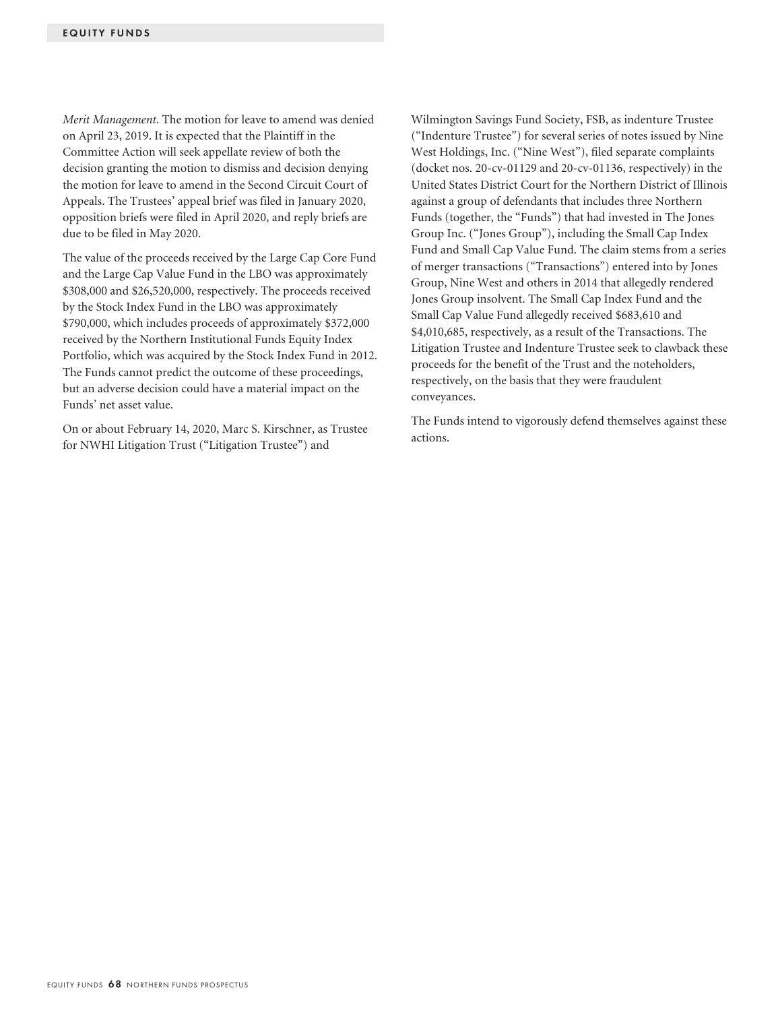*Merit Management*. The motion for leave to amend was denied on April 23, 2019. It is expected that the Plaintiff in the Committee Action will seek appellate review of both the decision granting the motion to dismiss and decision denying the motion for leave to amend in the Second Circuit Court of Appeals. The Trustees' appeal brief was filed in January 2020, opposition briefs were filed in April 2020, and reply briefs are due to be filed in May 2020.

The value of the proceeds received by the Large Cap Core Fund and the Large Cap Value Fund in the LBO was approximately \$308,000 and \$26,520,000, respectively. The proceeds received by the Stock Index Fund in the LBO was approximately \$790,000, which includes proceeds of approximately \$372,000 received by the Northern Institutional Funds Equity Index Portfolio, which was acquired by the Stock Index Fund in 2012. The Funds cannot predict the outcome of these proceedings, but an adverse decision could have a material impact on the Funds' net asset value.

On or about February 14, 2020, Marc S. Kirschner, as Trustee for NWHI Litigation Trust ("Litigation Trustee") and

Wilmington Savings Fund Society, FSB, as indenture Trustee ("Indenture Trustee") for several series of notes issued by Nine West Holdings, Inc. ("Nine West"), filed separate complaints (docket nos. 20-cv-01129 and 20-cv-01136, respectively) in the United States District Court for the Northern District of Illinois against a group of defendants that includes three Northern Funds (together, the "Funds") that had invested in The Jones Group Inc. ("Jones Group"), including the Small Cap Index Fund and Small Cap Value Fund. The claim stems from a series of merger transactions ("Transactions") entered into by Jones Group, Nine West and others in 2014 that allegedly rendered Jones Group insolvent. The Small Cap Index Fund and the Small Cap Value Fund allegedly received \$683,610 and \$4,010,685, respectively, as a result of the Transactions. The Litigation Trustee and Indenture Trustee seek to clawback these proceeds for the benefit of the Trust and the noteholders, respectively, on the basis that they were fraudulent conveyances.

The Funds intend to vigorously defend themselves against these actions.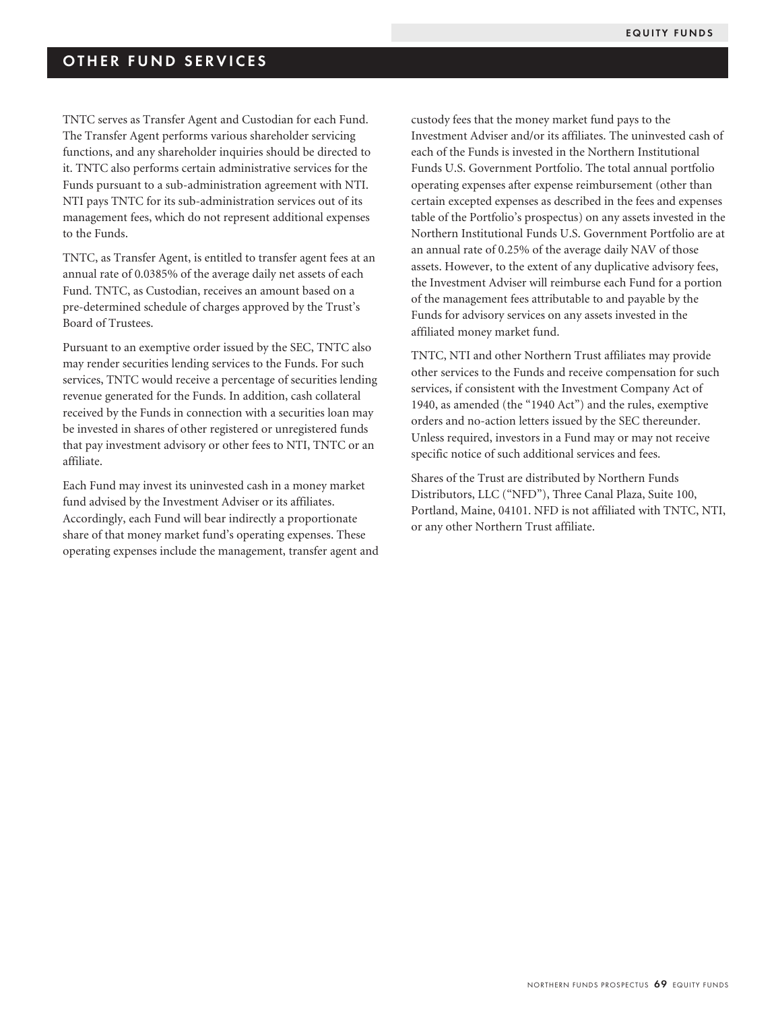## **OTHER FUND SERVICES**

TNTC serves as Transfer Agent and Custodian for each Fund. The Transfer Agent performs various shareholder servicing functions, and any shareholder inquiries should be directed to it. TNTC also performs certain administrative services for the Funds pursuant to a sub-administration agreement with NTI. NTI pays TNTC for its sub-administration services out of its management fees, which do not represent additional expenses to the Funds.

TNTC, as Transfer Agent, is entitled to transfer agent fees at an annual rate of 0.0385% of the average daily net assets of each Fund. TNTC, as Custodian, receives an amount based on a pre-determined schedule of charges approved by the Trust's Board of Trustees.

Pursuant to an exemptive order issued by the SEC, TNTC also may render securities lending services to the Funds. For such services, TNTC would receive a percentage of securities lending revenue generated for the Funds. In addition, cash collateral received by the Funds in connection with a securities loan may be invested in shares of other registered or unregistered funds that pay investment advisory or other fees to NTI, TNTC or an affiliate.

Each Fund may invest its uninvested cash in a money market fund advised by the Investment Adviser or its affiliates. Accordingly, each Fund will bear indirectly a proportionate share of that money market fund's operating expenses. These operating expenses include the management, transfer agent and custody fees that the money market fund pays to the Investment Adviser and/or its affiliates. The uninvested cash of each of the Funds is invested in the Northern Institutional Funds U.S. Government Portfolio. The total annual portfolio operating expenses after expense reimbursement (other than certain excepted expenses as described in the fees and expenses table of the Portfolio's prospectus) on any assets invested in the Northern Institutional Funds U.S. Government Portfolio are at an annual rate of 0.25% of the average daily NAV of those assets. However, to the extent of any duplicative advisory fees, the Investment Adviser will reimburse each Fund for a portion of the management fees attributable to and payable by the Funds for advisory services on any assets invested in the affiliated money market fund.

TNTC, NTI and other Northern Trust affiliates may provide other services to the Funds and receive compensation for such services, if consistent with the Investment Company Act of 1940, as amended (the "1940 Act") and the rules, exemptive orders and no-action letters issued by the SEC thereunder. Unless required, investors in a Fund may or may not receive specific notice of such additional services and fees.

Shares of the Trust are distributed by Northern Funds Distributors, LLC ("NFD"), Three Canal Plaza, Suite 100, Portland, Maine, 04101. NFD is not affiliated with TNTC, NTI, or any other Northern Trust affiliate.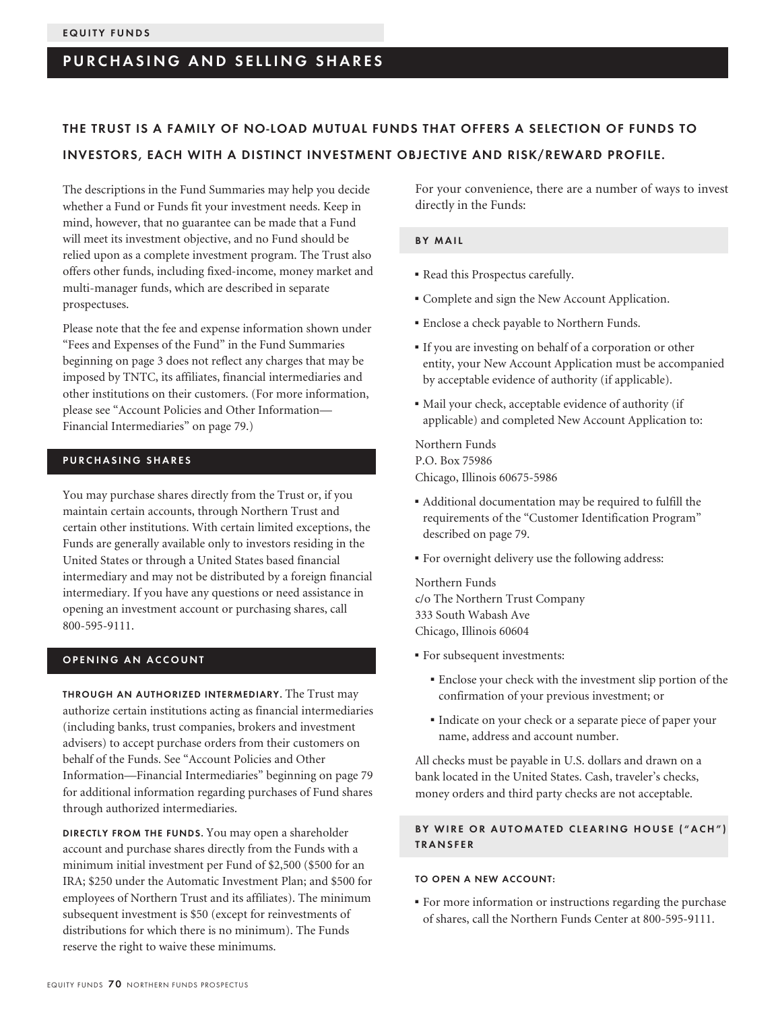# **PURCHASING AND SELLING SHARES**

# **THE TRUST IS A FAMILY OF NO-LOAD MUTUAL FUNDS THAT OFFERS A SELECTION OF FUNDS TO INVESTORS, EACH WITH A DISTINCT INVESTMENT OBJECTIVE AND RISK/REWARD PROFILE.**

The descriptions in the Fund Summaries may help you decide whether a Fund or Funds fit your investment needs. Keep in mind, however, that no guarantee can be made that a Fund will meet its investment objective, and no Fund should be relied upon as a complete investment program. The Trust also offers other funds, including fixed-income, money market and multi-manager funds, which are described in separate prospectuses.

Please note that the fee and expense information shown under "Fees and Expenses of the Fund" in the Fund Summaries beginning on page 3 does not reflect any charges that may be imposed by TNTC, its affiliates, financial intermediaries and other institutions on their customers. (For more information, please see "Account Policies and Other Information— Financial Intermediaries" on page 79.)

## **PURCHASING SHARES**

You may purchase shares directly from the Trust or, if you maintain certain accounts, through Northern Trust and certain other institutions. With certain limited exceptions, the Funds are generally available only to investors residing in the United States or through a United States based financial intermediary and may not be distributed by a foreign financial intermediary. If you have any questions or need assistance in opening an investment account or purchasing shares, call 800-595-9111.

## **OPENING AN ACCOUNT**

**THROUGH AN AUTHORIZED INTERMEDIARY.** The Trust may authorize certain institutions acting as financial intermediaries (including banks, trust companies, brokers and investment advisers) to accept purchase orders from their customers on behalf of the Funds. See "Account Policies and Other Information—Financial Intermediaries" beginning on page 79 for additional information regarding purchases of Fund shares through authorized intermediaries.

**DIRECTLY FROM THE FUNDS.** You may open a shareholder account and purchase shares directly from the Funds with a minimum initial investment per Fund of \$2,500 (\$500 for an IRA; \$250 under the Automatic Investment Plan; and \$500 for employees of Northern Trust and its affiliates). The minimum subsequent investment is \$50 (except for reinvestments of distributions for which there is no minimum). The Funds reserve the right to waive these minimums.

For your convenience, there are a number of ways to invest directly in the Funds:

## **BY MAIL**

- Read this Prospectus carefully.
- Complete and sign the New Account Application.
- Enclose a check payable to Northern Funds.
- If you are investing on behalf of a corporation or other entity, your New Account Application must be accompanied by acceptable evidence of authority (if applicable).
- Mail your check, acceptable evidence of authority (if applicable) and completed New Account Application to:

Northern Funds P.O. Box 75986 Chicago, Illinois 60675-5986

- Additional documentation may be required to fulfill the requirements of the "Customer Identification Program" described on page 79.
- For overnight delivery use the following address:

Northern Funds c/o The Northern Trust Company 333 South Wabash Ave Chicago, Illinois 60604

- For subsequent investments:
	- Enclose your check with the investment slip portion of the confirmation of your previous investment; or
	- Indicate on your check or a separate piece of paper your name, address and account number.

All checks must be payable in U.S. dollars and drawn on a bank located in the United States. Cash, traveler's checks, money orders and third party checks are not acceptable.

#### **BY WIRE OR AUTOMATED CLEARING HOUSE ("ACH") TRANSFER**

## **TO OPEN A NEW ACCOUNT:**

▪ For more information or instructions regarding the purchase of shares, call the Northern Funds Center at 800-595-9111.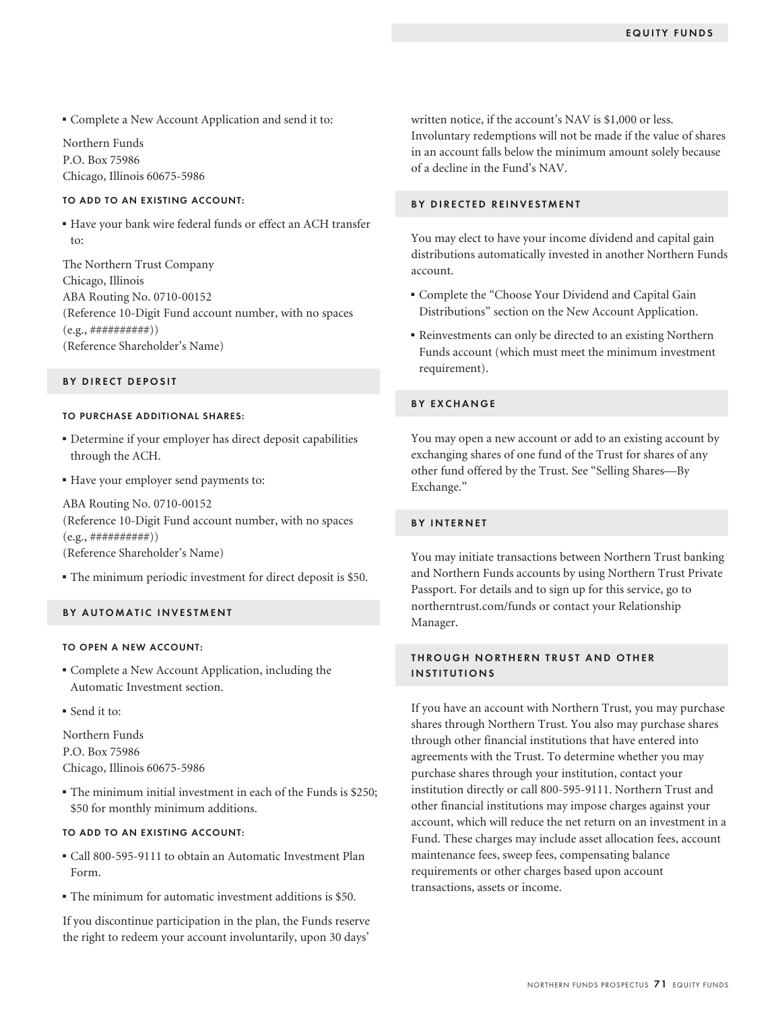▪ Complete a New Account Application and send it to:

Northern Funds P.O. Box 75986 Chicago, Illinois 60675-5986

## **TO ADD TO AN EXISTING ACCOUNT:**

▪ Have your bank wire federal funds or effect an ACH transfer to:

The Northern Trust Company Chicago, Illinois ABA Routing No. 0710-00152 (Reference 10-Digit Fund account number, with no spaces  $(e.g., # # # # # # # # # #))$ (Reference Shareholder's Name)

## **BY DIRECT DEPOSIT**

## **TO PURCHASE ADDITIONAL SHARES:**

- Determine if your employer has direct deposit capabilities through the ACH.
- Have your employer send payments to:

ABA Routing No. 0710-00152 (Reference 10-Digit Fund account number, with no spaces  $(e.g., # # # # # # # # # #))$ (Reference Shareholder's Name)

▪ The minimum periodic investment for direct deposit is \$50.

## **BY AUTOMATIC INVESTMENT**

#### **TO OPEN A NEW ACCOUNT:**

- Complete a New Account Application, including the Automatic Investment section.
- Send it to:

Northern Funds P.O. Box 75986 Chicago, Illinois 60675-5986

▪ The minimum initial investment in each of the Funds is \$250; \$50 for monthly minimum additions.

#### **TO ADD TO AN EXISTING ACCOUNT:**

- Call 800-595-9111 to obtain an Automatic Investment Plan Form.
- The minimum for automatic investment additions is \$50.

If you discontinue participation in the plan, the Funds reserve the right to redeem your account involuntarily, upon 30 days'

written notice, if the account's NAV is \$1,000 or less. Involuntary redemptions will not be made if the value of shares in an account falls below the minimum amount solely because of a decline in the Fund's NAV.

## **BY DIRECTED REINVESTMENT**

You may elect to have your income dividend and capital gain distributions automatically invested in another Northern Funds account.

- Complete the "Choose Your Dividend and Capital Gain Distributions" section on the New Account Application.
- Reinvestments can only be directed to an existing Northern Funds account (which must meet the minimum investment requirement).

## **BY EXCHANGE**

You may open a new account or add to an existing account by exchanging shares of one fund of the Trust for shares of any other fund offered by the Trust. See "Selling Shares—By Exchange."

#### **BY INTERNET**

You may initiate transactions between Northern Trust banking and Northern Funds accounts by using Northern Trust Private Passport. For details and to sign up for this service, go to northerntrust.com/funds or contact your Relationship Manager.

## **THROUGH NORTHERN TRUST AND OTHER INSTITUTIONS**

If you have an account with Northern Trust, you may purchase shares through Northern Trust. You also may purchase shares through other financial institutions that have entered into agreements with the Trust. To determine whether you may purchase shares through your institution, contact your institution directly or call 800-595-9111. Northern Trust and other financial institutions may impose charges against your account, which will reduce the net return on an investment in a Fund. These charges may include asset allocation fees, account maintenance fees, sweep fees, compensating balance requirements or other charges based upon account transactions, assets or income.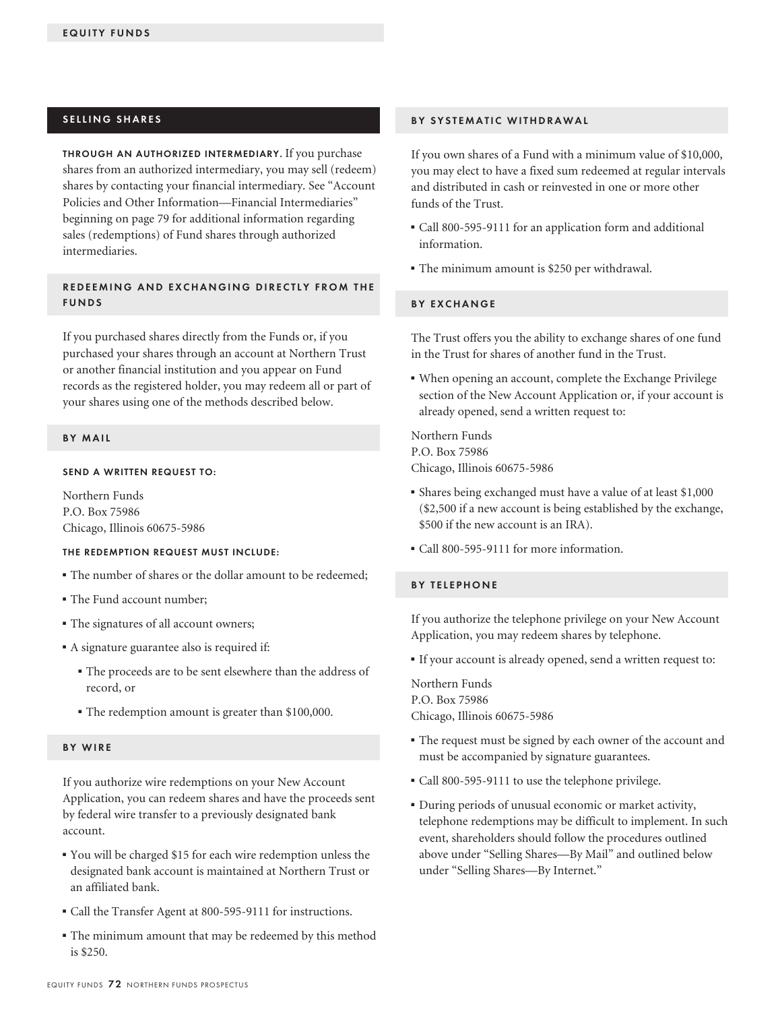### **SELLING SHARES**

**THROUGH AN AUTHORIZED INTERMEDIARY.** If you purchase shares from an authorized intermediary, you may sell (redeem) shares by contacting your financial intermediary. See "Account Policies and Other Information—Financial Intermediaries" beginning on page 79 for additional information regarding sales (redemptions) of Fund shares through authorized intermediaries.

### **REDEEMING AND EXCHANGING DIRECTLY FROM THE FUNDS**

If you purchased shares directly from the Funds or, if you purchased your shares through an account at Northern Trust or another financial institution and you appear on Fund records as the registered holder, you may redeem all or part of your shares using one of the methods described below.

#### **BY MAIL**

### **SEND A WRITTEN REQUEST TO:**

Northern Funds P.O. Box 75986 Chicago, Illinois 60675-5986

#### **THE REDEMPTION REQUEST MUST INCLUDE:**

- The number of shares or the dollar amount to be redeemed;
- The Fund account number;
- The signatures of all account owners;
- A signature guarantee also is required if:
	- The proceeds are to be sent elsewhere than the address of record, or
	- The redemption amount is greater than \$100,000.

### **BY WIRE**

If you authorize wire redemptions on your New Account Application, you can redeem shares and have the proceeds sent by federal wire transfer to a previously designated bank account.

- You will be charged \$15 for each wire redemption unless the designated bank account is maintained at Northern Trust or an affiliated bank.
- Call the Transfer Agent at 800-595-9111 for instructions.
- The minimum amount that may be redeemed by this method is \$250.

## **BY SYSTEMATIC WITHDRAWAL**

If you own shares of a Fund with a minimum value of \$10,000, you may elect to have a fixed sum redeemed at regular intervals and distributed in cash or reinvested in one or more other funds of the Trust.

- Call 800-595-9111 for an application form and additional information.
- The minimum amount is \$250 per withdrawal.

#### **BY EXCHANGE**

The Trust offers you the ability to exchange shares of one fund in the Trust for shares of another fund in the Trust.

▪ When opening an account, complete the Exchange Privilege section of the New Account Application or, if your account is already opened, send a written request to:

Northern Funds P.O. Box 75986 Chicago, Illinois 60675-5986

- Shares being exchanged must have a value of at least \$1,000 (\$2,500 if a new account is being established by the exchange, \$500 if the new account is an IRA).
- Call 800-595-9111 for more information.

## **BY TELEPHONE**

If you authorize the telephone privilege on your New Account Application, you may redeem shares by telephone.

▪ If your account is already opened, send a written request to:

Northern Funds P.O. Box 75986 Chicago, Illinois 60675-5986

- The request must be signed by each owner of the account and must be accompanied by signature guarantees.
- Call 800-595-9111 to use the telephone privilege.
- During periods of unusual economic or market activity, telephone redemptions may be difficult to implement. In such event, shareholders should follow the procedures outlined above under "Selling Shares—By Mail" and outlined below under "Selling Shares—By Internet."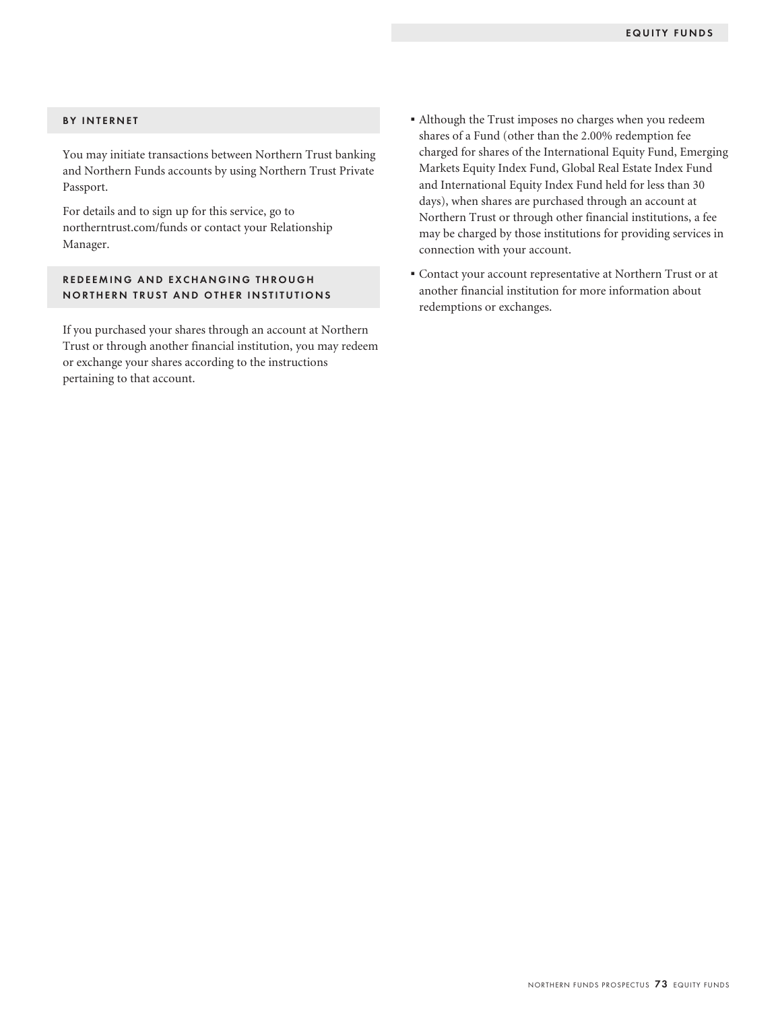## **BY INTERNET**

You may initiate transactions between Northern Trust banking and Northern Funds accounts by using Northern Trust Private Passport.

For details and to sign up for this service, go to northerntrust.com/funds or contact your Relationship Manager.

## **REDEEMING AND EXCHANGING THROUGH NORTHERN TRUST AND OTHER INSTITUTIONS**

If you purchased your shares through an account at Northern Trust or through another financial institution, you may redeem or exchange your shares according to the instructions pertaining to that account.

- Although the Trust imposes no charges when you redeem shares of a Fund (other than the 2.00% redemption fee charged for shares of the International Equity Fund, Emerging Markets Equity Index Fund, Global Real Estate Index Fund and International Equity Index Fund held for less than 30 days), when shares are purchased through an account at Northern Trust or through other financial institutions, a fee may be charged by those institutions for providing services in connection with your account.
- Contact your account representative at Northern Trust or at another financial institution for more information about redemptions or exchanges.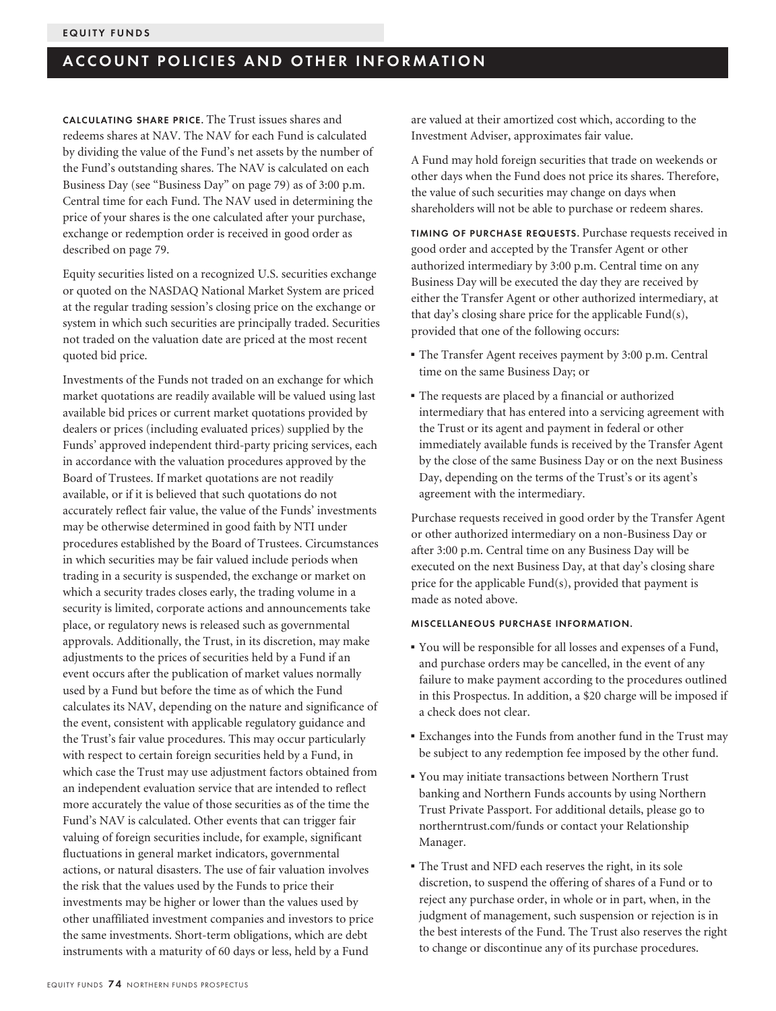## **ACCOUNT POLICIES AND OTHER INFORMATION**

**CALCULATING SHARE PRICE.** The Trust issues shares and redeems shares at NAV. The NAV for each Fund is calculated by dividing the value of the Fund's net assets by the number of the Fund's outstanding shares. The NAV is calculated on each Business Day (see "Business Day" on page 79) as of 3:00 p.m. Central time for each Fund. The NAV used in determining the price of your shares is the one calculated after your purchase, exchange or redemption order is received in good order as described on page 79.

Equity securities listed on a recognized U.S. securities exchange or quoted on the NASDAQ National Market System are priced at the regular trading session's closing price on the exchange or system in which such securities are principally traded. Securities not traded on the valuation date are priced at the most recent quoted bid price.

Investments of the Funds not traded on an exchange for which market quotations are readily available will be valued using last available bid prices or current market quotations provided by dealers or prices (including evaluated prices) supplied by the Funds' approved independent third-party pricing services, each in accordance with the valuation procedures approved by the Board of Trustees. If market quotations are not readily available, or if it is believed that such quotations do not accurately reflect fair value, the value of the Funds' investments may be otherwise determined in good faith by NTI under procedures established by the Board of Trustees. Circumstances in which securities may be fair valued include periods when trading in a security is suspended, the exchange or market on which a security trades closes early, the trading volume in a security is limited, corporate actions and announcements take place, or regulatory news is released such as governmental approvals. Additionally, the Trust, in its discretion, may make adjustments to the prices of securities held by a Fund if an event occurs after the publication of market values normally used by a Fund but before the time as of which the Fund calculates its NAV, depending on the nature and significance of the event, consistent with applicable regulatory guidance and the Trust's fair value procedures. This may occur particularly with respect to certain foreign securities held by a Fund, in which case the Trust may use adjustment factors obtained from an independent evaluation service that are intended to reflect more accurately the value of those securities as of the time the Fund's NAV is calculated. Other events that can trigger fair valuing of foreign securities include, for example, significant fluctuations in general market indicators, governmental actions, or natural disasters. The use of fair valuation involves the risk that the values used by the Funds to price their investments may be higher or lower than the values used by other unaffiliated investment companies and investors to price the same investments. Short-term obligations, which are debt instruments with a maturity of 60 days or less, held by a Fund

are valued at their amortized cost which, according to the Investment Adviser, approximates fair value.

A Fund may hold foreign securities that trade on weekends or other days when the Fund does not price its shares. Therefore, the value of such securities may change on days when shareholders will not be able to purchase or redeem shares.

**TIMING OF PURCHASE REQUESTS.** Purchase requests received in good order and accepted by the Transfer Agent or other authorized intermediary by 3:00 p.m. Central time on any Business Day will be executed the day they are received by either the Transfer Agent or other authorized intermediary, at that day's closing share price for the applicable Fund(s), provided that one of the following occurs:

- The Transfer Agent receives payment by 3:00 p.m. Central time on the same Business Day; or
- The requests are placed by a financial or authorized intermediary that has entered into a servicing agreement with the Trust or its agent and payment in federal or other immediately available funds is received by the Transfer Agent by the close of the same Business Day or on the next Business Day, depending on the terms of the Trust's or its agent's agreement with the intermediary.

Purchase requests received in good order by the Transfer Agent or other authorized intermediary on a non-Business Day or after 3:00 p.m. Central time on any Business Day will be executed on the next Business Day, at that day's closing share price for the applicable Fund(s), provided that payment is made as noted above.

#### **MISCELLANEOUS PURCHASE INFORMATION.**

- You will be responsible for all losses and expenses of a Fund, and purchase orders may be cancelled, in the event of any failure to make payment according to the procedures outlined in this Prospectus. In addition, a \$20 charge will be imposed if a check does not clear.
- **Exchanges into the Funds from another fund in the Trust may** be subject to any redemption fee imposed by the other fund.
- You may initiate transactions between Northern Trust banking and Northern Funds accounts by using Northern Trust Private Passport. For additional details, please go to northerntrust.com/funds or contact your Relationship Manager.
- The Trust and NFD each reserves the right, in its sole discretion, to suspend the offering of shares of a Fund or to reject any purchase order, in whole or in part, when, in the judgment of management, such suspension or rejection is in the best interests of the Fund. The Trust also reserves the right to change or discontinue any of its purchase procedures.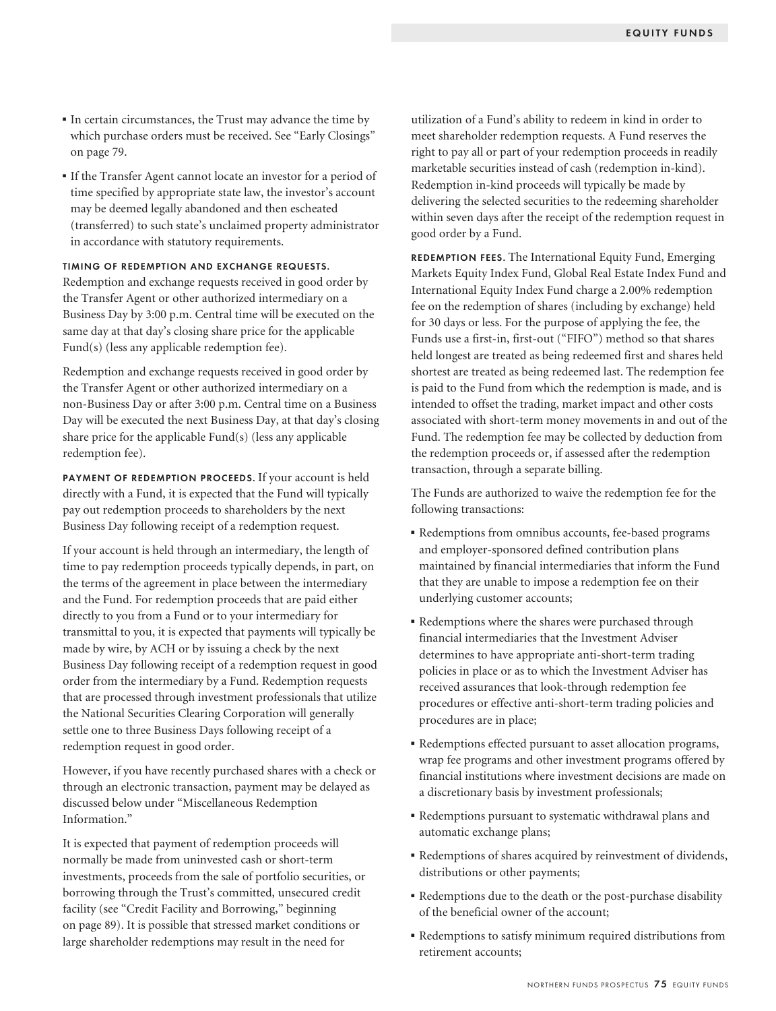- In certain circumstances, the Trust may advance the time by which purchase orders must be received. See "Early Closings" on page 79.
- If the Transfer Agent cannot locate an investor for a period of time specified by appropriate state law, the investor's account may be deemed legally abandoned and then escheated (transferred) to such state's unclaimed property administrator in accordance with statutory requirements.

#### **TIMING OF REDEMPTION AND EXCHANGE REQUESTS.**

Redemption and exchange requests received in good order by the Transfer Agent or other authorized intermediary on a Business Day by 3:00 p.m. Central time will be executed on the same day at that day's closing share price for the applicable Fund(s) (less any applicable redemption fee).

Redemption and exchange requests received in good order by the Transfer Agent or other authorized intermediary on a non-Business Day or after 3:00 p.m. Central time on a Business Day will be executed the next Business Day, at that day's closing share price for the applicable Fund(s) (less any applicable redemption fee).

**PAYMENT OF REDEMPTION PROCEEDS.** If your account is held directly with a Fund, it is expected that the Fund will typically pay out redemption proceeds to shareholders by the next Business Day following receipt of a redemption request.

If your account is held through an intermediary, the length of time to pay redemption proceeds typically depends, in part, on the terms of the agreement in place between the intermediary and the Fund. For redemption proceeds that are paid either directly to you from a Fund or to your intermediary for transmittal to you, it is expected that payments will typically be made by wire, by ACH or by issuing a check by the next Business Day following receipt of a redemption request in good order from the intermediary by a Fund. Redemption requests that are processed through investment professionals that utilize the National Securities Clearing Corporation will generally settle one to three Business Days following receipt of a redemption request in good order.

However, if you have recently purchased shares with a check or through an electronic transaction, payment may be delayed as discussed below under "Miscellaneous Redemption Information."

It is expected that payment of redemption proceeds will normally be made from uninvested cash or short-term investments, proceeds from the sale of portfolio securities, or borrowing through the Trust's committed, unsecured credit facility (see "Credit Facility and Borrowing," beginning on page 89). It is possible that stressed market conditions or large shareholder redemptions may result in the need for

utilization of a Fund's ability to redeem in kind in order to meet shareholder redemption requests. A Fund reserves the right to pay all or part of your redemption proceeds in readily marketable securities instead of cash (redemption in-kind). Redemption in-kind proceeds will typically be made by delivering the selected securities to the redeeming shareholder within seven days after the receipt of the redemption request in good order by a Fund.

**REDEMPTION FEES.** The International Equity Fund, Emerging Markets Equity Index Fund, Global Real Estate Index Fund and International Equity Index Fund charge a 2.00% redemption fee on the redemption of shares (including by exchange) held for 30 days or less. For the purpose of applying the fee, the Funds use a first-in, first-out ("FIFO") method so that shares held longest are treated as being redeemed first and shares held shortest are treated as being redeemed last. The redemption fee is paid to the Fund from which the redemption is made, and is intended to offset the trading, market impact and other costs associated with short-term money movements in and out of the Fund. The redemption fee may be collected by deduction from the redemption proceeds or, if assessed after the redemption transaction, through a separate billing.

The Funds are authorized to waive the redemption fee for the following transactions:

- Redemptions from omnibus accounts, fee-based programs and employer-sponsored defined contribution plans maintained by financial intermediaries that inform the Fund that they are unable to impose a redemption fee on their underlying customer accounts;
- **Redemptions where the shares were purchased through** financial intermediaries that the Investment Adviser determines to have appropriate anti-short-term trading policies in place or as to which the Investment Adviser has received assurances that look-through redemption fee procedures or effective anti-short-term trading policies and procedures are in place;
- Redemptions effected pursuant to asset allocation programs, wrap fee programs and other investment programs offered by financial institutions where investment decisions are made on a discretionary basis by investment professionals;
- Redemptions pursuant to systematic withdrawal plans and automatic exchange plans;
- Redemptions of shares acquired by reinvestment of dividends, distributions or other payments;
- Redemptions due to the death or the post-purchase disability of the beneficial owner of the account;
- Redemptions to satisfy minimum required distributions from retirement accounts;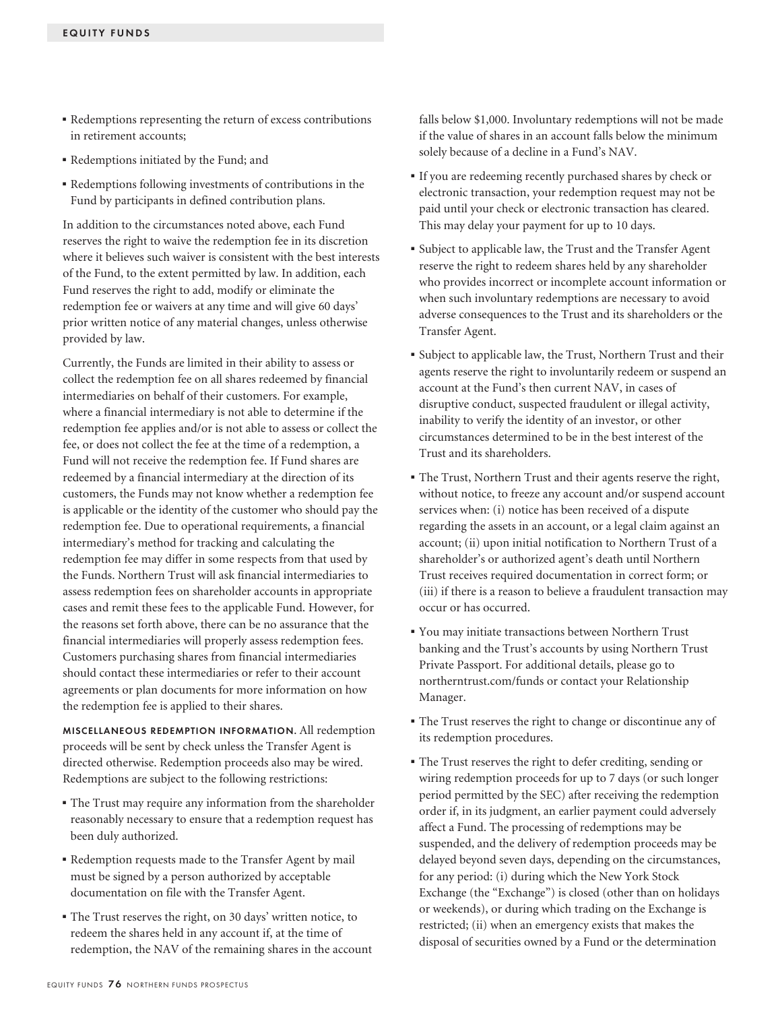- Redemptions representing the return of excess contributions in retirement accounts;
- Redemptions initiated by the Fund; and
- Redemptions following investments of contributions in the Fund by participants in defined contribution plans.

In addition to the circumstances noted above, each Fund reserves the right to waive the redemption fee in its discretion where it believes such waiver is consistent with the best interests of the Fund, to the extent permitted by law. In addition, each Fund reserves the right to add, modify or eliminate the redemption fee or waivers at any time and will give 60 days' prior written notice of any material changes, unless otherwise provided by law.

Currently, the Funds are limited in their ability to assess or collect the redemption fee on all shares redeemed by financial intermediaries on behalf of their customers. For example, where a financial intermediary is not able to determine if the redemption fee applies and/or is not able to assess or collect the fee, or does not collect the fee at the time of a redemption, a Fund will not receive the redemption fee. If Fund shares are redeemed by a financial intermediary at the direction of its customers, the Funds may not know whether a redemption fee is applicable or the identity of the customer who should pay the redemption fee. Due to operational requirements, a financial intermediary's method for tracking and calculating the redemption fee may differ in some respects from that used by the Funds. Northern Trust will ask financial intermediaries to assess redemption fees on shareholder accounts in appropriate cases and remit these fees to the applicable Fund. However, for the reasons set forth above, there can be no assurance that the financial intermediaries will properly assess redemption fees. Customers purchasing shares from financial intermediaries should contact these intermediaries or refer to their account agreements or plan documents for more information on how the redemption fee is applied to their shares.

**MISCELLANEOUS REDEMPTION INFORMATION.** All redemption proceeds will be sent by check unless the Transfer Agent is directed otherwise. Redemption proceeds also may be wired. Redemptions are subject to the following restrictions:

- The Trust may require any information from the shareholder reasonably necessary to ensure that a redemption request has been duly authorized.
- Redemption requests made to the Transfer Agent by mail must be signed by a person authorized by acceptable documentation on file with the Transfer Agent.
- The Trust reserves the right, on 30 days' written notice, to redeem the shares held in any account if, at the time of redemption, the NAV of the remaining shares in the account

falls below \$1,000. Involuntary redemptions will not be made if the value of shares in an account falls below the minimum solely because of a decline in a Fund's NAV.

- If you are redeeming recently purchased shares by check or electronic transaction, your redemption request may not be paid until your check or electronic transaction has cleared. This may delay your payment for up to 10 days.
- Subject to applicable law, the Trust and the Transfer Agent reserve the right to redeem shares held by any shareholder who provides incorrect or incomplete account information or when such involuntary redemptions are necessary to avoid adverse consequences to the Trust and its shareholders or the Transfer Agent.
- Subject to applicable law, the Trust, Northern Trust and their agents reserve the right to involuntarily redeem or suspend an account at the Fund's then current NAV, in cases of disruptive conduct, suspected fraudulent or illegal activity, inability to verify the identity of an investor, or other circumstances determined to be in the best interest of the Trust and its shareholders.
- **The Trust, Northern Trust and their agents reserve the right,** without notice, to freeze any account and/or suspend account services when: (i) notice has been received of a dispute regarding the assets in an account, or a legal claim against an account; (ii) upon initial notification to Northern Trust of a shareholder's or authorized agent's death until Northern Trust receives required documentation in correct form; or (iii) if there is a reason to believe a fraudulent transaction may occur or has occurred.
- You may initiate transactions between Northern Trust banking and the Trust's accounts by using Northern Trust Private Passport. For additional details, please go to northerntrust.com/funds or contact your Relationship Manager.
- The Trust reserves the right to change or discontinue any of its redemption procedures.
- The Trust reserves the right to defer crediting, sending or wiring redemption proceeds for up to 7 days (or such longer period permitted by the SEC) after receiving the redemption order if, in its judgment, an earlier payment could adversely affect a Fund. The processing of redemptions may be suspended, and the delivery of redemption proceeds may be delayed beyond seven days, depending on the circumstances, for any period: (i) during which the New York Stock Exchange (the "Exchange") is closed (other than on holidays or weekends), or during which trading on the Exchange is restricted; (ii) when an emergency exists that makes the disposal of securities owned by a Fund or the determination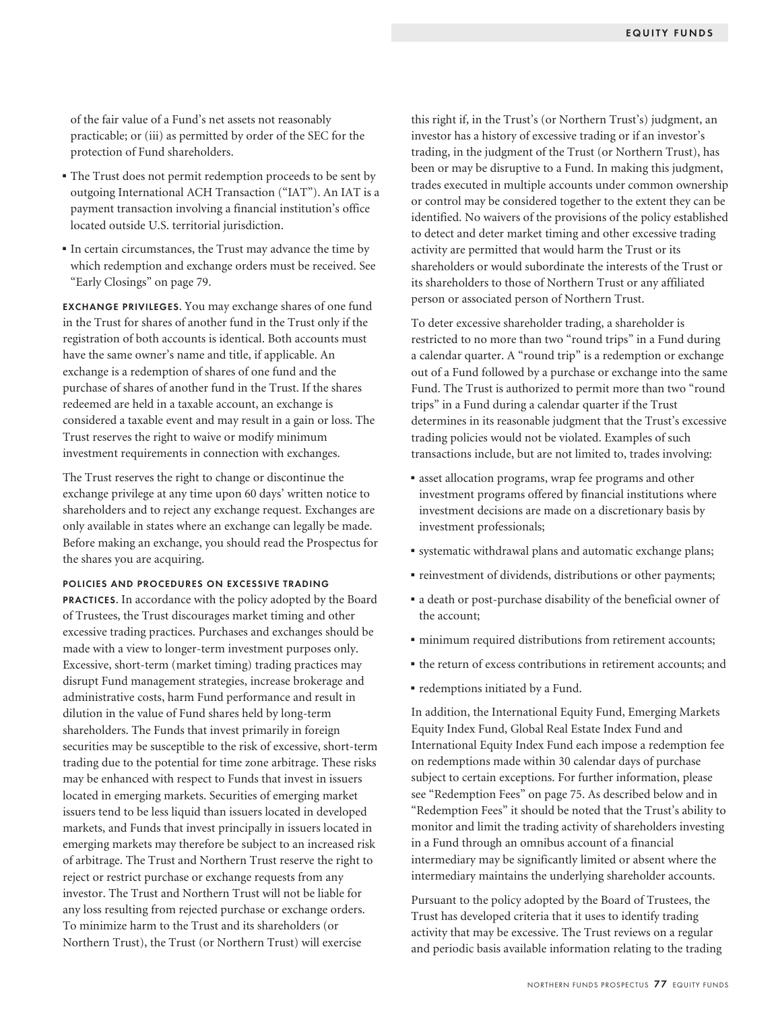of the fair value of a Fund's net assets not reasonably practicable; or (iii) as permitted by order of the SEC for the protection of Fund shareholders.

- The Trust does not permit redemption proceeds to be sent by outgoing International ACH Transaction ("IAT"). An IAT is a payment transaction involving a financial institution's office located outside U.S. territorial jurisdiction.
- In certain circumstances, the Trust may advance the time by which redemption and exchange orders must be received. See "Early Closings" on page 79.

**EXCHANGE PRIVILEGES.** You may exchange shares of one fund in the Trust for shares of another fund in the Trust only if the registration of both accounts is identical. Both accounts must have the same owner's name and title, if applicable. An exchange is a redemption of shares of one fund and the purchase of shares of another fund in the Trust. If the shares redeemed are held in a taxable account, an exchange is considered a taxable event and may result in a gain or loss. The Trust reserves the right to waive or modify minimum investment requirements in connection with exchanges.

The Trust reserves the right to change or discontinue the exchange privilege at any time upon 60 days' written notice to shareholders and to reject any exchange request. Exchanges are only available in states where an exchange can legally be made. Before making an exchange, you should read the Prospectus for the shares you are acquiring.

### **POLICIES AND PROCEDURES ON EXCESSIVE TRADING**

**PRACTICES.** In accordance with the policy adopted by the Board of Trustees, the Trust discourages market timing and other excessive trading practices. Purchases and exchanges should be made with a view to longer-term investment purposes only. Excessive, short-term (market timing) trading practices may disrupt Fund management strategies, increase brokerage and administrative costs, harm Fund performance and result in dilution in the value of Fund shares held by long-term shareholders. The Funds that invest primarily in foreign securities may be susceptible to the risk of excessive, short-term trading due to the potential for time zone arbitrage. These risks may be enhanced with respect to Funds that invest in issuers located in emerging markets. Securities of emerging market issuers tend to be less liquid than issuers located in developed markets, and Funds that invest principally in issuers located in emerging markets may therefore be subject to an increased risk of arbitrage. The Trust and Northern Trust reserve the right to reject or restrict purchase or exchange requests from any investor. The Trust and Northern Trust will not be liable for any loss resulting from rejected purchase or exchange orders. To minimize harm to the Trust and its shareholders (or Northern Trust), the Trust (or Northern Trust) will exercise

this right if, in the Trust's (or Northern Trust's) judgment, an investor has a history of excessive trading or if an investor's trading, in the judgment of the Trust (or Northern Trust), has been or may be disruptive to a Fund. In making this judgment, trades executed in multiple accounts under common ownership or control may be considered together to the extent they can be identified. No waivers of the provisions of the policy established to detect and deter market timing and other excessive trading activity are permitted that would harm the Trust or its shareholders or would subordinate the interests of the Trust or its shareholders to those of Northern Trust or any affiliated person or associated person of Northern Trust.

To deter excessive shareholder trading, a shareholder is restricted to no more than two "round trips" in a Fund during a calendar quarter. A "round trip" is a redemption or exchange out of a Fund followed by a purchase or exchange into the same Fund. The Trust is authorized to permit more than two "round trips" in a Fund during a calendar quarter if the Trust determines in its reasonable judgment that the Trust's excessive trading policies would not be violated. Examples of such transactions include, but are not limited to, trades involving:

- asset allocation programs, wrap fee programs and other investment programs offered by financial institutions where investment decisions are made on a discretionary basis by investment professionals;
- systematic withdrawal plans and automatic exchange plans;
- reinvestment of dividends, distributions or other payments;
- a death or post-purchase disability of the beneficial owner of the account;
- **In minimum required distributions from retirement accounts;**
- the return of excess contributions in retirement accounts; and
- redemptions initiated by a Fund.

In addition, the International Equity Fund, Emerging Markets Equity Index Fund, Global Real Estate Index Fund and International Equity Index Fund each impose a redemption fee on redemptions made within 30 calendar days of purchase subject to certain exceptions. For further information, please see "Redemption Fees" on page 75. As described below and in "Redemption Fees" it should be noted that the Trust's ability to monitor and limit the trading activity of shareholders investing in a Fund through an omnibus account of a financial intermediary may be significantly limited or absent where the intermediary maintains the underlying shareholder accounts.

Pursuant to the policy adopted by the Board of Trustees, the Trust has developed criteria that it uses to identify trading activity that may be excessive. The Trust reviews on a regular and periodic basis available information relating to the trading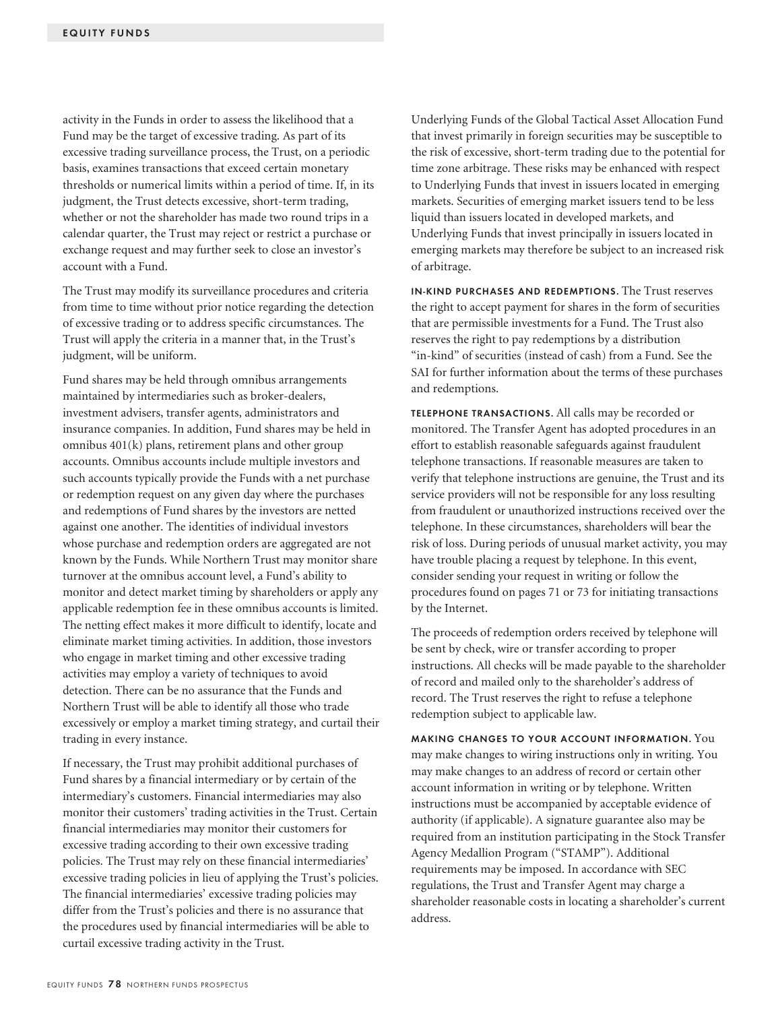activity in the Funds in order to assess the likelihood that a Fund may be the target of excessive trading. As part of its excessive trading surveillance process, the Trust, on a periodic basis, examines transactions that exceed certain monetary thresholds or numerical limits within a period of time. If, in its judgment, the Trust detects excessive, short-term trading, whether or not the shareholder has made two round trips in a calendar quarter, the Trust may reject or restrict a purchase or exchange request and may further seek to close an investor's account with a Fund.

The Trust may modify its surveillance procedures and criteria from time to time without prior notice regarding the detection of excessive trading or to address specific circumstances. The Trust will apply the criteria in a manner that, in the Trust's judgment, will be uniform.

Fund shares may be held through omnibus arrangements maintained by intermediaries such as broker-dealers, investment advisers, transfer agents, administrators and insurance companies. In addition, Fund shares may be held in omnibus 401(k) plans, retirement plans and other group accounts. Omnibus accounts include multiple investors and such accounts typically provide the Funds with a net purchase or redemption request on any given day where the purchases and redemptions of Fund shares by the investors are netted against one another. The identities of individual investors whose purchase and redemption orders are aggregated are not known by the Funds. While Northern Trust may monitor share turnover at the omnibus account level, a Fund's ability to monitor and detect market timing by shareholders or apply any applicable redemption fee in these omnibus accounts is limited. The netting effect makes it more difficult to identify, locate and eliminate market timing activities. In addition, those investors who engage in market timing and other excessive trading activities may employ a variety of techniques to avoid detection. There can be no assurance that the Funds and Northern Trust will be able to identify all those who trade excessively or employ a market timing strategy, and curtail their trading in every instance.

If necessary, the Trust may prohibit additional purchases of Fund shares by a financial intermediary or by certain of the intermediary's customers. Financial intermediaries may also monitor their customers' trading activities in the Trust. Certain financial intermediaries may monitor their customers for excessive trading according to their own excessive trading policies. The Trust may rely on these financial intermediaries' excessive trading policies in lieu of applying the Trust's policies. The financial intermediaries' excessive trading policies may differ from the Trust's policies and there is no assurance that the procedures used by financial intermediaries will be able to curtail excessive trading activity in the Trust.

Underlying Funds of the Global Tactical Asset Allocation Fund that invest primarily in foreign securities may be susceptible to the risk of excessive, short-term trading due to the potential for time zone arbitrage. These risks may be enhanced with respect to Underlying Funds that invest in issuers located in emerging markets. Securities of emerging market issuers tend to be less liquid than issuers located in developed markets, and Underlying Funds that invest principally in issuers located in emerging markets may therefore be subject to an increased risk of arbitrage.

**IN-KIND PURCHASES AND REDEMPTIONS.** The Trust reserves the right to accept payment for shares in the form of securities that are permissible investments for a Fund. The Trust also reserves the right to pay redemptions by a distribution "in-kind" of securities (instead of cash) from a Fund. See the SAI for further information about the terms of these purchases and redemptions.

**TELEPHONE TRANSACTIONS.** All calls may be recorded or monitored. The Transfer Agent has adopted procedures in an effort to establish reasonable safeguards against fraudulent telephone transactions. If reasonable measures are taken to verify that telephone instructions are genuine, the Trust and its service providers will not be responsible for any loss resulting from fraudulent or unauthorized instructions received over the telephone. In these circumstances, shareholders will bear the risk of loss. During periods of unusual market activity, you may have trouble placing a request by telephone. In this event, consider sending your request in writing or follow the procedures found on pages 71 or 73 for initiating transactions by the Internet.

The proceeds of redemption orders received by telephone will be sent by check, wire or transfer according to proper instructions. All checks will be made payable to the shareholder of record and mailed only to the shareholder's address of record. The Trust reserves the right to refuse a telephone redemption subject to applicable law.

**MAKING CHANGES TO YOUR ACCOUNT INFORMATION.** You may make changes to wiring instructions only in writing. You may make changes to an address of record or certain other account information in writing or by telephone. Written instructions must be accompanied by acceptable evidence of authority (if applicable). A signature guarantee also may be required from an institution participating in the Stock Transfer Agency Medallion Program ("STAMP"). Additional requirements may be imposed. In accordance with SEC regulations, the Trust and Transfer Agent may charge a shareholder reasonable costs in locating a shareholder's current address.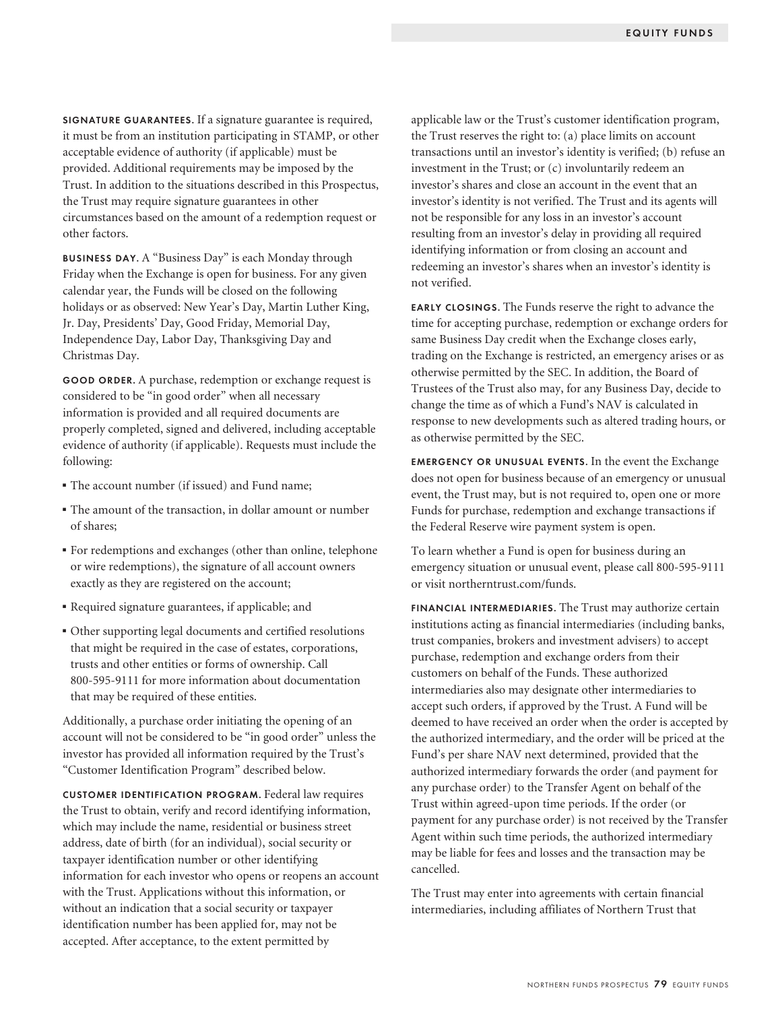**SIGNATURE GUARANTEES.** If a signature guarantee is required, it must be from an institution participating in STAMP, or other acceptable evidence of authority (if applicable) must be provided. Additional requirements may be imposed by the Trust. In addition to the situations described in this Prospectus, the Trust may require signature guarantees in other circumstances based on the amount of a redemption request or other factors.

**BUSINESS DAY.** A "Business Day" is each Monday through Friday when the Exchange is open for business. For any given calendar year, the Funds will be closed on the following holidays or as observed: New Year's Day, Martin Luther King, Jr. Day, Presidents' Day, Good Friday, Memorial Day, Independence Day, Labor Day, Thanksgiving Day and Christmas Day.

**GOOD ORDER.** A purchase, redemption or exchange request is considered to be "in good order" when all necessary information is provided and all required documents are properly completed, signed and delivered, including acceptable evidence of authority (if applicable). Requests must include the following:

- The account number (if issued) and Fund name;
- The amount of the transaction, in dollar amount or number of shares;
- For redemptions and exchanges (other than online, telephone or wire redemptions), the signature of all account owners exactly as they are registered on the account;
- Required signature guarantees, if applicable; and
- Other supporting legal documents and certified resolutions that might be required in the case of estates, corporations, trusts and other entities or forms of ownership. Call 800-595-9111 for more information about documentation that may be required of these entities.

Additionally, a purchase order initiating the opening of an account will not be considered to be "in good order" unless the investor has provided all information required by the Trust's "Customer Identification Program" described below.

**CUSTOMER IDENTIFICATION PROGRAM.** Federal law requires the Trust to obtain, verify and record identifying information, which may include the name, residential or business street address, date of birth (for an individual), social security or taxpayer identification number or other identifying information for each investor who opens or reopens an account with the Trust. Applications without this information, or without an indication that a social security or taxpayer identification number has been applied for, may not be accepted. After acceptance, to the extent permitted by

applicable law or the Trust's customer identification program, the Trust reserves the right to: (a) place limits on account transactions until an investor's identity is verified; (b) refuse an investment in the Trust; or (c) involuntarily redeem an investor's shares and close an account in the event that an investor's identity is not verified. The Trust and its agents will not be responsible for any loss in an investor's account resulting from an investor's delay in providing all required identifying information or from closing an account and redeeming an investor's shares when an investor's identity is not verified.

**EARLY CLOSINGS.** The Funds reserve the right to advance the time for accepting purchase, redemption or exchange orders for same Business Day credit when the Exchange closes early, trading on the Exchange is restricted, an emergency arises or as otherwise permitted by the SEC. In addition, the Board of Trustees of the Trust also may, for any Business Day, decide to change the time as of which a Fund's NAV is calculated in response to new developments such as altered trading hours, or as otherwise permitted by the SEC.

**EMERGENCY OR UNUSUAL EVENTS.** In the event the Exchange does not open for business because of an emergency or unusual event, the Trust may, but is not required to, open one or more Funds for purchase, redemption and exchange transactions if the Federal Reserve wire payment system is open.

To learn whether a Fund is open for business during an emergency situation or unusual event, please call 800-595-9111 or visit northerntrust.com/funds.

**FINANCIAL INTERMEDIARIES.** The Trust may authorize certain institutions acting as financial intermediaries (including banks, trust companies, brokers and investment advisers) to accept purchase, redemption and exchange orders from their customers on behalf of the Funds. These authorized intermediaries also may designate other intermediaries to accept such orders, if approved by the Trust. A Fund will be deemed to have received an order when the order is accepted by the authorized intermediary, and the order will be priced at the Fund's per share NAV next determined, provided that the authorized intermediary forwards the order (and payment for any purchase order) to the Transfer Agent on behalf of the Trust within agreed-upon time periods. If the order (or payment for any purchase order) is not received by the Transfer Agent within such time periods, the authorized intermediary may be liable for fees and losses and the transaction may be cancelled.

The Trust may enter into agreements with certain financial intermediaries, including affiliates of Northern Trust that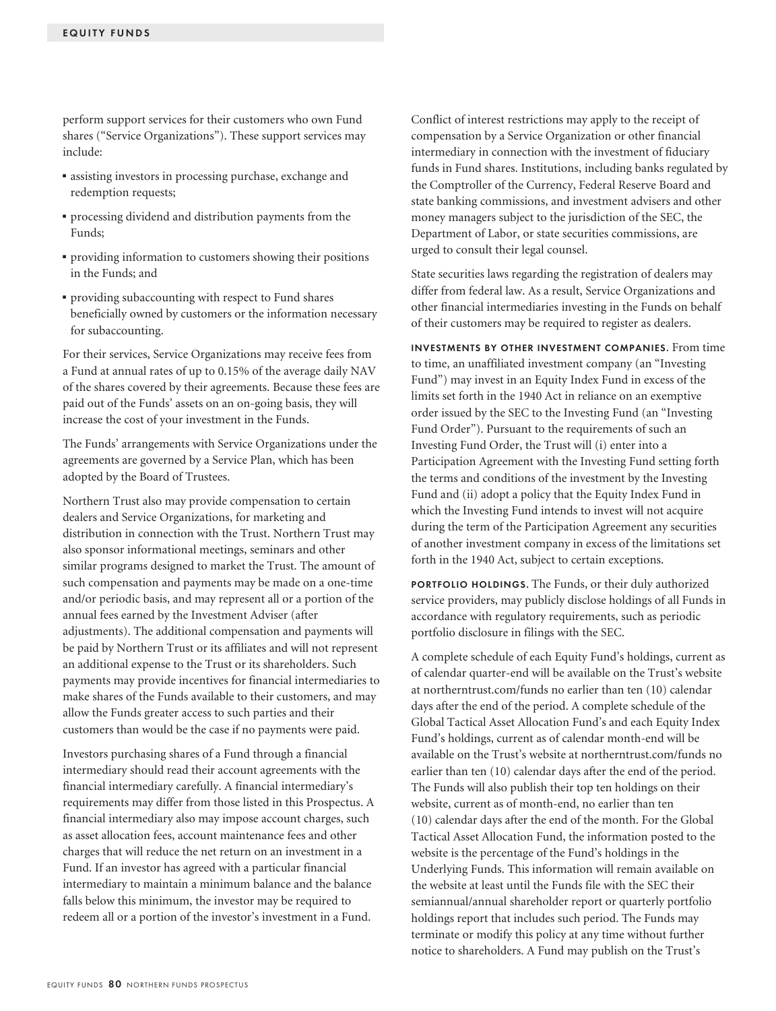perform support services for their customers who own Fund shares ("Service Organizations"). These support services may include:

- assisting investors in processing purchase, exchange and redemption requests;
- processing dividend and distribution payments from the Funds;
- providing information to customers showing their positions in the Funds; and
- providing subaccounting with respect to Fund shares beneficially owned by customers or the information necessary for subaccounting.

For their services, Service Organizations may receive fees from a Fund at annual rates of up to 0.15% of the average daily NAV of the shares covered by their agreements. Because these fees are paid out of the Funds' assets on an on-going basis, they will increase the cost of your investment in the Funds.

The Funds' arrangements with Service Organizations under the agreements are governed by a Service Plan, which has been adopted by the Board of Trustees.

Northern Trust also may provide compensation to certain dealers and Service Organizations, for marketing and distribution in connection with the Trust. Northern Trust may also sponsor informational meetings, seminars and other similar programs designed to market the Trust. The amount of such compensation and payments may be made on a one-time and/or periodic basis, and may represent all or a portion of the annual fees earned by the Investment Adviser (after adjustments). The additional compensation and payments will be paid by Northern Trust or its affiliates and will not represent an additional expense to the Trust or its shareholders. Such payments may provide incentives for financial intermediaries to make shares of the Funds available to their customers, and may allow the Funds greater access to such parties and their customers than would be the case if no payments were paid.

Investors purchasing shares of a Fund through a financial intermediary should read their account agreements with the financial intermediary carefully. A financial intermediary's requirements may differ from those listed in this Prospectus. A financial intermediary also may impose account charges, such as asset allocation fees, account maintenance fees and other charges that will reduce the net return on an investment in a Fund. If an investor has agreed with a particular financial intermediary to maintain a minimum balance and the balance falls below this minimum, the investor may be required to redeem all or a portion of the investor's investment in a Fund.

Conflict of interest restrictions may apply to the receipt of compensation by a Service Organization or other financial intermediary in connection with the investment of fiduciary funds in Fund shares. Institutions, including banks regulated by the Comptroller of the Currency, Federal Reserve Board and state banking commissions, and investment advisers and other money managers subject to the jurisdiction of the SEC, the Department of Labor, or state securities commissions, are urged to consult their legal counsel.

State securities laws regarding the registration of dealers may differ from federal law. As a result, Service Organizations and other financial intermediaries investing in the Funds on behalf of their customers may be required to register as dealers.

**INVESTMENTS BY OTHER INVESTMENT COMPANIES.** From time to time, an unaffiliated investment company (an "Investing Fund") may invest in an Equity Index Fund in excess of the limits set forth in the 1940 Act in reliance on an exemptive order issued by the SEC to the Investing Fund (an "Investing Fund Order"). Pursuant to the requirements of such an Investing Fund Order, the Trust will (i) enter into a Participation Agreement with the Investing Fund setting forth the terms and conditions of the investment by the Investing Fund and (ii) adopt a policy that the Equity Index Fund in which the Investing Fund intends to invest will not acquire during the term of the Participation Agreement any securities of another investment company in excess of the limitations set forth in the 1940 Act, subject to certain exceptions.

**PORTFOLIO HOLDINGS.** The Funds, or their duly authorized service providers, may publicly disclose holdings of all Funds in accordance with regulatory requirements, such as periodic portfolio disclosure in filings with the SEC.

A complete schedule of each Equity Fund's holdings, current as of calendar quarter-end will be available on the Trust's website at northerntrust.com/funds no earlier than ten (10) calendar days after the end of the period. A complete schedule of the Global Tactical Asset Allocation Fund's and each Equity Index Fund's holdings, current as of calendar month-end will be available on the Trust's website at northerntrust.com/funds no earlier than ten (10) calendar days after the end of the period. The Funds will also publish their top ten holdings on their website, current as of month-end, no earlier than ten (10) calendar days after the end of the month. For the Global Tactical Asset Allocation Fund, the information posted to the website is the percentage of the Fund's holdings in the Underlying Funds. This information will remain available on the website at least until the Funds file with the SEC their semiannual/annual shareholder report or quarterly portfolio holdings report that includes such period. The Funds may terminate or modify this policy at any time without further notice to shareholders. A Fund may publish on the Trust's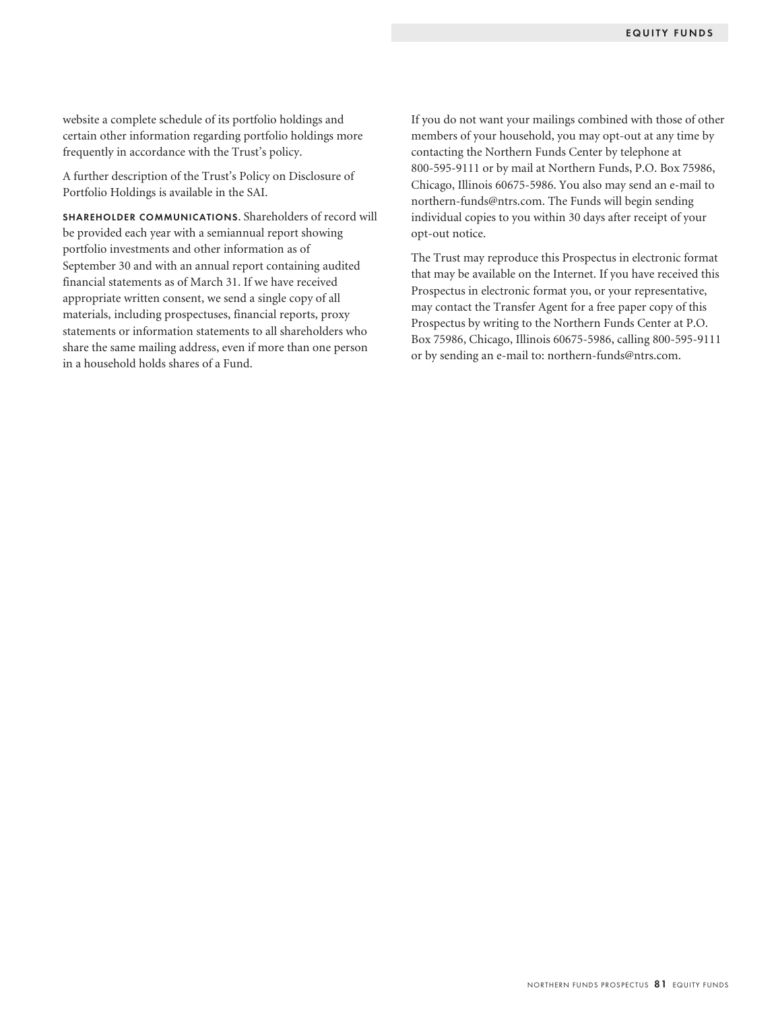website a complete schedule of its portfolio holdings and certain other information regarding portfolio holdings more frequently in accordance with the Trust's policy.

A further description of the Trust's Policy on Disclosure of Portfolio Holdings is available in the SAI.

**SHAREHOLDER COMMUNICATIONS.** Shareholders of record will be provided each year with a semiannual report showing portfolio investments and other information as of September 30 and with an annual report containing audited financial statements as of March 31. If we have received appropriate written consent, we send a single copy of all materials, including prospectuses, financial reports, proxy statements or information statements to all shareholders who share the same mailing address, even if more than one person in a household holds shares of a Fund.

If you do not want your mailings combined with those of other members of your household, you may opt-out at any time by contacting the Northern Funds Center by telephone at 800-595-9111 or by mail at Northern Funds, P.O. Box 75986, Chicago, Illinois 60675-5986. You also may send an e-mail to northern-funds@ntrs.com. The Funds will begin sending individual copies to you within 30 days after receipt of your opt-out notice.

The Trust may reproduce this Prospectus in electronic format that may be available on the Internet. If you have received this Prospectus in electronic format you, or your representative, may contact the Transfer Agent for a free paper copy of this Prospectus by writing to the Northern Funds Center at P.O. Box 75986, Chicago, Illinois 60675-5986, calling 800-595-9111 or by sending an e-mail to: northern-funds@ntrs.com.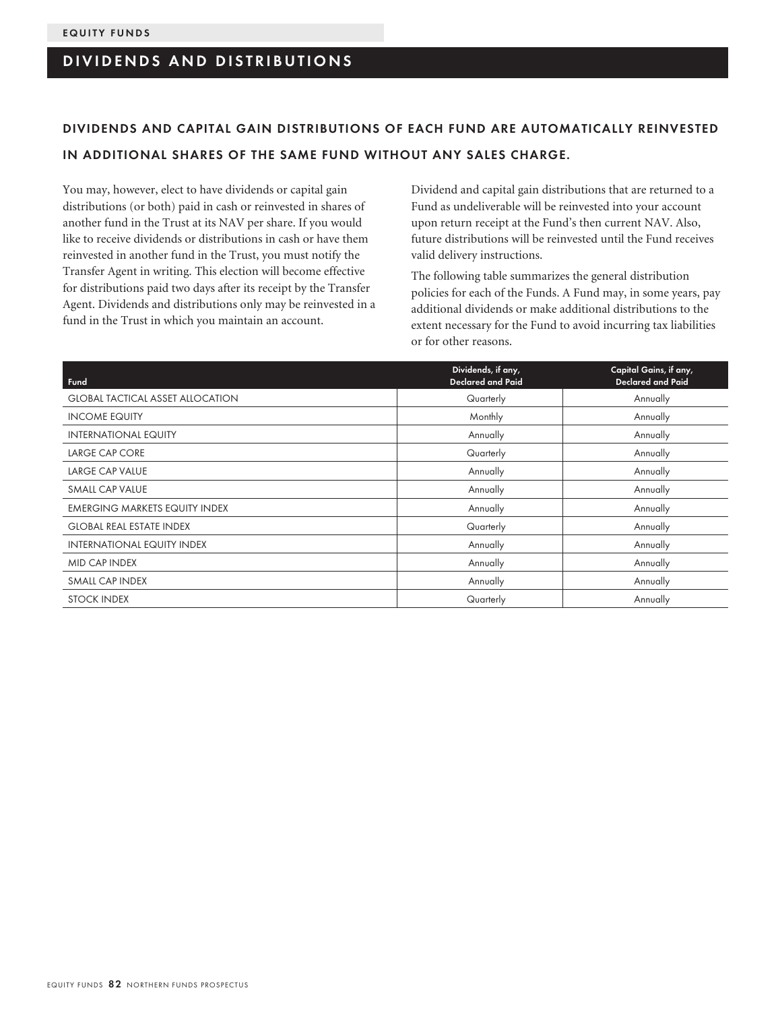## **DIVIDENDS AND DISTRIBUTIONS**

## **DIVIDENDS AND CAPITAL GAIN DISTRIBUTIONS OF EACH FUND ARE AUTOMATICALLY REINVESTED IN ADDITIONAL SHARES OF THE SAME FUND WITHOUT ANY SALES CHARGE.**

You may, however, elect to have dividends or capital gain distributions (or both) paid in cash or reinvested in shares of another fund in the Trust at its NAV per share. If you would like to receive dividends or distributions in cash or have them reinvested in another fund in the Trust, you must notify the Transfer Agent in writing. This election will become effective for distributions paid two days after its receipt by the Transfer Agent. Dividends and distributions only may be reinvested in a fund in the Trust in which you maintain an account.

Dividend and capital gain distributions that are returned to a Fund as undeliverable will be reinvested into your account upon return receipt at the Fund's then current NAV. Also, future distributions will be reinvested until the Fund receives valid delivery instructions.

The following table summarizes the general distribution policies for each of the Funds. A Fund may, in some years, pay additional dividends or make additional distributions to the extent necessary for the Fund to avoid incurring tax liabilities or for other reasons.

| Fund                                    | Dividends, if any,<br><b>Declared and Paid</b> | Capital Gains, if any,<br><b>Declared and Paid</b> |
|-----------------------------------------|------------------------------------------------|----------------------------------------------------|
| <b>GLOBAL TACTICAL ASSET ALLOCATION</b> | Quarterly                                      | Annually                                           |
| <b>INCOME EQUITY</b>                    | Monthly                                        | Annually                                           |
| <b>INTERNATIONAL EQUITY</b>             | Annually                                       | Annually                                           |
| LARGE CAP CORE                          | Quarterly                                      | Annually                                           |
| <b>LARGE CAP VALUE</b>                  | Annually                                       | Annually                                           |
| <b>SMALL CAP VALUE</b>                  | Annually                                       | Annually                                           |
| <b>EMERGING MARKETS EQUITY INDEX</b>    | Annually                                       | Annually                                           |
| <b>GLOBAL REAL ESTATE INDEX</b>         | Quarterly                                      | Annually                                           |
| <b>INTERNATIONAL EQUITY INDEX</b>       | Annually                                       | Annually                                           |
| MID CAP INDEX                           | Annually                                       | Annually                                           |
| SMALL CAP INDEX                         | Annually                                       | Annually                                           |
| <b>STOCK INDEX</b>                      | Quarterly                                      | Annually                                           |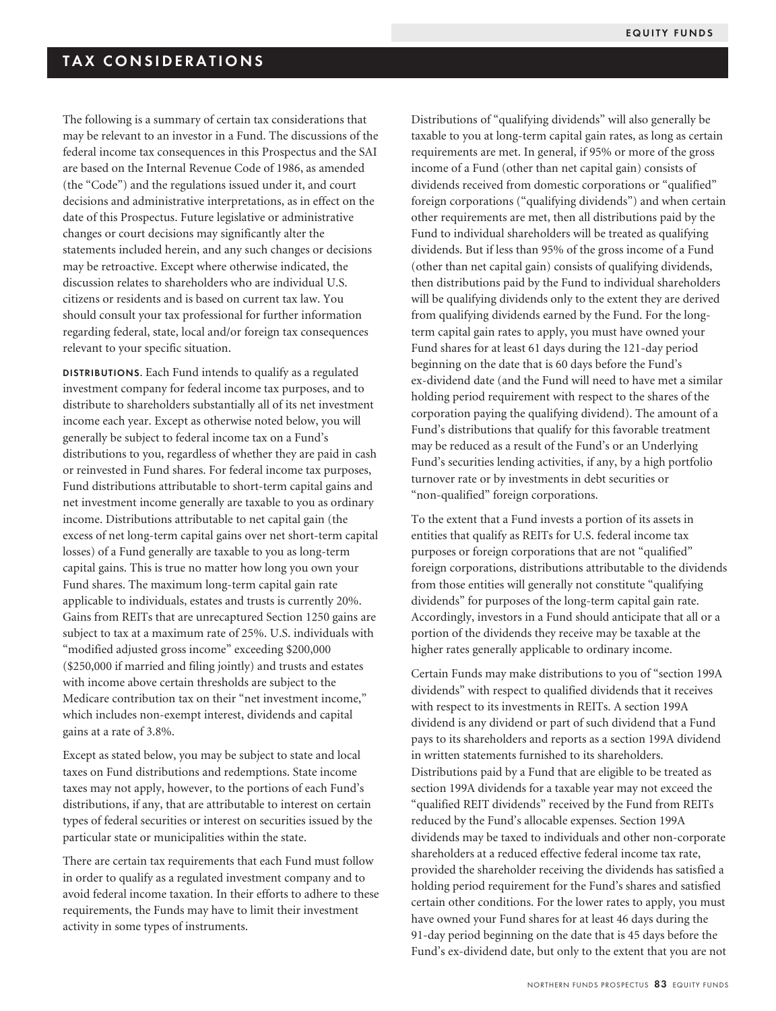## **TAX CONSIDERATIONS**

The following is a summary of certain tax considerations that may be relevant to an investor in a Fund. The discussions of the federal income tax consequences in this Prospectus and the SAI are based on the Internal Revenue Code of 1986, as amended (the "Code") and the regulations issued under it, and court decisions and administrative interpretations, as in effect on the date of this Prospectus. Future legislative or administrative changes or court decisions may significantly alter the statements included herein, and any such changes or decisions may be retroactive. Except where otherwise indicated, the discussion relates to shareholders who are individual U.S. citizens or residents and is based on current tax law. You should consult your tax professional for further information regarding federal, state, local and/or foreign tax consequences relevant to your specific situation.

**DISTRIBUTIONS.** Each Fund intends to qualify as a regulated investment company for federal income tax purposes, and to distribute to shareholders substantially all of its net investment income each year. Except as otherwise noted below, you will generally be subject to federal income tax on a Fund's distributions to you, regardless of whether they are paid in cash or reinvested in Fund shares. For federal income tax purposes, Fund distributions attributable to short-term capital gains and net investment income generally are taxable to you as ordinary income. Distributions attributable to net capital gain (the excess of net long-term capital gains over net short-term capital losses) of a Fund generally are taxable to you as long-term capital gains. This is true no matter how long you own your Fund shares. The maximum long-term capital gain rate applicable to individuals, estates and trusts is currently 20%. Gains from REITs that are unrecaptured Section 1250 gains are subject to tax at a maximum rate of 25%. U.S. individuals with "modified adjusted gross income" exceeding \$200,000 (\$250,000 if married and filing jointly) and trusts and estates with income above certain thresholds are subject to the Medicare contribution tax on their "net investment income," which includes non-exempt interest, dividends and capital gains at a rate of 3.8%.

Except as stated below, you may be subject to state and local taxes on Fund distributions and redemptions. State income taxes may not apply, however, to the portions of each Fund's distributions, if any, that are attributable to interest on certain types of federal securities or interest on securities issued by the particular state or municipalities within the state.

There are certain tax requirements that each Fund must follow in order to qualify as a regulated investment company and to avoid federal income taxation. In their efforts to adhere to these requirements, the Funds may have to limit their investment activity in some types of instruments.

Distributions of "qualifying dividends" will also generally be taxable to you at long-term capital gain rates, as long as certain requirements are met. In general, if 95% or more of the gross income of a Fund (other than net capital gain) consists of dividends received from domestic corporations or "qualified" foreign corporations ("qualifying dividends") and when certain other requirements are met, then all distributions paid by the Fund to individual shareholders will be treated as qualifying dividends. But if less than 95% of the gross income of a Fund (other than net capital gain) consists of qualifying dividends, then distributions paid by the Fund to individual shareholders will be qualifying dividends only to the extent they are derived from qualifying dividends earned by the Fund. For the longterm capital gain rates to apply, you must have owned your Fund shares for at least 61 days during the 121-day period beginning on the date that is 60 days before the Fund's ex-dividend date (and the Fund will need to have met a similar holding period requirement with respect to the shares of the corporation paying the qualifying dividend). The amount of a Fund's distributions that qualify for this favorable treatment may be reduced as a result of the Fund's or an Underlying Fund's securities lending activities, if any, by a high portfolio turnover rate or by investments in debt securities or "non-qualified" foreign corporations.

To the extent that a Fund invests a portion of its assets in entities that qualify as REITs for U.S. federal income tax purposes or foreign corporations that are not "qualified" foreign corporations, distributions attributable to the dividends from those entities will generally not constitute "qualifying dividends" for purposes of the long-term capital gain rate. Accordingly, investors in a Fund should anticipate that all or a portion of the dividends they receive may be taxable at the higher rates generally applicable to ordinary income.

Certain Funds may make distributions to you of "section 199A dividends" with respect to qualified dividends that it receives with respect to its investments in REITs. A section 199A dividend is any dividend or part of such dividend that a Fund pays to its shareholders and reports as a section 199A dividend in written statements furnished to its shareholders. Distributions paid by a Fund that are eligible to be treated as section 199A dividends for a taxable year may not exceed the "qualified REIT dividends" received by the Fund from REITs reduced by the Fund's allocable expenses. Section 199A dividends may be taxed to individuals and other non-corporate shareholders at a reduced effective federal income tax rate, provided the shareholder receiving the dividends has satisfied a holding period requirement for the Fund's shares and satisfied certain other conditions. For the lower rates to apply, you must have owned your Fund shares for at least 46 days during the 91-day period beginning on the date that is 45 days before the Fund's ex-dividend date, but only to the extent that you are not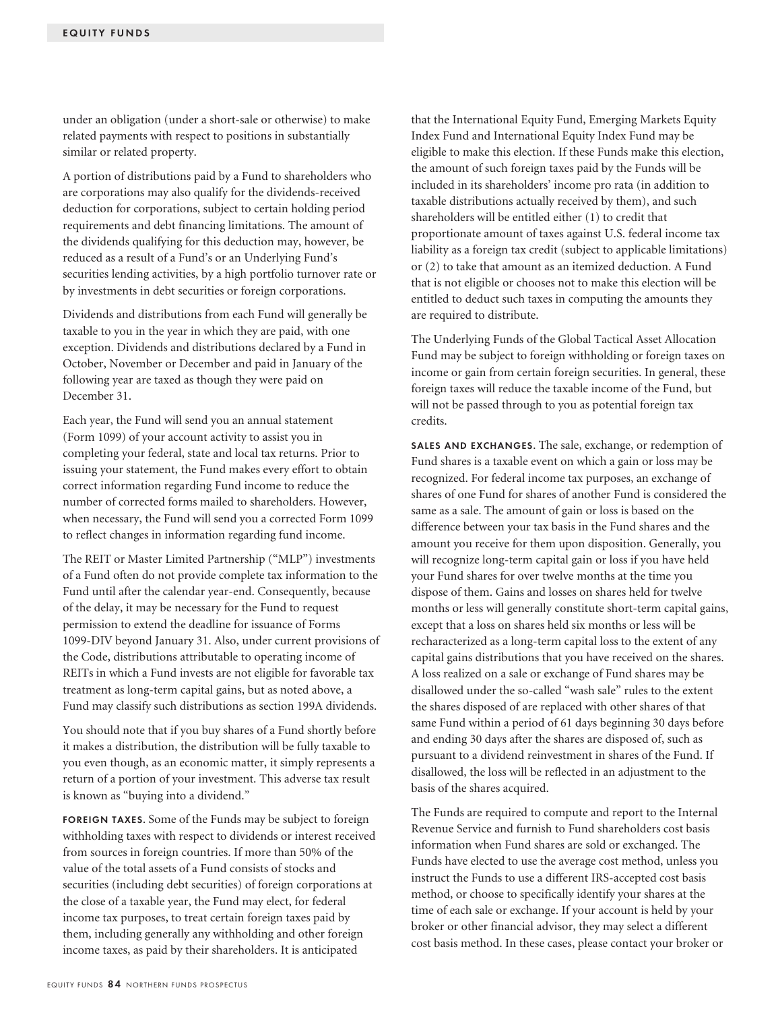under an obligation (under a short-sale or otherwise) to make related payments with respect to positions in substantially similar or related property.

A portion of distributions paid by a Fund to shareholders who are corporations may also qualify for the dividends-received deduction for corporations, subject to certain holding period requirements and debt financing limitations. The amount of the dividends qualifying for this deduction may, however, be reduced as a result of a Fund's or an Underlying Fund's securities lending activities, by a high portfolio turnover rate or by investments in debt securities or foreign corporations.

Dividends and distributions from each Fund will generally be taxable to you in the year in which they are paid, with one exception. Dividends and distributions declared by a Fund in October, November or December and paid in January of the following year are taxed as though they were paid on December 31.

Each year, the Fund will send you an annual statement (Form 1099) of your account activity to assist you in completing your federal, state and local tax returns. Prior to issuing your statement, the Fund makes every effort to obtain correct information regarding Fund income to reduce the number of corrected forms mailed to shareholders. However, when necessary, the Fund will send you a corrected Form 1099 to reflect changes in information regarding fund income.

The REIT or Master Limited Partnership ("MLP") investments of a Fund often do not provide complete tax information to the Fund until after the calendar year-end. Consequently, because of the delay, it may be necessary for the Fund to request permission to extend the deadline for issuance of Forms 1099-DIV beyond January 31. Also, under current provisions of the Code, distributions attributable to operating income of REITs in which a Fund invests are not eligible for favorable tax treatment as long-term capital gains, but as noted above, a Fund may classify such distributions as section 199A dividends.

You should note that if you buy shares of a Fund shortly before it makes a distribution, the distribution will be fully taxable to you even though, as an economic matter, it simply represents a return of a portion of your investment. This adverse tax result is known as "buying into a dividend."

**FOREIGN TAXES.** Some of the Funds may be subject to foreign withholding taxes with respect to dividends or interest received from sources in foreign countries. If more than 50% of the value of the total assets of a Fund consists of stocks and securities (including debt securities) of foreign corporations at the close of a taxable year, the Fund may elect, for federal income tax purposes, to treat certain foreign taxes paid by them, including generally any withholding and other foreign income taxes, as paid by their shareholders. It is anticipated

that the International Equity Fund, Emerging Markets Equity Index Fund and International Equity Index Fund may be eligible to make this election. If these Funds make this election, the amount of such foreign taxes paid by the Funds will be included in its shareholders' income pro rata (in addition to taxable distributions actually received by them), and such shareholders will be entitled either (1) to credit that proportionate amount of taxes against U.S. federal income tax liability as a foreign tax credit (subject to applicable limitations) or (2) to take that amount as an itemized deduction. A Fund that is not eligible or chooses not to make this election will be entitled to deduct such taxes in computing the amounts they are required to distribute.

The Underlying Funds of the Global Tactical Asset Allocation Fund may be subject to foreign withholding or foreign taxes on income or gain from certain foreign securities. In general, these foreign taxes will reduce the taxable income of the Fund, but will not be passed through to you as potential foreign tax credits.

**SALES AND EXCHANGES.** The sale, exchange, or redemption of Fund shares is a taxable event on which a gain or loss may be recognized. For federal income tax purposes, an exchange of shares of one Fund for shares of another Fund is considered the same as a sale. The amount of gain or loss is based on the difference between your tax basis in the Fund shares and the amount you receive for them upon disposition. Generally, you will recognize long-term capital gain or loss if you have held your Fund shares for over twelve months at the time you dispose of them. Gains and losses on shares held for twelve months or less will generally constitute short-term capital gains, except that a loss on shares held six months or less will be recharacterized as a long-term capital loss to the extent of any capital gains distributions that you have received on the shares. A loss realized on a sale or exchange of Fund shares may be disallowed under the so-called "wash sale" rules to the extent the shares disposed of are replaced with other shares of that same Fund within a period of 61 days beginning 30 days before and ending 30 days after the shares are disposed of, such as pursuant to a dividend reinvestment in shares of the Fund. If disallowed, the loss will be reflected in an adjustment to the basis of the shares acquired.

The Funds are required to compute and report to the Internal Revenue Service and furnish to Fund shareholders cost basis information when Fund shares are sold or exchanged. The Funds have elected to use the average cost method, unless you instruct the Funds to use a different IRS-accepted cost basis method, or choose to specifically identify your shares at the time of each sale or exchange. If your account is held by your broker or other financial advisor, they may select a different cost basis method. In these cases, please contact your broker or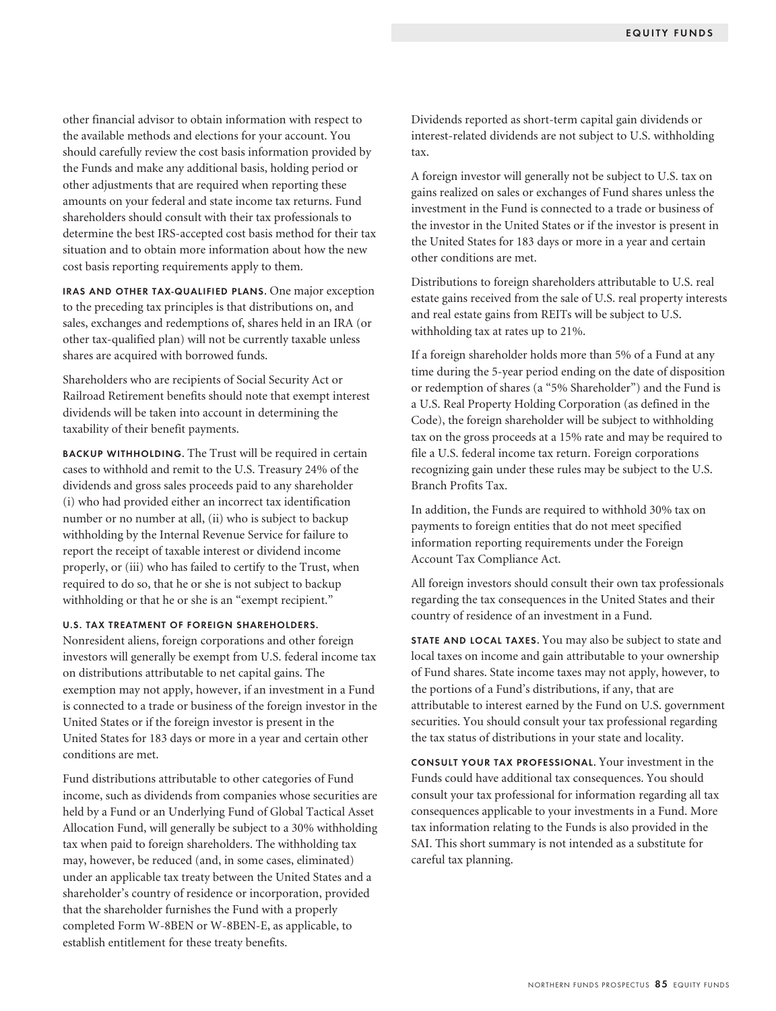other financial advisor to obtain information with respect to the available methods and elections for your account. You should carefully review the cost basis information provided by the Funds and make any additional basis, holding period or other adjustments that are required when reporting these amounts on your federal and state income tax returns. Fund shareholders should consult with their tax professionals to determine the best IRS-accepted cost basis method for their tax situation and to obtain more information about how the new cost basis reporting requirements apply to them.

**IRAS AND OTHER TAX-QUALIFIED PLANS.** One major exception to the preceding tax principles is that distributions on, and sales, exchanges and redemptions of, shares held in an IRA (or other tax-qualified plan) will not be currently taxable unless shares are acquired with borrowed funds.

Shareholders who are recipients of Social Security Act or Railroad Retirement benefits should note that exempt interest dividends will be taken into account in determining the taxability of their benefit payments.

**BACKUP WITHHOLDING.** The Trust will be required in certain cases to withhold and remit to the U.S. Treasury 24% of the dividends and gross sales proceeds paid to any shareholder (i) who had provided either an incorrect tax identification number or no number at all, (ii) who is subject to backup withholding by the Internal Revenue Service for failure to report the receipt of taxable interest or dividend income properly, or (iii) who has failed to certify to the Trust, when required to do so, that he or she is not subject to backup withholding or that he or she is an "exempt recipient."

#### **U.S. TAX TREATMENT OF FOREIGN SHAREHOLDERS.**

Nonresident aliens, foreign corporations and other foreign investors will generally be exempt from U.S. federal income tax on distributions attributable to net capital gains. The exemption may not apply, however, if an investment in a Fund is connected to a trade or business of the foreign investor in the United States or if the foreign investor is present in the United States for 183 days or more in a year and certain other conditions are met.

Fund distributions attributable to other categories of Fund income, such as dividends from companies whose securities are held by a Fund or an Underlying Fund of Global Tactical Asset Allocation Fund, will generally be subject to a 30% withholding tax when paid to foreign shareholders. The withholding tax may, however, be reduced (and, in some cases, eliminated) under an applicable tax treaty between the United States and a shareholder's country of residence or incorporation, provided that the shareholder furnishes the Fund with a properly completed Form W-8BEN or W-8BEN-E, as applicable, to establish entitlement for these treaty benefits.

Dividends reported as short-term capital gain dividends or interest-related dividends are not subject to U.S. withholding tax.

A foreign investor will generally not be subject to U.S. tax on gains realized on sales or exchanges of Fund shares unless the investment in the Fund is connected to a trade or business of the investor in the United States or if the investor is present in the United States for 183 days or more in a year and certain other conditions are met.

Distributions to foreign shareholders attributable to U.S. real estate gains received from the sale of U.S. real property interests and real estate gains from REITs will be subject to U.S. withholding tax at rates up to 21%.

If a foreign shareholder holds more than 5% of a Fund at any time during the 5-year period ending on the date of disposition or redemption of shares (a "5% Shareholder") and the Fund is a U.S. Real Property Holding Corporation (as defined in the Code), the foreign shareholder will be subject to withholding tax on the gross proceeds at a 15% rate and may be required to file a U.S. federal income tax return. Foreign corporations recognizing gain under these rules may be subject to the U.S. Branch Profits Tax.

In addition, the Funds are required to withhold 30% tax on payments to foreign entities that do not meet specified information reporting requirements under the Foreign Account Tax Compliance Act.

All foreign investors should consult their own tax professionals regarding the tax consequences in the United States and their country of residence of an investment in a Fund.

**STATE AND LOCAL TAXES.** You may also be subject to state and local taxes on income and gain attributable to your ownership of Fund shares. State income taxes may not apply, however, to the portions of a Fund's distributions, if any, that are attributable to interest earned by the Fund on U.S. government securities. You should consult your tax professional regarding the tax status of distributions in your state and locality.

**CONSULT YOUR TAX PROFESSIONAL.** Your investment in the Funds could have additional tax consequences. You should consult your tax professional for information regarding all tax consequences applicable to your investments in a Fund. More tax information relating to the Funds is also provided in the SAI. This short summary is not intended as a substitute for careful tax planning.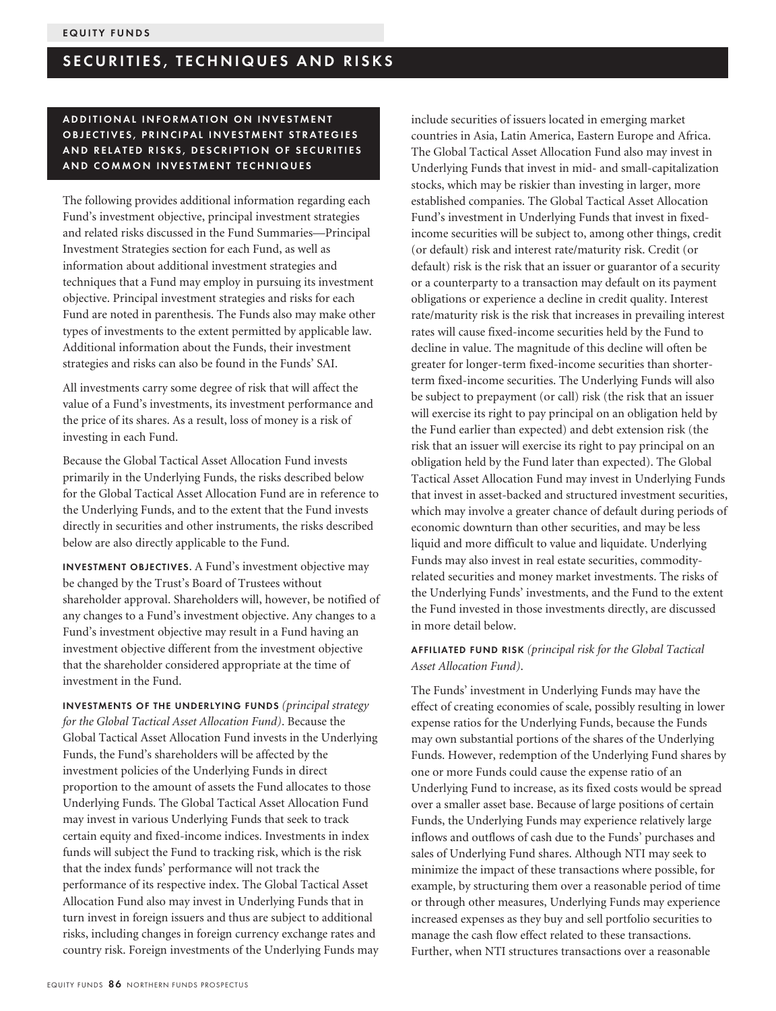# **SECURITIES, TECHNIQUES AND RISKS**

## **ADDITIONAL INFORMATION ON INVESTMENT OBJECTIVES, PRINCIPAL INVESTMENT STRATEGIES AND RELATED RISKS, DESCRIPTION OF SECURITIES AND COMMON INVESTMENT TECHNIQUES**

The following provides additional information regarding each Fund's investment objective, principal investment strategies and related risks discussed in the Fund Summaries—Principal Investment Strategies section for each Fund, as well as information about additional investment strategies and techniques that a Fund may employ in pursuing its investment objective. Principal investment strategies and risks for each Fund are noted in parenthesis. The Funds also may make other types of investments to the extent permitted by applicable law. Additional information about the Funds, their investment strategies and risks can also be found in the Funds' SAI.

All investments carry some degree of risk that will affect the value of a Fund's investments, its investment performance and the price of its shares. As a result, loss of money is a risk of investing in each Fund.

Because the Global Tactical Asset Allocation Fund invests primarily in the Underlying Funds, the risks described below for the Global Tactical Asset Allocation Fund are in reference to the Underlying Funds, and to the extent that the Fund invests directly in securities and other instruments, the risks described below are also directly applicable to the Fund.

**INVESTMENT OBJECTIVES.** A Fund's investment objective may be changed by the Trust's Board of Trustees without shareholder approval. Shareholders will, however, be notified of any changes to a Fund's investment objective. Any changes to a Fund's investment objective may result in a Fund having an investment objective different from the investment objective that the shareholder considered appropriate at the time of investment in the Fund.

**INVESTMENTS OF THE UNDERLYING FUNDS** *(principal strategy for the Global Tactical Asset Allocation Fund)*. Because the Global Tactical Asset Allocation Fund invests in the Underlying Funds, the Fund's shareholders will be affected by the investment policies of the Underlying Funds in direct proportion to the amount of assets the Fund allocates to those Underlying Funds. The Global Tactical Asset Allocation Fund may invest in various Underlying Funds that seek to track certain equity and fixed-income indices. Investments in index funds will subject the Fund to tracking risk, which is the risk that the index funds' performance will not track the performance of its respective index. The Global Tactical Asset Allocation Fund also may invest in Underlying Funds that in turn invest in foreign issuers and thus are subject to additional risks, including changes in foreign currency exchange rates and country risk. Foreign investments of the Underlying Funds may countries in Asia, Latin America, Eastern Europe and Africa. The Global Tactical Asset Allocation Fund also may invest in Underlying Funds that invest in mid- and small-capitalization stocks, which may be riskier than investing in larger, more established companies. The Global Tactical Asset Allocation Fund's investment in Underlying Funds that invest in fixedincome securities will be subject to, among other things, credit (or default) risk and interest rate/maturity risk. Credit (or default) risk is the risk that an issuer or guarantor of a security or a counterparty to a transaction may default on its payment obligations or experience a decline in credit quality. Interest rate/maturity risk is the risk that increases in prevailing interest rates will cause fixed-income securities held by the Fund to decline in value. The magnitude of this decline will often be greater for longer-term fixed-income securities than shorterterm fixed-income securities. The Underlying Funds will also be subject to prepayment (or call) risk (the risk that an issuer will exercise its right to pay principal on an obligation held by the Fund earlier than expected) and debt extension risk (the risk that an issuer will exercise its right to pay principal on an obligation held by the Fund later than expected). The Global Tactical Asset Allocation Fund may invest in Underlying Funds that invest in asset-backed and structured investment securities, which may involve a greater chance of default during periods of economic downturn than other securities, and may be less liquid and more difficult to value and liquidate. Underlying Funds may also invest in real estate securities, commodityrelated securities and money market investments. The risks of the Underlying Funds' investments, and the Fund to the extent the Fund invested in those investments directly, are discussed in more detail below.

include securities of issuers located in emerging market

## **AFFILIATED FUND RISK** *(principal risk for the Global Tactical Asset Allocation Fund)*.

The Funds' investment in Underlying Funds may have the effect of creating economies of scale, possibly resulting in lower expense ratios for the Underlying Funds, because the Funds may own substantial portions of the shares of the Underlying Funds. However, redemption of the Underlying Fund shares by one or more Funds could cause the expense ratio of an Underlying Fund to increase, as its fixed costs would be spread over a smaller asset base. Because of large positions of certain Funds, the Underlying Funds may experience relatively large inflows and outflows of cash due to the Funds' purchases and sales of Underlying Fund shares. Although NTI may seek to minimize the impact of these transactions where possible, for example, by structuring them over a reasonable period of time or through other measures, Underlying Funds may experience increased expenses as they buy and sell portfolio securities to manage the cash flow effect related to these transactions. Further, when NTI structures transactions over a reasonable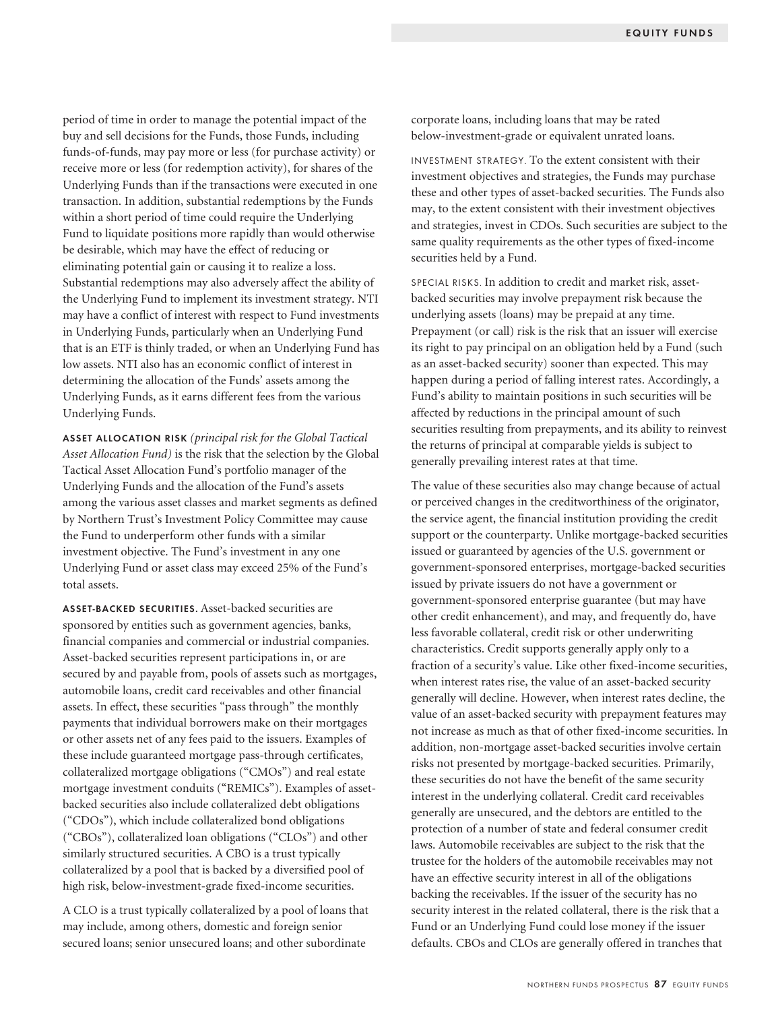period of time in order to manage the potential impact of the buy and sell decisions for the Funds, those Funds, including funds-of-funds, may pay more or less (for purchase activity) or receive more or less (for redemption activity), for shares of the Underlying Funds than if the transactions were executed in one transaction. In addition, substantial redemptions by the Funds within a short period of time could require the Underlying Fund to liquidate positions more rapidly than would otherwise be desirable, which may have the effect of reducing or eliminating potential gain or causing it to realize a loss. Substantial redemptions may also adversely affect the ability of the Underlying Fund to implement its investment strategy. NTI may have a conflict of interest with respect to Fund investments in Underlying Funds, particularly when an Underlying Fund that is an ETF is thinly traded, or when an Underlying Fund has low assets. NTI also has an economic conflict of interest in determining the allocation of the Funds' assets among the Underlying Funds, as it earns different fees from the various Underlying Funds.

**ASSET ALLOCATION RISK** *(principal risk for the Global Tactical Asset Allocation Fund)* is the risk that the selection by the Global Tactical Asset Allocation Fund's portfolio manager of the Underlying Funds and the allocation of the Fund's assets among the various asset classes and market segments as defined by Northern Trust's Investment Policy Committee may cause the Fund to underperform other funds with a similar investment objective. The Fund's investment in any one Underlying Fund or asset class may exceed 25% of the Fund's total assets.

**ASSET-BACKED SECURITIES.** Asset-backed securities are sponsored by entities such as government agencies, banks, financial companies and commercial or industrial companies. Asset-backed securities represent participations in, or are secured by and payable from, pools of assets such as mortgages, automobile loans, credit card receivables and other financial assets. In effect, these securities "pass through" the monthly payments that individual borrowers make on their mortgages or other assets net of any fees paid to the issuers. Examples of these include guaranteed mortgage pass-through certificates, collateralized mortgage obligations ("CMOs") and real estate mortgage investment conduits ("REMICs"). Examples of assetbacked securities also include collateralized debt obligations ("CDOs"), which include collateralized bond obligations ("CBOs"), collateralized loan obligations ("CLOs") and other similarly structured securities. A CBO is a trust typically collateralized by a pool that is backed by a diversified pool of high risk, below-investment-grade fixed-income securities.

A CLO is a trust typically collateralized by a pool of loans that may include, among others, domestic and foreign senior secured loans; senior unsecured loans; and other subordinate

corporate loans, including loans that may be rated below-investment-grade or equivalent unrated loans.

INVESTMENT STRATEGY. To the extent consistent with their investment objectives and strategies, the Funds may purchase these and other types of asset-backed securities. The Funds also may, to the extent consistent with their investment objectives and strategies, invest in CDOs. Such securities are subject to the same quality requirements as the other types of fixed-income securities held by a Fund.

SPECIAL RISKS. In addition to credit and market risk, assetbacked securities may involve prepayment risk because the underlying assets (loans) may be prepaid at any time. Prepayment (or call) risk is the risk that an issuer will exercise its right to pay principal on an obligation held by a Fund (such as an asset-backed security) sooner than expected. This may happen during a period of falling interest rates. Accordingly, a Fund's ability to maintain positions in such securities will be affected by reductions in the principal amount of such securities resulting from prepayments, and its ability to reinvest the returns of principal at comparable yields is subject to generally prevailing interest rates at that time.

The value of these securities also may change because of actual or perceived changes in the creditworthiness of the originator, the service agent, the financial institution providing the credit support or the counterparty. Unlike mortgage-backed securities issued or guaranteed by agencies of the U.S. government or government-sponsored enterprises, mortgage-backed securities issued by private issuers do not have a government or government-sponsored enterprise guarantee (but may have other credit enhancement), and may, and frequently do, have less favorable collateral, credit risk or other underwriting characteristics. Credit supports generally apply only to a fraction of a security's value. Like other fixed-income securities, when interest rates rise, the value of an asset-backed security generally will decline. However, when interest rates decline, the value of an asset-backed security with prepayment features may not increase as much as that of other fixed-income securities. In addition, non-mortgage asset-backed securities involve certain risks not presented by mortgage-backed securities. Primarily, these securities do not have the benefit of the same security interest in the underlying collateral. Credit card receivables generally are unsecured, and the debtors are entitled to the protection of a number of state and federal consumer credit laws. Automobile receivables are subject to the risk that the trustee for the holders of the automobile receivables may not have an effective security interest in all of the obligations backing the receivables. If the issuer of the security has no security interest in the related collateral, there is the risk that a Fund or an Underlying Fund could lose money if the issuer defaults. CBOs and CLOs are generally offered in tranches that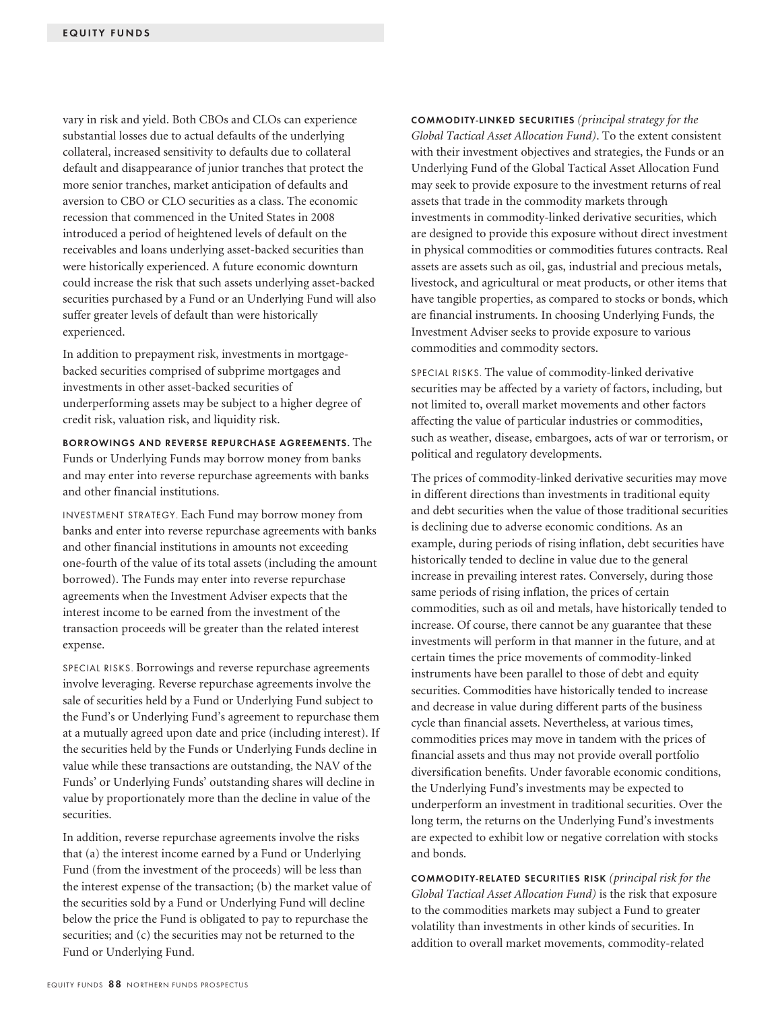vary in risk and yield. Both CBOs and CLOs can experience substantial losses due to actual defaults of the underlying collateral, increased sensitivity to defaults due to collateral default and disappearance of junior tranches that protect the more senior tranches, market anticipation of defaults and aversion to CBO or CLO securities as a class. The economic recession that commenced in the United States in 2008 introduced a period of heightened levels of default on the receivables and loans underlying asset-backed securities than were historically experienced. A future economic downturn could increase the risk that such assets underlying asset-backed securities purchased by a Fund or an Underlying Fund will also suffer greater levels of default than were historically experienced.

In addition to prepayment risk, investments in mortgagebacked securities comprised of subprime mortgages and investments in other asset-backed securities of underperforming assets may be subject to a higher degree of credit risk, valuation risk, and liquidity risk.

**BORROWINGS AND REVERSE REPURCHASE AGREEMENTS.** The Funds or Underlying Funds may borrow money from banks and may enter into reverse repurchase agreements with banks and other financial institutions.

INVESTMENT STRATEGY. Each Fund may borrow money from banks and enter into reverse repurchase agreements with banks and other financial institutions in amounts not exceeding one-fourth of the value of its total assets (including the amount borrowed). The Funds may enter into reverse repurchase agreements when the Investment Adviser expects that the interest income to be earned from the investment of the transaction proceeds will be greater than the related interest expense.

SPECIAL RISKS. Borrowings and reverse repurchase agreements involve leveraging. Reverse repurchase agreements involve the sale of securities held by a Fund or Underlying Fund subject to the Fund's or Underlying Fund's agreement to repurchase them at a mutually agreed upon date and price (including interest). If the securities held by the Funds or Underlying Funds decline in value while these transactions are outstanding, the NAV of the Funds' or Underlying Funds' outstanding shares will decline in value by proportionately more than the decline in value of the securities.

In addition, reverse repurchase agreements involve the risks that (a) the interest income earned by a Fund or Underlying Fund (from the investment of the proceeds) will be less than the interest expense of the transaction; (b) the market value of the securities sold by a Fund or Underlying Fund will decline below the price the Fund is obligated to pay to repurchase the securities; and (c) the securities may not be returned to the Fund or Underlying Fund.

**COMMODITY-LINKED SECURITIES** *(principal strategy for the Global Tactical Asset Allocation Fund)*. To the extent consistent with their investment objectives and strategies, the Funds or an Underlying Fund of the Global Tactical Asset Allocation Fund may seek to provide exposure to the investment returns of real assets that trade in the commodity markets through investments in commodity-linked derivative securities, which are designed to provide this exposure without direct investment in physical commodities or commodities futures contracts. Real assets are assets such as oil, gas, industrial and precious metals, livestock, and agricultural or meat products, or other items that have tangible properties, as compared to stocks or bonds, which are financial instruments. In choosing Underlying Funds, the Investment Adviser seeks to provide exposure to various commodities and commodity sectors.

SPECIAL RISKS. The value of commodity-linked derivative securities may be affected by a variety of factors, including, but not limited to, overall market movements and other factors affecting the value of particular industries or commodities, such as weather, disease, embargoes, acts of war or terrorism, or political and regulatory developments.

The prices of commodity-linked derivative securities may move in different directions than investments in traditional equity and debt securities when the value of those traditional securities is declining due to adverse economic conditions. As an example, during periods of rising inflation, debt securities have historically tended to decline in value due to the general increase in prevailing interest rates. Conversely, during those same periods of rising inflation, the prices of certain commodities, such as oil and metals, have historically tended to increase. Of course, there cannot be any guarantee that these investments will perform in that manner in the future, and at certain times the price movements of commodity-linked instruments have been parallel to those of debt and equity securities. Commodities have historically tended to increase and decrease in value during different parts of the business cycle than financial assets. Nevertheless, at various times, commodities prices may move in tandem with the prices of financial assets and thus may not provide overall portfolio diversification benefits. Under favorable economic conditions, the Underlying Fund's investments may be expected to underperform an investment in traditional securities. Over the long term, the returns on the Underlying Fund's investments are expected to exhibit low or negative correlation with stocks and bonds.

**COMMODITY-RELATED SECURITIES RISK** *(principal risk for the Global Tactical Asset Allocation Fund)* is the risk that exposure to the commodities markets may subject a Fund to greater volatility than investments in other kinds of securities. In addition to overall market movements, commodity-related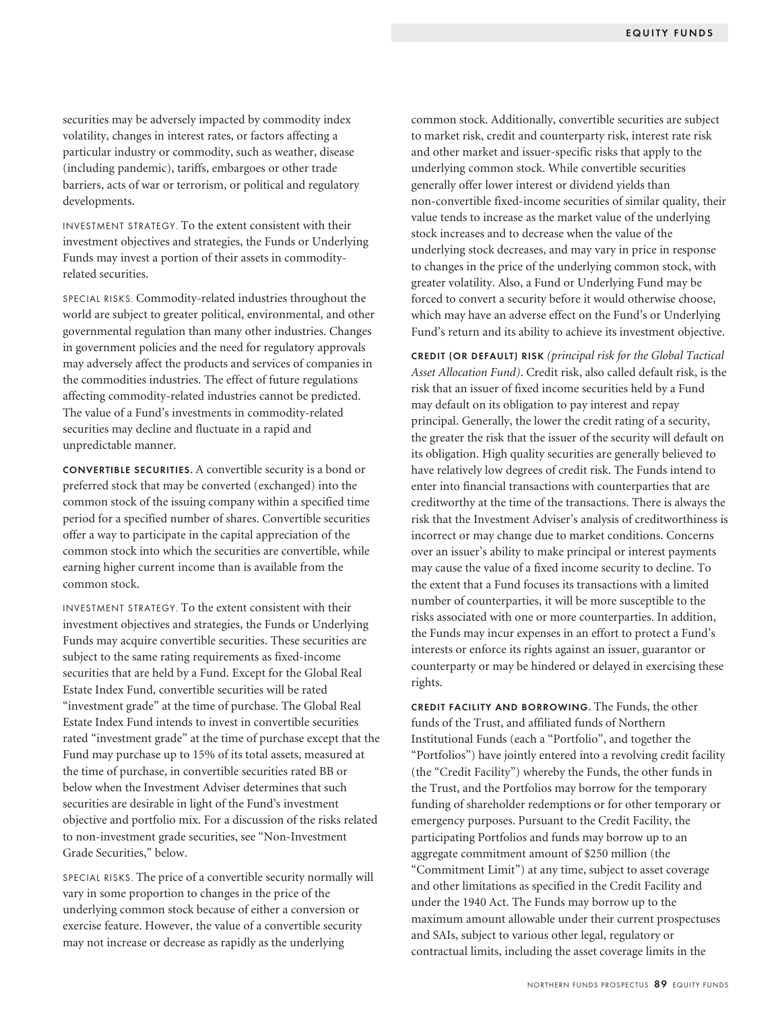securities may be adversely impacted by commodity index volatility, changes in interest rates, or factors affecting a particular industry or commodity, such as weather, disease (including pandemic), tariffs, embargoes or other trade barriers, acts of war or terrorism, or political and regulatory developments.

INVESTMENT STRATEGY. To the extent consistent with their investment objectives and strategies, the Funds or Underlying Funds may invest a portion of their assets in commodityrelated securities.

SPECIAL RISKS. Commodity-related industries throughout the world are subject to greater political, environmental, and other governmental regulation than many other industries. Changes in government policies and the need for regulatory approvals may adversely affect the products and services of companies in the commodities industries. The effect of future regulations affecting commodity-related industries cannot be predicted. The value of a Fund's investments in commodity-related securities may decline and fluctuate in a rapid and unpredictable manner.

**CONVERTIBLE SECURITIES.** A convertible security is a bond or preferred stock that may be converted (exchanged) into the common stock of the issuing company within a specified time period for a specified number of shares. Convertible securities offer a way to participate in the capital appreciation of the common stock into which the securities are convertible, while earning higher current income than is available from the common stock.

INVESTMENT STRATEGY. To the extent consistent with their investment objectives and strategies, the Funds or Underlying Funds may acquire convertible securities. These securities are subject to the same rating requirements as fixed-income securities that are held by a Fund. Except for the Global Real Estate Index Fund, convertible securities will be rated "investment grade" at the time of purchase. The Global Real Estate Index Fund intends to invest in convertible securities rated "investment grade" at the time of purchase except that the Fund may purchase up to 15% of its total assets, measured at the time of purchase, in convertible securities rated BB or below when the Investment Adviser determines that such securities are desirable in light of the Fund's investment objective and portfolio mix. For a discussion of the risks related to non-investment grade securities, see "Non-Investment Grade Securities," below.

SPECIAL RISKS. The price of a convertible security normally will vary in some proportion to changes in the price of the underlying common stock because of either a conversion or exercise feature. However, the value of a convertible security may not increase or decrease as rapidly as the underlying

common stock. Additionally, convertible securities are subject to market risk, credit and counterparty risk, interest rate risk and other market and issuer-specific risks that apply to the underlying common stock. While convertible securities generally offer lower interest or dividend yields than non-convertible fixed-income securities of similar quality, their value tends to increase as the market value of the underlying stock increases and to decrease when the value of the underlying stock decreases, and may vary in price in response to changes in the price of the underlying common stock, with greater volatility. Also, a Fund or Underlying Fund may be forced to convert a security before it would otherwise choose, which may have an adverse effect on the Fund's or Underlying Fund's return and its ability to achieve its investment objective.

**CREDIT (OR DEFAULT) RISK** *(principal risk for the Global Tactical Asset Allocation Fund)*. Credit risk, also called default risk, is the risk that an issuer of fixed income securities held by a Fund may default on its obligation to pay interest and repay principal. Generally, the lower the credit rating of a security, the greater the risk that the issuer of the security will default on its obligation. High quality securities are generally believed to have relatively low degrees of credit risk. The Funds intend to enter into financial transactions with counterparties that are creditworthy at the time of the transactions. There is always the risk that the Investment Adviser's analysis of creditworthiness is incorrect or may change due to market conditions. Concerns over an issuer's ability to make principal or interest payments may cause the value of a fixed income security to decline. To the extent that a Fund focuses its transactions with a limited number of counterparties, it will be more susceptible to the risks associated with one or more counterparties. In addition, the Funds may incur expenses in an effort to protect a Fund's interests or enforce its rights against an issuer, guarantor or counterparty or may be hindered or delayed in exercising these rights.

**CREDIT FACILITY AND BORROWING.** The Funds, the other funds of the Trust, and affiliated funds of Northern Institutional Funds (each a "Portfolio", and together the "Portfolios") have jointly entered into a revolving credit facility (the "Credit Facility") whereby the Funds, the other funds in the Trust, and the Portfolios may borrow for the temporary funding of shareholder redemptions or for other temporary or emergency purposes. Pursuant to the Credit Facility, the participating Portfolios and funds may borrow up to an aggregate commitment amount of \$250 million (the "Commitment Limit") at any time, subject to asset coverage and other limitations as specified in the Credit Facility and under the 1940 Act. The Funds may borrow up to the maximum amount allowable under their current prospectuses and SAIs, subject to various other legal, regulatory or contractual limits, including the asset coverage limits in the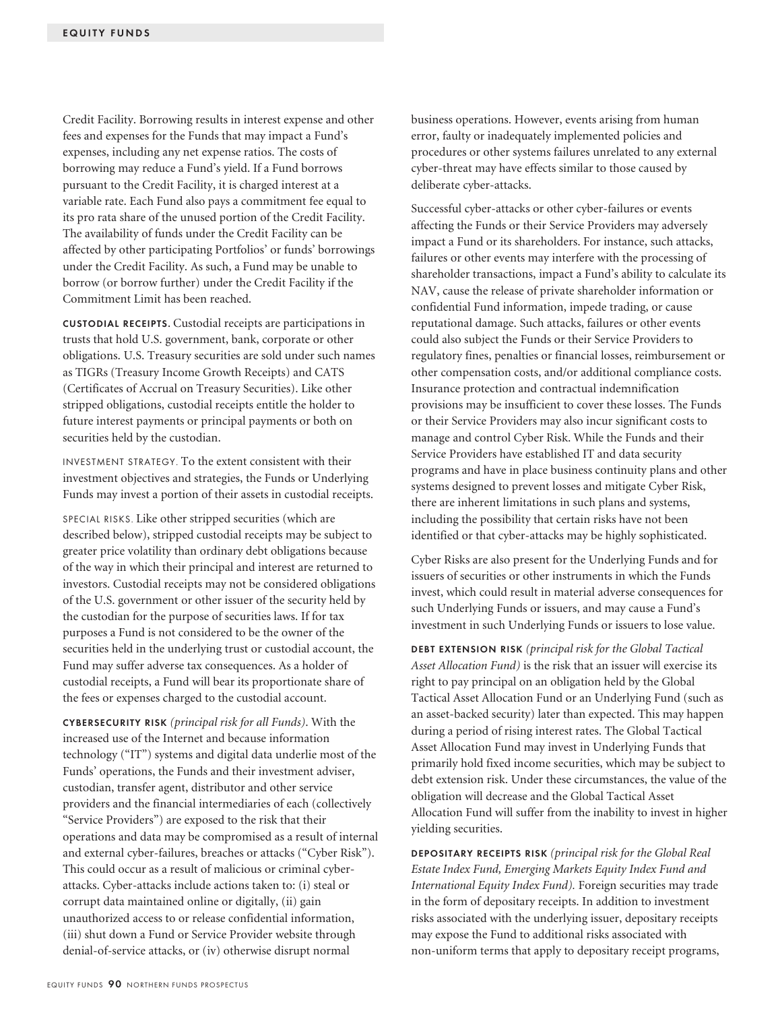Credit Facility. Borrowing results in interest expense and other fees and expenses for the Funds that may impact a Fund's expenses, including any net expense ratios. The costs of borrowing may reduce a Fund's yield. If a Fund borrows pursuant to the Credit Facility, it is charged interest at a variable rate. Each Fund also pays a commitment fee equal to its pro rata share of the unused portion of the Credit Facility. The availability of funds under the Credit Facility can be affected by other participating Portfolios' or funds' borrowings under the Credit Facility. As such, a Fund may be unable to borrow (or borrow further) under the Credit Facility if the Commitment Limit has been reached.

**CUSTODIAL RECEIPTS.** Custodial receipts are participations in trusts that hold U.S. government, bank, corporate or other obligations. U.S. Treasury securities are sold under such names as TIGRs (Treasury Income Growth Receipts) and CATS (Certificates of Accrual on Treasury Securities). Like other stripped obligations, custodial receipts entitle the holder to future interest payments or principal payments or both on securities held by the custodian.

INVESTMENT STRATEGY. To the extent consistent with their investment objectives and strategies, the Funds or Underlying Funds may invest a portion of their assets in custodial receipts.

SPECIAL RISKS. Like other stripped securities (which are described below), stripped custodial receipts may be subject to greater price volatility than ordinary debt obligations because of the way in which their principal and interest are returned to investors. Custodial receipts may not be considered obligations of the U.S. government or other issuer of the security held by the custodian for the purpose of securities laws. If for tax purposes a Fund is not considered to be the owner of the securities held in the underlying trust or custodial account, the Fund may suffer adverse tax consequences. As a holder of custodial receipts, a Fund will bear its proportionate share of the fees or expenses charged to the custodial account.

**CYBERSECURITY RISK** *(principal risk for all Funds)*. With the increased use of the Internet and because information technology ("IT") systems and digital data underlie most of the Funds' operations, the Funds and their investment adviser, custodian, transfer agent, distributor and other service providers and the financial intermediaries of each (collectively "Service Providers") are exposed to the risk that their operations and data may be compromised as a result of internal and external cyber-failures, breaches or attacks ("Cyber Risk"). This could occur as a result of malicious or criminal cyberattacks. Cyber-attacks include actions taken to: (i) steal or corrupt data maintained online or digitally, (ii) gain unauthorized access to or release confidential information, (iii) shut down a Fund or Service Provider website through denial-of-service attacks, or (iv) otherwise disrupt normal

business operations. However, events arising from human error, faulty or inadequately implemented policies and procedures or other systems failures unrelated to any external cyber-threat may have effects similar to those caused by deliberate cyber-attacks.

Successful cyber-attacks or other cyber-failures or events affecting the Funds or their Service Providers may adversely impact a Fund or its shareholders. For instance, such attacks, failures or other events may interfere with the processing of shareholder transactions, impact a Fund's ability to calculate its NAV, cause the release of private shareholder information or confidential Fund information, impede trading, or cause reputational damage. Such attacks, failures or other events could also subject the Funds or their Service Providers to regulatory fines, penalties or financial losses, reimbursement or other compensation costs, and/or additional compliance costs. Insurance protection and contractual indemnification provisions may be insufficient to cover these losses. The Funds or their Service Providers may also incur significant costs to manage and control Cyber Risk. While the Funds and their Service Providers have established IT and data security programs and have in place business continuity plans and other systems designed to prevent losses and mitigate Cyber Risk, there are inherent limitations in such plans and systems, including the possibility that certain risks have not been identified or that cyber-attacks may be highly sophisticated.

Cyber Risks are also present for the Underlying Funds and for issuers of securities or other instruments in which the Funds invest, which could result in material adverse consequences for such Underlying Funds or issuers, and may cause a Fund's investment in such Underlying Funds or issuers to lose value.

**DEBT EXTENSION RISK** *(principal risk for the Global Tactical Asset Allocation Fund)* is the risk that an issuer will exercise its right to pay principal on an obligation held by the Global Tactical Asset Allocation Fund or an Underlying Fund (such as an asset-backed security) later than expected. This may happen during a period of rising interest rates. The Global Tactical Asset Allocation Fund may invest in Underlying Funds that primarily hold fixed income securities, which may be subject to debt extension risk. Under these circumstances, the value of the obligation will decrease and the Global Tactical Asset Allocation Fund will suffer from the inability to invest in higher yielding securities.

**DEPOSITARY RECEIPTS RISK** *(principal risk for the Global Real Estate Index Fund, Emerging Markets Equity Index Fund and International Equity Index Fund).* Foreign securities may trade in the form of depositary receipts. In addition to investment risks associated with the underlying issuer, depositary receipts may expose the Fund to additional risks associated with non-uniform terms that apply to depositary receipt programs,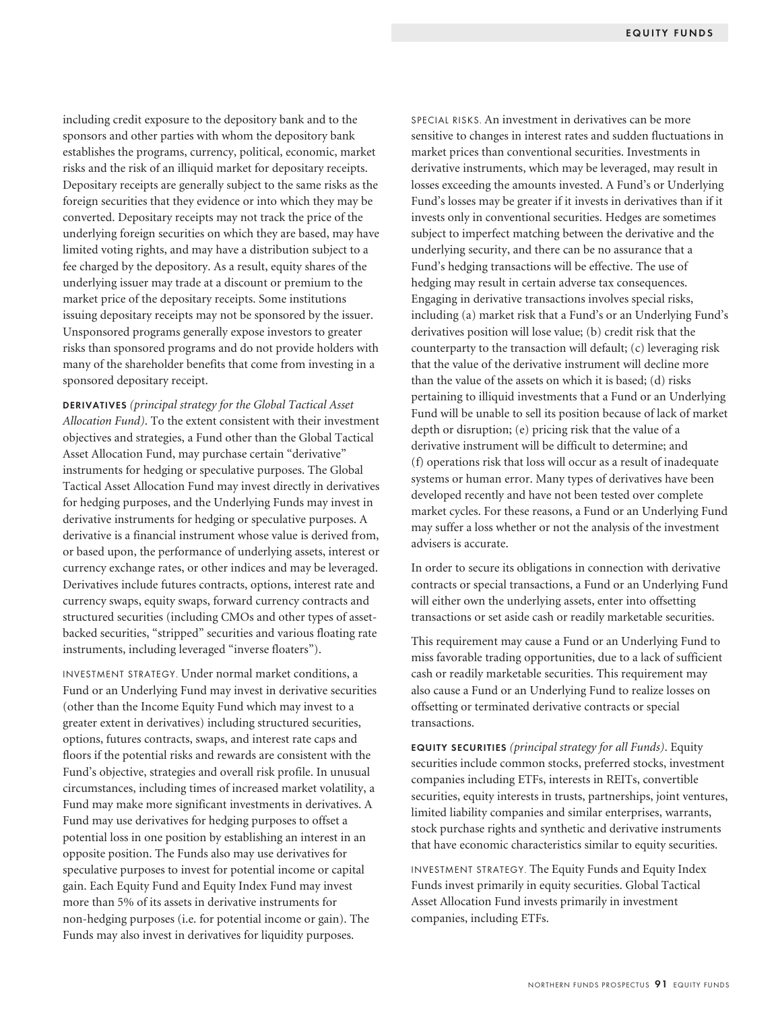including credit exposure to the depository bank and to the sponsors and other parties with whom the depository bank establishes the programs, currency, political, economic, market risks and the risk of an illiquid market for depositary receipts. Depositary receipts are generally subject to the same risks as the foreign securities that they evidence or into which they may be converted. Depositary receipts may not track the price of the underlying foreign securities on which they are based, may have limited voting rights, and may have a distribution subject to a fee charged by the depository. As a result, equity shares of the underlying issuer may trade at a discount or premium to the market price of the depositary receipts. Some institutions issuing depositary receipts may not be sponsored by the issuer. Unsponsored programs generally expose investors to greater risks than sponsored programs and do not provide holders with many of the shareholder benefits that come from investing in a sponsored depositary receipt.

**DERIVATIVES** *(principal strategy for the Global Tactical Asset Allocation Fund)*. To the extent consistent with their investment objectives and strategies, a Fund other than the Global Tactical Asset Allocation Fund, may purchase certain "derivative" instruments for hedging or speculative purposes. The Global Tactical Asset Allocation Fund may invest directly in derivatives for hedging purposes, and the Underlying Funds may invest in derivative instruments for hedging or speculative purposes. A derivative is a financial instrument whose value is derived from, or based upon, the performance of underlying assets, interest or currency exchange rates, or other indices and may be leveraged. Derivatives include futures contracts, options, interest rate and currency swaps, equity swaps, forward currency contracts and structured securities (including CMOs and other types of assetbacked securities, "stripped" securities and various floating rate instruments, including leveraged "inverse floaters").

INVESTMENT STRATEGY. Under normal market conditions, a Fund or an Underlying Fund may invest in derivative securities (other than the Income Equity Fund which may invest to a greater extent in derivatives) including structured securities, options, futures contracts, swaps, and interest rate caps and floors if the potential risks and rewards are consistent with the Fund's objective, strategies and overall risk profile. In unusual circumstances, including times of increased market volatility, a Fund may make more significant investments in derivatives. A Fund may use derivatives for hedging purposes to offset a potential loss in one position by establishing an interest in an opposite position. The Funds also may use derivatives for speculative purposes to invest for potential income or capital gain. Each Equity Fund and Equity Index Fund may invest more than 5% of its assets in derivative instruments for non-hedging purposes (i.e. for potential income or gain). The Funds may also invest in derivatives for liquidity purposes.

SPECIAL RISKS. An investment in derivatives can be more sensitive to changes in interest rates and sudden fluctuations in market prices than conventional securities. Investments in derivative instruments, which may be leveraged, may result in losses exceeding the amounts invested. A Fund's or Underlying Fund's losses may be greater if it invests in derivatives than if it invests only in conventional securities. Hedges are sometimes subject to imperfect matching between the derivative and the underlying security, and there can be no assurance that a Fund's hedging transactions will be effective. The use of hedging may result in certain adverse tax consequences. Engaging in derivative transactions involves special risks, including (a) market risk that a Fund's or an Underlying Fund's derivatives position will lose value; (b) credit risk that the counterparty to the transaction will default; (c) leveraging risk that the value of the derivative instrument will decline more than the value of the assets on which it is based; (d) risks pertaining to illiquid investments that a Fund or an Underlying Fund will be unable to sell its position because of lack of market depth or disruption; (e) pricing risk that the value of a derivative instrument will be difficult to determine; and (f) operations risk that loss will occur as a result of inadequate systems or human error. Many types of derivatives have been developed recently and have not been tested over complete market cycles. For these reasons, a Fund or an Underlying Fund may suffer a loss whether or not the analysis of the investment advisers is accurate.

In order to secure its obligations in connection with derivative contracts or special transactions, a Fund or an Underlying Fund will either own the underlying assets, enter into offsetting transactions or set aside cash or readily marketable securities.

This requirement may cause a Fund or an Underlying Fund to miss favorable trading opportunities, due to a lack of sufficient cash or readily marketable securities. This requirement may also cause a Fund or an Underlying Fund to realize losses on offsetting or terminated derivative contracts or special transactions.

**EQUITY SECURITIES** *(principal strategy for all Funds)*. Equity securities include common stocks, preferred stocks, investment companies including ETFs, interests in REITs, convertible securities, equity interests in trusts, partnerships, joint ventures, limited liability companies and similar enterprises, warrants, stock purchase rights and synthetic and derivative instruments that have economic characteristics similar to equity securities.

INVESTMENT STRATEGY. The Equity Funds and Equity Index Funds invest primarily in equity securities. Global Tactical Asset Allocation Fund invests primarily in investment companies, including ETFs.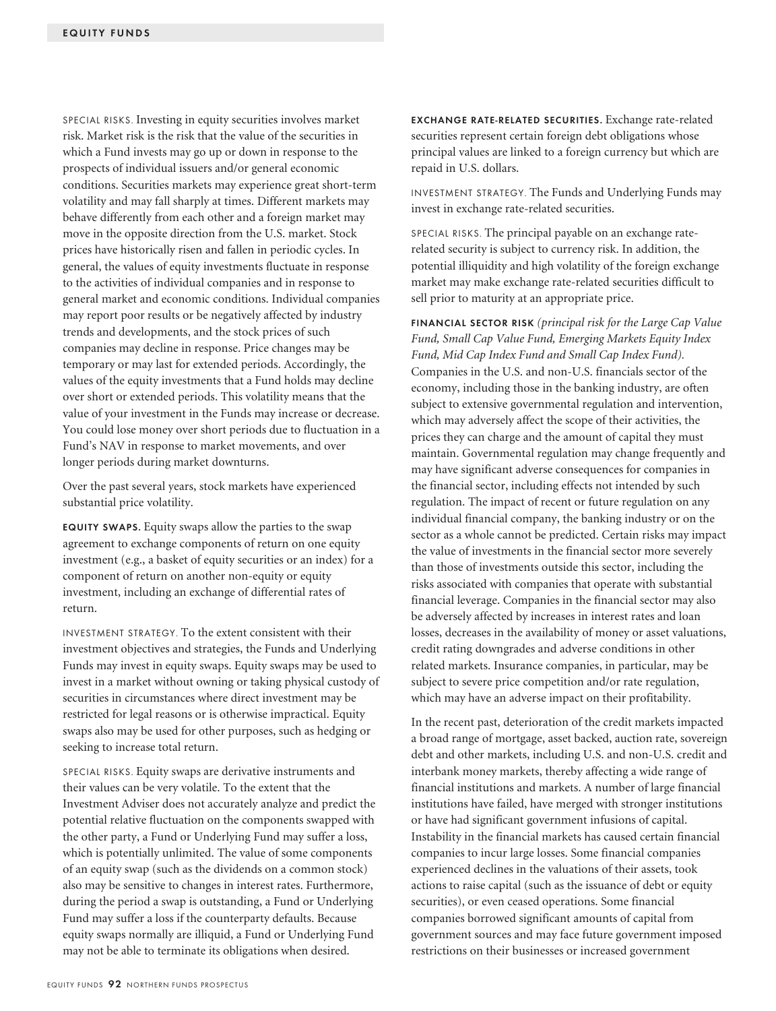SPECIAL RISKS. Investing in equity securities involves market risk. Market risk is the risk that the value of the securities in which a Fund invests may go up or down in response to the prospects of individual issuers and/or general economic conditions. Securities markets may experience great short-term volatility and may fall sharply at times. Different markets may behave differently from each other and a foreign market may move in the opposite direction from the U.S. market. Stock prices have historically risen and fallen in periodic cycles. In general, the values of equity investments fluctuate in response to the activities of individual companies and in response to general market and economic conditions. Individual companies may report poor results or be negatively affected by industry trends and developments, and the stock prices of such companies may decline in response. Price changes may be temporary or may last for extended periods. Accordingly, the values of the equity investments that a Fund holds may decline over short or extended periods. This volatility means that the value of your investment in the Funds may increase or decrease. You could lose money over short periods due to fluctuation in a Fund's NAV in response to market movements, and over longer periods during market downturns.

Over the past several years, stock markets have experienced substantial price volatility.

**EQUITY SWAPS.** Equity swaps allow the parties to the swap agreement to exchange components of return on one equity investment (e.g., a basket of equity securities or an index) for a component of return on another non-equity or equity investment, including an exchange of differential rates of return.

INVESTMENT STRATEGY. To the extent consistent with their investment objectives and strategies, the Funds and Underlying Funds may invest in equity swaps. Equity swaps may be used to invest in a market without owning or taking physical custody of securities in circumstances where direct investment may be restricted for legal reasons or is otherwise impractical. Equity swaps also may be used for other purposes, such as hedging or seeking to increase total return.

SPECIAL RISKS. Equity swaps are derivative instruments and their values can be very volatile. To the extent that the Investment Adviser does not accurately analyze and predict the potential relative fluctuation on the components swapped with the other party, a Fund or Underlying Fund may suffer a loss, which is potentially unlimited. The value of some components of an equity swap (such as the dividends on a common stock) also may be sensitive to changes in interest rates. Furthermore, during the period a swap is outstanding, a Fund or Underlying Fund may suffer a loss if the counterparty defaults. Because equity swaps normally are illiquid, a Fund or Underlying Fund may not be able to terminate its obligations when desired.

**EXCHANGE RATE-RELATED SECURITIES.** Exchange rate-related securities represent certain foreign debt obligations whose principal values are linked to a foreign currency but which are repaid in U.S. dollars.

INVESTMENT STRATEGY. The Funds and Underlying Funds may invest in exchange rate-related securities.

SPECIAL RISKS. The principal payable on an exchange raterelated security is subject to currency risk. In addition, the potential illiquidity and high volatility of the foreign exchange market may make exchange rate-related securities difficult to sell prior to maturity at an appropriate price.

**FINANCIAL SECTOR RISK** *(principal risk for the Large Cap Value Fund, Small Cap Value Fund, Emerging Markets Equity Index Fund, Mid Cap Index Fund and Small Cap Index Fund).* Companies in the U.S. and non-U.S. financials sector of the economy, including those in the banking industry, are often subject to extensive governmental regulation and intervention, which may adversely affect the scope of their activities, the prices they can charge and the amount of capital they must maintain. Governmental regulation may change frequently and may have significant adverse consequences for companies in the financial sector, including effects not intended by such regulation. The impact of recent or future regulation on any individual financial company, the banking industry or on the sector as a whole cannot be predicted. Certain risks may impact the value of investments in the financial sector more severely than those of investments outside this sector, including the risks associated with companies that operate with substantial financial leverage. Companies in the financial sector may also be adversely affected by increases in interest rates and loan losses, decreases in the availability of money or asset valuations, credit rating downgrades and adverse conditions in other related markets. Insurance companies, in particular, may be subject to severe price competition and/or rate regulation, which may have an adverse impact on their profitability.

In the recent past, deterioration of the credit markets impacted a broad range of mortgage, asset backed, auction rate, sovereign debt and other markets, including U.S. and non-U.S. credit and interbank money markets, thereby affecting a wide range of financial institutions and markets. A number of large financial institutions have failed, have merged with stronger institutions or have had significant government infusions of capital. Instability in the financial markets has caused certain financial companies to incur large losses. Some financial companies experienced declines in the valuations of their assets, took actions to raise capital (such as the issuance of debt or equity securities), or even ceased operations. Some financial companies borrowed significant amounts of capital from government sources and may face future government imposed restrictions on their businesses or increased government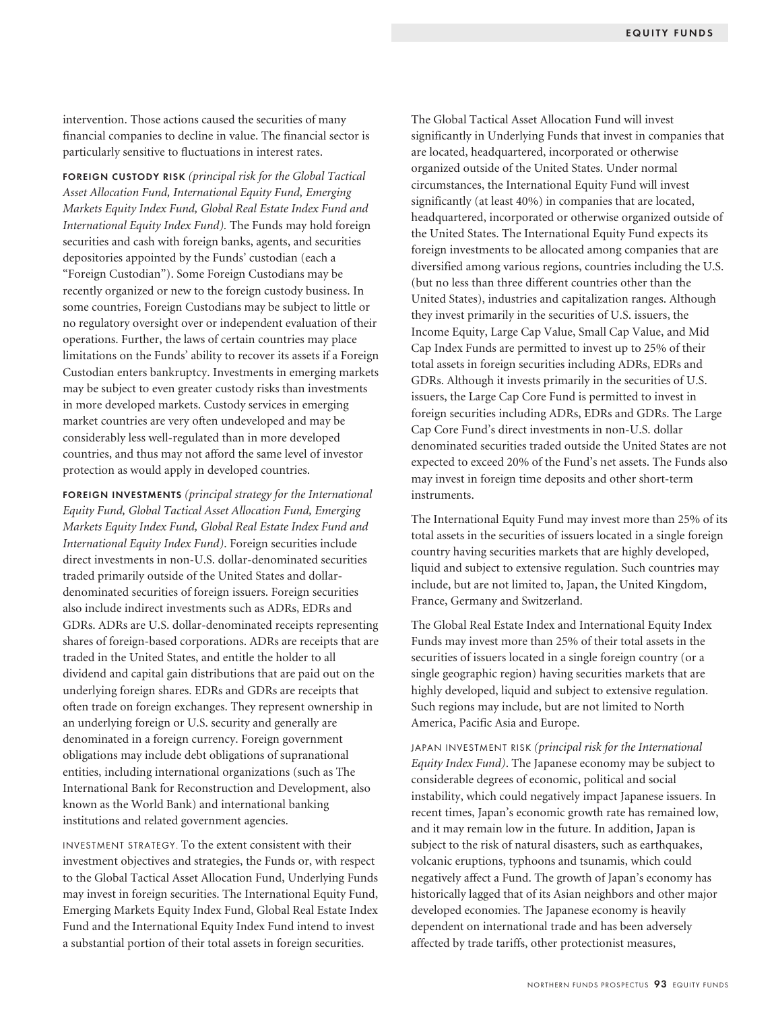intervention. Those actions caused the securities of many financial companies to decline in value. The financial sector is particularly sensitive to fluctuations in interest rates.

**FOREIGN CUSTODY RISK** *(principal risk for the Global Tactical Asset Allocation Fund, International Equity Fund, Emerging Markets Equity Index Fund, Global Real Estate Index Fund and International Equity Index Fund).* The Funds may hold foreign securities and cash with foreign banks, agents, and securities depositories appointed by the Funds' custodian (each a "Foreign Custodian"). Some Foreign Custodians may be recently organized or new to the foreign custody business. In some countries, Foreign Custodians may be subject to little or no regulatory oversight over or independent evaluation of their operations. Further, the laws of certain countries may place limitations on the Funds' ability to recover its assets if a Foreign Custodian enters bankruptcy. Investments in emerging markets may be subject to even greater custody risks than investments in more developed markets. Custody services in emerging market countries are very often undeveloped and may be considerably less well-regulated than in more developed countries, and thus may not afford the same level of investor protection as would apply in developed countries.

**FOREIGN INVESTMENTS** *(principal strategy for the International Equity Fund, Global Tactical Asset Allocation Fund, Emerging Markets Equity Index Fund, Global Real Estate Index Fund and International Equity Index Fund)*. Foreign securities include direct investments in non-U.S. dollar-denominated securities traded primarily outside of the United States and dollardenominated securities of foreign issuers. Foreign securities also include indirect investments such as ADRs, EDRs and GDRs. ADRs are U.S. dollar-denominated receipts representing shares of foreign-based corporations. ADRs are receipts that are traded in the United States, and entitle the holder to all dividend and capital gain distributions that are paid out on the underlying foreign shares. EDRs and GDRs are receipts that often trade on foreign exchanges. They represent ownership in an underlying foreign or U.S. security and generally are denominated in a foreign currency. Foreign government obligations may include debt obligations of supranational entities, including international organizations (such as The International Bank for Reconstruction and Development, also known as the World Bank) and international banking institutions and related government agencies.

INVESTMENT STRATEGY. To the extent consistent with their investment objectives and strategies, the Funds or, with respect to the Global Tactical Asset Allocation Fund, Underlying Funds may invest in foreign securities. The International Equity Fund, Emerging Markets Equity Index Fund, Global Real Estate Index Fund and the International Equity Index Fund intend to invest a substantial portion of their total assets in foreign securities.

The Global Tactical Asset Allocation Fund will invest significantly in Underlying Funds that invest in companies that are located, headquartered, incorporated or otherwise organized outside of the United States. Under normal circumstances, the International Equity Fund will invest significantly (at least 40%) in companies that are located, headquartered, incorporated or otherwise organized outside of the United States. The International Equity Fund expects its foreign investments to be allocated among companies that are diversified among various regions, countries including the U.S. (but no less than three different countries other than the United States), industries and capitalization ranges. Although they invest primarily in the securities of U.S. issuers, the Income Equity, Large Cap Value, Small Cap Value, and Mid Cap Index Funds are permitted to invest up to 25% of their total assets in foreign securities including ADRs, EDRs and GDRs. Although it invests primarily in the securities of U.S. issuers, the Large Cap Core Fund is permitted to invest in foreign securities including ADRs, EDRs and GDRs. The Large Cap Core Fund's direct investments in non-U.S. dollar denominated securities traded outside the United States are not expected to exceed 20% of the Fund's net assets. The Funds also may invest in foreign time deposits and other short-term instruments.

The International Equity Fund may invest more than 25% of its total assets in the securities of issuers located in a single foreign country having securities markets that are highly developed, liquid and subject to extensive regulation. Such countries may include, but are not limited to, Japan, the United Kingdom, France, Germany and Switzerland.

The Global Real Estate Index and International Equity Index Funds may invest more than 25% of their total assets in the securities of issuers located in a single foreign country (or a single geographic region) having securities markets that are highly developed, liquid and subject to extensive regulation. Such regions may include, but are not limited to North America, Pacific Asia and Europe.

JAPAN INVESTMENT RISK *(principal risk for the International Equity Index Fund)*. The Japanese economy may be subject to considerable degrees of economic, political and social instability, which could negatively impact Japanese issuers. In recent times, Japan's economic growth rate has remained low, and it may remain low in the future. In addition, Japan is subject to the risk of natural disasters, such as earthquakes, volcanic eruptions, typhoons and tsunamis, which could negatively affect a Fund. The growth of Japan's economy has historically lagged that of its Asian neighbors and other major developed economies. The Japanese economy is heavily dependent on international trade and has been adversely affected by trade tariffs, other protectionist measures,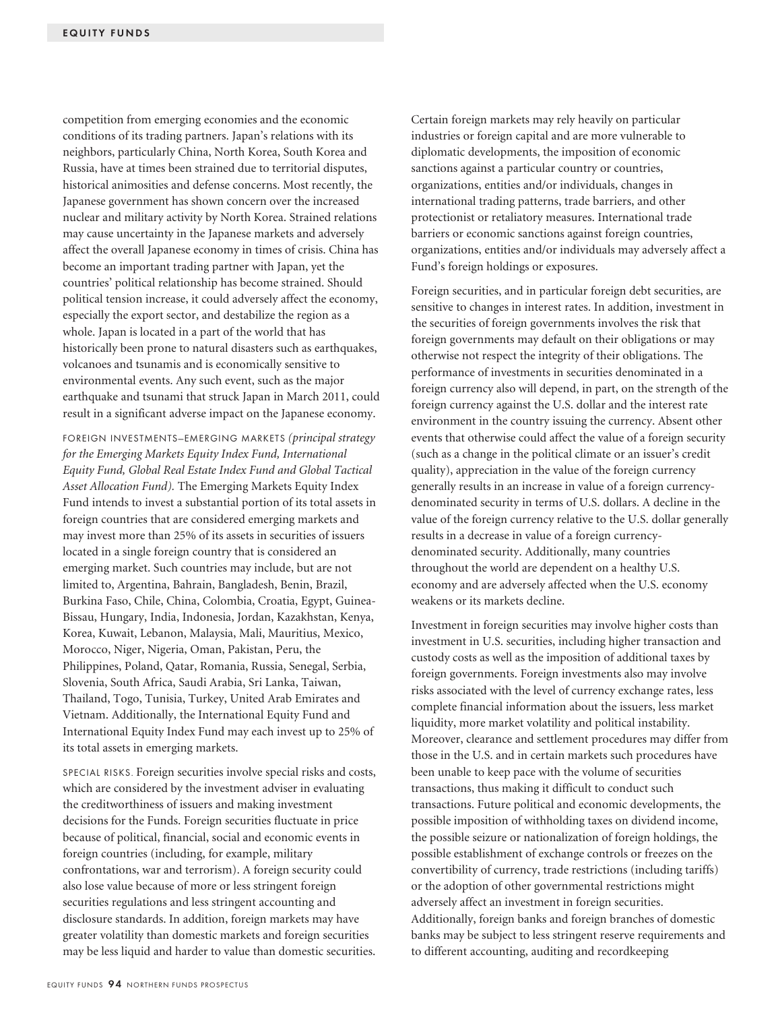competition from emerging economies and the economic conditions of its trading partners. Japan's relations with its neighbors, particularly China, North Korea, South Korea and Russia, have at times been strained due to territorial disputes, historical animosities and defense concerns. Most recently, the Japanese government has shown concern over the increased nuclear and military activity by North Korea. Strained relations may cause uncertainty in the Japanese markets and adversely affect the overall Japanese economy in times of crisis. China has become an important trading partner with Japan, yet the countries' political relationship has become strained. Should political tension increase, it could adversely affect the economy, especially the export sector, and destabilize the region as a whole. Japan is located in a part of the world that has historically been prone to natural disasters such as earthquakes, volcanoes and tsunamis and is economically sensitive to environmental events. Any such event, such as the major earthquake and tsunami that struck Japan in March 2011, could result in a significant adverse impact on the Japanese economy.

FOREIGN INVESTMENTS—EMERGING MARKETS *(principal strategy for the Emerging Markets Equity Index Fund, International Equity Fund, Global Real Estate Index Fund and Global Tactical Asset Allocation Fund).* The Emerging Markets Equity Index Fund intends to invest a substantial portion of its total assets in foreign countries that are considered emerging markets and may invest more than 25% of its assets in securities of issuers located in a single foreign country that is considered an emerging market. Such countries may include, but are not limited to, Argentina, Bahrain, Bangladesh, Benin, Brazil, Burkina Faso, Chile, China, Colombia, Croatia, Egypt, Guinea-Bissau, Hungary, India, Indonesia, Jordan, Kazakhstan, Kenya, Korea, Kuwait, Lebanon, Malaysia, Mali, Mauritius, Mexico, Morocco, Niger, Nigeria, Oman, Pakistan, Peru, the Philippines, Poland, Qatar, Romania, Russia, Senegal, Serbia, Slovenia, South Africa, Saudi Arabia, Sri Lanka, Taiwan, Thailand, Togo, Tunisia, Turkey, United Arab Emirates and Vietnam. Additionally, the International Equity Fund and International Equity Index Fund may each invest up to 25% of its total assets in emerging markets.

SPECIAL RISKS. Foreign securities involve special risks and costs, which are considered by the investment adviser in evaluating the creditworthiness of issuers and making investment decisions for the Funds. Foreign securities fluctuate in price because of political, financial, social and economic events in foreign countries (including, for example, military confrontations, war and terrorism). A foreign security could also lose value because of more or less stringent foreign securities regulations and less stringent accounting and disclosure standards. In addition, foreign markets may have greater volatility than domestic markets and foreign securities may be less liquid and harder to value than domestic securities.

Certain foreign markets may rely heavily on particular industries or foreign capital and are more vulnerable to diplomatic developments, the imposition of economic sanctions against a particular country or countries, organizations, entities and/or individuals, changes in international trading patterns, trade barriers, and other protectionist or retaliatory measures. International trade barriers or economic sanctions against foreign countries, organizations, entities and/or individuals may adversely affect a Fund's foreign holdings or exposures.

Foreign securities, and in particular foreign debt securities, are sensitive to changes in interest rates. In addition, investment in the securities of foreign governments involves the risk that foreign governments may default on their obligations or may otherwise not respect the integrity of their obligations. The performance of investments in securities denominated in a foreign currency also will depend, in part, on the strength of the foreign currency against the U.S. dollar and the interest rate environment in the country issuing the currency. Absent other events that otherwise could affect the value of a foreign security (such as a change in the political climate or an issuer's credit quality), appreciation in the value of the foreign currency generally results in an increase in value of a foreign currencydenominated security in terms of U.S. dollars. A decline in the value of the foreign currency relative to the U.S. dollar generally results in a decrease in value of a foreign currencydenominated security. Additionally, many countries throughout the world are dependent on a healthy U.S. economy and are adversely affected when the U.S. economy weakens or its markets decline.

Investment in foreign securities may involve higher costs than investment in U.S. securities, including higher transaction and custody costs as well as the imposition of additional taxes by foreign governments. Foreign investments also may involve risks associated with the level of currency exchange rates, less complete financial information about the issuers, less market liquidity, more market volatility and political instability. Moreover, clearance and settlement procedures may differ from those in the U.S. and in certain markets such procedures have been unable to keep pace with the volume of securities transactions, thus making it difficult to conduct such transactions. Future political and economic developments, the possible imposition of withholding taxes on dividend income, the possible seizure or nationalization of foreign holdings, the possible establishment of exchange controls or freezes on the convertibility of currency, trade restrictions (including tariffs) or the adoption of other governmental restrictions might adversely affect an investment in foreign securities. Additionally, foreign banks and foreign branches of domestic banks may be subject to less stringent reserve requirements and to different accounting, auditing and recordkeeping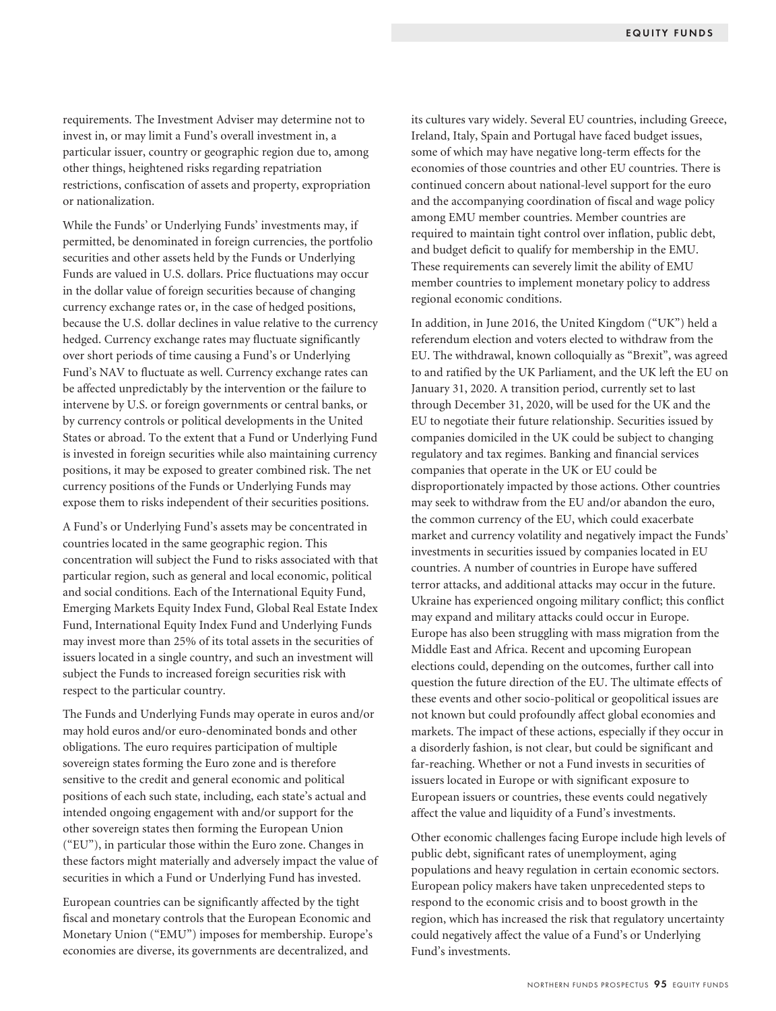requirements. The Investment Adviser may determine not to invest in, or may limit a Fund's overall investment in, a particular issuer, country or geographic region due to, among other things, heightened risks regarding repatriation restrictions, confiscation of assets and property, expropriation or nationalization.

While the Funds' or Underlying Funds' investments may, if permitted, be denominated in foreign currencies, the portfolio securities and other assets held by the Funds or Underlying Funds are valued in U.S. dollars. Price fluctuations may occur in the dollar value of foreign securities because of changing currency exchange rates or, in the case of hedged positions, because the U.S. dollar declines in value relative to the currency hedged. Currency exchange rates may fluctuate significantly over short periods of time causing a Fund's or Underlying Fund's NAV to fluctuate as well. Currency exchange rates can be affected unpredictably by the intervention or the failure to intervene by U.S. or foreign governments or central banks, or by currency controls or political developments in the United States or abroad. To the extent that a Fund or Underlying Fund is invested in foreign securities while also maintaining currency positions, it may be exposed to greater combined risk. The net currency positions of the Funds or Underlying Funds may expose them to risks independent of their securities positions.

A Fund's or Underlying Fund's assets may be concentrated in countries located in the same geographic region. This concentration will subject the Fund to risks associated with that particular region, such as general and local economic, political and social conditions. Each of the International Equity Fund, Emerging Markets Equity Index Fund, Global Real Estate Index Fund, International Equity Index Fund and Underlying Funds may invest more than 25% of its total assets in the securities of issuers located in a single country, and such an investment will subject the Funds to increased foreign securities risk with respect to the particular country.

The Funds and Underlying Funds may operate in euros and/or may hold euros and/or euro-denominated bonds and other obligations. The euro requires participation of multiple sovereign states forming the Euro zone and is therefore sensitive to the credit and general economic and political positions of each such state, including, each state's actual and intended ongoing engagement with and/or support for the other sovereign states then forming the European Union ("EU"), in particular those within the Euro zone. Changes in these factors might materially and adversely impact the value of securities in which a Fund or Underlying Fund has invested.

European countries can be significantly affected by the tight fiscal and monetary controls that the European Economic and Monetary Union ("EMU") imposes for membership. Europe's economies are diverse, its governments are decentralized, and

its cultures vary widely. Several EU countries, including Greece, Ireland, Italy, Spain and Portugal have faced budget issues, some of which may have negative long-term effects for the economies of those countries and other EU countries. There is continued concern about national-level support for the euro and the accompanying coordination of fiscal and wage policy among EMU member countries. Member countries are required to maintain tight control over inflation, public debt, and budget deficit to qualify for membership in the EMU. These requirements can severely limit the ability of EMU member countries to implement monetary policy to address regional economic conditions.

In addition, in June 2016, the United Kingdom ("UK") held a referendum election and voters elected to withdraw from the EU. The withdrawal, known colloquially as "Brexit", was agreed to and ratified by the UK Parliament, and the UK left the EU on January 31, 2020. A transition period, currently set to last through December 31, 2020, will be used for the UK and the EU to negotiate their future relationship. Securities issued by companies domiciled in the UK could be subject to changing regulatory and tax regimes. Banking and financial services companies that operate in the UK or EU could be disproportionately impacted by those actions. Other countries may seek to withdraw from the EU and/or abandon the euro, the common currency of the EU, which could exacerbate market and currency volatility and negatively impact the Funds' investments in securities issued by companies located in EU countries. A number of countries in Europe have suffered terror attacks, and additional attacks may occur in the future. Ukraine has experienced ongoing military conflict; this conflict may expand and military attacks could occur in Europe. Europe has also been struggling with mass migration from the Middle East and Africa. Recent and upcoming European elections could, depending on the outcomes, further call into question the future direction of the EU. The ultimate effects of these events and other socio-political or geopolitical issues are not known but could profoundly affect global economies and markets. The impact of these actions, especially if they occur in a disorderly fashion, is not clear, but could be significant and far-reaching. Whether or not a Fund invests in securities of issuers located in Europe or with significant exposure to European issuers or countries, these events could negatively affect the value and liquidity of a Fund's investments.

Other economic challenges facing Europe include high levels of public debt, significant rates of unemployment, aging populations and heavy regulation in certain economic sectors. European policy makers have taken unprecedented steps to respond to the economic crisis and to boost growth in the region, which has increased the risk that regulatory uncertainty could negatively affect the value of a Fund's or Underlying Fund's investments.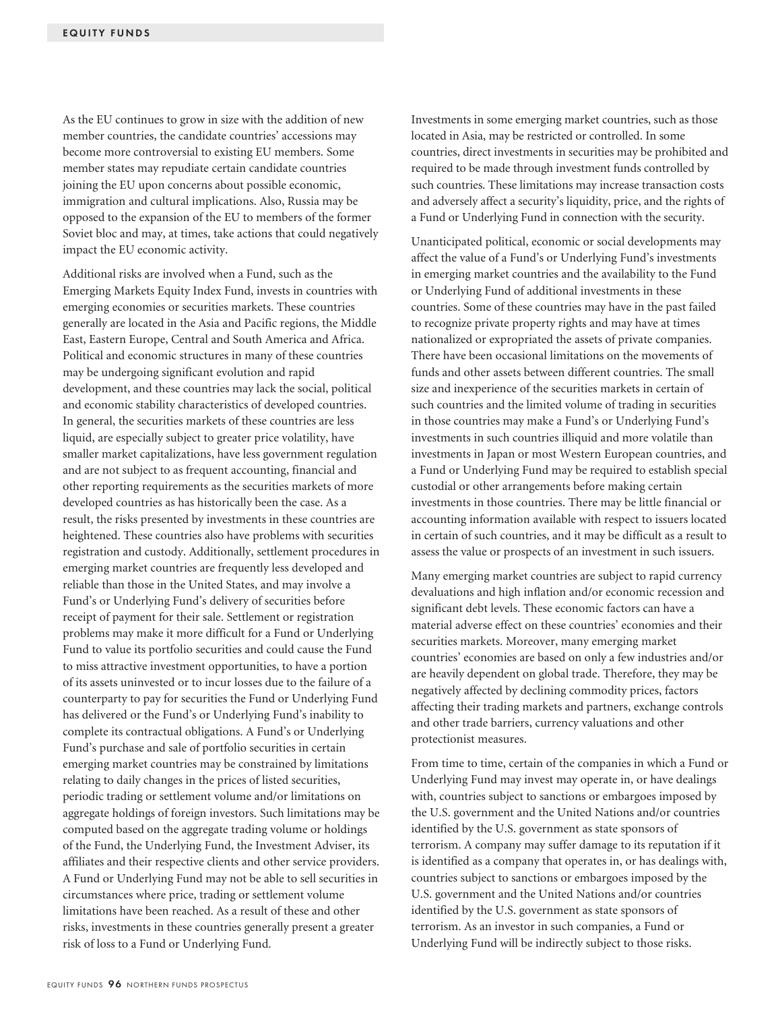As the EU continues to grow in size with the addition of new member countries, the candidate countries' accessions may become more controversial to existing EU members. Some member states may repudiate certain candidate countries joining the EU upon concerns about possible economic, immigration and cultural implications. Also, Russia may be opposed to the expansion of the EU to members of the former Soviet bloc and may, at times, take actions that could negatively impact the EU economic activity.

Additional risks are involved when a Fund, such as the Emerging Markets Equity Index Fund, invests in countries with emerging economies or securities markets. These countries generally are located in the Asia and Pacific regions, the Middle East, Eastern Europe, Central and South America and Africa. Political and economic structures in many of these countries may be undergoing significant evolution and rapid development, and these countries may lack the social, political and economic stability characteristics of developed countries. In general, the securities markets of these countries are less liquid, are especially subject to greater price volatility, have smaller market capitalizations, have less government regulation and are not subject to as frequent accounting, financial and other reporting requirements as the securities markets of more developed countries as has historically been the case. As a result, the risks presented by investments in these countries are heightened. These countries also have problems with securities registration and custody. Additionally, settlement procedures in emerging market countries are frequently less developed and reliable than those in the United States, and may involve a Fund's or Underlying Fund's delivery of securities before receipt of payment for their sale. Settlement or registration problems may make it more difficult for a Fund or Underlying Fund to value its portfolio securities and could cause the Fund to miss attractive investment opportunities, to have a portion of its assets uninvested or to incur losses due to the failure of a counterparty to pay for securities the Fund or Underlying Fund has delivered or the Fund's or Underlying Fund's inability to complete its contractual obligations. A Fund's or Underlying Fund's purchase and sale of portfolio securities in certain emerging market countries may be constrained by limitations relating to daily changes in the prices of listed securities, periodic trading or settlement volume and/or limitations on aggregate holdings of foreign investors. Such limitations may be computed based on the aggregate trading volume or holdings of the Fund, the Underlying Fund, the Investment Adviser, its affiliates and their respective clients and other service providers. A Fund or Underlying Fund may not be able to sell securities in circumstances where price, trading or settlement volume limitations have been reached. As a result of these and other risks, investments in these countries generally present a greater risk of loss to a Fund or Underlying Fund.

Investments in some emerging market countries, such as those located in Asia, may be restricted or controlled. In some countries, direct investments in securities may be prohibited and required to be made through investment funds controlled by such countries. These limitations may increase transaction costs and adversely affect a security's liquidity, price, and the rights of a Fund or Underlying Fund in connection with the security.

Unanticipated political, economic or social developments may affect the value of a Fund's or Underlying Fund's investments in emerging market countries and the availability to the Fund or Underlying Fund of additional investments in these countries. Some of these countries may have in the past failed to recognize private property rights and may have at times nationalized or expropriated the assets of private companies. There have been occasional limitations on the movements of funds and other assets between different countries. The small size and inexperience of the securities markets in certain of such countries and the limited volume of trading in securities in those countries may make a Fund's or Underlying Fund's investments in such countries illiquid and more volatile than investments in Japan or most Western European countries, and a Fund or Underlying Fund may be required to establish special custodial or other arrangements before making certain investments in those countries. There may be little financial or accounting information available with respect to issuers located in certain of such countries, and it may be difficult as a result to assess the value or prospects of an investment in such issuers.

Many emerging market countries are subject to rapid currency devaluations and high inflation and/or economic recession and significant debt levels. These economic factors can have a material adverse effect on these countries' economies and their securities markets. Moreover, many emerging market countries' economies are based on only a few industries and/or are heavily dependent on global trade. Therefore, they may be negatively affected by declining commodity prices, factors affecting their trading markets and partners, exchange controls and other trade barriers, currency valuations and other protectionist measures.

From time to time, certain of the companies in which a Fund or Underlying Fund may invest may operate in, or have dealings with, countries subject to sanctions or embargoes imposed by the U.S. government and the United Nations and/or countries identified by the U.S. government as state sponsors of terrorism. A company may suffer damage to its reputation if it is identified as a company that operates in, or has dealings with, countries subject to sanctions or embargoes imposed by the U.S. government and the United Nations and/or countries identified by the U.S. government as state sponsors of terrorism. As an investor in such companies, a Fund or Underlying Fund will be indirectly subject to those risks.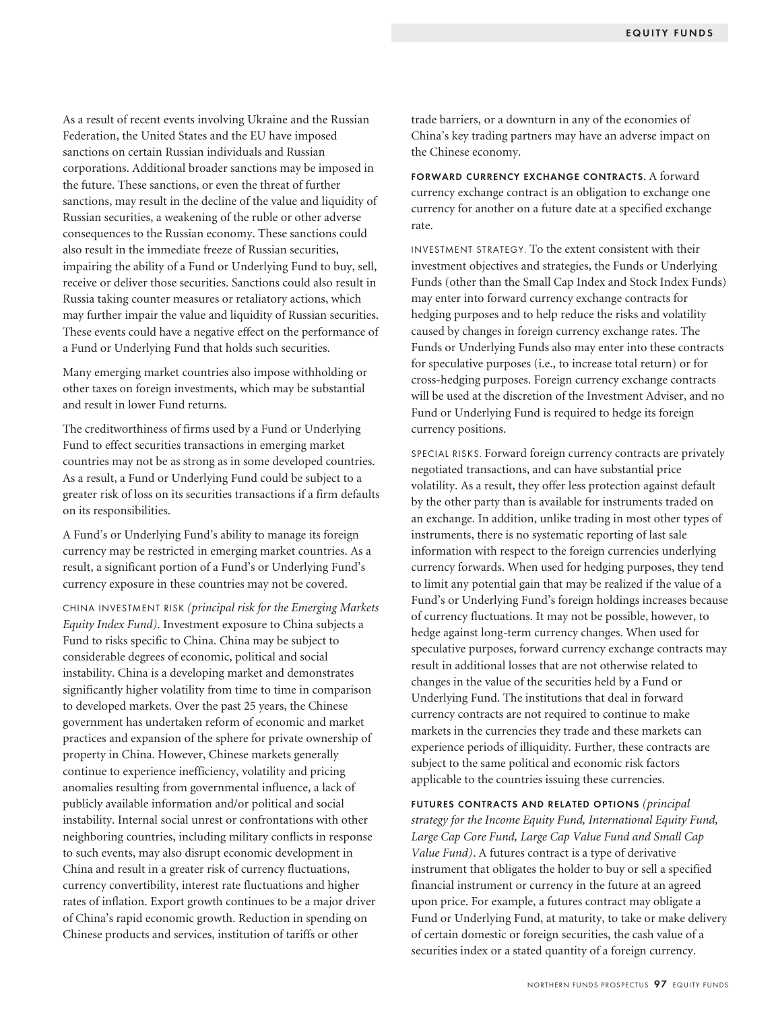As a result of recent events involving Ukraine and the Russian Federation, the United States and the EU have imposed sanctions on certain Russian individuals and Russian corporations. Additional broader sanctions may be imposed in the future. These sanctions, or even the threat of further sanctions, may result in the decline of the value and liquidity of Russian securities, a weakening of the ruble or other adverse consequences to the Russian economy. These sanctions could also result in the immediate freeze of Russian securities, impairing the ability of a Fund or Underlying Fund to buy, sell, receive or deliver those securities. Sanctions could also result in Russia taking counter measures or retaliatory actions, which may further impair the value and liquidity of Russian securities. These events could have a negative effect on the performance of a Fund or Underlying Fund that holds such securities.

Many emerging market countries also impose withholding or other taxes on foreign investments, which may be substantial and result in lower Fund returns.

The creditworthiness of firms used by a Fund or Underlying Fund to effect securities transactions in emerging market countries may not be as strong as in some developed countries. As a result, a Fund or Underlying Fund could be subject to a greater risk of loss on its securities transactions if a firm defaults on its responsibilities.

A Fund's or Underlying Fund's ability to manage its foreign currency may be restricted in emerging market countries. As a result, a significant portion of a Fund's or Underlying Fund's currency exposure in these countries may not be covered.

CHINA INVESTMENT RISK *(principal risk for the Emerging Markets Equity Index Fund)*. Investment exposure to China subjects a Fund to risks specific to China. China may be subject to considerable degrees of economic, political and social instability. China is a developing market and demonstrates significantly higher volatility from time to time in comparison to developed markets. Over the past 25 years, the Chinese government has undertaken reform of economic and market practices and expansion of the sphere for private ownership of property in China. However, Chinese markets generally continue to experience inefficiency, volatility and pricing anomalies resulting from governmental influence, a lack of publicly available information and/or political and social instability. Internal social unrest or confrontations with other neighboring countries, including military conflicts in response to such events, may also disrupt economic development in China and result in a greater risk of currency fluctuations, currency convertibility, interest rate fluctuations and higher rates of inflation. Export growth continues to be a major driver of China's rapid economic growth. Reduction in spending on Chinese products and services, institution of tariffs or other

trade barriers, or a downturn in any of the economies of China's key trading partners may have an adverse impact on the Chinese economy.

**FORWARD CURRENCY EXCHANGE CONTRACTS.** A forward currency exchange contract is an obligation to exchange one currency for another on a future date at a specified exchange rate.

INVESTMENT STRATEGY. To the extent consistent with their investment objectives and strategies, the Funds or Underlying Funds (other than the Small Cap Index and Stock Index Funds) may enter into forward currency exchange contracts for hedging purposes and to help reduce the risks and volatility caused by changes in foreign currency exchange rates. The Funds or Underlying Funds also may enter into these contracts for speculative purposes (i.e., to increase total return) or for cross-hedging purposes. Foreign currency exchange contracts will be used at the discretion of the Investment Adviser, and no Fund or Underlying Fund is required to hedge its foreign currency positions.

SPECIAL RISKS. Forward foreign currency contracts are privately negotiated transactions, and can have substantial price volatility. As a result, they offer less protection against default by the other party than is available for instruments traded on an exchange. In addition, unlike trading in most other types of instruments, there is no systematic reporting of last sale information with respect to the foreign currencies underlying currency forwards. When used for hedging purposes, they tend to limit any potential gain that may be realized if the value of a Fund's or Underlying Fund's foreign holdings increases because of currency fluctuations. It may not be possible, however, to hedge against long-term currency changes. When used for speculative purposes, forward currency exchange contracts may result in additional losses that are not otherwise related to changes in the value of the securities held by a Fund or Underlying Fund. The institutions that deal in forward currency contracts are not required to continue to make markets in the currencies they trade and these markets can experience periods of illiquidity. Further, these contracts are subject to the same political and economic risk factors applicable to the countries issuing these currencies.

#### **FUTURES CONTRACTS AND RELATED OPTIONS** *(principal*

*strategy for the Income Equity Fund, International Equity Fund, Large Cap Core Fund, Large Cap Value Fund and Small Cap Value Fund)***.** A futures contract is a type of derivative instrument that obligates the holder to buy or sell a specified financial instrument or currency in the future at an agreed upon price. For example, a futures contract may obligate a Fund or Underlying Fund, at maturity, to take or make delivery of certain domestic or foreign securities, the cash value of a securities index or a stated quantity of a foreign currency.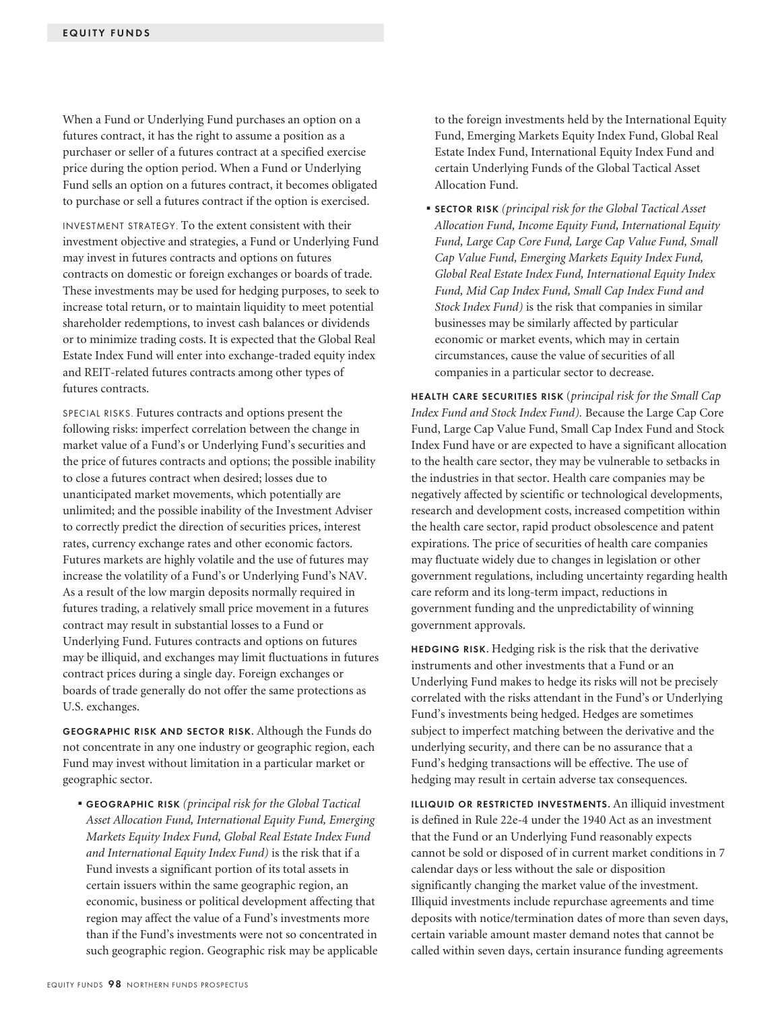When a Fund or Underlying Fund purchases an option on a futures contract, it has the right to assume a position as a purchaser or seller of a futures contract at a specified exercise price during the option period. When a Fund or Underlying Fund sells an option on a futures contract, it becomes obligated to purchase or sell a futures contract if the option is exercised.

INVESTMENT STRATEGY. To the extent consistent with their investment objective and strategies, a Fund or Underlying Fund may invest in futures contracts and options on futures contracts on domestic or foreign exchanges or boards of trade. These investments may be used for hedging purposes, to seek to increase total return, or to maintain liquidity to meet potential shareholder redemptions, to invest cash balances or dividends or to minimize trading costs. It is expected that the Global Real Estate Index Fund will enter into exchange-traded equity index and REIT-related futures contracts among other types of futures contracts.

SPECIAL RISKS. Futures contracts and options present the following risks: imperfect correlation between the change in market value of a Fund's or Underlying Fund's securities and the price of futures contracts and options; the possible inability to close a futures contract when desired; losses due to unanticipated market movements, which potentially are unlimited; and the possible inability of the Investment Adviser to correctly predict the direction of securities prices, interest rates, currency exchange rates and other economic factors. Futures markets are highly volatile and the use of futures may increase the volatility of a Fund's or Underlying Fund's NAV. As a result of the low margin deposits normally required in futures trading, a relatively small price movement in a futures contract may result in substantial losses to a Fund or Underlying Fund. Futures contracts and options on futures may be illiquid, and exchanges may limit fluctuations in futures contract prices during a single day. Foreign exchanges or boards of trade generally do not offer the same protections as U.S. exchanges.

**GEOGRAPHIC RISK AND SECTOR RISK.** Although the Funds do not concentrate in any one industry or geographic region, each Fund may invest without limitation in a particular market or geographic sector.

▪ **GEOGRAPHIC RISK** *(principal risk for the Global Tactical Asset Allocation Fund, International Equity Fund, Emerging Markets Equity Index Fund, Global Real Estate Index Fund and International Equity Index Fund)* is the risk that if a Fund invests a significant portion of its total assets in certain issuers within the same geographic region, an economic, business or political development affecting that region may affect the value of a Fund's investments more than if the Fund's investments were not so concentrated in such geographic region. Geographic risk may be applicable to the foreign investments held by the International Equity Fund, Emerging Markets Equity Index Fund, Global Real Estate Index Fund, International Equity Index Fund and certain Underlying Funds of the Global Tactical Asset Allocation Fund.

▪ **SECTOR RISK** *(principal risk for the Global Tactical Asset Allocation Fund, Income Equity Fund, International Equity Fund, Large Cap Core Fund, Large Cap Value Fund, Small Cap Value Fund, Emerging Markets Equity Index Fund, Global Real Estate Index Fund, International Equity Index Fund, Mid Cap Index Fund, Small Cap Index Fund and Stock Index Fund)* is the risk that companies in similar businesses may be similarly affected by particular economic or market events, which may in certain circumstances, cause the value of securities of all companies in a particular sector to decrease.

**HEALTH CARE SECURITIES RISK** (*principal risk for the Small Cap Index Fund and Stock Index Fund).* Because the Large Cap Core Fund, Large Cap Value Fund, Small Cap Index Fund and Stock Index Fund have or are expected to have a significant allocation to the health care sector, they may be vulnerable to setbacks in the industries in that sector. Health care companies may be negatively affected by scientific or technological developments, research and development costs, increased competition within the health care sector, rapid product obsolescence and patent expirations. The price of securities of health care companies may fluctuate widely due to changes in legislation or other government regulations, including uncertainty regarding health care reform and its long-term impact, reductions in government funding and the unpredictability of winning government approvals.

**HEDGING RISK.** Hedging risk is the risk that the derivative instruments and other investments that a Fund or an Underlying Fund makes to hedge its risks will not be precisely correlated with the risks attendant in the Fund's or Underlying Fund's investments being hedged. Hedges are sometimes subject to imperfect matching between the derivative and the underlying security, and there can be no assurance that a Fund's hedging transactions will be effective. The use of hedging may result in certain adverse tax consequences.

**ILLIQUID OR RESTRICTED INVESTMENTS.** An illiquid investment is defined in Rule 22e-4 under the 1940 Act as an investment that the Fund or an Underlying Fund reasonably expects cannot be sold or disposed of in current market conditions in 7 calendar days or less without the sale or disposition significantly changing the market value of the investment. Illiquid investments include repurchase agreements and time deposits with notice/termination dates of more than seven days, certain variable amount master demand notes that cannot be called within seven days, certain insurance funding agreements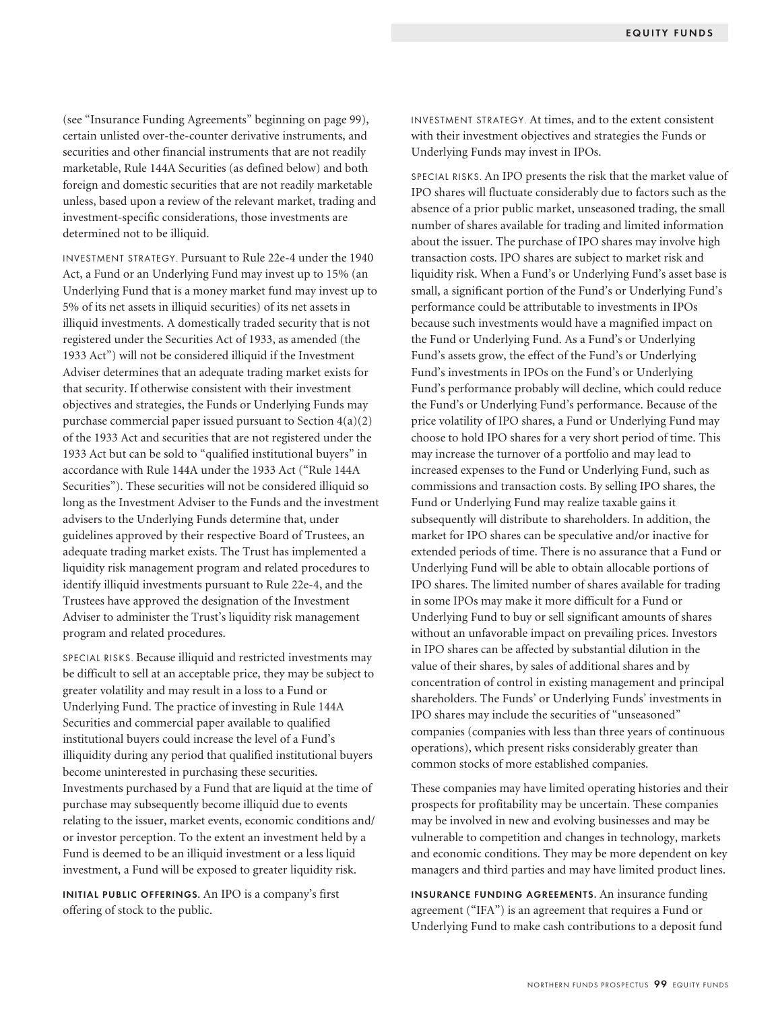(see "Insurance Funding Agreements" beginning on page 99), certain unlisted over-the-counter derivative instruments, and securities and other financial instruments that are not readily marketable, Rule 144A Securities (as defined below) and both foreign and domestic securities that are not readily marketable unless, based upon a review of the relevant market, trading and investment-specific considerations, those investments are determined not to be illiquid.

INVESTMENT STRATEGY. Pursuant to Rule 22e-4 under the 1940 Act, a Fund or an Underlying Fund may invest up to 15% (an Underlying Fund that is a money market fund may invest up to 5% of its net assets in illiquid securities) of its net assets in illiquid investments. A domestically traded security that is not registered under the Securities Act of 1933, as amended (the 1933 Act") will not be considered illiquid if the Investment Adviser determines that an adequate trading market exists for that security. If otherwise consistent with their investment objectives and strategies, the Funds or Underlying Funds may purchase commercial paper issued pursuant to Section 4(a)(2) of the 1933 Act and securities that are not registered under the 1933 Act but can be sold to "qualified institutional buyers" in accordance with Rule 144A under the 1933 Act ("Rule 144A Securities"). These securities will not be considered illiquid so long as the Investment Adviser to the Funds and the investment advisers to the Underlying Funds determine that, under guidelines approved by their respective Board of Trustees, an adequate trading market exists. The Trust has implemented a liquidity risk management program and related procedures to identify illiquid investments pursuant to Rule 22e-4, and the Trustees have approved the designation of the Investment Adviser to administer the Trust's liquidity risk management program and related procedures.

SPECIAL RISKS. Because illiquid and restricted investments may be difficult to sell at an acceptable price, they may be subject to greater volatility and may result in a loss to a Fund or Underlying Fund. The practice of investing in Rule 144A Securities and commercial paper available to qualified institutional buyers could increase the level of a Fund's illiquidity during any period that qualified institutional buyers become uninterested in purchasing these securities. Investments purchased by a Fund that are liquid at the time of purchase may subsequently become illiquid due to events relating to the issuer, market events, economic conditions and/ or investor perception. To the extent an investment held by a Fund is deemed to be an illiquid investment or a less liquid investment, a Fund will be exposed to greater liquidity risk.

**INITIAL PUBLIC OFFERINGS**. An IPO is a company's first offering of stock to the public.

INVESTMENT STRATEGY. At times, and to the extent consistent with their investment objectives and strategies the Funds or Underlying Funds may invest in IPOs.

SPECIAL RISKS. An IPO presents the risk that the market value of IPO shares will fluctuate considerably due to factors such as the absence of a prior public market, unseasoned trading, the small number of shares available for trading and limited information about the issuer. The purchase of IPO shares may involve high transaction costs. IPO shares are subject to market risk and liquidity risk. When a Fund's or Underlying Fund's asset base is small, a significant portion of the Fund's or Underlying Fund's performance could be attributable to investments in IPOs because such investments would have a magnified impact on the Fund or Underlying Fund. As a Fund's or Underlying Fund's assets grow, the effect of the Fund's or Underlying Fund's investments in IPOs on the Fund's or Underlying Fund's performance probably will decline, which could reduce the Fund's or Underlying Fund's performance. Because of the price volatility of IPO shares, a Fund or Underlying Fund may choose to hold IPO shares for a very short period of time. This may increase the turnover of a portfolio and may lead to increased expenses to the Fund or Underlying Fund, such as commissions and transaction costs. By selling IPO shares, the Fund or Underlying Fund may realize taxable gains it subsequently will distribute to shareholders. In addition, the market for IPO shares can be speculative and/or inactive for extended periods of time. There is no assurance that a Fund or Underlying Fund will be able to obtain allocable portions of IPO shares. The limited number of shares available for trading in some IPOs may make it more difficult for a Fund or Underlying Fund to buy or sell significant amounts of shares without an unfavorable impact on prevailing prices. Investors in IPO shares can be affected by substantial dilution in the value of their shares, by sales of additional shares and by concentration of control in existing management and principal shareholders. The Funds' or Underlying Funds' investments in IPO shares may include the securities of "unseasoned" companies (companies with less than three years of continuous operations), which present risks considerably greater than common stocks of more established companies.

These companies may have limited operating histories and their prospects for profitability may be uncertain. These companies may be involved in new and evolving businesses and may be vulnerable to competition and changes in technology, markets and economic conditions. They may be more dependent on key managers and third parties and may have limited product lines.

**INSURANCE FUNDING AGREEMENTS.** An insurance funding agreement ("IFA") is an agreement that requires a Fund or Underlying Fund to make cash contributions to a deposit fund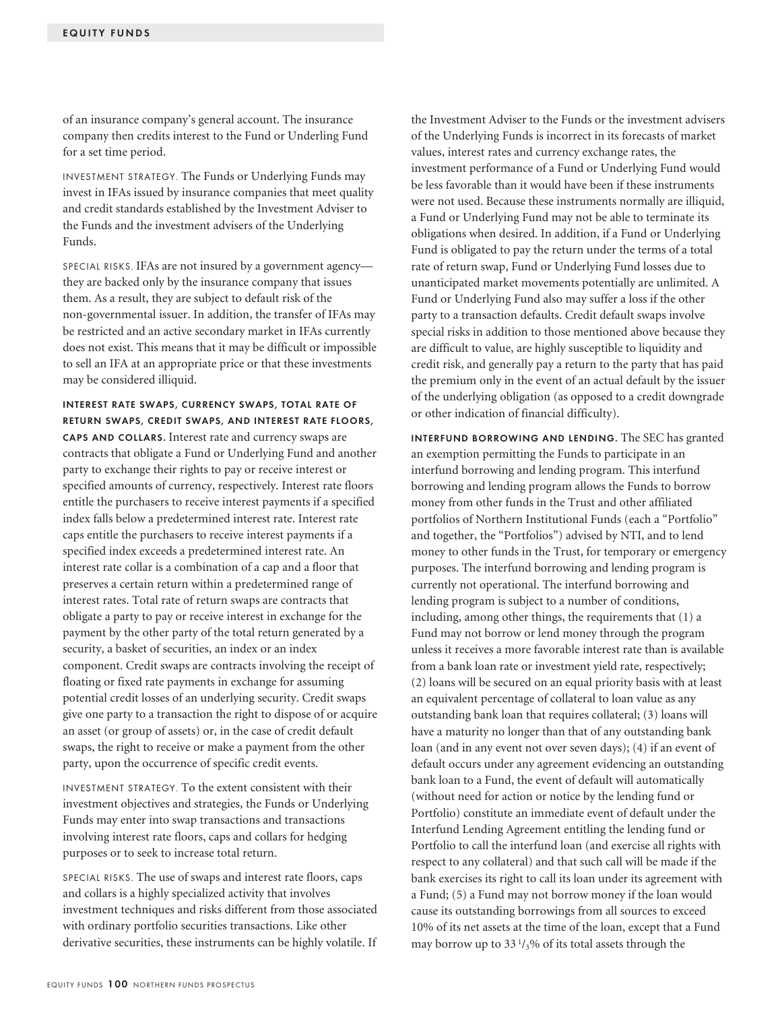of an insurance company's general account. The insurance company then credits interest to the Fund or Underling Fund for a set time period.

INVESTMENT STRATEGY. The Funds or Underlying Funds may invest in IFAs issued by insurance companies that meet quality and credit standards established by the Investment Adviser to the Funds and the investment advisers of the Underlying Funds.

SPECIAL RISKS. IFAs are not insured by a government agency they are backed only by the insurance company that issues them. As a result, they are subject to default risk of the non-governmental issuer. In addition, the transfer of IFAs may be restricted and an active secondary market in IFAs currently does not exist. This means that it may be difficult or impossible to sell an IFA at an appropriate price or that these investments may be considered illiquid.

**INTEREST RATE SWAPS, CURRENCY SWAPS, TOTAL RATE OF RETURN SWAPS, CREDIT SWAPS, AND INTEREST RATE FLOORS, CAPS AND COLLARS.** Interest rate and currency swaps are contracts that obligate a Fund or Underlying Fund and another party to exchange their rights to pay or receive interest or specified amounts of currency, respectively. Interest rate floors entitle the purchasers to receive interest payments if a specified index falls below a predetermined interest rate. Interest rate caps entitle the purchasers to receive interest payments if a specified index exceeds a predetermined interest rate. An interest rate collar is a combination of a cap and a floor that preserves a certain return within a predetermined range of interest rates. Total rate of return swaps are contracts that obligate a party to pay or receive interest in exchange for the payment by the other party of the total return generated by a security, a basket of securities, an index or an index component. Credit swaps are contracts involving the receipt of floating or fixed rate payments in exchange for assuming potential credit losses of an underlying security. Credit swaps give one party to a transaction the right to dispose of or acquire an asset (or group of assets) or, in the case of credit default swaps, the right to receive or make a payment from the other party, upon the occurrence of specific credit events.

INVESTMENT STRATEGY. To the extent consistent with their investment objectives and strategies, the Funds or Underlying Funds may enter into swap transactions and transactions involving interest rate floors, caps and collars for hedging purposes or to seek to increase total return.

SPECIAL RISKS. The use of swaps and interest rate floors, caps and collars is a highly specialized activity that involves investment techniques and risks different from those associated with ordinary portfolio securities transactions. Like other derivative securities, these instruments can be highly volatile. If

the Investment Adviser to the Funds or the investment advisers of the Underlying Funds is incorrect in its forecasts of market values, interest rates and currency exchange rates, the investment performance of a Fund or Underlying Fund would be less favorable than it would have been if these instruments were not used. Because these instruments normally are illiquid, a Fund or Underlying Fund may not be able to terminate its obligations when desired. In addition, if a Fund or Underlying Fund is obligated to pay the return under the terms of a total rate of return swap, Fund or Underlying Fund losses due to unanticipated market movements potentially are unlimited. A Fund or Underlying Fund also may suffer a loss if the other party to a transaction defaults. Credit default swaps involve special risks in addition to those mentioned above because they are difficult to value, are highly susceptible to liquidity and credit risk, and generally pay a return to the party that has paid the premium only in the event of an actual default by the issuer of the underlying obligation (as opposed to a credit downgrade or other indication of financial difficulty).

**INTERFUND BORROWING AND LENDING.** The SEC has granted an exemption permitting the Funds to participate in an interfund borrowing and lending program. This interfund borrowing and lending program allows the Funds to borrow money from other funds in the Trust and other affiliated portfolios of Northern Institutional Funds (each a "Portfolio" and together, the "Portfolios") advised by NTI, and to lend money to other funds in the Trust, for temporary or emergency purposes. The interfund borrowing and lending program is currently not operational. The interfund borrowing and lending program is subject to a number of conditions, including, among other things, the requirements that (1) a Fund may not borrow or lend money through the program unless it receives a more favorable interest rate than is available from a bank loan rate or investment yield rate, respectively; (2) loans will be secured on an equal priority basis with at least an equivalent percentage of collateral to loan value as any outstanding bank loan that requires collateral; (3) loans will have a maturity no longer than that of any outstanding bank loan (and in any event not over seven days); (4) if an event of default occurs under any agreement evidencing an outstanding bank loan to a Fund, the event of default will automatically (without need for action or notice by the lending fund or Portfolio) constitute an immediate event of default under the Interfund Lending Agreement entitling the lending fund or Portfolio to call the interfund loan (and exercise all rights with respect to any collateral) and that such call will be made if the bank exercises its right to call its loan under its agreement with a Fund; (5) a Fund may not borrow money if the loan would cause its outstanding borrowings from all sources to exceed 10% of its net assets at the time of the loan, except that a Fund may borrow up to 33 $\frac{1}{3}$ % of its total assets through the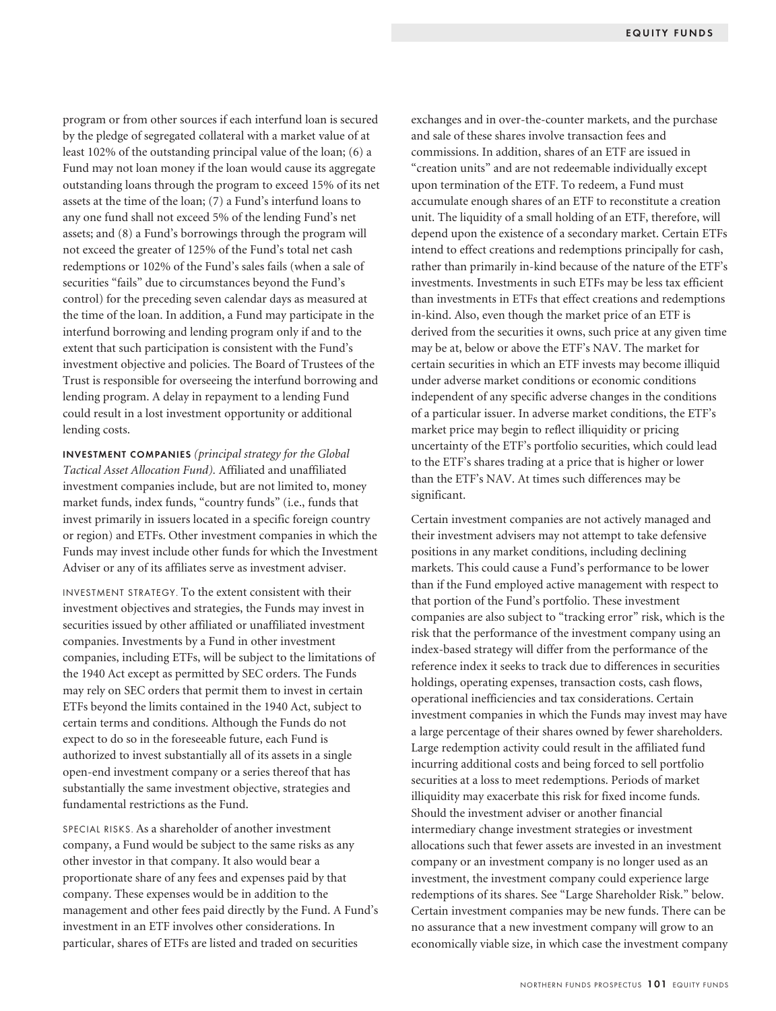program or from other sources if each interfund loan is secured by the pledge of segregated collateral with a market value of at least 102% of the outstanding principal value of the loan; (6) a Fund may not loan money if the loan would cause its aggregate outstanding loans through the program to exceed 15% of its net assets at the time of the loan; (7) a Fund's interfund loans to any one fund shall not exceed 5% of the lending Fund's net assets; and (8) a Fund's borrowings through the program will not exceed the greater of 125% of the Fund's total net cash redemptions or 102% of the Fund's sales fails (when a sale of securities "fails" due to circumstances beyond the Fund's control) for the preceding seven calendar days as measured at the time of the loan. In addition, a Fund may participate in the interfund borrowing and lending program only if and to the extent that such participation is consistent with the Fund's investment objective and policies. The Board of Trustees of the Trust is responsible for overseeing the interfund borrowing and lending program. A delay in repayment to a lending Fund could result in a lost investment opportunity or additional lending costs.

**INVESTMENT COMPANIES** *(principal strategy for the Global Tactical Asset Allocation Fund).* Affiliated and unaffiliated investment companies include, but are not limited to, money market funds, index funds, "country funds" (i.e., funds that invest primarily in issuers located in a specific foreign country or region) and ETFs. Other investment companies in which the Funds may invest include other funds for which the Investment Adviser or any of its affiliates serve as investment adviser.

INVESTMENT STRATEGY. To the extent consistent with their investment objectives and strategies, the Funds may invest in securities issued by other affiliated or unaffiliated investment companies. Investments by a Fund in other investment companies, including ETFs, will be subject to the limitations of the 1940 Act except as permitted by SEC orders. The Funds may rely on SEC orders that permit them to invest in certain ETFs beyond the limits contained in the 1940 Act, subject to certain terms and conditions. Although the Funds do not expect to do so in the foreseeable future, each Fund is authorized to invest substantially all of its assets in a single open-end investment company or a series thereof that has substantially the same investment objective, strategies and fundamental restrictions as the Fund.

SPECIAL RISKS. As a shareholder of another investment company, a Fund would be subject to the same risks as any other investor in that company. It also would bear a proportionate share of any fees and expenses paid by that company. These expenses would be in addition to the management and other fees paid directly by the Fund. A Fund's investment in an ETF involves other considerations. In particular, shares of ETFs are listed and traded on securities

exchanges and in over-the-counter markets, and the purchase and sale of these shares involve transaction fees and commissions. In addition, shares of an ETF are issued in "creation units" and are not redeemable individually except upon termination of the ETF. To redeem, a Fund must accumulate enough shares of an ETF to reconstitute a creation unit. The liquidity of a small holding of an ETF, therefore, will depend upon the existence of a secondary market. Certain ETFs intend to effect creations and redemptions principally for cash, rather than primarily in-kind because of the nature of the ETF's investments. Investments in such ETFs may be less tax efficient than investments in ETFs that effect creations and redemptions in-kind. Also, even though the market price of an ETF is derived from the securities it owns, such price at any given time may be at, below or above the ETF's NAV. The market for certain securities in which an ETF invests may become illiquid under adverse market conditions or economic conditions independent of any specific adverse changes in the conditions of a particular issuer. In adverse market conditions, the ETF's market price may begin to reflect illiquidity or pricing uncertainty of the ETF's portfolio securities, which could lead to the ETF's shares trading at a price that is higher or lower than the ETF's NAV. At times such differences may be significant.

Certain investment companies are not actively managed and their investment advisers may not attempt to take defensive positions in any market conditions, including declining markets. This could cause a Fund's performance to be lower than if the Fund employed active management with respect to that portion of the Fund's portfolio. These investment companies are also subject to "tracking error" risk, which is the risk that the performance of the investment company using an index-based strategy will differ from the performance of the reference index it seeks to track due to differences in securities holdings, operating expenses, transaction costs, cash flows, operational inefficiencies and tax considerations. Certain investment companies in which the Funds may invest may have a large percentage of their shares owned by fewer shareholders. Large redemption activity could result in the affiliated fund incurring additional costs and being forced to sell portfolio securities at a loss to meet redemptions. Periods of market illiquidity may exacerbate this risk for fixed income funds. Should the investment adviser or another financial intermediary change investment strategies or investment allocations such that fewer assets are invested in an investment company or an investment company is no longer used as an investment, the investment company could experience large redemptions of its shares. See "Large Shareholder Risk." below. Certain investment companies may be new funds. There can be no assurance that a new investment company will grow to an economically viable size, in which case the investment company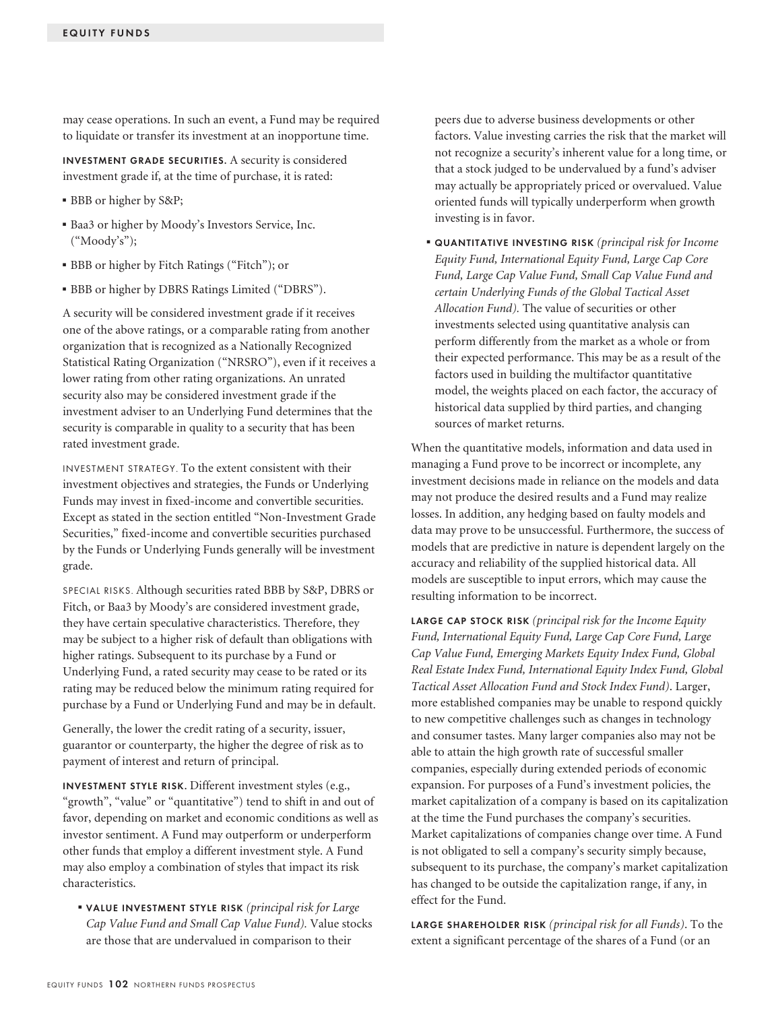may cease operations. In such an event, a Fund may be required to liquidate or transfer its investment at an inopportune time.

**INVESTMENT GRADE SECURITIES.** A security is considered investment grade if, at the time of purchase, it is rated:

- BBB or higher by S&P;
- Baa3 or higher by Moody's Investors Service, Inc. ("Moody's");
- BBB or higher by Fitch Ratings ("Fitch"); or
- BBB or higher by DBRS Ratings Limited ("DBRS").

A security will be considered investment grade if it receives one of the above ratings, or a comparable rating from another organization that is recognized as a Nationally Recognized Statistical Rating Organization ("NRSRO"), even if it receives a lower rating from other rating organizations. An unrated security also may be considered investment grade if the investment adviser to an Underlying Fund determines that the security is comparable in quality to a security that has been rated investment grade.

INVESTMENT STRATEGY. To the extent consistent with their investment objectives and strategies, the Funds or Underlying Funds may invest in fixed-income and convertible securities. Except as stated in the section entitled "Non-Investment Grade Securities," fixed-income and convertible securities purchased by the Funds or Underlying Funds generally will be investment grade.

SPECIAL RISKS. Although securities rated BBB by S&P, DBRS or Fitch, or Baa3 by Moody's are considered investment grade, they have certain speculative characteristics. Therefore, they may be subject to a higher risk of default than obligations with higher ratings. Subsequent to its purchase by a Fund or Underlying Fund, a rated security may cease to be rated or its rating may be reduced below the minimum rating required for purchase by a Fund or Underlying Fund and may be in default.

Generally, the lower the credit rating of a security, issuer, guarantor or counterparty, the higher the degree of risk as to payment of interest and return of principal.

**INVESTMENT STYLE RISK.** Different investment styles (e.g., "growth", "value" or "quantitative") tend to shift in and out of favor, depending on market and economic conditions as well as investor sentiment. A Fund may outperform or underperform other funds that employ a different investment style. A Fund may also employ a combination of styles that impact its risk characteristics.

▪ **VALUE INVESTMENT STYLE RISK** *(principal risk for Large Cap Value Fund and Small Cap Value Fund).* Value stocks are those that are undervalued in comparison to their

peers due to adverse business developments or other factors. Value investing carries the risk that the market will not recognize a security's inherent value for a long time, or that a stock judged to be undervalued by a fund's adviser may actually be appropriately priced or overvalued. Value oriented funds will typically underperform when growth investing is in favor.

▪ **QUANTITATIVE INVESTING RISK** *(principal risk for Income Equity Fund, International Equity Fund, Large Cap Core Fund, Large Cap Value Fund, Small Cap Value Fund and certain Underlying Funds of the Global Tactical Asset Allocation Fund).* The value of securities or other investments selected using quantitative analysis can perform differently from the market as a whole or from their expected performance. This may be as a result of the factors used in building the multifactor quantitative model, the weights placed on each factor, the accuracy of historical data supplied by third parties, and changing sources of market returns.

When the quantitative models, information and data used in managing a Fund prove to be incorrect or incomplete, any investment decisions made in reliance on the models and data may not produce the desired results and a Fund may realize losses. In addition, any hedging based on faulty models and data may prove to be unsuccessful. Furthermore, the success of models that are predictive in nature is dependent largely on the accuracy and reliability of the supplied historical data. All models are susceptible to input errors, which may cause the resulting information to be incorrect.

**LARGE CAP STOCK RISK** *(principal risk for the Income Equity Fund, International Equity Fund, Large Cap Core Fund, Large Cap Value Fund, Emerging Markets Equity Index Fund, Global Real Estate Index Fund, International Equity Index Fund, Global Tactical Asset Allocation Fund and Stock Index Fund)*. Larger, more established companies may be unable to respond quickly to new competitive challenges such as changes in technology and consumer tastes. Many larger companies also may not be able to attain the high growth rate of successful smaller companies, especially during extended periods of economic expansion. For purposes of a Fund's investment policies, the market capitalization of a company is based on its capitalization at the time the Fund purchases the company's securities. Market capitalizations of companies change over time. A Fund is not obligated to sell a company's security simply because, subsequent to its purchase, the company's market capitalization has changed to be outside the capitalization range, if any, in effect for the Fund.

**LARGE SHAREHOLDER RISK** *(principal risk for all Funds)*. To the extent a significant percentage of the shares of a Fund (or an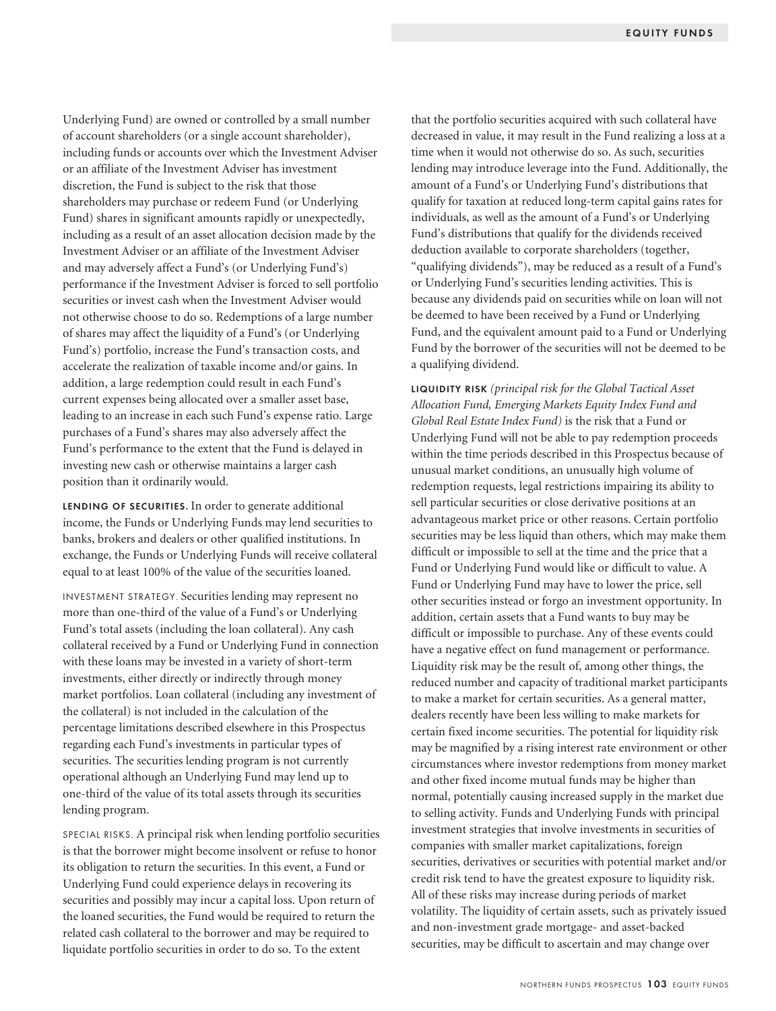Underlying Fund) are owned or controlled by a small number of account shareholders (or a single account shareholder), including funds or accounts over which the Investment Adviser or an affiliate of the Investment Adviser has investment discretion, the Fund is subject to the risk that those shareholders may purchase or redeem Fund (or Underlying Fund) shares in significant amounts rapidly or unexpectedly, including as a result of an asset allocation decision made by the Investment Adviser or an affiliate of the Investment Adviser and may adversely affect a Fund's (or Underlying Fund's) performance if the Investment Adviser is forced to sell portfolio securities or invest cash when the Investment Adviser would not otherwise choose to do so. Redemptions of a large number of shares may affect the liquidity of a Fund's (or Underlying Fund's) portfolio, increase the Fund's transaction costs, and accelerate the realization of taxable income and/or gains. In addition, a large redemption could result in each Fund's current expenses being allocated over a smaller asset base, leading to an increase in each such Fund's expense ratio. Large purchases of a Fund's shares may also adversely affect the Fund's performance to the extent that the Fund is delayed in investing new cash or otherwise maintains a larger cash position than it ordinarily would.

**LENDING OF SECURITIES.** In order to generate additional income, the Funds or Underlying Funds may lend securities to banks, brokers and dealers or other qualified institutions. In exchange, the Funds or Underlying Funds will receive collateral equal to at least 100% of the value of the securities loaned.

INVESTMENT STRATEGY. Securities lending may represent no more than one-third of the value of a Fund's or Underlying Fund's total assets (including the loan collateral). Any cash collateral received by a Fund or Underlying Fund in connection with these loans may be invested in a variety of short-term investments, either directly or indirectly through money market portfolios. Loan collateral (including any investment of the collateral) is not included in the calculation of the percentage limitations described elsewhere in this Prospectus regarding each Fund's investments in particular types of securities. The securities lending program is not currently operational although an Underlying Fund may lend up to one-third of the value of its total assets through its securities lending program.

SPECIAL RISKS. A principal risk when lending portfolio securities is that the borrower might become insolvent or refuse to honor its obligation to return the securities. In this event, a Fund or Underlying Fund could experience delays in recovering its securities and possibly may incur a capital loss. Upon return of the loaned securities, the Fund would be required to return the related cash collateral to the borrower and may be required to liquidate portfolio securities in order to do so. To the extent

that the portfolio securities acquired with such collateral have decreased in value, it may result in the Fund realizing a loss at a time when it would not otherwise do so. As such, securities lending may introduce leverage into the Fund. Additionally, the amount of a Fund's or Underlying Fund's distributions that qualify for taxation at reduced long-term capital gains rates for individuals, as well as the amount of a Fund's or Underlying Fund's distributions that qualify for the dividends received deduction available to corporate shareholders (together, "qualifying dividends"), may be reduced as a result of a Fund's or Underlying Fund's securities lending activities. This is because any dividends paid on securities while on loan will not be deemed to have been received by a Fund or Underlying Fund, and the equivalent amount paid to a Fund or Underlying Fund by the borrower of the securities will not be deemed to be a qualifying dividend.

**LIQUIDITY RISK** *(principal risk for the Global Tactical Asset Allocation Fund, Emerging Markets Equity Index Fund and Global Real Estate Index Fund)* is the risk that a Fund or Underlying Fund will not be able to pay redemption proceeds within the time periods described in this Prospectus because of unusual market conditions, an unusually high volume of redemption requests, legal restrictions impairing its ability to sell particular securities or close derivative positions at an advantageous market price or other reasons. Certain portfolio securities may be less liquid than others, which may make them difficult or impossible to sell at the time and the price that a Fund or Underlying Fund would like or difficult to value. A Fund or Underlying Fund may have to lower the price, sell other securities instead or forgo an investment opportunity. In addition, certain assets that a Fund wants to buy may be difficult or impossible to purchase. Any of these events could have a negative effect on fund management or performance. Liquidity risk may be the result of, among other things, the reduced number and capacity of traditional market participants to make a market for certain securities. As a general matter, dealers recently have been less willing to make markets for certain fixed income securities. The potential for liquidity risk may be magnified by a rising interest rate environment or other circumstances where investor redemptions from money market and other fixed income mutual funds may be higher than normal, potentially causing increased supply in the market due to selling activity. Funds and Underlying Funds with principal investment strategies that involve investments in securities of companies with smaller market capitalizations, foreign securities, derivatives or securities with potential market and/or credit risk tend to have the greatest exposure to liquidity risk. All of these risks may increase during periods of market volatility. The liquidity of certain assets, such as privately issued and non-investment grade mortgage- and asset-backed securities, may be difficult to ascertain and may change over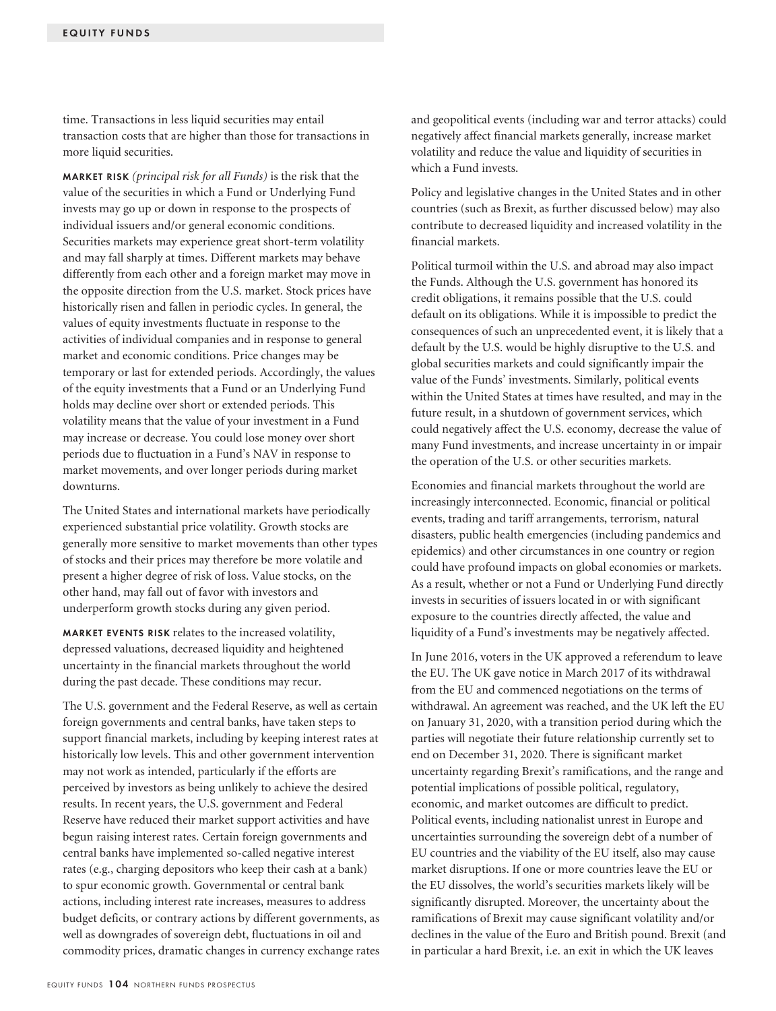time. Transactions in less liquid securities may entail transaction costs that are higher than those for transactions in more liquid securities.

**MARKET RISK** *(principal risk for all Funds)* is the risk that the value of the securities in which a Fund or Underlying Fund invests may go up or down in response to the prospects of individual issuers and/or general economic conditions. Securities markets may experience great short-term volatility and may fall sharply at times. Different markets may behave differently from each other and a foreign market may move in the opposite direction from the U.S. market. Stock prices have historically risen and fallen in periodic cycles. In general, the values of equity investments fluctuate in response to the activities of individual companies and in response to general market and economic conditions. Price changes may be temporary or last for extended periods. Accordingly, the values of the equity investments that a Fund or an Underlying Fund holds may decline over short or extended periods. This volatility means that the value of your investment in a Fund may increase or decrease. You could lose money over short periods due to fluctuation in a Fund's NAV in response to market movements, and over longer periods during market downturns.

The United States and international markets have periodically experienced substantial price volatility. Growth stocks are generally more sensitive to market movements than other types of stocks and their prices may therefore be more volatile and present a higher degree of risk of loss. Value stocks, on the other hand, may fall out of favor with investors and underperform growth stocks during any given period.

**MARKET EVENTS RISK** relates to the increased volatility, depressed valuations, decreased liquidity and heightened uncertainty in the financial markets throughout the world during the past decade. These conditions may recur.

The U.S. government and the Federal Reserve, as well as certain foreign governments and central banks, have taken steps to support financial markets, including by keeping interest rates at historically low levels. This and other government intervention may not work as intended, particularly if the efforts are perceived by investors as being unlikely to achieve the desired results. In recent years, the U.S. government and Federal Reserve have reduced their market support activities and have begun raising interest rates. Certain foreign governments and central banks have implemented so-called negative interest rates (e.g., charging depositors who keep their cash at a bank) to spur economic growth. Governmental or central bank actions, including interest rate increases, measures to address budget deficits, or contrary actions by different governments, as well as downgrades of sovereign debt, fluctuations in oil and commodity prices, dramatic changes in currency exchange rates and geopolitical events (including war and terror attacks) could negatively affect financial markets generally, increase market volatility and reduce the value and liquidity of securities in which a Fund invests.

Policy and legislative changes in the United States and in other countries (such as Brexit, as further discussed below) may also contribute to decreased liquidity and increased volatility in the financial markets.

Political turmoil within the U.S. and abroad may also impact the Funds. Although the U.S. government has honored its credit obligations, it remains possible that the U.S. could default on its obligations. While it is impossible to predict the consequences of such an unprecedented event, it is likely that a default by the U.S. would be highly disruptive to the U.S. and global securities markets and could significantly impair the value of the Funds' investments. Similarly, political events within the United States at times have resulted, and may in the future result, in a shutdown of government services, which could negatively affect the U.S. economy, decrease the value of many Fund investments, and increase uncertainty in or impair the operation of the U.S. or other securities markets.

Economies and financial markets throughout the world are increasingly interconnected. Economic, financial or political events, trading and tariff arrangements, terrorism, natural disasters, public health emergencies (including pandemics and epidemics) and other circumstances in one country or region could have profound impacts on global economies or markets. As a result, whether or not a Fund or Underlying Fund directly invests in securities of issuers located in or with significant exposure to the countries directly affected, the value and liquidity of a Fund's investments may be negatively affected.

In June 2016, voters in the UK approved a referendum to leave the EU. The UK gave notice in March 2017 of its withdrawal from the EU and commenced negotiations on the terms of withdrawal. An agreement was reached, and the UK left the EU on January 31, 2020, with a transition period during which the parties will negotiate their future relationship currently set to end on December 31, 2020. There is significant market uncertainty regarding Brexit's ramifications, and the range and potential implications of possible political, regulatory, economic, and market outcomes are difficult to predict. Political events, including nationalist unrest in Europe and uncertainties surrounding the sovereign debt of a number of EU countries and the viability of the EU itself, also may cause market disruptions. If one or more countries leave the EU or the EU dissolves, the world's securities markets likely will be significantly disrupted. Moreover, the uncertainty about the ramifications of Brexit may cause significant volatility and/or declines in the value of the Euro and British pound. Brexit (and in particular a hard Brexit, i.e. an exit in which the UK leaves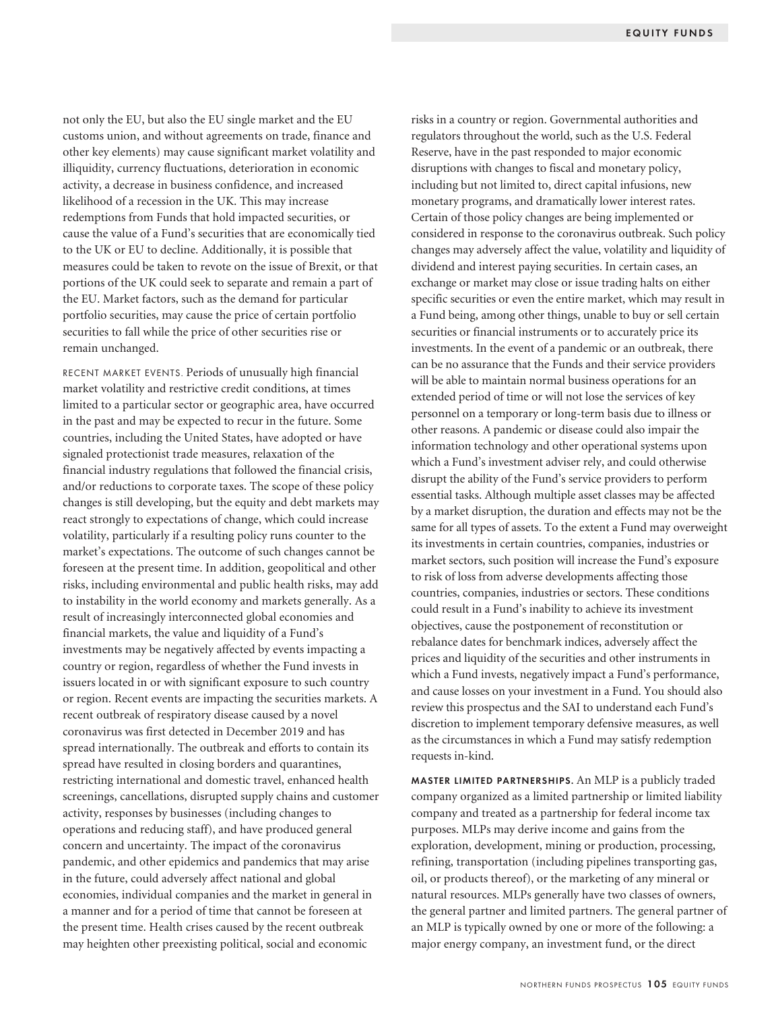not only the EU, but also the EU single market and the EU customs union, and without agreements on trade, finance and other key elements) may cause significant market volatility and illiquidity, currency fluctuations, deterioration in economic activity, a decrease in business confidence, and increased likelihood of a recession in the UK. This may increase redemptions from Funds that hold impacted securities, or cause the value of a Fund's securities that are economically tied to the UK or EU to decline. Additionally, it is possible that measures could be taken to revote on the issue of Brexit, or that portions of the UK could seek to separate and remain a part of the EU. Market factors, such as the demand for particular portfolio securities, may cause the price of certain portfolio securities to fall while the price of other securities rise or remain unchanged.

RECENT MARKET EVENTS. Periods of unusually high financial market volatility and restrictive credit conditions, at times limited to a particular sector or geographic area, have occurred in the past and may be expected to recur in the future. Some countries, including the United States, have adopted or have signaled protectionist trade measures, relaxation of the financial industry regulations that followed the financial crisis, and/or reductions to corporate taxes. The scope of these policy changes is still developing, but the equity and debt markets may react strongly to expectations of change, which could increase volatility, particularly if a resulting policy runs counter to the market's expectations. The outcome of such changes cannot be foreseen at the present time. In addition, geopolitical and other risks, including environmental and public health risks, may add to instability in the world economy and markets generally. As a result of increasingly interconnected global economies and financial markets, the value and liquidity of a Fund's investments may be negatively affected by events impacting a country or region, regardless of whether the Fund invests in issuers located in or with significant exposure to such country or region. Recent events are impacting the securities markets. A recent outbreak of respiratory disease caused by a novel coronavirus was first detected in December 2019 and has spread internationally. The outbreak and efforts to contain its spread have resulted in closing borders and quarantines, restricting international and domestic travel, enhanced health screenings, cancellations, disrupted supply chains and customer activity, responses by businesses (including changes to operations and reducing staff), and have produced general concern and uncertainty. The impact of the coronavirus pandemic, and other epidemics and pandemics that may arise in the future, could adversely affect national and global economies, individual companies and the market in general in a manner and for a period of time that cannot be foreseen at the present time. Health crises caused by the recent outbreak may heighten other preexisting political, social and economic

risks in a country or region. Governmental authorities and regulators throughout the world, such as the U.S. Federal Reserve, have in the past responded to major economic disruptions with changes to fiscal and monetary policy, including but not limited to, direct capital infusions, new monetary programs, and dramatically lower interest rates. Certain of those policy changes are being implemented or considered in response to the coronavirus outbreak. Such policy changes may adversely affect the value, volatility and liquidity of dividend and interest paying securities. In certain cases, an exchange or market may close or issue trading halts on either specific securities or even the entire market, which may result in a Fund being, among other things, unable to buy or sell certain securities or financial instruments or to accurately price its investments. In the event of a pandemic or an outbreak, there can be no assurance that the Funds and their service providers will be able to maintain normal business operations for an extended period of time or will not lose the services of key personnel on a temporary or long-term basis due to illness or other reasons. A pandemic or disease could also impair the information technology and other operational systems upon which a Fund's investment adviser rely, and could otherwise disrupt the ability of the Fund's service providers to perform essential tasks. Although multiple asset classes may be affected by a market disruption, the duration and effects may not be the same for all types of assets. To the extent a Fund may overweight its investments in certain countries, companies, industries or market sectors, such position will increase the Fund's exposure to risk of loss from adverse developments affecting those countries, companies, industries or sectors. These conditions could result in a Fund's inability to achieve its investment objectives, cause the postponement of reconstitution or rebalance dates for benchmark indices, adversely affect the prices and liquidity of the securities and other instruments in which a Fund invests, negatively impact a Fund's performance, and cause losses on your investment in a Fund. You should also review this prospectus and the SAI to understand each Fund's discretion to implement temporary defensive measures, as well as the circumstances in which a Fund may satisfy redemption requests in-kind.

**MASTER LIMITED PARTNERSHIPS.** An MLP is a publicly traded company organized as a limited partnership or limited liability company and treated as a partnership for federal income tax purposes. MLPs may derive income and gains from the exploration, development, mining or production, processing, refining, transportation (including pipelines transporting gas, oil, or products thereof), or the marketing of any mineral or natural resources. MLPs generally have two classes of owners, the general partner and limited partners. The general partner of an MLP is typically owned by one or more of the following: a major energy company, an investment fund, or the direct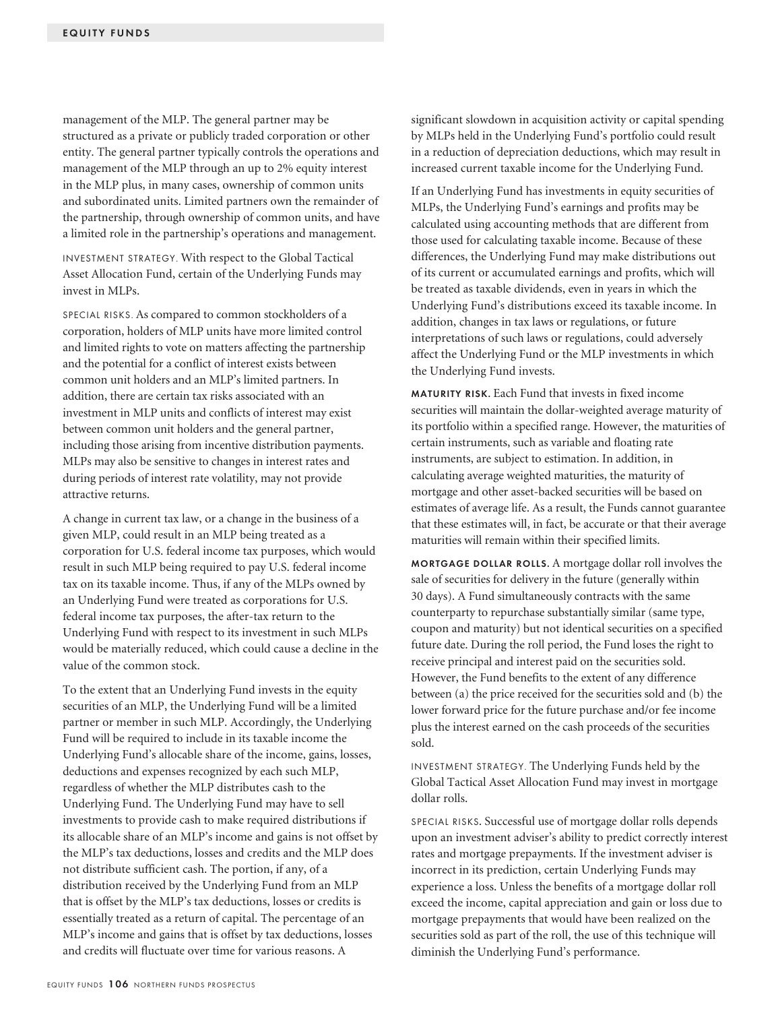management of the MLP. The general partner may be structured as a private or publicly traded corporation or other entity. The general partner typically controls the operations and management of the MLP through an up to 2% equity interest in the MLP plus, in many cases, ownership of common units and subordinated units. Limited partners own the remainder of the partnership, through ownership of common units, and have a limited role in the partnership's operations and management.

INVESTMENT STRATEGY. With respect to the Global Tactical Asset Allocation Fund, certain of the Underlying Funds may invest in MLPs.

SPECIAL RISKS. As compared to common stockholders of a corporation, holders of MLP units have more limited control and limited rights to vote on matters affecting the partnership and the potential for a conflict of interest exists between common unit holders and an MLP's limited partners. In addition, there are certain tax risks associated with an investment in MLP units and conflicts of interest may exist between common unit holders and the general partner, including those arising from incentive distribution payments. MLPs may also be sensitive to changes in interest rates and during periods of interest rate volatility, may not provide attractive returns.

A change in current tax law, or a change in the business of a given MLP, could result in an MLP being treated as a corporation for U.S. federal income tax purposes, which would result in such MLP being required to pay U.S. federal income tax on its taxable income. Thus, if any of the MLPs owned by an Underlying Fund were treated as corporations for U.S. federal income tax purposes, the after-tax return to the Underlying Fund with respect to its investment in such MLPs would be materially reduced, which could cause a decline in the value of the common stock.

To the extent that an Underlying Fund invests in the equity securities of an MLP, the Underlying Fund will be a limited partner or member in such MLP. Accordingly, the Underlying Fund will be required to include in its taxable income the Underlying Fund's allocable share of the income, gains, losses, deductions and expenses recognized by each such MLP, regardless of whether the MLP distributes cash to the Underlying Fund. The Underlying Fund may have to sell investments to provide cash to make required distributions if its allocable share of an MLP's income and gains is not offset by the MLP's tax deductions, losses and credits and the MLP does not distribute sufficient cash. The portion, if any, of a distribution received by the Underlying Fund from an MLP that is offset by the MLP's tax deductions, losses or credits is essentially treated as a return of capital. The percentage of an MLP's income and gains that is offset by tax deductions, losses and credits will fluctuate over time for various reasons. A

significant slowdown in acquisition activity or capital spending by MLPs held in the Underlying Fund's portfolio could result in a reduction of depreciation deductions, which may result in increased current taxable income for the Underlying Fund.

If an Underlying Fund has investments in equity securities of MLPs, the Underlying Fund's earnings and profits may be calculated using accounting methods that are different from those used for calculating taxable income. Because of these differences, the Underlying Fund may make distributions out of its current or accumulated earnings and profits, which will be treated as taxable dividends, even in years in which the Underlying Fund's distributions exceed its taxable income. In addition, changes in tax laws or regulations, or future interpretations of such laws or regulations, could adversely affect the Underlying Fund or the MLP investments in which the Underlying Fund invests.

**MATURITY RISK.** Each Fund that invests in fixed income securities will maintain the dollar-weighted average maturity of its portfolio within a specified range. However, the maturities of certain instruments, such as variable and floating rate instruments, are subject to estimation. In addition, in calculating average weighted maturities, the maturity of mortgage and other asset-backed securities will be based on estimates of average life. As a result, the Funds cannot guarantee that these estimates will, in fact, be accurate or that their average maturities will remain within their specified limits.

**MORTGAGE DOLLAR ROLLS.** A mortgage dollar roll involves the sale of securities for delivery in the future (generally within 30 days). A Fund simultaneously contracts with the same counterparty to repurchase substantially similar (same type, coupon and maturity) but not identical securities on a specified future date. During the roll period, the Fund loses the right to receive principal and interest paid on the securities sold. However, the Fund benefits to the extent of any difference between (a) the price received for the securities sold and (b) the lower forward price for the future purchase and/or fee income plus the interest earned on the cash proceeds of the securities sold.

INVESTMENT STRATEGY. The Underlying Funds held by the Global Tactical Asset Allocation Fund may invest in mortgage dollar rolls.

SPECIAL RISKS. Successful use of mortgage dollar rolls depends upon an investment adviser's ability to predict correctly interest rates and mortgage prepayments. If the investment adviser is incorrect in its prediction, certain Underlying Funds may experience a loss. Unless the benefits of a mortgage dollar roll exceed the income, capital appreciation and gain or loss due to mortgage prepayments that would have been realized on the securities sold as part of the roll, the use of this technique will diminish the Underlying Fund's performance.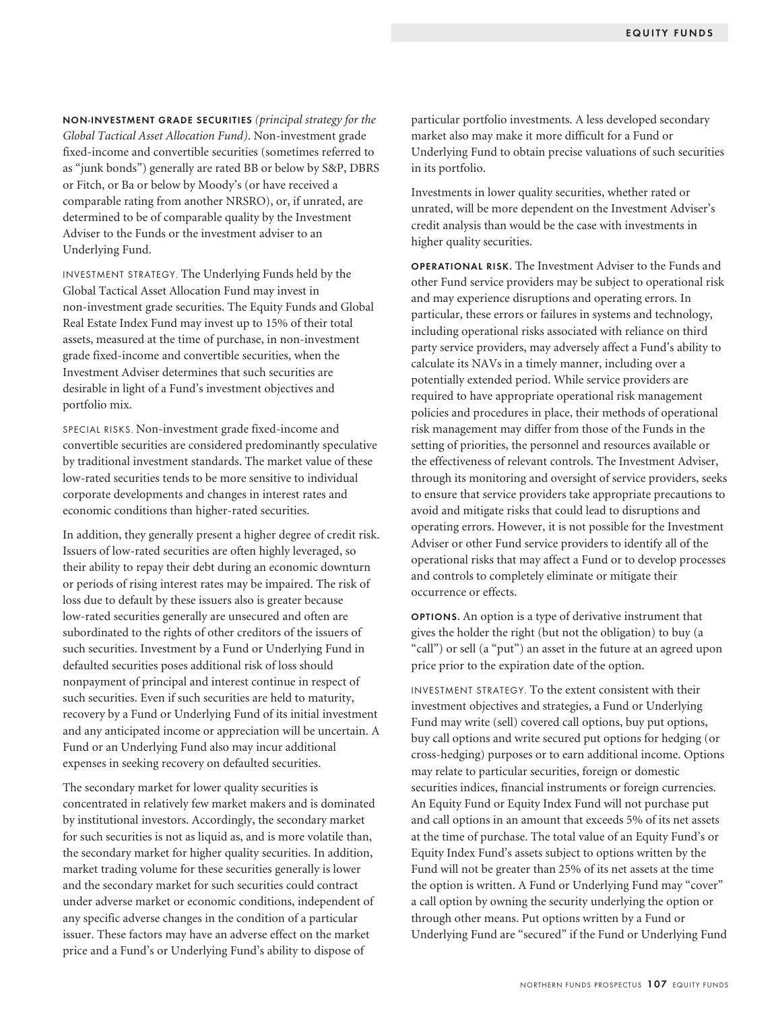**NON-INVESTMENT GRADE SECURITIES** *(principal strategy for the Global Tactical Asset Allocation Fund)*. Non-investment grade fixed-income and convertible securities (sometimes referred to as "junk bonds") generally are rated BB or below by S&P, DBRS or Fitch, or Ba or below by Moody's (or have received a comparable rating from another NRSRO), or, if unrated, are determined to be of comparable quality by the Investment Adviser to the Funds or the investment adviser to an Underlying Fund.

INVESTMENT STRATEGY. The Underlying Funds held by the Global Tactical Asset Allocation Fund may invest in non-investment grade securities. The Equity Funds and Global Real Estate Index Fund may invest up to 15% of their total assets, measured at the time of purchase, in non-investment grade fixed-income and convertible securities, when the Investment Adviser determines that such securities are desirable in light of a Fund's investment objectives and portfolio mix.

SPECIAL RISKS. Non-investment grade fixed-income and convertible securities are considered predominantly speculative by traditional investment standards. The market value of these low-rated securities tends to be more sensitive to individual corporate developments and changes in interest rates and economic conditions than higher-rated securities.

In addition, they generally present a higher degree of credit risk. Issuers of low-rated securities are often highly leveraged, so their ability to repay their debt during an economic downturn or periods of rising interest rates may be impaired. The risk of loss due to default by these issuers also is greater because low-rated securities generally are unsecured and often are subordinated to the rights of other creditors of the issuers of such securities. Investment by a Fund or Underlying Fund in defaulted securities poses additional risk of loss should nonpayment of principal and interest continue in respect of such securities. Even if such securities are held to maturity, recovery by a Fund or Underlying Fund of its initial investment and any anticipated income or appreciation will be uncertain. A Fund or an Underlying Fund also may incur additional expenses in seeking recovery on defaulted securities.

The secondary market for lower quality securities is concentrated in relatively few market makers and is dominated by institutional investors. Accordingly, the secondary market for such securities is not as liquid as, and is more volatile than, the secondary market for higher quality securities. In addition, market trading volume for these securities generally is lower and the secondary market for such securities could contract under adverse market or economic conditions, independent of any specific adverse changes in the condition of a particular issuer. These factors may have an adverse effect on the market price and a Fund's or Underlying Fund's ability to dispose of

particular portfolio investments. A less developed secondary market also may make it more difficult for a Fund or Underlying Fund to obtain precise valuations of such securities in its portfolio.

Investments in lower quality securities, whether rated or unrated, will be more dependent on the Investment Adviser's credit analysis than would be the case with investments in higher quality securities.

**OPERATIONAL RISK.** The Investment Adviser to the Funds and other Fund service providers may be subject to operational risk and may experience disruptions and operating errors. In particular, these errors or failures in systems and technology, including operational risks associated with reliance on third party service providers, may adversely affect a Fund's ability to calculate its NAVs in a timely manner, including over a potentially extended period. While service providers are required to have appropriate operational risk management policies and procedures in place, their methods of operational risk management may differ from those of the Funds in the setting of priorities, the personnel and resources available or the effectiveness of relevant controls. The Investment Adviser, through its monitoring and oversight of service providers, seeks to ensure that service providers take appropriate precautions to avoid and mitigate risks that could lead to disruptions and operating errors. However, it is not possible for the Investment Adviser or other Fund service providers to identify all of the operational risks that may affect a Fund or to develop processes and controls to completely eliminate or mitigate their occurrence or effects.

**OPTIONS.** An option is a type of derivative instrument that gives the holder the right (but not the obligation) to buy (a "call") or sell (a "put") an asset in the future at an agreed upon price prior to the expiration date of the option.

INVESTMENT STRATEGY. To the extent consistent with their investment objectives and strategies, a Fund or Underlying Fund may write (sell) covered call options, buy put options, buy call options and write secured put options for hedging (or cross-hedging) purposes or to earn additional income. Options may relate to particular securities, foreign or domestic securities indices, financial instruments or foreign currencies. An Equity Fund or Equity Index Fund will not purchase put and call options in an amount that exceeds 5% of its net assets at the time of purchase. The total value of an Equity Fund's or Equity Index Fund's assets subject to options written by the Fund will not be greater than 25% of its net assets at the time the option is written. A Fund or Underlying Fund may "cover" a call option by owning the security underlying the option or through other means. Put options written by a Fund or Underlying Fund are "secured" if the Fund or Underlying Fund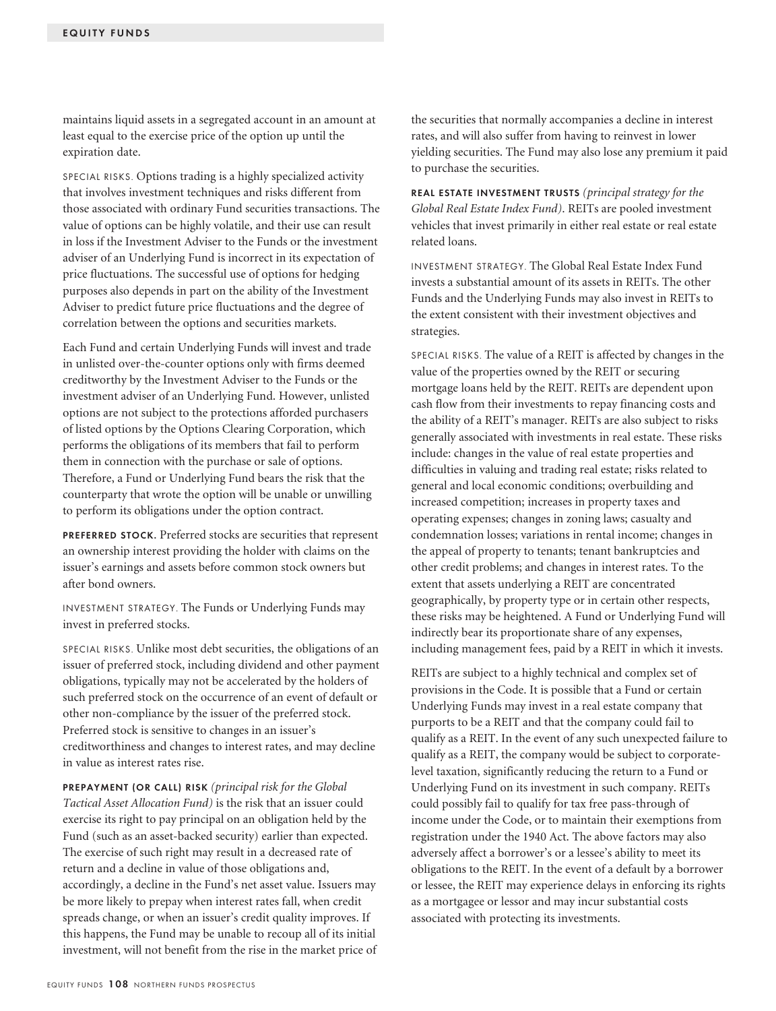maintains liquid assets in a segregated account in an amount at least equal to the exercise price of the option up until the expiration date.

SPECIAL RISKS. Options trading is a highly specialized activity that involves investment techniques and risks different from those associated with ordinary Fund securities transactions. The value of options can be highly volatile, and their use can result in loss if the Investment Adviser to the Funds or the investment adviser of an Underlying Fund is incorrect in its expectation of price fluctuations. The successful use of options for hedging purposes also depends in part on the ability of the Investment Adviser to predict future price fluctuations and the degree of correlation between the options and securities markets.

Each Fund and certain Underlying Funds will invest and trade in unlisted over-the-counter options only with firms deemed creditworthy by the Investment Adviser to the Funds or the investment adviser of an Underlying Fund. However, unlisted options are not subject to the protections afforded purchasers of listed options by the Options Clearing Corporation, which performs the obligations of its members that fail to perform them in connection with the purchase or sale of options. Therefore, a Fund or Underlying Fund bears the risk that the counterparty that wrote the option will be unable or unwilling to perform its obligations under the option contract.

**PREFERRED STOCK.** Preferred stocks are securities that represent an ownership interest providing the holder with claims on the issuer's earnings and assets before common stock owners but after bond owners.

INVESTMENT STRATEGY. The Funds or Underlying Funds may invest in preferred stocks.

SPECIAL RISKS. Unlike most debt securities, the obligations of an issuer of preferred stock, including dividend and other payment obligations, typically may not be accelerated by the holders of such preferred stock on the occurrence of an event of default or other non-compliance by the issuer of the preferred stock. Preferred stock is sensitive to changes in an issuer's creditworthiness and changes to interest rates, and may decline in value as interest rates rise.

**PREPAYMENT (OR CALL) RISK** *(principal risk for the Global Tactical Asset Allocation Fund)* is the risk that an issuer could exercise its right to pay principal on an obligation held by the Fund (such as an asset-backed security) earlier than expected. The exercise of such right may result in a decreased rate of return and a decline in value of those obligations and, accordingly, a decline in the Fund's net asset value. Issuers may be more likely to prepay when interest rates fall, when credit spreads change, or when an issuer's credit quality improves. If this happens, the Fund may be unable to recoup all of its initial investment, will not benefit from the rise in the market price of the securities that normally accompanies a decline in interest rates, and will also suffer from having to reinvest in lower yielding securities. The Fund may also lose any premium it paid to purchase the securities.

**REAL ESTATE INVESTMENT TRUSTS** *(principal strategy for the Global Real Estate Index Fund)*. REITs are pooled investment vehicles that invest primarily in either real estate or real estate related loans.

INVESTMENT STRATEGY. The Global Real Estate Index Fund invests a substantial amount of its assets in REITs. The other Funds and the Underlying Funds may also invest in REITs to the extent consistent with their investment objectives and strategies.

SPECIAL RISKS. The value of a REIT is affected by changes in the value of the properties owned by the REIT or securing mortgage loans held by the REIT. REITs are dependent upon cash flow from their investments to repay financing costs and the ability of a REIT's manager. REITs are also subject to risks generally associated with investments in real estate. These risks include: changes in the value of real estate properties and difficulties in valuing and trading real estate; risks related to general and local economic conditions; overbuilding and increased competition; increases in property taxes and operating expenses; changes in zoning laws; casualty and condemnation losses; variations in rental income; changes in the appeal of property to tenants; tenant bankruptcies and other credit problems; and changes in interest rates. To the extent that assets underlying a REIT are concentrated geographically, by property type or in certain other respects, these risks may be heightened. A Fund or Underlying Fund will indirectly bear its proportionate share of any expenses, including management fees, paid by a REIT in which it invests.

REITs are subject to a highly technical and complex set of provisions in the Code. It is possible that a Fund or certain Underlying Funds may invest in a real estate company that purports to be a REIT and that the company could fail to qualify as a REIT. In the event of any such unexpected failure to qualify as a REIT, the company would be subject to corporatelevel taxation, significantly reducing the return to a Fund or Underlying Fund on its investment in such company. REITs could possibly fail to qualify for tax free pass-through of income under the Code, or to maintain their exemptions from registration under the 1940 Act. The above factors may also adversely affect a borrower's or a lessee's ability to meet its obligations to the REIT. In the event of a default by a borrower or lessee, the REIT may experience delays in enforcing its rights as a mortgagee or lessor and may incur substantial costs associated with protecting its investments.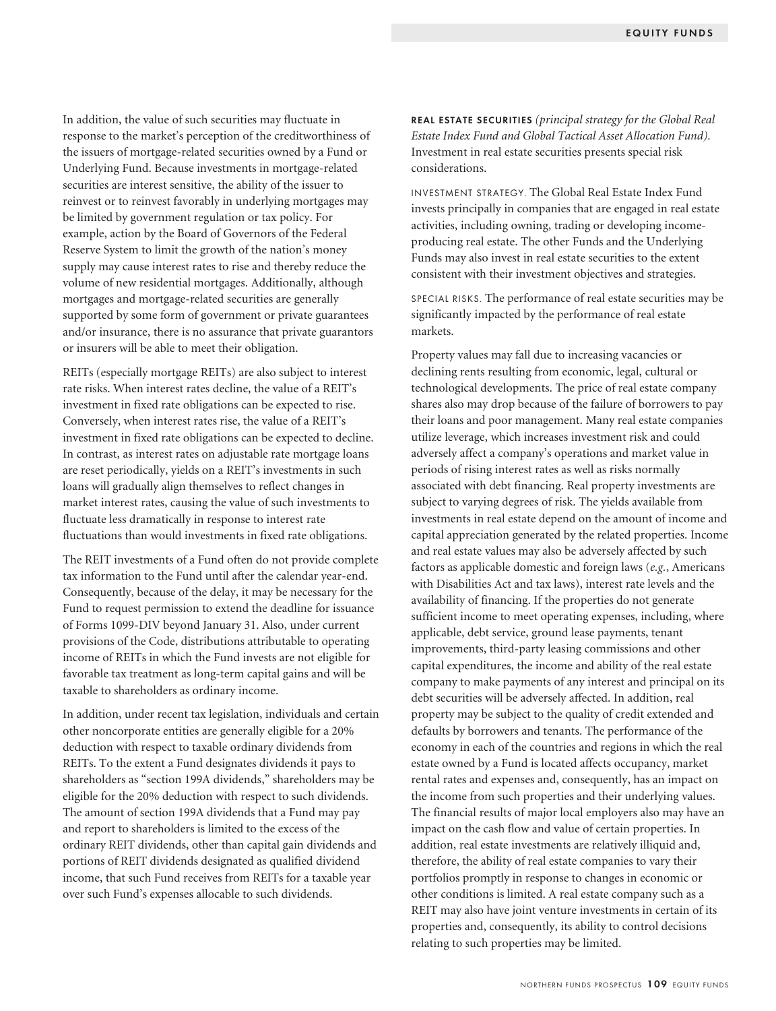In addition, the value of such securities may fluctuate in response to the market's perception of the creditworthiness of the issuers of mortgage-related securities owned by a Fund or Underlying Fund. Because investments in mortgage-related securities are interest sensitive, the ability of the issuer to reinvest or to reinvest favorably in underlying mortgages may be limited by government regulation or tax policy. For example, action by the Board of Governors of the Federal Reserve System to limit the growth of the nation's money supply may cause interest rates to rise and thereby reduce the volume of new residential mortgages. Additionally, although mortgages and mortgage-related securities are generally supported by some form of government or private guarantees and/or insurance, there is no assurance that private guarantors or insurers will be able to meet their obligation.

REITs (especially mortgage REITs) are also subject to interest rate risks. When interest rates decline, the value of a REIT's investment in fixed rate obligations can be expected to rise. Conversely, when interest rates rise, the value of a REIT's investment in fixed rate obligations can be expected to decline. In contrast, as interest rates on adjustable rate mortgage loans are reset periodically, yields on a REIT's investments in such loans will gradually align themselves to reflect changes in market interest rates, causing the value of such investments to fluctuate less dramatically in response to interest rate fluctuations than would investments in fixed rate obligations.

The REIT investments of a Fund often do not provide complete tax information to the Fund until after the calendar year-end. Consequently, because of the delay, it may be necessary for the Fund to request permission to extend the deadline for issuance of Forms 1099-DIV beyond January 31. Also, under current provisions of the Code, distributions attributable to operating income of REITs in which the Fund invests are not eligible for favorable tax treatment as long-term capital gains and will be taxable to shareholders as ordinary income.

In addition, under recent tax legislation, individuals and certain other noncorporate entities are generally eligible for a 20% deduction with respect to taxable ordinary dividends from REITs. To the extent a Fund designates dividends it pays to shareholders as "section 199A dividends," shareholders may be eligible for the 20% deduction with respect to such dividends. The amount of section 199A dividends that a Fund may pay and report to shareholders is limited to the excess of the ordinary REIT dividends, other than capital gain dividends and portions of REIT dividends designated as qualified dividend income, that such Fund receives from REITs for a taxable year over such Fund's expenses allocable to such dividends.

**REAL ESTATE SECURITIES** *(principal strategy for the Global Real Estate Index Fund and Global Tactical Asset Allocation Fund).* Investment in real estate securities presents special risk considerations.

INVESTMENT STRATEGY. The Global Real Estate Index Fund invests principally in companies that are engaged in real estate activities, including owning, trading or developing incomeproducing real estate. The other Funds and the Underlying Funds may also invest in real estate securities to the extent consistent with their investment objectives and strategies.

SPECIAL RISKS. The performance of real estate securities may be significantly impacted by the performance of real estate markets.

Property values may fall due to increasing vacancies or declining rents resulting from economic, legal, cultural or technological developments. The price of real estate company shares also may drop because of the failure of borrowers to pay their loans and poor management. Many real estate companies utilize leverage, which increases investment risk and could adversely affect a company's operations and market value in periods of rising interest rates as well as risks normally associated with debt financing. Real property investments are subject to varying degrees of risk. The yields available from investments in real estate depend on the amount of income and capital appreciation generated by the related properties. Income and real estate values may also be adversely affected by such factors as applicable domestic and foreign laws (*e.g.*, Americans with Disabilities Act and tax laws), interest rate levels and the availability of financing. If the properties do not generate sufficient income to meet operating expenses, including, where applicable, debt service, ground lease payments, tenant improvements, third-party leasing commissions and other capital expenditures, the income and ability of the real estate company to make payments of any interest and principal on its debt securities will be adversely affected. In addition, real property may be subject to the quality of credit extended and defaults by borrowers and tenants. The performance of the economy in each of the countries and regions in which the real estate owned by a Fund is located affects occupancy, market rental rates and expenses and, consequently, has an impact on the income from such properties and their underlying values. The financial results of major local employers also may have an impact on the cash flow and value of certain properties. In addition, real estate investments are relatively illiquid and, therefore, the ability of real estate companies to vary their portfolios promptly in response to changes in economic or other conditions is limited. A real estate company such as a REIT may also have joint venture investments in certain of its properties and, consequently, its ability to control decisions relating to such properties may be limited.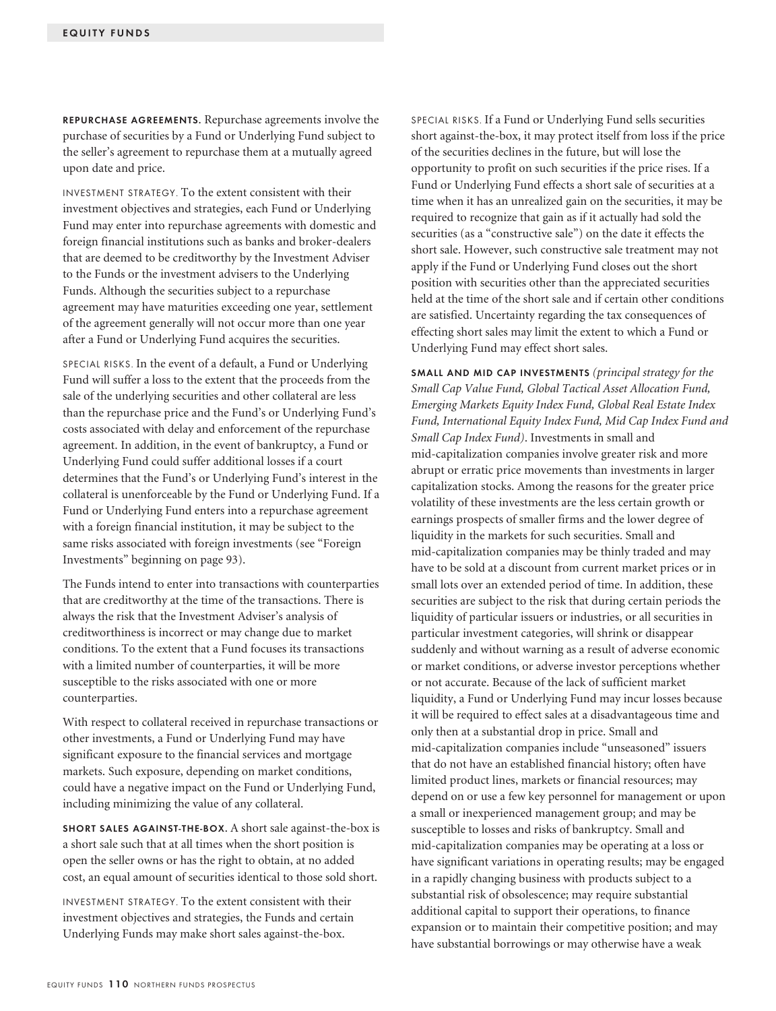**REPURCHASE AGREEMENTS.** Repurchase agreements involve the purchase of securities by a Fund or Underlying Fund subject to the seller's agreement to repurchase them at a mutually agreed upon date and price.

INVESTMENT STRATEGY. To the extent consistent with their investment objectives and strategies, each Fund or Underlying Fund may enter into repurchase agreements with domestic and foreign financial institutions such as banks and broker-dealers that are deemed to be creditworthy by the Investment Adviser to the Funds or the investment advisers to the Underlying Funds. Although the securities subject to a repurchase agreement may have maturities exceeding one year, settlement of the agreement generally will not occur more than one year after a Fund or Underlying Fund acquires the securities.

SPECIAL RISKS. In the event of a default, a Fund or Underlying Fund will suffer a loss to the extent that the proceeds from the sale of the underlying securities and other collateral are less than the repurchase price and the Fund's or Underlying Fund's costs associated with delay and enforcement of the repurchase agreement. In addition, in the event of bankruptcy, a Fund or Underlying Fund could suffer additional losses if a court determines that the Fund's or Underlying Fund's interest in the collateral is unenforceable by the Fund or Underlying Fund. If a Fund or Underlying Fund enters into a repurchase agreement with a foreign financial institution, it may be subject to the same risks associated with foreign investments (see "Foreign Investments" beginning on page 93).

The Funds intend to enter into transactions with counterparties that are creditworthy at the time of the transactions. There is always the risk that the Investment Adviser's analysis of creditworthiness is incorrect or may change due to market conditions. To the extent that a Fund focuses its transactions with a limited number of counterparties, it will be more susceptible to the risks associated with one or more counterparties.

With respect to collateral received in repurchase transactions or other investments, a Fund or Underlying Fund may have significant exposure to the financial services and mortgage markets. Such exposure, depending on market conditions, could have a negative impact on the Fund or Underlying Fund, including minimizing the value of any collateral.

**SHORT SALES AGAINST-THE-BOX.** A short sale against-the-box is a short sale such that at all times when the short position is open the seller owns or has the right to obtain, at no added cost, an equal amount of securities identical to those sold short.

INVESTMENT STRATEGY. To the extent consistent with their investment objectives and strategies, the Funds and certain Underlying Funds may make short sales against-the-box.

SPECIAL RISKS. If a Fund or Underlying Fund sells securities short against-the-box, it may protect itself from loss if the price of the securities declines in the future, but will lose the opportunity to profit on such securities if the price rises. If a Fund or Underlying Fund effects a short sale of securities at a time when it has an unrealized gain on the securities, it may be required to recognize that gain as if it actually had sold the securities (as a "constructive sale") on the date it effects the short sale. However, such constructive sale treatment may not apply if the Fund or Underlying Fund closes out the short position with securities other than the appreciated securities held at the time of the short sale and if certain other conditions are satisfied. Uncertainty regarding the tax consequences of effecting short sales may limit the extent to which a Fund or Underlying Fund may effect short sales.

**SMALL AND MID CAP INVESTMENTS** *(principal strategy for the Small Cap Value Fund, Global Tactical Asset Allocation Fund, Emerging Markets Equity Index Fund, Global Real Estate Index Fund, International Equity Index Fund, Mid Cap Index Fund and Small Cap Index Fund)*. Investments in small and mid-capitalization companies involve greater risk and more abrupt or erratic price movements than investments in larger capitalization stocks. Among the reasons for the greater price volatility of these investments are the less certain growth or earnings prospects of smaller firms and the lower degree of liquidity in the markets for such securities. Small and mid-capitalization companies may be thinly traded and may have to be sold at a discount from current market prices or in small lots over an extended period of time. In addition, these securities are subject to the risk that during certain periods the liquidity of particular issuers or industries, or all securities in particular investment categories, will shrink or disappear suddenly and without warning as a result of adverse economic or market conditions, or adverse investor perceptions whether or not accurate. Because of the lack of sufficient market liquidity, a Fund or Underlying Fund may incur losses because it will be required to effect sales at a disadvantageous time and only then at a substantial drop in price. Small and mid-capitalization companies include "unseasoned" issuers that do not have an established financial history; often have limited product lines, markets or financial resources; may depend on or use a few key personnel for management or upon a small or inexperienced management group; and may be susceptible to losses and risks of bankruptcy. Small and mid-capitalization companies may be operating at a loss or have significant variations in operating results; may be engaged in a rapidly changing business with products subject to a substantial risk of obsolescence; may require substantial additional capital to support their operations, to finance expansion or to maintain their competitive position; and may have substantial borrowings or may otherwise have a weak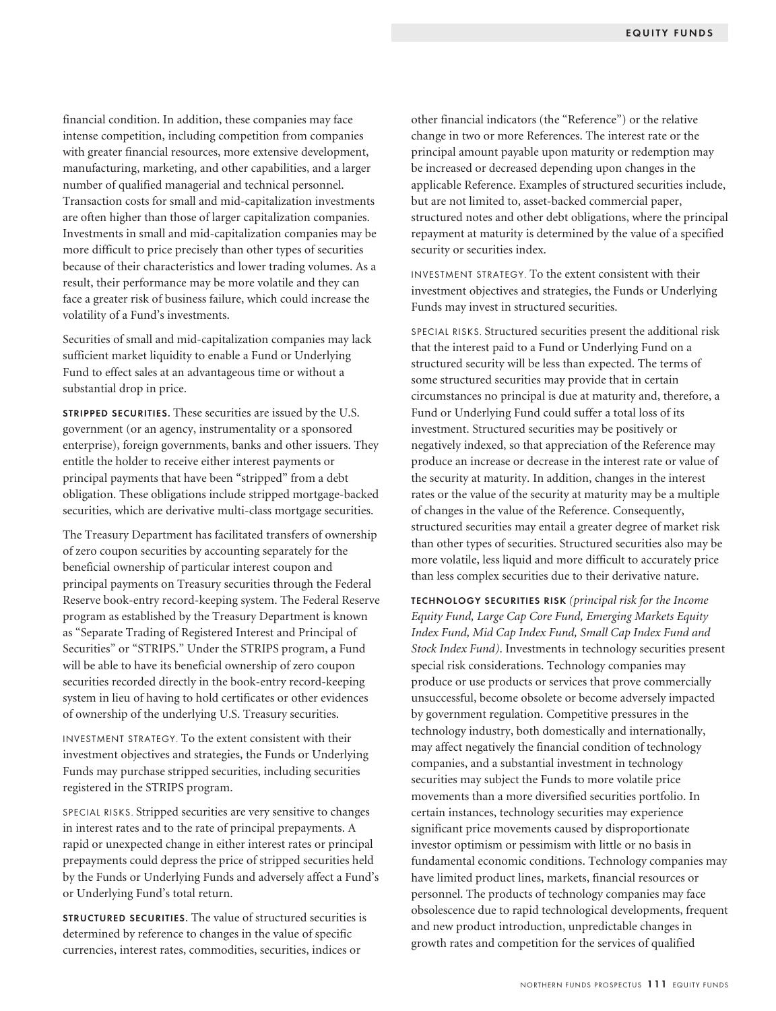financial condition. In addition, these companies may face intense competition, including competition from companies with greater financial resources, more extensive development, manufacturing, marketing, and other capabilities, and a larger number of qualified managerial and technical personnel. Transaction costs for small and mid-capitalization investments are often higher than those of larger capitalization companies. Investments in small and mid-capitalization companies may be more difficult to price precisely than other types of securities because of their characteristics and lower trading volumes. As a result, their performance may be more volatile and they can face a greater risk of business failure, which could increase the volatility of a Fund's investments.

Securities of small and mid-capitalization companies may lack sufficient market liquidity to enable a Fund or Underlying Fund to effect sales at an advantageous time or without a substantial drop in price.

**STRIPPED SECURITIES.** These securities are issued by the U.S. government (or an agency, instrumentality or a sponsored enterprise), foreign governments, banks and other issuers. They entitle the holder to receive either interest payments or principal payments that have been "stripped" from a debt obligation. These obligations include stripped mortgage-backed securities, which are derivative multi-class mortgage securities.

The Treasury Department has facilitated transfers of ownership of zero coupon securities by accounting separately for the beneficial ownership of particular interest coupon and principal payments on Treasury securities through the Federal Reserve book-entry record-keeping system. The Federal Reserve program as established by the Treasury Department is known as "Separate Trading of Registered Interest and Principal of Securities" or "STRIPS." Under the STRIPS program, a Fund will be able to have its beneficial ownership of zero coupon securities recorded directly in the book-entry record-keeping system in lieu of having to hold certificates or other evidences of ownership of the underlying U.S. Treasury securities.

INVESTMENT STRATEGY. To the extent consistent with their investment objectives and strategies, the Funds or Underlying Funds may purchase stripped securities, including securities registered in the STRIPS program.

SPECIAL RISKS. Stripped securities are very sensitive to changes in interest rates and to the rate of principal prepayments. A rapid or unexpected change in either interest rates or principal prepayments could depress the price of stripped securities held by the Funds or Underlying Funds and adversely affect a Fund's or Underlying Fund's total return.

**STRUCTURED SECURITIES.** The value of structured securities is determined by reference to changes in the value of specific currencies, interest rates, commodities, securities, indices or

other financial indicators (the "Reference") or the relative change in two or more References. The interest rate or the principal amount payable upon maturity or redemption may be increased or decreased depending upon changes in the applicable Reference. Examples of structured securities include, but are not limited to, asset-backed commercial paper, structured notes and other debt obligations, where the principal repayment at maturity is determined by the value of a specified security or securities index.

INVESTMENT STRATEGY. To the extent consistent with their investment objectives and strategies, the Funds or Underlying Funds may invest in structured securities.

SPECIAL RISKS. Structured securities present the additional risk that the interest paid to a Fund or Underlying Fund on a structured security will be less than expected. The terms of some structured securities may provide that in certain circumstances no principal is due at maturity and, therefore, a Fund or Underlying Fund could suffer a total loss of its investment. Structured securities may be positively or negatively indexed, so that appreciation of the Reference may produce an increase or decrease in the interest rate or value of the security at maturity. In addition, changes in the interest rates or the value of the security at maturity may be a multiple of changes in the value of the Reference. Consequently, structured securities may entail a greater degree of market risk than other types of securities. Structured securities also may be more volatile, less liquid and more difficult to accurately price than less complex securities due to their derivative nature.

**TECHNOLOGY SECURITIES RISK** *(principal risk for the Income Equity Fund, Large Cap Core Fund, Emerging Markets Equity Index Fund, Mid Cap Index Fund, Small Cap Index Fund and Stock Index Fund)*. Investments in technology securities present special risk considerations. Technology companies may produce or use products or services that prove commercially unsuccessful, become obsolete or become adversely impacted by government regulation. Competitive pressures in the technology industry, both domestically and internationally, may affect negatively the financial condition of technology companies, and a substantial investment in technology securities may subject the Funds to more volatile price movements than a more diversified securities portfolio. In certain instances, technology securities may experience significant price movements caused by disproportionate investor optimism or pessimism with little or no basis in fundamental economic conditions. Technology companies may have limited product lines, markets, financial resources or personnel. The products of technology companies may face obsolescence due to rapid technological developments, frequent and new product introduction, unpredictable changes in growth rates and competition for the services of qualified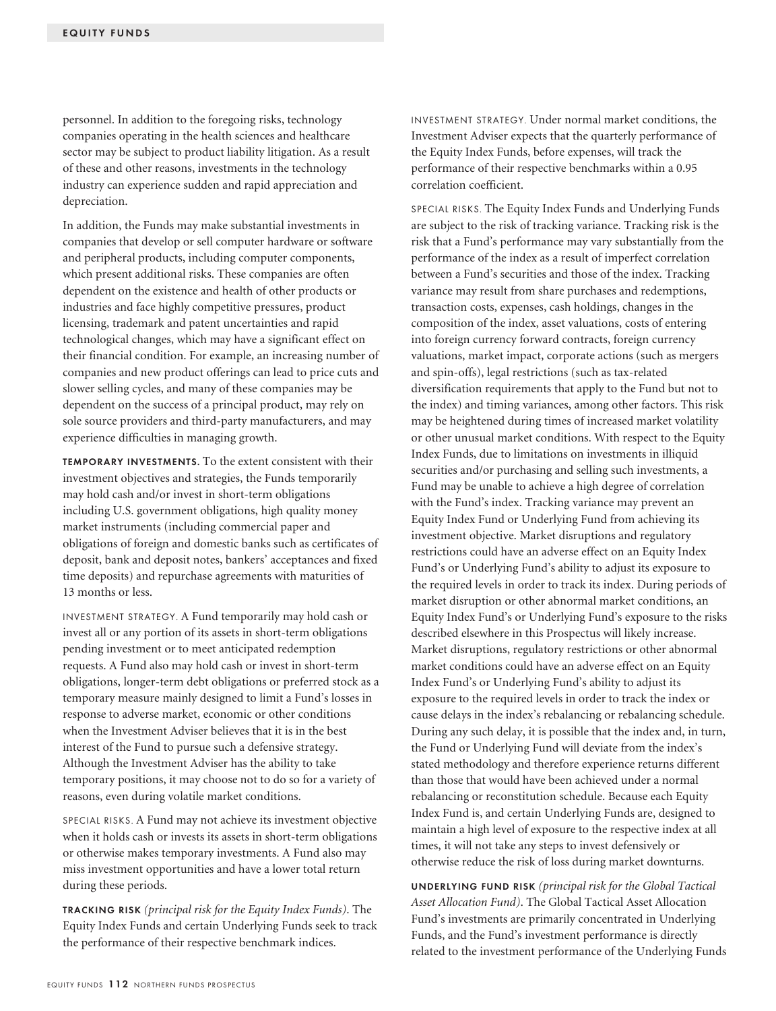personnel. In addition to the foregoing risks, technology companies operating in the health sciences and healthcare sector may be subject to product liability litigation. As a result of these and other reasons, investments in the technology industry can experience sudden and rapid appreciation and depreciation.

In addition, the Funds may make substantial investments in companies that develop or sell computer hardware or software and peripheral products, including computer components, which present additional risks. These companies are often dependent on the existence and health of other products or industries and face highly competitive pressures, product licensing, trademark and patent uncertainties and rapid technological changes, which may have a significant effect on their financial condition. For example, an increasing number of companies and new product offerings can lead to price cuts and slower selling cycles, and many of these companies may be dependent on the success of a principal product, may rely on sole source providers and third-party manufacturers, and may experience difficulties in managing growth.

**TEMPORARY INVESTMENTS.** To the extent consistent with their investment objectives and strategies, the Funds temporarily may hold cash and/or invest in short-term obligations including U.S. government obligations, high quality money market instruments (including commercial paper and obligations of foreign and domestic banks such as certificates of deposit, bank and deposit notes, bankers' acceptances and fixed time deposits) and repurchase agreements with maturities of 13 months or less.

INVESTMENT STRATEGY. A Fund temporarily may hold cash or invest all or any portion of its assets in short-term obligations pending investment or to meet anticipated redemption requests. A Fund also may hold cash or invest in short-term obligations, longer-term debt obligations or preferred stock as a temporary measure mainly designed to limit a Fund's losses in response to adverse market, economic or other conditions when the Investment Adviser believes that it is in the best interest of the Fund to pursue such a defensive strategy. Although the Investment Adviser has the ability to take temporary positions, it may choose not to do so for a variety of reasons, even during volatile market conditions.

SPECIAL RISKS. A Fund may not achieve its investment objective when it holds cash or invests its assets in short-term obligations or otherwise makes temporary investments. A Fund also may miss investment opportunities and have a lower total return during these periods.

**TRACKING RISK** *(principal risk for the Equity Index Funds)*. The Equity Index Funds and certain Underlying Funds seek to track the performance of their respective benchmark indices.

INVESTMENT STRATEGY. Under normal market conditions, the Investment Adviser expects that the quarterly performance of the Equity Index Funds, before expenses, will track the performance of their respective benchmarks within a 0.95 correlation coefficient.

SPECIAL RISKS. The Equity Index Funds and Underlying Funds are subject to the risk of tracking variance. Tracking risk is the risk that a Fund's performance may vary substantially from the performance of the index as a result of imperfect correlation between a Fund's securities and those of the index. Tracking variance may result from share purchases and redemptions, transaction costs, expenses, cash holdings, changes in the composition of the index, asset valuations, costs of entering into foreign currency forward contracts, foreign currency valuations, market impact, corporate actions (such as mergers and spin-offs), legal restrictions (such as tax-related diversification requirements that apply to the Fund but not to the index) and timing variances, among other factors. This risk may be heightened during times of increased market volatility or other unusual market conditions. With respect to the Equity Index Funds, due to limitations on investments in illiquid securities and/or purchasing and selling such investments, a Fund may be unable to achieve a high degree of correlation with the Fund's index. Tracking variance may prevent an Equity Index Fund or Underlying Fund from achieving its investment objective. Market disruptions and regulatory restrictions could have an adverse effect on an Equity Index Fund's or Underlying Fund's ability to adjust its exposure to the required levels in order to track its index. During periods of market disruption or other abnormal market conditions, an Equity Index Fund's or Underlying Fund's exposure to the risks described elsewhere in this Prospectus will likely increase. Market disruptions, regulatory restrictions or other abnormal market conditions could have an adverse effect on an Equity Index Fund's or Underlying Fund's ability to adjust its exposure to the required levels in order to track the index or cause delays in the index's rebalancing or rebalancing schedule. During any such delay, it is possible that the index and, in turn, the Fund or Underlying Fund will deviate from the index's stated methodology and therefore experience returns different than those that would have been achieved under a normal rebalancing or reconstitution schedule. Because each Equity Index Fund is, and certain Underlying Funds are, designed to maintain a high level of exposure to the respective index at all times, it will not take any steps to invest defensively or otherwise reduce the risk of loss during market downturns.

**UNDERLYING FUND RISK** *(principal risk for the Global Tactical Asset Allocation Fund)*. The Global Tactical Asset Allocation Fund's investments are primarily concentrated in Underlying Funds, and the Fund's investment performance is directly related to the investment performance of the Underlying Funds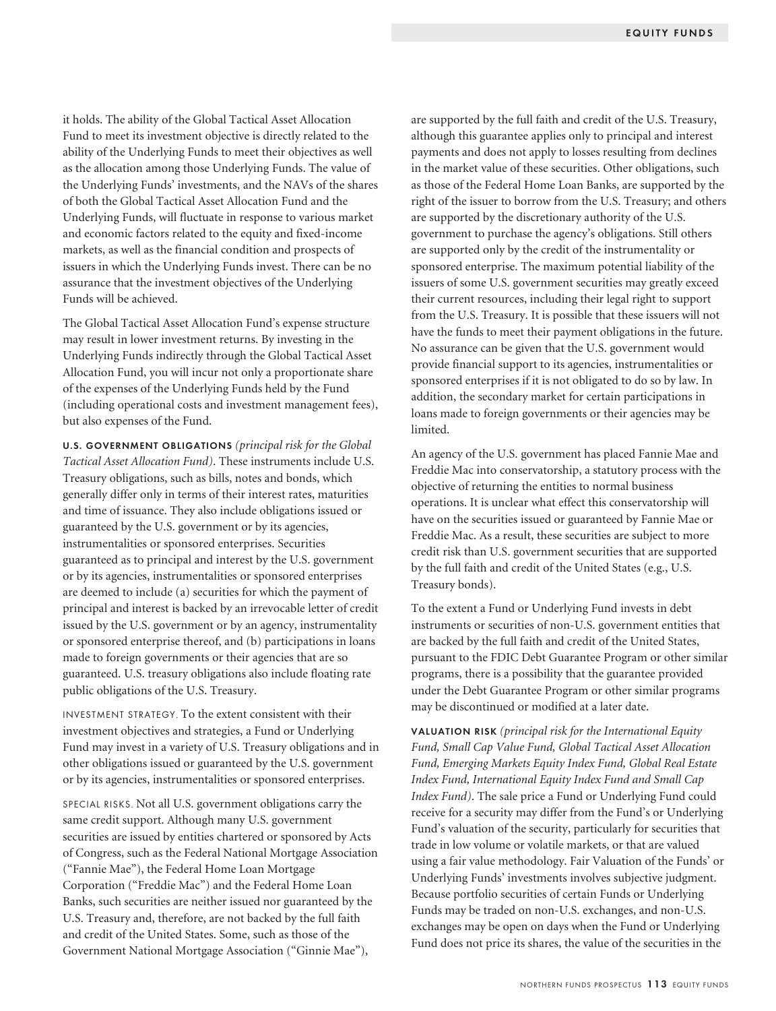it holds. The ability of the Global Tactical Asset Allocation Fund to meet its investment objective is directly related to the ability of the Underlying Funds to meet their objectives as well as the allocation among those Underlying Funds. The value of the Underlying Funds' investments, and the NAVs of the shares of both the Global Tactical Asset Allocation Fund and the Underlying Funds, will fluctuate in response to various market and economic factors related to the equity and fixed-income markets, as well as the financial condition and prospects of issuers in which the Underlying Funds invest. There can be no assurance that the investment objectives of the Underlying Funds will be achieved.

The Global Tactical Asset Allocation Fund's expense structure may result in lower investment returns. By investing in the Underlying Funds indirectly through the Global Tactical Asset Allocation Fund, you will incur not only a proportionate share of the expenses of the Underlying Funds held by the Fund (including operational costs and investment management fees), but also expenses of the Fund.

**U.S. GOVERNMENT OBLIGATIONS** *(principal risk for the Global Tactical Asset Allocation Fund)*. These instruments include U.S. Treasury obligations, such as bills, notes and bonds, which generally differ only in terms of their interest rates, maturities and time of issuance. They also include obligations issued or guaranteed by the U.S. government or by its agencies, instrumentalities or sponsored enterprises. Securities guaranteed as to principal and interest by the U.S. government or by its agencies, instrumentalities or sponsored enterprises are deemed to include (a) securities for which the payment of principal and interest is backed by an irrevocable letter of credit issued by the U.S. government or by an agency, instrumentality or sponsored enterprise thereof, and (b) participations in loans made to foreign governments or their agencies that are so guaranteed. U.S. treasury obligations also include floating rate public obligations of the U.S. Treasury.

INVESTMENT STRATEGY. To the extent consistent with their investment objectives and strategies, a Fund or Underlying Fund may invest in a variety of U.S. Treasury obligations and in other obligations issued or guaranteed by the U.S. government or by its agencies, instrumentalities or sponsored enterprises.

SPECIAL RISKS. Not all U.S. government obligations carry the same credit support. Although many U.S. government securities are issued by entities chartered or sponsored by Acts of Congress, such as the Federal National Mortgage Association ("Fannie Mae"), the Federal Home Loan Mortgage Corporation ("Freddie Mac") and the Federal Home Loan Banks, such securities are neither issued nor guaranteed by the U.S. Treasury and, therefore, are not backed by the full faith and credit of the United States. Some, such as those of the Government National Mortgage Association ("Ginnie Mae"),

are supported by the full faith and credit of the U.S. Treasury, although this guarantee applies only to principal and interest payments and does not apply to losses resulting from declines in the market value of these securities. Other obligations, such as those of the Federal Home Loan Banks, are supported by the right of the issuer to borrow from the U.S. Treasury; and others are supported by the discretionary authority of the U.S. government to purchase the agency's obligations. Still others are supported only by the credit of the instrumentality or sponsored enterprise. The maximum potential liability of the issuers of some U.S. government securities may greatly exceed their current resources, including their legal right to support from the U.S. Treasury. It is possible that these issuers will not have the funds to meet their payment obligations in the future. No assurance can be given that the U.S. government would provide financial support to its agencies, instrumentalities or sponsored enterprises if it is not obligated to do so by law. In addition, the secondary market for certain participations in loans made to foreign governments or their agencies may be limited.

An agency of the U.S. government has placed Fannie Mae and Freddie Mac into conservatorship, a statutory process with the objective of returning the entities to normal business operations. It is unclear what effect this conservatorship will have on the securities issued or guaranteed by Fannie Mae or Freddie Mac. As a result, these securities are subject to more credit risk than U.S. government securities that are supported by the full faith and credit of the United States (e.g., U.S. Treasury bonds).

To the extent a Fund or Underlying Fund invests in debt instruments or securities of non-U.S. government entities that are backed by the full faith and credit of the United States, pursuant to the FDIC Debt Guarantee Program or other similar programs, there is a possibility that the guarantee provided under the Debt Guarantee Program or other similar programs may be discontinued or modified at a later date.

**VALUATION RISK** *(principal risk for the International Equity Fund, Small Cap Value Fund, Global Tactical Asset Allocation Fund, Emerging Markets Equity Index Fund, Global Real Estate Index Fund, International Equity Index Fund and Small Cap Index Fund)*. The sale price a Fund or Underlying Fund could receive for a security may differ from the Fund's or Underlying Fund's valuation of the security, particularly for securities that trade in low volume or volatile markets, or that are valued using a fair value methodology. Fair Valuation of the Funds' or Underlying Funds' investments involves subjective judgment. Because portfolio securities of certain Funds or Underlying Funds may be traded on non-U.S. exchanges, and non-U.S. exchanges may be open on days when the Fund or Underlying Fund does not price its shares, the value of the securities in the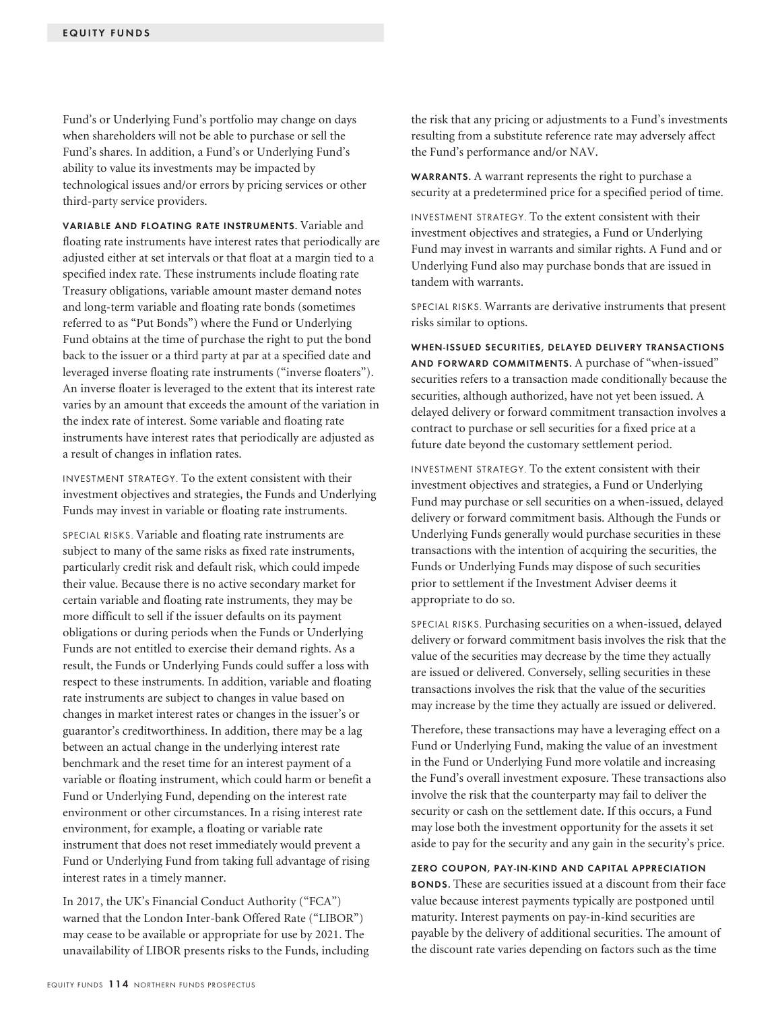Fund's or Underlying Fund's portfolio may change on days when shareholders will not be able to purchase or sell the Fund's shares. In addition, a Fund's or Underlying Fund's ability to value its investments may be impacted by technological issues and/or errors by pricing services or other third-party service providers.

**VARIABLE AND FLOATING RATE INSTRUMENTS.** Variable and floating rate instruments have interest rates that periodically are adjusted either at set intervals or that float at a margin tied to a specified index rate. These instruments include floating rate Treasury obligations, variable amount master demand notes and long-term variable and floating rate bonds (sometimes referred to as "Put Bonds") where the Fund or Underlying Fund obtains at the time of purchase the right to put the bond back to the issuer or a third party at par at a specified date and leveraged inverse floating rate instruments ("inverse floaters"). An inverse floater is leveraged to the extent that its interest rate varies by an amount that exceeds the amount of the variation in the index rate of interest. Some variable and floating rate instruments have interest rates that periodically are adjusted as a result of changes in inflation rates.

INVESTMENT STRATEGY. To the extent consistent with their investment objectives and strategies, the Funds and Underlying Funds may invest in variable or floating rate instruments.

SPECIAL RISKS. Variable and floating rate instruments are subject to many of the same risks as fixed rate instruments, particularly credit risk and default risk, which could impede their value. Because there is no active secondary market for certain variable and floating rate instruments, they may be more difficult to sell if the issuer defaults on its payment obligations or during periods when the Funds or Underlying Funds are not entitled to exercise their demand rights. As a result, the Funds or Underlying Funds could suffer a loss with respect to these instruments. In addition, variable and floating rate instruments are subject to changes in value based on changes in market interest rates or changes in the issuer's or guarantor's creditworthiness. In addition, there may be a lag between an actual change in the underlying interest rate benchmark and the reset time for an interest payment of a variable or floating instrument, which could harm or benefit a Fund or Underlying Fund, depending on the interest rate environment or other circumstances. In a rising interest rate environment, for example, a floating or variable rate instrument that does not reset immediately would prevent a Fund or Underlying Fund from taking full advantage of rising interest rates in a timely manner.

In 2017, the UK's Financial Conduct Authority ("FCA") warned that the London Inter-bank Offered Rate ("LIBOR") may cease to be available or appropriate for use by 2021. The unavailability of LIBOR presents risks to the Funds, including the risk that any pricing or adjustments to a Fund's investments resulting from a substitute reference rate may adversely affect the Fund's performance and/or NAV.

**WARRANTS.** A warrant represents the right to purchase a security at a predetermined price for a specified period of time.

INVESTMENT STRATEGY. To the extent consistent with their investment objectives and strategies, a Fund or Underlying Fund may invest in warrants and similar rights. A Fund and or Underlying Fund also may purchase bonds that are issued in tandem with warrants.

SPECIAL RISKS. Warrants are derivative instruments that present risks similar to options.

**WHEN-ISSUED SECURITIES, DELAYED DELIVERY TRANSACTIONS AND FORWARD COMMITMENTS.** A purchase of "when-issued" securities refers to a transaction made conditionally because the securities, although authorized, have not yet been issued. A delayed delivery or forward commitment transaction involves a contract to purchase or sell securities for a fixed price at a future date beyond the customary settlement period.

INVESTMENT STRATEGY. To the extent consistent with their investment objectives and strategies, a Fund or Underlying Fund may purchase or sell securities on a when-issued, delayed delivery or forward commitment basis. Although the Funds or Underlying Funds generally would purchase securities in these transactions with the intention of acquiring the securities, the Funds or Underlying Funds may dispose of such securities prior to settlement if the Investment Adviser deems it appropriate to do so.

SPECIAL RISKS. Purchasing securities on a when-issued, delayed delivery or forward commitment basis involves the risk that the value of the securities may decrease by the time they actually are issued or delivered. Conversely, selling securities in these transactions involves the risk that the value of the securities may increase by the time they actually are issued or delivered.

Therefore, these transactions may have a leveraging effect on a Fund or Underlying Fund, making the value of an investment in the Fund or Underlying Fund more volatile and increasing the Fund's overall investment exposure. These transactions also involve the risk that the counterparty may fail to deliver the security or cash on the settlement date. If this occurs, a Fund may lose both the investment opportunity for the assets it set aside to pay for the security and any gain in the security's price.

**ZERO COUPON, PAY-IN-KIND AND CAPITAL APPRECIATION**

**BONDS.** These are securities issued at a discount from their face value because interest payments typically are postponed until maturity. Interest payments on pay-in-kind securities are payable by the delivery of additional securities. The amount of the discount rate varies depending on factors such as the time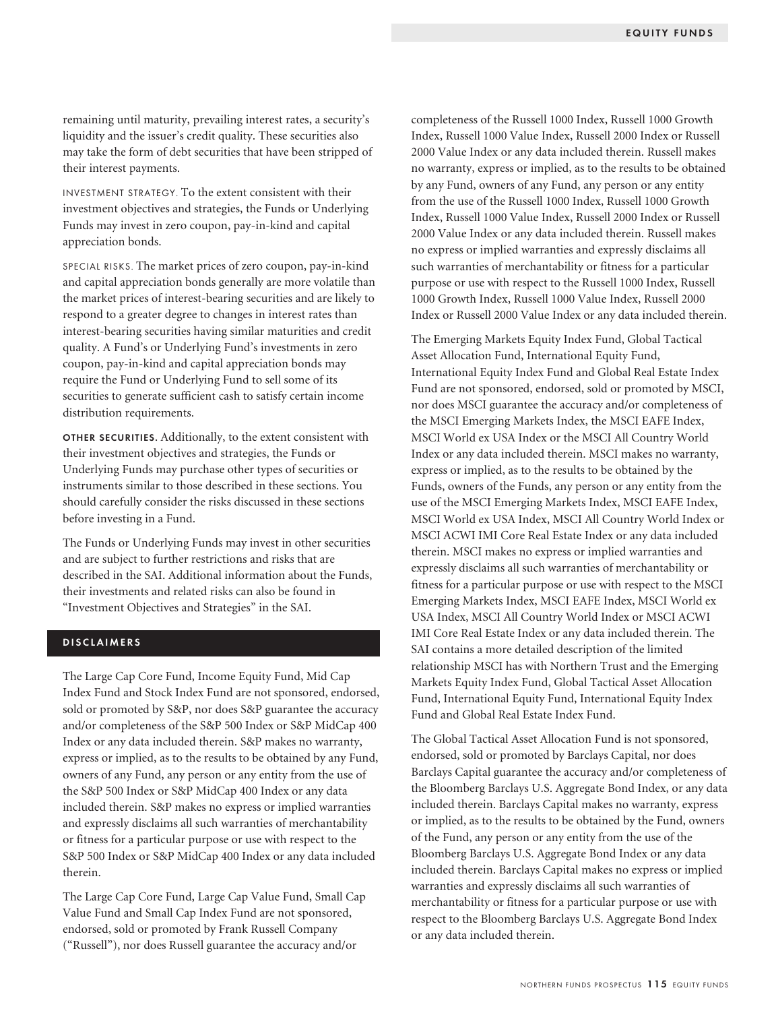remaining until maturity, prevailing interest rates, a security's liquidity and the issuer's credit quality. These securities also may take the form of debt securities that have been stripped of their interest payments.

INVESTMENT STRATEGY. To the extent consistent with their investment objectives and strategies, the Funds or Underlying Funds may invest in zero coupon, pay-in-kind and capital appreciation bonds.

SPECIAL RISKS. The market prices of zero coupon, pay-in-kind and capital appreciation bonds generally are more volatile than the market prices of interest-bearing securities and are likely to respond to a greater degree to changes in interest rates than interest-bearing securities having similar maturities and credit quality. A Fund's or Underlying Fund's investments in zero coupon, pay-in-kind and capital appreciation bonds may require the Fund or Underlying Fund to sell some of its securities to generate sufficient cash to satisfy certain income distribution requirements.

**OTHER SECURITIES.** Additionally, to the extent consistent with their investment objectives and strategies, the Funds or Underlying Funds may purchase other types of securities or instruments similar to those described in these sections. You should carefully consider the risks discussed in these sections before investing in a Fund.

The Funds or Underlying Funds may invest in other securities and are subject to further restrictions and risks that are described in the SAI. Additional information about the Funds, their investments and related risks can also be found in "Investment Objectives and Strategies" in the SAI.

## **DISCLAIMERS**

The Large Cap Core Fund, Income Equity Fund, Mid Cap Index Fund and Stock Index Fund are not sponsored, endorsed, sold or promoted by S&P, nor does S&P guarantee the accuracy and/or completeness of the S&P 500 Index or S&P MidCap 400 Index or any data included therein. S&P makes no warranty, express or implied, as to the results to be obtained by any Fund, owners of any Fund, any person or any entity from the use of the S&P 500 Index or S&P MidCap 400 Index or any data included therein. S&P makes no express or implied warranties and expressly disclaims all such warranties of merchantability or fitness for a particular purpose or use with respect to the S&P 500 Index or S&P MidCap 400 Index or any data included therein.

The Large Cap Core Fund, Large Cap Value Fund, Small Cap Value Fund and Small Cap Index Fund are not sponsored, endorsed, sold or promoted by Frank Russell Company ("Russell"), nor does Russell guarantee the accuracy and/or

completeness of the Russell 1000 Index, Russell 1000 Growth Index, Russell 1000 Value Index, Russell 2000 Index or Russell 2000 Value Index or any data included therein. Russell makes no warranty, express or implied, as to the results to be obtained by any Fund, owners of any Fund, any person or any entity from the use of the Russell 1000 Index, Russell 1000 Growth Index, Russell 1000 Value Index, Russell 2000 Index or Russell 2000 Value Index or any data included therein. Russell makes no express or implied warranties and expressly disclaims all such warranties of merchantability or fitness for a particular purpose or use with respect to the Russell 1000 Index, Russell 1000 Growth Index, Russell 1000 Value Index, Russell 2000 Index or Russell 2000 Value Index or any data included therein.

The Emerging Markets Equity Index Fund, Global Tactical Asset Allocation Fund, International Equity Fund, International Equity Index Fund and Global Real Estate Index Fund are not sponsored, endorsed, sold or promoted by MSCI, nor does MSCI guarantee the accuracy and/or completeness of the MSCI Emerging Markets Index, the MSCI EAFE Index, MSCI World ex USA Index or the MSCI All Country World Index or any data included therein. MSCI makes no warranty, express or implied, as to the results to be obtained by the Funds, owners of the Funds, any person or any entity from the use of the MSCI Emerging Markets Index, MSCI EAFE Index, MSCI World ex USA Index, MSCI All Country World Index or MSCI ACWI IMI Core Real Estate Index or any data included therein. MSCI makes no express or implied warranties and expressly disclaims all such warranties of merchantability or fitness for a particular purpose or use with respect to the MSCI Emerging Markets Index, MSCI EAFE Index, MSCI World ex USA Index, MSCI All Country World Index or MSCI ACWI IMI Core Real Estate Index or any data included therein. The SAI contains a more detailed description of the limited relationship MSCI has with Northern Trust and the Emerging Markets Equity Index Fund, Global Tactical Asset Allocation Fund, International Equity Fund, International Equity Index Fund and Global Real Estate Index Fund.

The Global Tactical Asset Allocation Fund is not sponsored, endorsed, sold or promoted by Barclays Capital, nor does Barclays Capital guarantee the accuracy and/or completeness of the Bloomberg Barclays U.S. Aggregate Bond Index, or any data included therein. Barclays Capital makes no warranty, express or implied, as to the results to be obtained by the Fund, owners of the Fund, any person or any entity from the use of the Bloomberg Barclays U.S. Aggregate Bond Index or any data included therein. Barclays Capital makes no express or implied warranties and expressly disclaims all such warranties of merchantability or fitness for a particular purpose or use with respect to the Bloomberg Barclays U.S. Aggregate Bond Index or any data included therein.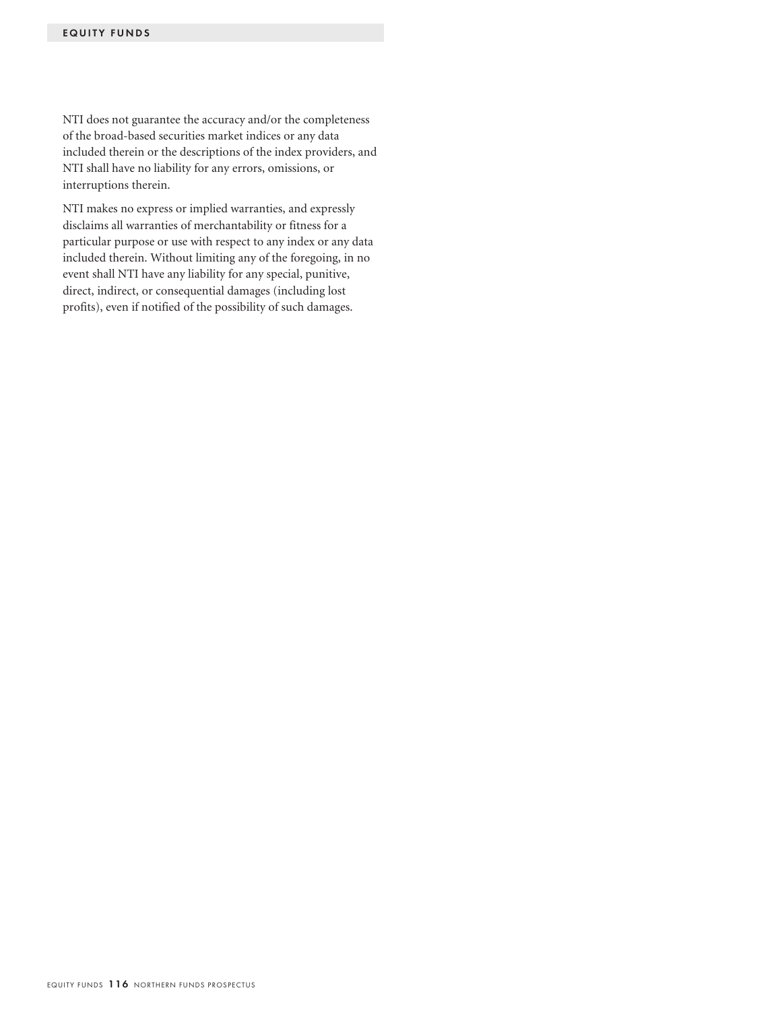NTI does not guarantee the accuracy and/or the completeness of the broad-based securities market indices or any data included therein or the descriptions of the index providers, and NTI shall have no liability for any errors, omissions, or interruptions therein.

NTI makes no express or implied warranties, and expressly disclaims all warranties of merchantability or fitness for a particular purpose or use with respect to any index or any data included therein. Without limiting any of the foregoing, in no event shall NTI have any liability for any special, punitive, direct, indirect, or consequential damages (including lost profits), even if notified of the possibility of such damages.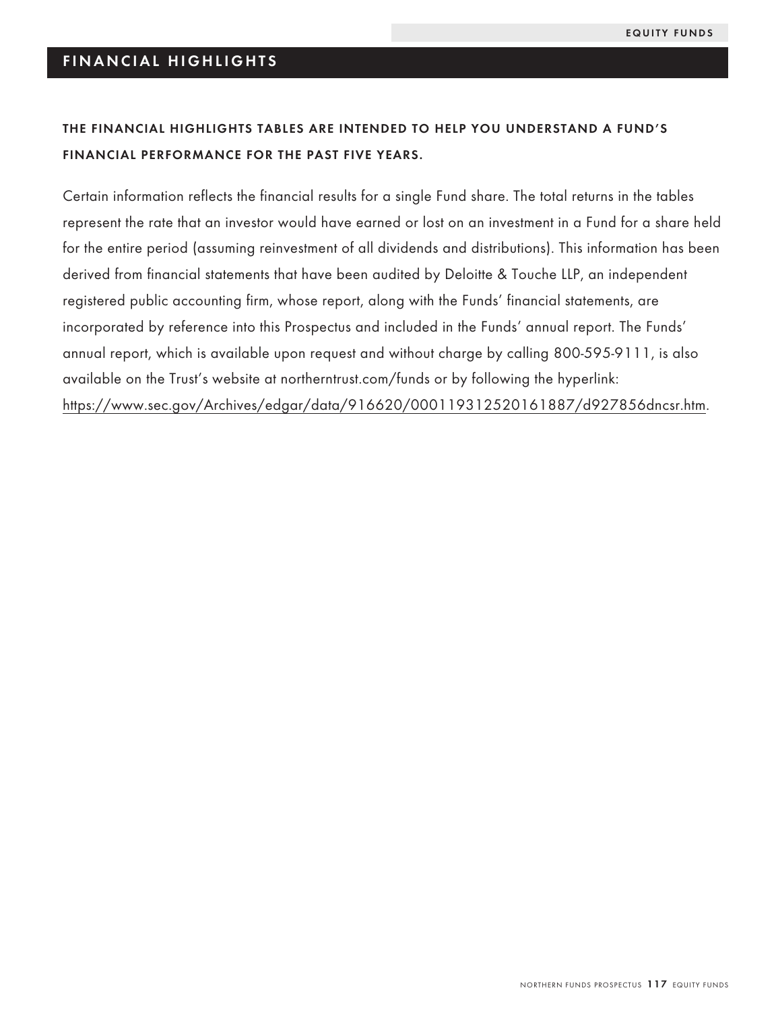## **THE FINANCIAL HIGHLIGHTS TABLES ARE INTENDED TO HELP YOU UNDERSTAND A FUND'S FINANCIAL PERFORMANCE FOR THE PAST FIVE YEARS.**

Certain information reflects the financial results for a single Fund share. The total returns in the tables represent the rate that an investor would have earned or lost on an investment in a Fund for a share held for the entire period (assuming reinvestment of all dividends and distributions). This information has been derived from financial statements that have been audited by Deloitte & Touche LLP, an independent registered public accounting firm, whose report, along with the Funds' financial statements, are incorporated by reference into this Prospectus and included in the Funds' annual report. The Funds' annual report, which is available upon request and without charge by calling 800-595-9111, is also available on the Trust's website at northerntrust.com/funds or by following the hyperlink: https://www.sec.gov/Archives/edgar/data/916620/000119312520161887/d927856dncsr.htm.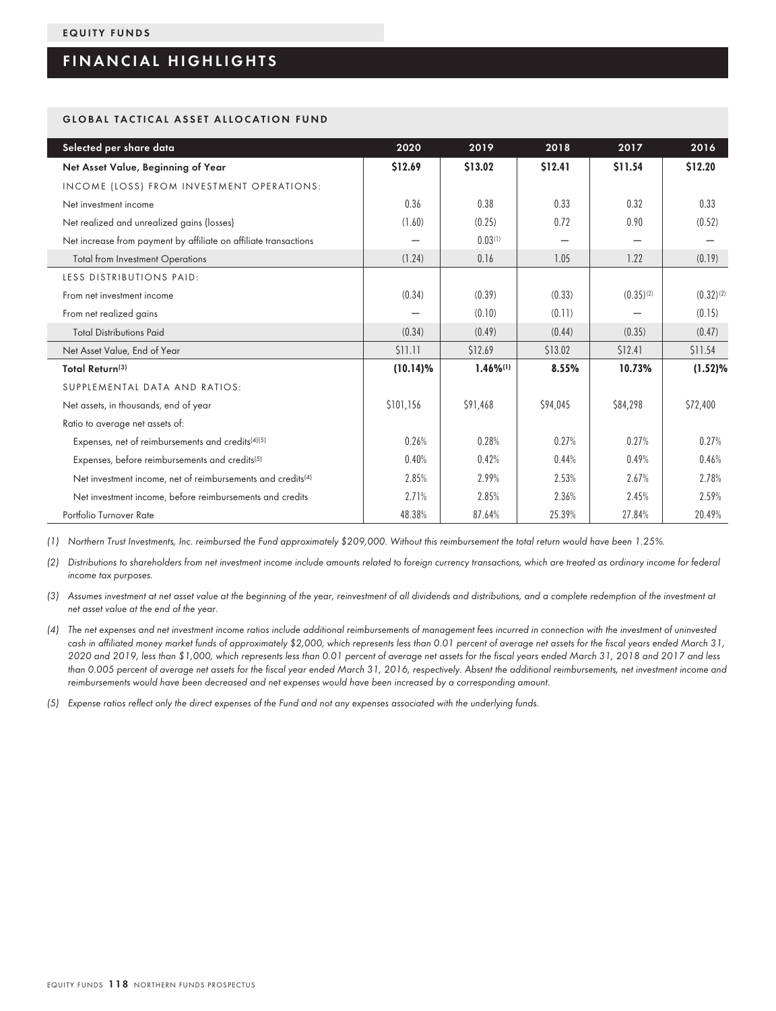### **GLOBAL TACTICAL ASSET ALLOCATION FUND**

| Selected per share data                                                 | 2020        | 2019                    | 2018     | 2017           | 2016           |
|-------------------------------------------------------------------------|-------------|-------------------------|----------|----------------|----------------|
| Net Asset Value, Beginning of Year                                      | \$12.69     | \$13.02                 | \$12.41  | \$11.54        | \$12.20        |
| INCOME (LOSS) FROM INVESTMENT OPERATIONS:                               |             |                         |          |                |                |
| Net investment income                                                   | 0.36        | 0.38                    | 0.33     | 0.32           | 0.33           |
| Net realized and unrealized gains (losses)                              | (1.60)      | (0.25)                  | 0.72     | 0.90           | (0.52)         |
| Net increase from payment by affiliate on affiliate transactions        |             | 0.03(1)                 |          |                |                |
| <b>Total from Investment Operations</b>                                 | (1.24)      | 0.16                    | 1.05     | 1.22           | (0.19)         |
| LESS DISTRIBUTIONS PAID:                                                |             |                         |          |                |                |
| From net investment income                                              | (0.34)      | (0.39)                  | (0.33)   | $(0.35)^{(2)}$ | $(0.32)^{(2)}$ |
| From net realized gains                                                 |             | (0.10)                  | (0.11)   |                | (0.15)         |
| <b>Total Distributions Paid</b>                                         | (0.34)      | (0.49)                  | (0.44)   | (0.35)         | (0.47)         |
| Net Asset Value, End of Year                                            | \$11.11     | \$12.69                 | \$13.02  | \$12.41        | \$11.54        |
| Total Return(3)                                                         | $(10.14)\%$ | $1.46\%$ <sup>(1)</sup> | 8.55%    | 10.73%         | (1.52)%        |
| SUPPLEMENTAL DATA AND RATIOS:                                           |             |                         |          |                |                |
| Net assets, in thousands, end of year                                   | \$101,156   | \$91,468                | \$94,045 | \$84,298       | \$72,400       |
| Ratio to average net assets of:                                         |             |                         |          |                |                |
| Expenses, net of reimbursements and credits <sup>(4)(5)</sup>           | 0.26%       | 0.28%                   | 0.27%    | 0.27%          | 0.27%          |
| Expenses, before reimbursements and credits <sup>[5]</sup>              | 0.40%       | 0.42%                   | 0.44%    | 0.49%          | 0.46%          |
| Net investment income, net of reimbursements and credits <sup>[4]</sup> | 2.85%       | 2.99%                   | 2.53%    | 2.67%          | 2.78%          |
| Net investment income, before reimbursements and credits                | 2.71%       | 2.85%                   | 2.36%    | 2.45%          | 2.59%          |
| Portfolio Turnover Rate                                                 | 48.38%      | 87.64%                  | 25.39%   | 27.84%         | 20.49%         |

(1) Northern Trust Investments, Inc. reimbursed the Fund approximately \$209,000. Without this reimbursement the total return would have been 1.25%.

(2) Distributions to shareholders from net investment income include amounts related to foreign currency transactions, which are treated as ordinary income for federal income tax purposes.

(3) Assumes investment at net asset value at the beginning of the year, reinvestment of all dividends and distributions, and a complete redemption of the investment at net asset value at the end of the year.

(4) The net expenses and net investment income ratios include additional reimbursements of management fees incurred in connection with the investment of uninvested cash in affiliated money market funds of approximately \$2,000, which represents less than 0.01 percent of average net assets for the fiscal years ended March 31, 2020 and 2019, less than \$1,000, which represents less than 0.01 percent of average net assets for the fiscal years ended March 31, 2018 and 2017 and less than 0.005 percent of average net assets for the fiscal year ended March 31, 2016, respectively. Absent the additional reimbursements, net investment income and reimbursements would have been decreased and net expenses would have been increased by a corresponding amount.

(5) Expense ratios reflect only the direct expenses of the Fund and not any expenses associated with the underlying funds.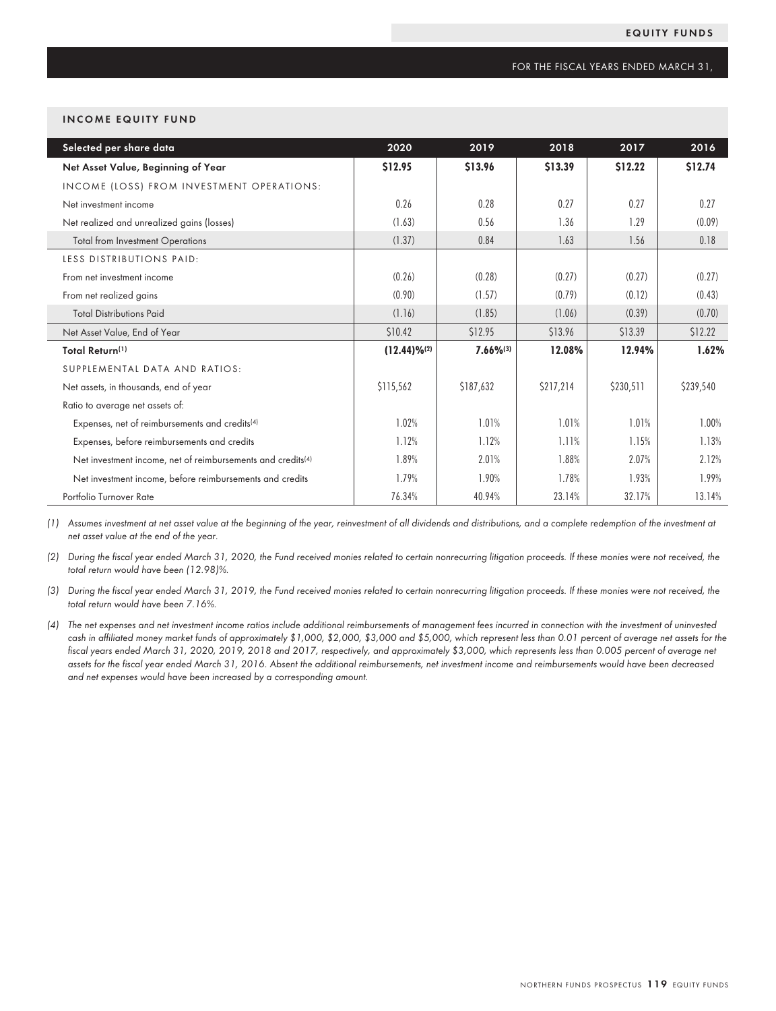#### **INCOME EQUITY FUND**

| Selected per share data                                                 | 2020                       | 2019           | 2018      | 2017      | 2016      |
|-------------------------------------------------------------------------|----------------------------|----------------|-----------|-----------|-----------|
| Net Asset Value, Beginning of Year                                      | \$12.95                    | \$13.96        | \$13.39   | \$12.22   | \$12.74   |
| INCOME (LOSS) FROM INVESTMENT OPERATIONS:                               |                            |                |           |           |           |
| Net investment income                                                   | 0.26                       | 0.28           | 0.27      | 0.27      | 0.27      |
| Net realized and unrealized gains (losses)                              | (1.63)                     | 0.56           | 1.36      | 1.29      | (0.09)    |
| <b>Total from Investment Operations</b>                                 | (1.37)                     | 0.84           | 1.63      | 1.56      | 0.18      |
| LESS DISTRIBUTIONS PAID:                                                |                            |                |           |           |           |
| From net investment income                                              | (0.26)                     | (0.28)         | (0.27)    | (0.27)    | (0.27)    |
| From net realized gains                                                 | (0.90)                     | (1.57)         | (0.79)    | (0.12)    | (0.43)    |
| <b>Total Distributions Paid</b>                                         | (1.16)                     | (1.85)         | (1.06)    | (0.39)    | (0.70)    |
| Net Asset Value, End of Year                                            | \$10.42                    | \$12.95        | \$13.96   | \$13.39   | \$12.22   |
| Total Return <sup>(1)</sup>                                             | $(12.44)\%$ <sup>(2)</sup> | $7.66\%^{(3)}$ | 12.08%    | 12.94%    | 1.62%     |
| SUPPLEMENTAL DATA AND RATIOS:                                           |                            |                |           |           |           |
| Net assets, in thousands, end of year                                   | \$115,562                  | \$187,632      | \$217,214 | \$230,511 | \$239,540 |
| Ratio to average net assets of:                                         |                            |                |           |           |           |
| Expenses, net of reimbursements and credits <sup>(4)</sup>              | 1.02%                      | 1.01%          | 1.01%     | 1.01%     | 1.00%     |
| Expenses, before reimbursements and credits                             | 1.12%                      | 1.12%          | 1.11%     | 1.15%     | 1.13%     |
| Net investment income, net of reimbursements and credits <sup>[4]</sup> | 1.89%                      | 2.01%          | 1.88%     | 2.07%     | 2.12%     |
| Net investment income, before reimbursements and credits                | 1.79%                      | 1.90%          | 1.78%     | 1.93%     | 1.99%     |
| Portfolio Turnover Rate                                                 | 76.34%                     | 40.94%         | 23.14%    | 32.17%    | 13.14%    |

(1) Assumes investment at net asset value at the beginning of the year, reinvestment of all dividends and distributions, and a complete redemption of the investment at net asset value at the end of the year.

(2) During the fiscal year ended March 31, 2020, the Fund received monies related to certain nonrecurring litigation proceeds. If these monies were not received, the total return would have been (12.98)%.

(3) During the fiscal year ended March 31, 2019, the Fund received monies related to certain nonrecurring litigation proceeds. If these monies were not received, the total return would have been 7.16%.

(4) The net expenses and net investment income ratios include additional reimbursements of management fees incurred in connection with the investment of uninvested cash in affiliated money market funds of approximately \$1,000, \$2,000, \$3,000 and \$5,000, which represent less than 0.01 percent of average net assets for the fiscal years ended March 31, 2020, 2019, 2018 and 2017, respectively, and approximately \$3,000, which represents less than 0.005 percent of average net assets for the fiscal year ended March 31, 2016. Absent the additional reimbursements, net investment income and reimbursements would have been decreased and net expenses would have been increased by a corresponding amount.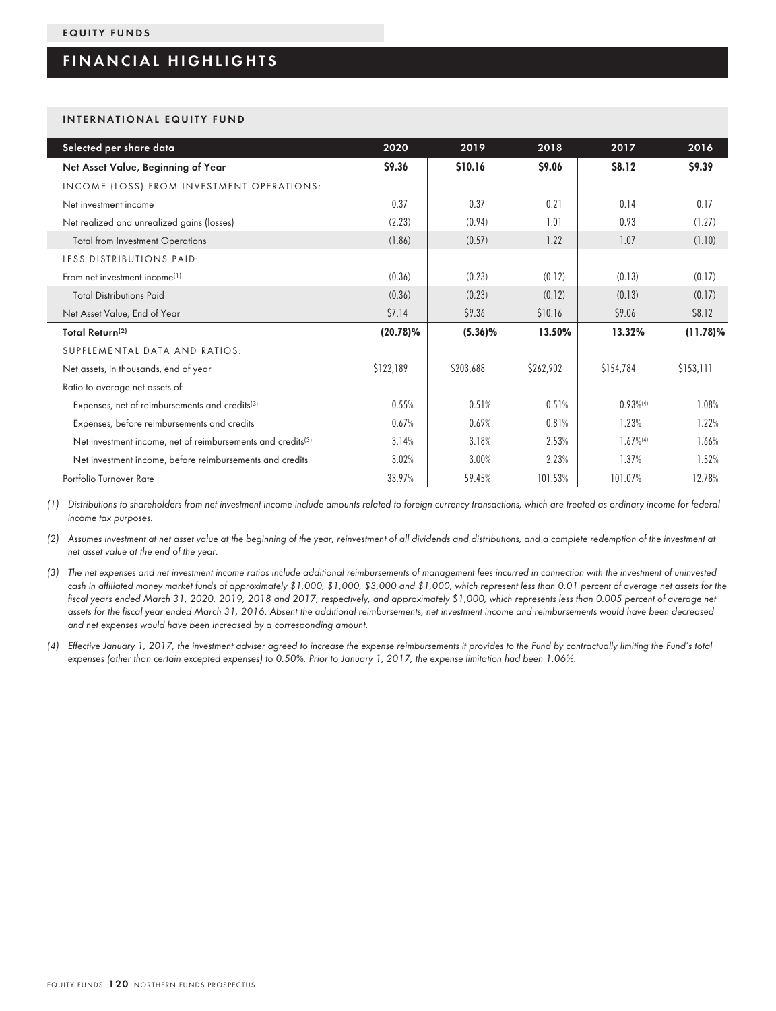### **INTERNATIONAL EQUITY FUND**

| Selected per share data                                                 | 2020        | 2019       | 2018      | 2017                    | 2016        |
|-------------------------------------------------------------------------|-------------|------------|-----------|-------------------------|-------------|
| Net Asset Value, Beginning of Year                                      | \$9.36      | \$10.16    | \$9.06    | \$8.12                  | \$9.39      |
| INCOME (LOSS) FROM INVESTMENT OPERATIONS:                               |             |            |           |                         |             |
| Net investment income                                                   | 0.37        | 0.37       | 0.21      | 0.14                    | 0.17        |
| Net realized and unrealized gains (losses)                              | (2.23)      | (0.94)     | 1.01      | 0.93                    | (1.27)      |
| <b>Total from Investment Operations</b>                                 | (1.86)      | (0.57)     | 1.22      | 1.07                    | (1.10)      |
| LESS DISTRIBUTIONS PAID:                                                |             |            |           |                         |             |
| From net investment income <sup>(1)</sup>                               | (0.36)      | (0.23)     | (0.12)    | (0.13)                  | (0.17)      |
| <b>Total Distributions Paid</b>                                         | (0.36)      | (0.23)     | (0.12)    | (0.13)                  | (0.17)      |
| Net Asset Value, End of Year                                            | \$7.14      | \$9.36     | \$10.16   | \$9.06                  | \$8.12      |
| Total Return <sup>(2)</sup>                                             | $(20.78)\%$ | $(5.36)\%$ | 13.50%    | 13.32%                  | $(11.78)\%$ |
| SUPPLEMENTAL DATA AND RATIOS:                                           |             |            |           |                         |             |
| Net assets, in thousands, end of year                                   | \$122,189   | \$203,688  | \$262,902 | \$154,784               | \$153,111   |
| Ratio to average net assets of:                                         |             |            |           |                         |             |
| Expenses, net of reimbursements and credits <sup>(3)</sup>              | 0.55%       | 0.51%      | 0.51%     | $0.93\%$ <sup>(4)</sup> | 1.08%       |
| Expenses, before reimbursements and credits                             | 0.67%       | 0.69%      | 0.81%     | 1.23%                   | 1.22%       |
| Net investment income, net of reimbursements and credits <sup>(3)</sup> | 3.14%       | 3.18%      | 2.53%     | $1.67\%$ <sup>(4)</sup> | 1.66%       |
| Net investment income, before reimbursements and credits                | 3.02%       | 3.00%      | 2.23%     | 1.37%                   | 1.52%       |
| Portfolio Turnover Rate                                                 | 33.97%      | 59.45%     | 101.53%   | 101.07%                 | 12.78%      |

(1) Distributions to shareholders from net investment income include amounts related to foreign currency transactions, which are treated as ordinary income for federal income tax purposes.

(2) Assumes investment at net asset value at the beginning of the year, reinvestment of all dividends and distributions, and a complete redemption of the investment at net asset value at the end of the year.

(3) The net expenses and net investment income ratios include additional reimbursements of management fees incurred in connection with the investment of uninvested cash in affiliated money market funds of approximately \$1,000, \$1,000, \$3,000 and \$1,000, which represent less than 0.01 percent of average net assets for the fiscal years ended March 31, 2020, 2019, 2018 and 2017, respectively, and approximately \$1,000, which represents less than 0.005 percent of average net assets for the fiscal year ended March 31, 2016. Absent the additional reimbursements, net investment income and reimbursements would have been decreased and net expenses would have been increased by a corresponding amount.

(4) Effective January 1, 2017, the investment adviser agreed to increase the expense reimbursements it provides to the Fund by contractually limiting the Fund's total expenses (other than certain excepted expenses) to 0.50%. Prior to January 1, 2017, the expense limitation had been 1.06%.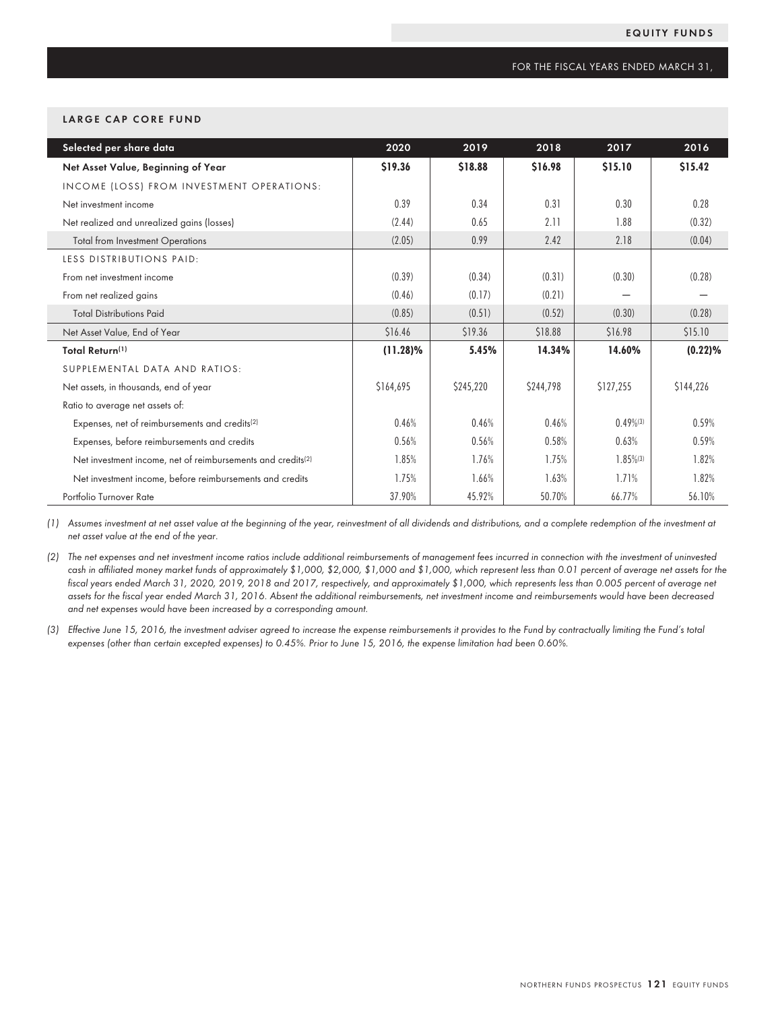#### **LARGE CAP CORE FUND**

| Selected per share data                                                 | 2020        | 2019      | 2018      | 2017                    | 2016      |
|-------------------------------------------------------------------------|-------------|-----------|-----------|-------------------------|-----------|
| Net Asset Value, Beginning of Year                                      | \$19.36     | \$18.88   | \$16.98   | \$15.10                 | \$15.42   |
| INCOME (LOSS) FROM INVESTMENT OPERATIONS:                               |             |           |           |                         |           |
| Net investment income                                                   | 0.39        | 0.34      | 0.31      | 0.30                    | 0.28      |
| Net realized and unrealized gains (losses)                              | (2.44)      | 0.65      | 2.11      | 1.88                    | (0.32)    |
| <b>Total from Investment Operations</b>                                 | (2.05)      | 0.99      | 2.42      | 2.18                    | (0.04)    |
| LESS DISTRIBUTIONS PAID:                                                |             |           |           |                         |           |
| From net investment income                                              | (0.39)      | (0.34)    | (0.31)    | (0.30)                  | (0.28)    |
| From net realized gains                                                 | (0.46)      | (0.17)    | (0.21)    |                         |           |
| <b>Total Distributions Paid</b>                                         | (0.85)      | (0.51)    | (0.52)    | (0.30)                  | (0.28)    |
| Net Asset Value, End of Year                                            | \$16.46     | \$19.36   | \$18.88   | \$16.98                 | \$15.10   |
| Total Return <sup>(1)</sup>                                             | $(11.28)\%$ | 5.45%     | 14.34%    | 14.60%                  | (0.22)%   |
| SUPPLEMENTAL DATA AND RATIOS:                                           |             |           |           |                         |           |
| Net assets, in thousands, end of year                                   | \$164,695   | \$245,220 | \$244.798 | \$127,255               | \$144,226 |
| Ratio to average net assets of:                                         |             |           |           |                         |           |
| Expenses, net of reimbursements and credits <sup>(2)</sup>              | 0.46%       | 0.46%     | 0.46%     | $0.49\%$ <sup>(3)</sup> | 0.59%     |
| Expenses, before reimbursements and credits                             | 0.56%       | 0.56%     | 0.58%     | 0.63%                   | 0.59%     |
| Net investment income, net of reimbursements and credits <sup>(2)</sup> | 1.85%       | 1.76%     | 1.75%     | $1.85\%$ <sup>(3)</sup> | 1.82%     |
| Net investment income, before reimbursements and credits                | 1.75%       | 1.66%     | 1.63%     | 1.71%                   | 1.82%     |
| Portfolio Turnover Rate                                                 | 37.90%      | 45.92%    | 50.70%    | 66.77%                  | 56.10%    |

(1) Assumes investment at net asset value at the beginning of the year, reinvestment of all dividends and distributions, and a complete redemption of the investment at net asset value at the end of the year.

(2) The net expenses and net investment income ratios include additional reimbursements of management fees incurred in connection with the investment of uninvested cash in affiliated money market funds of approximately \$1,000, \$2,000, \$1,000 and \$1,000, which represent less than 0.01 percent of average net assets for the fiscal years ended March 31, 2020, 2019, 2018 and 2017, respectively, and approximately \$1,000, which represents less than 0.005 percent of average net assets for the fiscal year ended March 31, 2016. Absent the additional reimbursements, net investment income and reimbursements would have been decreased and net expenses would have been increased by a corresponding amount.

(3) Effective June 15, 2016, the investment adviser agreed to increase the expense reimbursements it provides to the Fund by contractually limiting the Fund's total expenses (other than certain excepted expenses) to 0.45%. Prior to June 15, 2016, the expense limitation had been 0.60%.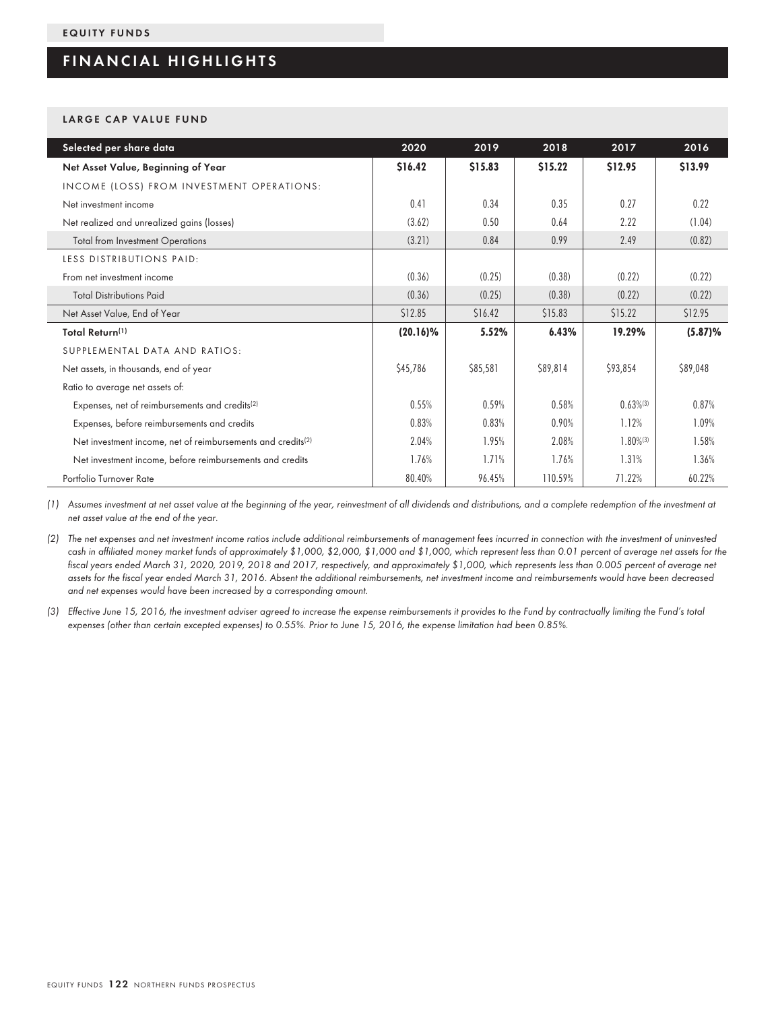#### **LARGE CAP VALUE FUND**

| Selected per share data                                                 | 2020        | 2019     | 2018     | 2017                    | 2016     |
|-------------------------------------------------------------------------|-------------|----------|----------|-------------------------|----------|
| Net Asset Value, Beginning of Year                                      | \$16.42     | \$15.83  | \$15.22  | \$12.95                 | \$13.99  |
| INCOME (LOSS) FROM INVESTMENT OPERATIONS:                               |             |          |          |                         |          |
| Net investment income                                                   | 0.41        | 0.34     | 0.35     | 0.27                    | 0.22     |
| Net realized and unrealized gains (losses)                              | (3.62)      | 0.50     | 0.64     | 2.22                    | (1.04)   |
| <b>Total from Investment Operations</b>                                 | (3.21)      | 0.84     | 0.99     | 2.49                    | (0.82)   |
| LESS DISTRIBUTIONS PAID:                                                |             |          |          |                         |          |
| From net investment income                                              | (0.36)      | (0.25)   | (0.38)   | (0.22)                  | (0.22)   |
| <b>Total Distributions Paid</b>                                         | (0.36)      | (0.25)   | (0.38)   | (0.22)                  | (0.22)   |
| Net Asset Value, End of Year                                            | \$12.85     | \$16.42  | \$15.83  | \$15.22                 | \$12.95  |
| Total Return(1)                                                         | $(20.16)\%$ | 5.52%    | 6.43%    | 19.29%                  | (5.87)%  |
| SUPPLEMENTAL DATA AND RATIOS:                                           |             |          |          |                         |          |
| Net assets, in thousands, end of year                                   | \$45,786    | \$85,581 | \$89,814 | \$93,854                | \$89,048 |
| Ratio to average net assets of:                                         |             |          |          |                         |          |
| Expenses, net of reimbursements and credits <sup>(2)</sup>              | 0.55%       | 0.59%    | 0.58%    | $0.63\%$ <sup>(3)</sup> | 0.87%    |
| Expenses, before reimbursements and credits                             | 0.83%       | 0.83%    | 0.90%    | 1.12%                   | 1.09%    |
| Net investment income, net of reimbursements and credits <sup>(2)</sup> | 2.04%       | 1.95%    | 2.08%    | $1.80\%$ <sup>(3)</sup> | 1.58%    |
| Net investment income, before reimbursements and credits                | 1.76%       | 1.71%    | 1.76%    | 1.31%                   | 1.36%    |
| Portfolio Turnover Rate                                                 | 80.40%      | 96.45%   | 110.59%  | 71.22%                  | 60.22%   |

(1) Assumes investment at net asset value at the beginning of the year, reinvestment of all dividends and distributions, and a complete redemption of the investment at net asset value at the end of the year.

(2) The net expenses and net investment income ratios include additional reimbursements of management fees incurred in connection with the investment of uninvested cash in affiliated money market funds of approximately \$1,000, \$2,000, \$1,000 and \$1,000, which represent less than 0.01 percent of average net assets for the fiscal years ended March 31, 2020, 2019, 2018 and 2017, respectively, and approximately \$1,000, which represents less than 0.005 percent of average net assets for the fiscal year ended March 31, 2016. Absent the additional reimbursements, net investment income and reimbursements would have been decreased and net expenses would have been increased by a corresponding amount.

(3) Effective June 15, 2016, the investment adviser agreed to increase the expense reimbursements it provides to the Fund by contractually limiting the Fund's total expenses (other than certain excepted expenses) to 0.55%. Prior to June 15, 2016, the expense limitation had been 0.85%.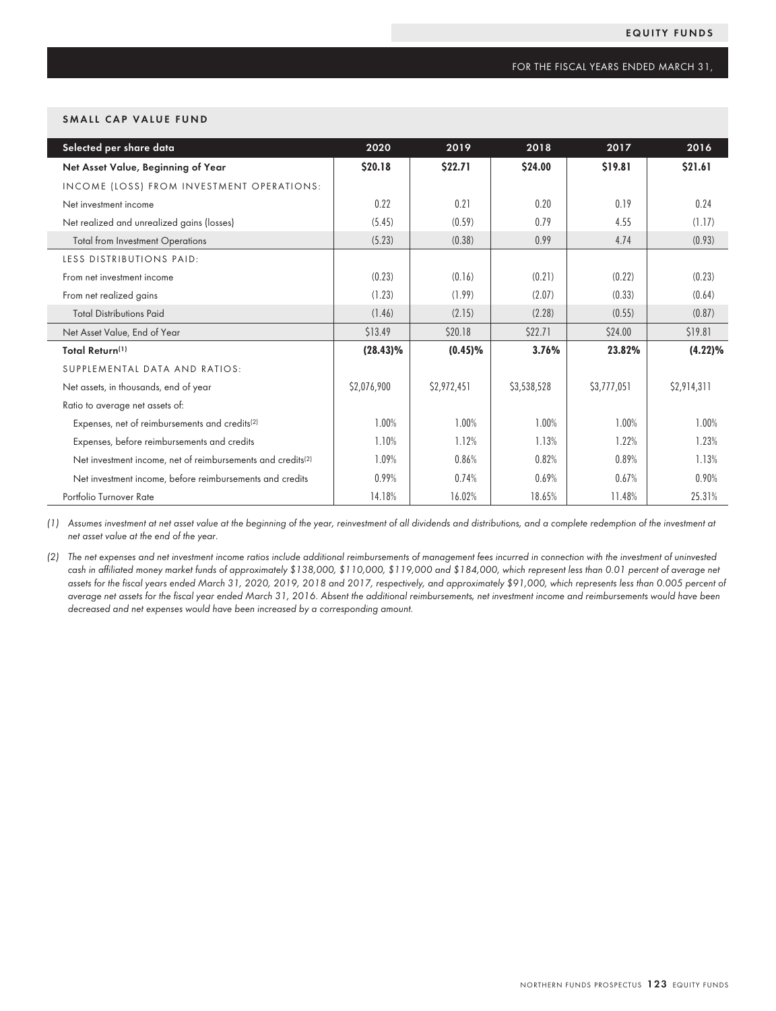#### **SMALL CAP VALUE FUND**

| Selected per share data                                                 | 2020        | 2019        | 2018        | 2017        | 2016        |
|-------------------------------------------------------------------------|-------------|-------------|-------------|-------------|-------------|
| Net Asset Value, Beginning of Year                                      | \$20.18     | \$22.71     | \$24.00     | \$19.81     | \$21.61     |
| INCOME (LOSS) FROM INVESTMENT OPERATIONS:                               |             |             |             |             |             |
| Net investment income                                                   | 0.22        | 0.21        | 0.20        | 0.19        | 0.24        |
| Net realized and unrealized gains (losses)                              | (5.45)      | (0.59)      | 0.79        | 4.55        | (1.17)      |
| <b>Total from Investment Operations</b>                                 | (5.23)      | (0.38)      | 0.99        | 4.74        | (0.93)      |
| LESS DISTRIBUTIONS PAID:                                                |             |             |             |             |             |
| From net investment income                                              | (0.23)      | (0.16)      | (0.21)      | (0.22)      | (0.23)      |
| From net realized gains                                                 | (1.23)      | (1.99)      | (2.07)      | (0.33)      | (0.64)      |
| <b>Total Distributions Paid</b>                                         | (1.46)      | (2.15)      | (2.28)      | (0.55)      | (0.87)      |
| Net Asset Value, End of Year                                            | \$13.49     | \$20.18     | \$22.71     | \$24.00     | \$19.81     |
| Total Return <sup>(1)</sup>                                             | $(28.43)\%$ | $(0.45)\%$  | 3.76%       | 23.82%      | $(4.22)\%$  |
| SUPPLEMENTAL DATA AND RATIOS:                                           |             |             |             |             |             |
| Net assets, in thousands, end of year                                   | \$2,076,900 | \$2,972,451 | \$3,538,528 | \$3,777,051 | \$2,914,311 |
| Ratio to average net assets of:                                         |             |             |             |             |             |
| Expenses, net of reimbursements and credits <sup>(2)</sup>              | 1.00%       | 1.00%       | 1.00%       | 1.00%       | 1.00%       |
| Expenses, before reimbursements and credits                             | 1.10%       | 1.12%       | 1.13%       | 1.22%       | 1.23%       |
| Net investment income, net of reimbursements and credits <sup>(2)</sup> | 1.09%       | 0.86%       | 0.82%       | 0.89%       | 1.13%       |
| Net investment income, before reimbursements and credits                | 0.99%       | 0.74%       | 0.69%       | 0.67%       | 0.90%       |
| Portfolio Turnover Rate                                                 | 14.18%      | 16.02%      | 18.65%      | 11.48%      | 25.31%      |

(1) Assumes investment at net asset value at the beginning of the year, reinvestment of all dividends and distributions, and a complete redemption of the investment at net asset value at the end of the year.

(2) The net expenses and net investment income ratios include additional reimbursements of management fees incurred in connection with the investment of uninvested cash in affiliated money market funds of approximately \$138,000, \$110,000, \$119,000 and \$184,000, which represent less than 0.01 percent of average net assets for the fiscal years ended March 31, 2020, 2019, 2018 and 2017, respectively, and approximately \$91,000, which represents less than 0.005 percent of average net assets for the fiscal year ended March 31, 2016. Absent the additional reimbursements, net investment income and reimbursements would have been decreased and net expenses would have been increased by a corresponding amount.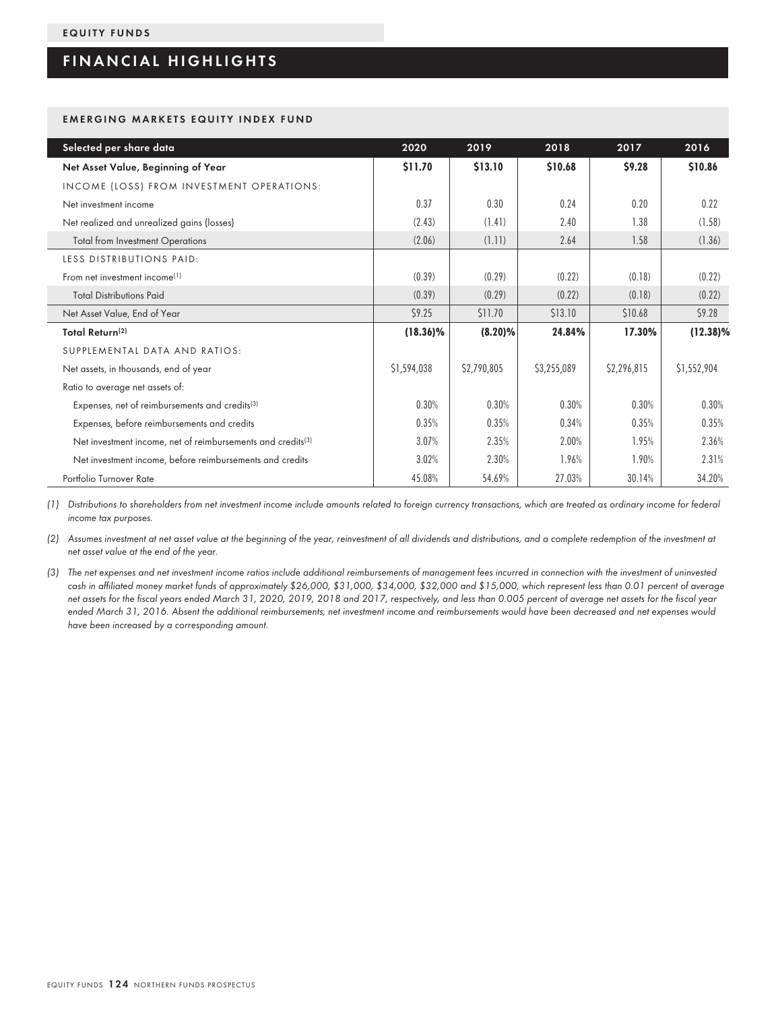### **EMERGING MARKETS EQUITY INDEX FUND**

| Selected per share data                                                 | 2020        | 2019        | 2018        | 2017        | 2016        |
|-------------------------------------------------------------------------|-------------|-------------|-------------|-------------|-------------|
| Net Asset Value, Beginning of Year                                      | \$11.70     | \$13.10     | \$10.68     | \$9.28      | \$10.86     |
| INCOME (LOSS) FROM INVESTMENT OPERATIONS:                               |             |             |             |             |             |
| Net investment income                                                   | 0.37        | 0.30        | 0.24        | 0.20        | 0.22        |
| Net realized and unrealized gains (losses)                              | (2.43)      | (1.41)      | 2.40        | 1.38        | (1.58)      |
| <b>Total from Investment Operations</b>                                 | (2.06)      | (1.11)      | 2.64        | 1.58        | (1.36)      |
| LESS DISTRIBUTIONS PAID:                                                |             |             |             |             |             |
| From net investment income <sup>(1)</sup>                               | (0.39)      | (0.29)      | (0.22)      | (0.18)      | (0.22)      |
| <b>Total Distributions Paid</b>                                         | (0.39)      | (0.29)      | (0.22)      | (0.18)      | (0.22)      |
| Net Asset Value, End of Year                                            | \$9.25      | \$11.70     | \$13.10     | \$10.68     | \$9.28      |
| Total Return <sup>(2)</sup>                                             | $(18.36)\%$ | $(8.20)\%$  | 24.84%      | 17.30%      | $(12.38)\%$ |
| SUPPLEMENTAL DATA AND RATIOS:                                           |             |             |             |             |             |
| Net assets, in thousands, end of year                                   | \$1,594,038 | \$2,790,805 | \$3,255,089 | \$2,296,815 | \$1,552,904 |
| Ratio to average net assets of:                                         |             |             |             |             |             |
| Expenses, net of reimbursements and credits <sup>(3)</sup>              | 0.30%       | 0.30%       | 0.30%       | 0.30%       | 0.30%       |
| Expenses, before reimbursements and credits                             | 0.35%       | 0.35%       | 0.34%       | 0.35%       | 0.35%       |
| Net investment income, net of reimbursements and credits <sup>[3]</sup> | 3.07%       | 2.35%       | 2.00%       | 1.95%       | 2.36%       |
| Net investment income, before reimbursements and credits                | 3.02%       | 2.30%       | 1.96%       | 1.90%       | 2.31%       |
| Portfolio Turnover Rate                                                 | 45.08%      | 54.69%      | 27.03%      | 30.14%      | 34.20%      |

(1) Distributions to shareholders from net investment income include amounts related to foreign currency transactions, which are treated as ordinary income for federal income tax purposes.

(2) Assumes investment at net asset value at the beginning of the year, reinvestment of all dividends and distributions, and a complete redemption of the investment at net asset value at the end of the year.

(3) The net expenses and net investment income ratios include additional reimbursements of management fees incurred in connection with the investment of uninvested cash in affiliated money market funds of approximately \$26,000, \$31,000, \$34,000, \$32,000 and \$15,000, which represent less than 0.01 percent of average net assets for the fiscal years ended March 31, 2020, 2019, 2018 and 2017, respectively, and less than 0.005 percent of average net assets for the fiscal year ended March 31, 2016. Absent the additional reimbursements, net investment income and reimbursements would have been decreased and net expenses would have been increased by a corresponding amount.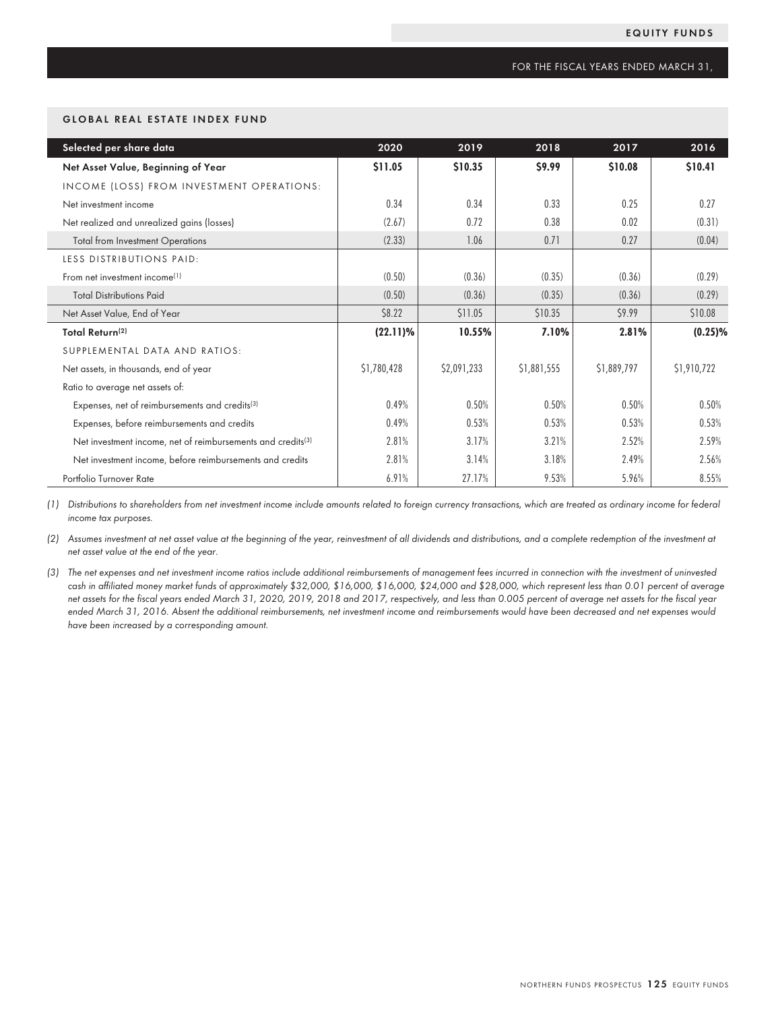#### **GLOBAL REAL ESTATE INDEX FUND**

| Selected per share data                                                 | 2020        | 2019        | 2018         | 2017        | 2016        |
|-------------------------------------------------------------------------|-------------|-------------|--------------|-------------|-------------|
| Net Asset Value, Beginning of Year                                      | \$11.05     | \$10.35     | <b>S9.99</b> | \$10.08     | \$10.41     |
| INCOME (LOSS) FROM INVESTMENT OPERATIONS:                               |             |             |              |             |             |
| Net investment income                                                   | 0.34        | 0.34        | 0.33         | 0.25        | 0.27        |
| Net realized and unrealized gains (losses)                              | (2.67)      | 0.72        | 0.38         | 0.02        | (0.31)      |
| <b>Total from Investment Operations</b>                                 | (2.33)      | 1.06        | 0.71         | 0.27        | (0.04)      |
| LESS DISTRIBUTIONS PAID:                                                |             |             |              |             |             |
| From net investment income <sup>(1)</sup>                               | (0.50)      | (0.36)      | (0.35)       | (0.36)      | (0.29)      |
| <b>Total Distributions Paid</b>                                         | (0.50)      | (0.36)      | (0.35)       | (0.36)      | (0.29)      |
| Net Asset Value, End of Year                                            | \$8.22      | \$11.05     | \$10.35      | \$9.99      | \$10.08     |
| Total Return <sup>(2)</sup>                                             | (22.11)%    | 10.55%      | 7.10%        | 2.81%       | (0.25)%     |
| SUPPLEMENTAL DATA AND RATIOS:                                           |             |             |              |             |             |
| Net assets, in thousands, end of year                                   | \$1,780,428 | \$2,091,233 | \$1,881,555  | \$1,889,797 | \$1,910,722 |
| Ratio to average net assets of:                                         |             |             |              |             |             |
| Expenses, net of reimbursements and credits <sup>(3)</sup>              | 0.49%       | 0.50%       | 0.50%        | 0.50%       | 0.50%       |
| Expenses, before reimbursements and credits                             | 0.49%       | 0.53%       | 0.53%        | 0.53%       | 0.53%       |
| Net investment income, net of reimbursements and credits <sup>[3]</sup> | 2.81%       | 3.17%       | 3.21%        | 2.52%       | 2.59%       |
| Net investment income, before reimbursements and credits                | 2.81%       | 3.14%       | 3.18%        | 2.49%       | 2.56%       |
| Portfolio Turnover Rate                                                 | 6.91%       | 27.17%      | 9.53%        | 5.96%       | 8.55%       |

(1) Distributions to shareholders from net investment income include amounts related to foreign currency transactions, which are treated as ordinary income for federal income tax purposes.

(2) Assumes investment at net asset value at the beginning of the year, reinvestment of all dividends and distributions, and a complete redemption of the investment at net asset value at the end of the year.

(3) The net expenses and net investment income ratios include additional reimbursements of management fees incurred in connection with the investment of uninvested cash in affiliated money market funds of approximately \$32,000, \$16,000, \$16,000, \$24,000 and \$28,000, which represent less than 0.01 percent of average net assets for the fiscal years ended March 31, 2020, 2019, 2018 and 2017, respectively, and less than 0.005 percent of average net assets for the fiscal year ended March 31, 2016. Absent the additional reimbursements, net investment income and reimbursements would have been decreased and net expenses would have been increased by a corresponding amount.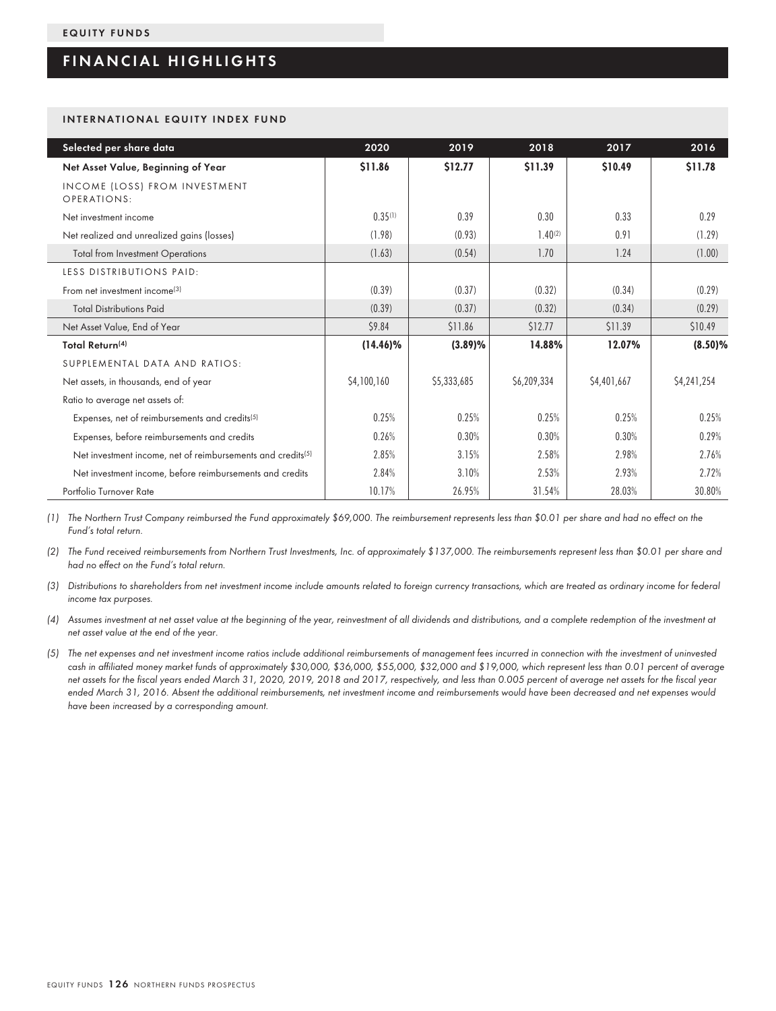### **INTERNATIONAL EQUITY INDEX FUND**

| Selected per share data                                                 | 2020         | 2019        | 2018        | 2017        | 2016        |
|-------------------------------------------------------------------------|--------------|-------------|-------------|-------------|-------------|
| Net Asset Value, Beginning of Year                                      | \$11.86      | \$12.77     | \$11.39     | \$10.49     | \$11.78     |
| INCOME (LOSS) FROM INVESTMENT<br>OPERATIONS:                            |              |             |             |             |             |
| Net investment income                                                   | $0.35^{(1)}$ | 0.39        | 0.30        | 0.33        | 0.29        |
| Net realized and unrealized gains (losses)                              | (1.98)       | (0.93)      | 1.40(2)     | 0.91        | (1.29)      |
| <b>Total from Investment Operations</b>                                 | (1.63)       | (0.54)      | 1.70        | 1.24        | (1.00)      |
| LESS DISTRIBUTIONS PAID:                                                |              |             |             |             |             |
| From net investment income <sup>(3)</sup>                               | (0.39)       | (0.37)      | (0.32)      | (0.34)      | (0.29)      |
| <b>Total Distributions Paid</b>                                         | (0.39)       | (0.37)      | (0.32)      | (0.34)      | (0.29)      |
| Net Asset Value, End of Year                                            | \$9.84       | \$11.86     | \$12.77     | \$11.39     | \$10.49     |
| Total Return <sup>(4)</sup>                                             | $(14.46)\%$  | $(3.89)\%$  | 14.88%      | 12.07%      | $(8.50)\%$  |
| SUPPLEMENTAL DATA AND RATIOS:                                           |              |             |             |             |             |
| Net assets, in thousands, end of year                                   | \$4,100,160  | \$5,333,685 | \$6,209,334 | \$4,401,667 | \$4,241,254 |
| Ratio to average net assets of:                                         |              |             |             |             |             |
| Expenses, net of reimbursements and credits <sup>(5)</sup>              | 0.25%        | 0.25%       | 0.25%       | 0.25%       | 0.25%       |
| Expenses, before reimbursements and credits                             | 0.26%        | 0.30%       | 0.30%       | 0.30%       | 0.29%       |
| Net investment income, net of reimbursements and credits <sup>[5]</sup> | 2.85%        | 3.15%       | 2.58%       | 2.98%       | 2.76%       |
| Net investment income, before reimbursements and credits                | 2.84%        | 3.10%       | 2.53%       | 2.93%       | 2.72%       |
| Portfolio Turnover Rate                                                 | 10.17%       | 26.95%      | 31.54%      | 28.03%      | 30.80%      |

(1) The Northern Trust Company reimbursed the Fund approximately \$69,000. The reimbursement represents less than \$0.01 per share and had no effect on the Fund's total return.

(2) The Fund received reimbursements from Northern Trust Investments, Inc. of approximately \$137,000. The reimbursements represent less than \$0.01 per share and had no effect on the Fund's total return.

(3) Distributions to shareholders from net investment income include amounts related to foreign currency transactions, which are treated as ordinary income for federal income tax purposes.

(4) Assumes investment at net asset value at the beginning of the year, reinvestment of all dividends and distributions, and a complete redemption of the investment at net asset value at the end of the year.

(5) The net expenses and net investment income ratios include additional reimbursements of management fees incurred in connection with the investment of uninvested cash in affiliated money market funds of approximately \$30,000, \$36,000, \$55,000, \$32,000 and \$19,000, which represent less than 0.01 percent of average net assets for the fiscal years ended March 31, 2020, 2019, 2018 and 2017, respectively, and less than 0.005 percent of average net assets for the fiscal year ended March 31, 2016. Absent the additional reimbursements, net investment income and reimbursements would have been decreased and net expenses would have been increased by a corresponding amount.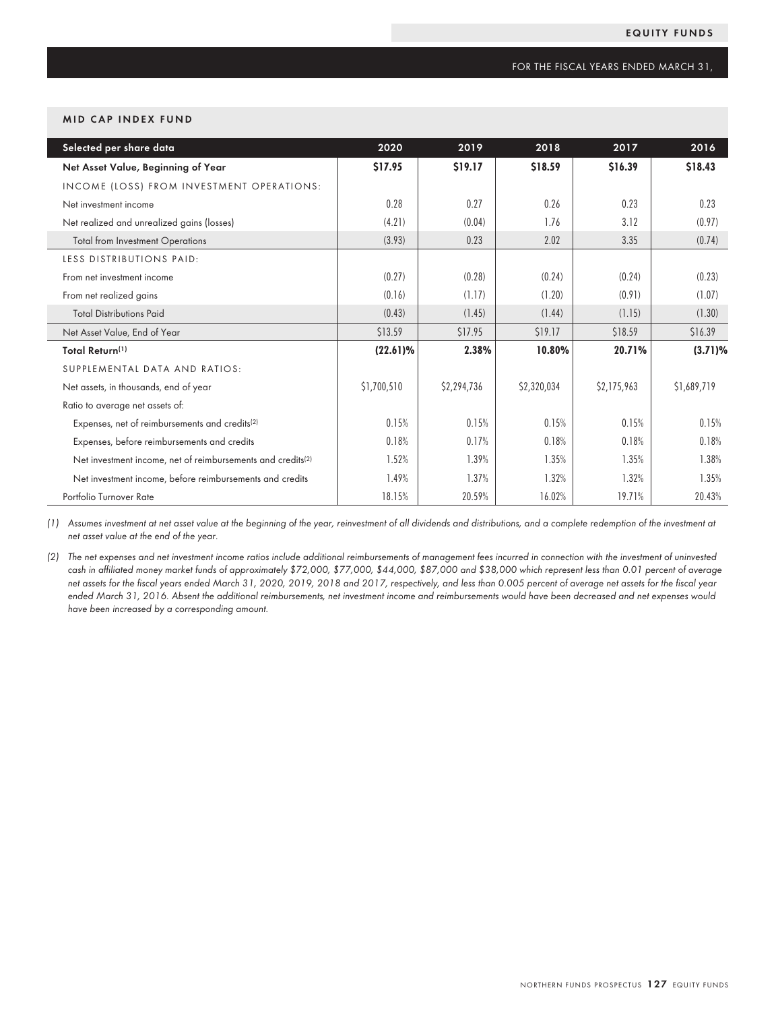#### **MID CAP INDEX FUND**

| Selected per share data                                                 | 2020        | 2019        | 2018        | 2017        | 2016        |
|-------------------------------------------------------------------------|-------------|-------------|-------------|-------------|-------------|
| Net Asset Value, Beginning of Year                                      | \$17.95     | \$19.17     | \$18.59     | \$16.39     | \$18.43     |
| INCOME (LOSS) FROM INVESTMENT OPERATIONS:                               |             |             |             |             |             |
| Net investment income                                                   | 0.28        | 0.27        | 0.26        | 0.23        | 0.23        |
| Net realized and unrealized gains (losses)                              | (4.21)      | (0.04)      | 1.76        | 3.12        | (0.97)      |
| <b>Total from Investment Operations</b>                                 | (3.93)      | 0.23        | 2.02        | 3.35        | (0.74)      |
| LESS DISTRIBUTIONS PAID:                                                |             |             |             |             |             |
| From net investment income                                              | (0.27)      | (0.28)      | (0.24)      | (0.24)      | (0.23)      |
| From net realized gains                                                 | (0.16)      | (1.17)      | (1.20)      | (0.91)      | (1.07)      |
| <b>Total Distributions Paid</b>                                         | (0.43)      | (1.45)      | (1.44)      | (1.15)      | (1.30)      |
| Net Asset Value, End of Year                                            | \$13.59     | \$17.95     | \$19.17     | \$18.59     | \$16.39     |
| Total Return <sup>(1)</sup>                                             | $(22.61)\%$ | 2.38%       | 10.80%      | 20.71%      | (3.71)%     |
| SUPPLEMENTAL DATA AND RATIOS:                                           |             |             |             |             |             |
| Net assets, in thousands, end of year                                   | \$1,700,510 | \$2,294,736 | \$2,320,034 | \$2,175,963 | \$1,689,719 |
| Ratio to average net assets of:                                         |             |             |             |             |             |
| Expenses, net of reimbursements and credits <sup>(2)</sup>              | 0.15%       | 0.15%       | 0.15%       | 0.15%       | 0.15%       |
| Expenses, before reimbursements and credits                             | 0.18%       | 0.17%       | 0.18%       | 0.18%       | 0.18%       |
| Net investment income, net of reimbursements and credits <sup>(2)</sup> | 1.52%       | 1.39%       | 1.35%       | 1.35%       | 1.38%       |
| Net investment income, before reimbursements and credits                | 1.49%       | 1.37%       | 1.32%       | 1.32%       | 1.35%       |
| Portfolio Turnover Rate                                                 | 18.15%      | 20.59%      | 16.02%      | 19.71%      | 20.43%      |

(1) Assumes investment at net asset value at the beginning of the year, reinvestment of all dividends and distributions, and a complete redemption of the investment at net asset value at the end of the year.

(2) The net expenses and net investment income ratios include additional reimbursements of management fees incurred in connection with the investment of uninvested cash in affiliated money market funds of approximately \$72,000, \$77,000, \$44,000, \$87,000 and \$38,000 which represent less than 0.01 percent of average net assets for the fiscal years ended March 31, 2020, 2019, 2018 and 2017, respectively, and less than 0.005 percent of average net assets for the fiscal year ended March 31, 2016. Absent the additional reimbursements, net investment income and reimbursements would have been decreased and net expenses would have been increased by a corresponding amount.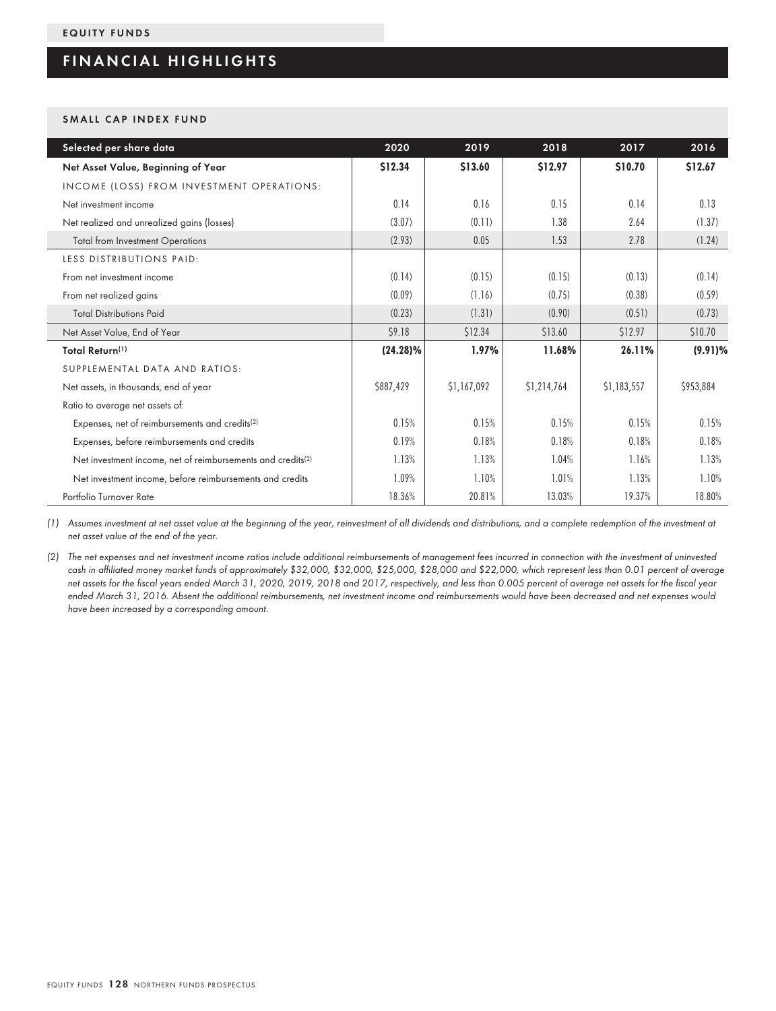### **SMALL CAP INDEX FUND**

| Selected per share data                                                 | 2020        | 2019        | 2018        | 2017        | 2016       |
|-------------------------------------------------------------------------|-------------|-------------|-------------|-------------|------------|
| Net Asset Value, Beginning of Year                                      | \$12.34     | \$13.60     | \$12.97     | \$10.70     | \$12.67    |
| INCOME (LOSS) FROM INVESTMENT OPERATIONS:                               |             |             |             |             |            |
| Net investment income                                                   | 0.14        | 0.16        | 0.15        | 0.14        | 0.13       |
| Net realized and unrealized gains (losses)                              | (3.07)      | (0.11)      | 1.38        | 2.64        | (1.37)     |
| <b>Total from Investment Operations</b>                                 | (2.93)      | 0.05        | 1.53        | 2.78        | (1.24)     |
| LESS DISTRIBUTIONS PAID:                                                |             |             |             |             |            |
| From net investment income                                              | (0.14)      | (0.15)      | (0.15)      | (0.13)      | (0.14)     |
| From net realized gains                                                 | (0.09)      | (1.16)      | (0.75)      | (0.38)      | (0.59)     |
| <b>Total Distributions Paid</b>                                         | (0.23)      | (1.31)      | (0.90)      | (0.51)      | (0.73)     |
| Net Asset Value, End of Year                                            | \$9.18      | \$12.34     | \$13.60     | \$12.97     | \$10.70    |
| Total Return <sup>(1)</sup>                                             | $(24.28)\%$ | 1.97%       | 11.68%      | 26.11%      | $(9.91)\%$ |
| SUPPLEMENTAL DATA AND RATIOS:                                           |             |             |             |             |            |
| Net assets, in thousands, end of year                                   | \$887,429   | \$1,167,092 | \$1,214,764 | \$1,183,557 | \$953,884  |
| Ratio to average net assets of:                                         |             |             |             |             |            |
| Expenses, net of reimbursements and credits <sup>(2)</sup>              | 0.15%       | 0.15%       | 0.15%       | 0.15%       | 0.15%      |
| Expenses, before reimbursements and credits                             | 0.19%       | 0.18%       | 0.18%       | 0.18%       | 0.18%      |
| Net investment income, net of reimbursements and credits <sup>(2)</sup> | 1.13%       | 1.13%       | 1.04%       | 1.16%       | 1.13%      |
| Net investment income, before reimbursements and credits                | 1.09%       | 1.10%       | 1.01%       | 1.13%       | 1.10%      |
| Portfolio Turnover Rate                                                 | 18.36%      | 20.81%      | 13.03%      | 19.37%      | 18.80%     |

(1) Assumes investment at net asset value at the beginning of the year, reinvestment of all dividends and distributions, and a complete redemption of the investment at net asset value at the end of the year.

(2) The net expenses and net investment income ratios include additional reimbursements of management fees incurred in connection with the investment of uninvested cash in affiliated money market funds of approximately \$32,000, \$32,000, \$25,000, \$28,000 and \$22,000, which represent less than 0.01 percent of average net assets for the fiscal years ended March 31, 2020, 2019, 2018 and 2017, respectively, and less than 0.005 percent of average net assets for the fiscal year ended March 31, 2016. Absent the additional reimbursements, net investment income and reimbursements would have been decreased and net expenses would have been increased by a corresponding amount.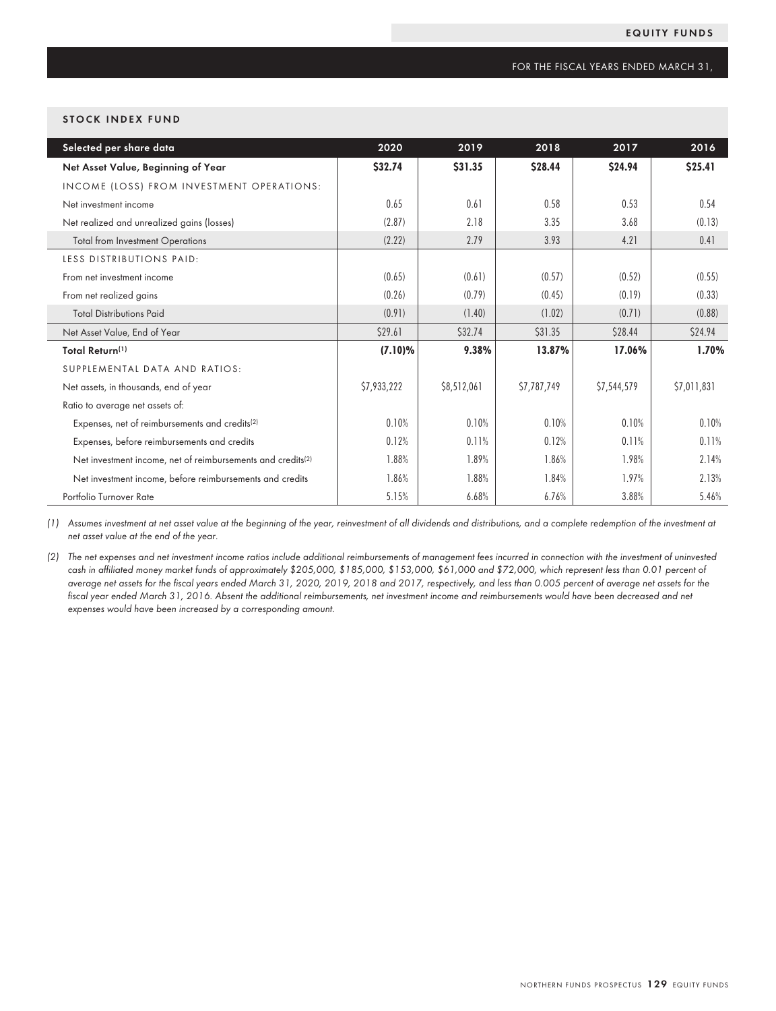#### **STOCK INDEX FUND**

| Selected per share data                                                 | 2020        | 2019        | 2018        | 2017        | 2016        |
|-------------------------------------------------------------------------|-------------|-------------|-------------|-------------|-------------|
| Net Asset Value, Beginning of Year                                      | \$32.74     | \$31.35     | \$28.44     | \$24.94     | \$25.41     |
| INCOME (LOSS) FROM INVESTMENT OPERATIONS:                               |             |             |             |             |             |
| Net investment income                                                   | 0.65        | 0.61        | 0.58        | 0.53        | 0.54        |
| Net realized and unrealized gains (losses)                              | (2.87)      | 2.18        | 3.35        | 3.68        | (0.13)      |
| <b>Total from Investment Operations</b>                                 | (2.22)      | 2.79        | 3.93        | 4.21        | 0.41        |
| LESS DISTRIBUTIONS PAID:                                                |             |             |             |             |             |
| From net investment income                                              | (0.65)      | (0.61)      | (0.57)      | (0.52)      | (0.55)      |
| From net realized gains                                                 | (0.26)      | (0.79)      | (0.45)      | (0.19)      | (0.33)      |
| <b>Total Distributions Paid</b>                                         | (0.91)      | (1.40)      | (1.02)      | (0.71)      | (0.88)      |
| Net Asset Value, End of Year                                            | \$29.61     | \$32.74     | \$31.35     | \$28.44     | \$24.94     |
| Total Return <sup>(1)</sup>                                             | $(7.10)\%$  | 9.38%       | 13.87%      | 17.06%      | 1.70%       |
| SUPPLEMENTAL DATA AND RATIOS:                                           |             |             |             |             |             |
| Net assets, in thousands, end of year                                   | \$7,933,222 | \$8,512,061 | \$7,787,749 | \$7,544,579 | \$7,011,831 |
| Ratio to average net assets of:                                         |             |             |             |             |             |
| Expenses, net of reimbursements and credits <sup>(2)</sup>              | 0.10%       | 0.10%       | 0.10%       | 0.10%       | 0.10%       |
| Expenses, before reimbursements and credits                             | 0.12%       | 0.11%       | 0.12%       | 0.11%       | 0.11%       |
| Net investment income, net of reimbursements and credits <sup>(2)</sup> | 1.88%       | 1.89%       | 1.86%       | 1.98%       | 2.14%       |
| Net investment income, before reimbursements and credits                | 1.86%       | 1.88%       | 1.84%       | 1.97%       | 2.13%       |
| Portfolio Turnover Rate                                                 | 5.15%       | 6.68%       | 6.76%       | 3.88%       | 5.46%       |

(1) Assumes investment at net asset value at the beginning of the year, reinvestment of all dividends and distributions, and a complete redemption of the investment at net asset value at the end of the year.

(2) The net expenses and net investment income ratios include additional reimbursements of management fees incurred in connection with the investment of uninvested cash in affiliated money market funds of approximately \$205,000, \$185,000, \$153,000, \$61,000 and \$72,000, which represent less than 0.01 percent of average net assets for the fiscal years ended March 31, 2020, 2019, 2018 and 2017, respectively, and less than 0.005 percent of average net assets for the fiscal year ended March 31, 2016. Absent the additional reimbursements, net investment income and reimbursements would have been decreased and net expenses would have been increased by a corresponding amount.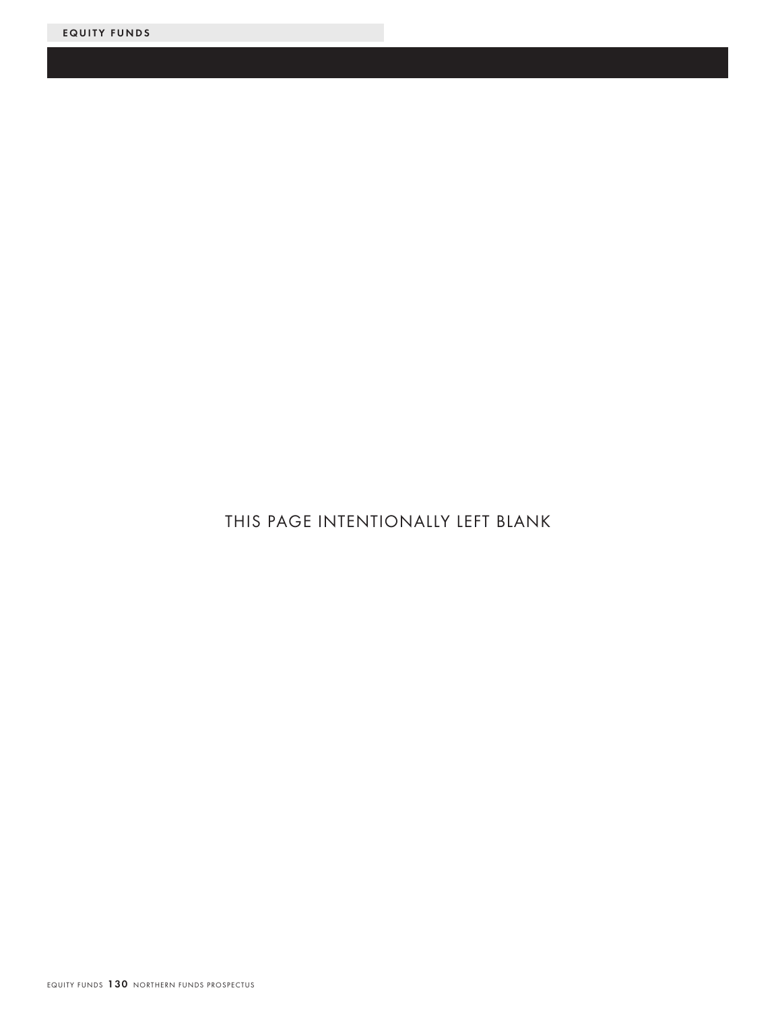THIS PAGE INTENTIONALLY LEFT BLANK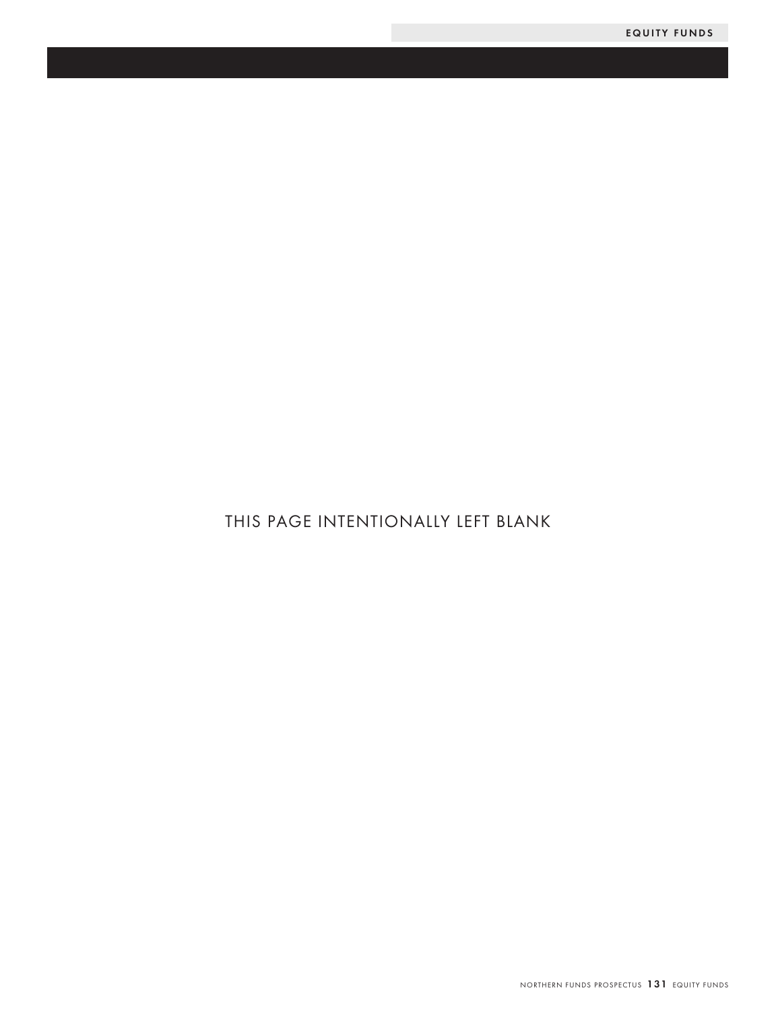THIS PAGE INTENTIONALLY LEFT BLANK